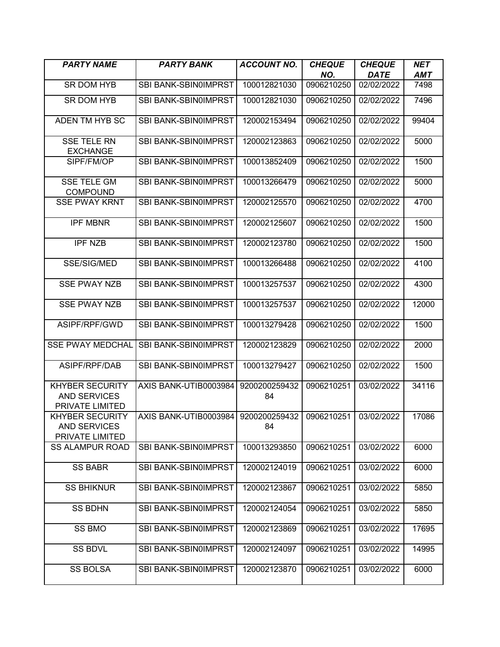| <b>PARTY NAME</b>                                                | <b>PARTY BANK</b>           | <b>ACCOUNT NO.</b>  | <b>CHEQUE</b> | <b>CHEQUE</b> | <b>NET</b> |
|------------------------------------------------------------------|-----------------------------|---------------------|---------------|---------------|------------|
|                                                                  |                             |                     | NO.           | <b>DATE</b>   | <b>AMT</b> |
| <b>SR DOM HYB</b>                                                | SBI BANK-SBIN0IMPRST        | 100012821030        | 0906210250    | 02/02/2022    | 7498       |
| <b>SR DOM HYB</b>                                                | SBI BANK-SBIN0IMPRST        | 100012821030        | 0906210250    | 02/02/2022    | 7496       |
| ADEN TM HYB SC                                                   | SBI BANK-SBIN0IMPRST        | 120002153494        | 0906210250    | 02/02/2022    | 99404      |
| <b>SSE TELE RN</b><br><b>EXCHANGE</b>                            | SBI BANK-SBIN0IMPRST        | 120002123863        | 0906210250    | 02/02/2022    | 5000       |
| SIPF/FM/OP                                                       | SBI BANK-SBIN0IMPRST        | 100013852409        | 0906210250    | 02/02/2022    | 1500       |
| <b>SSE TELE GM</b><br><b>COMPOUND</b>                            | SBI BANK-SBIN0IMPRST        | 100013266479        | 0906210250    | 02/02/2022    | 5000       |
| <b>SSE PWAY KRNT</b>                                             | SBI BANK-SBIN0IMPRST        | 120002125570        | 0906210250    | 02/02/2022    | 4700       |
| <b>IPF MBNR</b>                                                  | SBI BANK-SBIN0IMPRST        | 120002125607        | 0906210250    | 02/02/2022    | 1500       |
| <b>IPF NZB</b>                                                   | SBI BANK-SBIN0IMPRST        | 120002123780        | 0906210250    | 02/02/2022    | 1500       |
| SSE/SIG/MED                                                      | SBI BANK-SBIN0IMPRST        | 100013266488        | 0906210250    | 02/02/2022    | 4100       |
| <b>SSE PWAY NZB</b>                                              | <b>SBI BANK-SBIN0IMPRST</b> | 100013257537        | 0906210250    | 02/02/2022    | 4300       |
| <b>SSE PWAY NZB</b>                                              | SBI BANK-SBIN0IMPRST        | 100013257537        | 0906210250    | 02/02/2022    | 12000      |
| ASIPF/RPF/GWD                                                    | SBI BANK-SBIN0IMPRST        | 100013279428        | 0906210250    | 02/02/2022    | 1500       |
| <b>SSE PWAY MEDCHAL</b>                                          | SBI BANK-SBIN0IMPRST        | 120002123829        | 0906210250    | 02/02/2022    | 2000       |
| ASIPF/RPF/DAB                                                    | SBI BANK-SBIN0IMPRST        | 100013279427        | 0906210250    | 02/02/2022    | 1500       |
| <b>KHYBER SECURITY</b><br><b>AND SERVICES</b><br>PRIVATE LIMITED | AXIS BANK-UTIB0003984       | 9200200259432<br>84 | 0906210251    | 03/02/2022    | 34116      |
| <b>KHYBER SECURITY</b><br>AND SERVICES<br>PRIVATE LIMITED        | AXIS BANK-UTIB0003984       | 9200200259432<br>84 | 0906210251    | 03/02/2022    | 17086      |
| <b>SS ALAMPUR ROAD</b>                                           | <b>SBI BANK-SBIN0IMPRST</b> | 100013293850        | 0906210251    | 03/02/2022    | 6000       |
| <b>SS BABR</b>                                                   | SBI BANK-SBIN0IMPRST        | 120002124019        | 0906210251    | 03/02/2022    | 6000       |
| <b>SS BHIKNUR</b>                                                | <b>SBI BANK-SBIN0IMPRST</b> | 120002123867        | 0906210251    | 03/02/2022    | 5850       |
| <b>SS BDHN</b>                                                   | SBI BANK-SBIN0IMPRST        | 120002124054        | 0906210251    | 03/02/2022    | 5850       |
| SS BMO                                                           | SBI BANK-SBIN0IMPRST        | 120002123869        | 0906210251    | 03/02/2022    | 17695      |
| <b>SS BDVL</b>                                                   | SBI BANK-SBIN0IMPRST        | 120002124097        | 0906210251    | 03/02/2022    | 14995      |
| <b>SS BOLSA</b>                                                  | SBI BANK-SBIN0IMPRST        | 120002123870        | 0906210251    | 03/02/2022    | 6000       |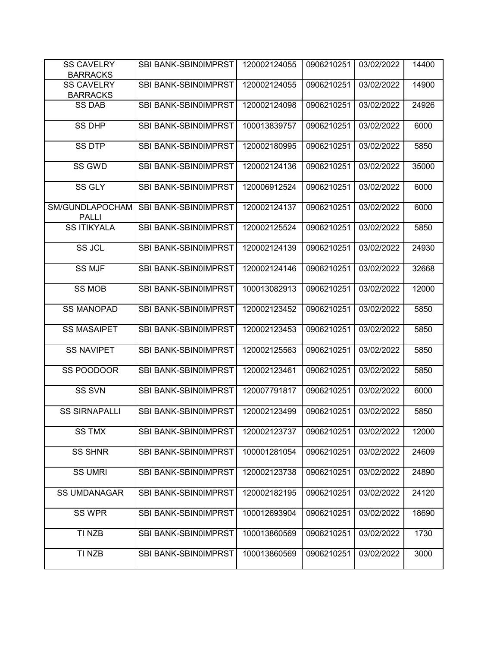| <b>SS CAVELRY</b><br><b>BARRACKS</b> | SBI BANK-SBIN0IMPRST        | 120002124055 | 0906210251 | 03/02/2022 | 14400 |
|--------------------------------------|-----------------------------|--------------|------------|------------|-------|
| <b>SS CAVELRY</b><br><b>BARRACKS</b> | <b>SBI BANK-SBIN0IMPRST</b> | 120002124055 | 0906210251 | 03/02/2022 | 14900 |
| <b>SS DAB</b>                        | SBI BANK-SBIN0IMPRST        | 120002124098 | 0906210251 | 03/02/2022 | 24926 |
| <b>SS DHP</b>                        | SBI BANK-SBIN0IMPRST        | 100013839757 | 0906210251 | 03/02/2022 | 6000  |
| <b>SS DTP</b>                        | SBI BANK-SBIN0IMPRST        | 120002180995 | 0906210251 | 03/02/2022 | 5850  |
| SS GWD                               | SBI BANK-SBIN0IMPRST        | 120002124136 | 0906210251 | 03/02/2022 | 35000 |
| SS GLY                               | SBI BANK-SBIN0IMPRST        | 120006912524 | 0906210251 | 03/02/2022 | 6000  |
| SM/GUNDLAPOCHAM<br><b>PALLI</b>      | SBI BANK-SBIN0IMPRST        | 120002124137 | 0906210251 | 03/02/2022 | 6000  |
| <b>SS ITIKYALA</b>                   | SBI BANK-SBIN0IMPRST        | 120002125524 | 0906210251 | 03/02/2022 | 5850  |
| SS JCL                               | SBI BANK-SBIN0IMPRST        | 120002124139 | 0906210251 | 03/02/2022 | 24930 |
| <b>SS MJF</b>                        | SBI BANK-SBIN0IMPRST        | 120002124146 | 0906210251 | 03/02/2022 | 32668 |
| <b>SS MOB</b>                        | SBI BANK-SBIN0IMPRST        | 100013082913 | 0906210251 | 03/02/2022 | 12000 |
| <b>SS MANOPAD</b>                    | SBI BANK-SBIN0IMPRST        | 120002123452 | 0906210251 | 03/02/2022 | 5850  |
| <b>SS MASAIPET</b>                   | SBI BANK-SBIN0IMPRST        | 120002123453 | 0906210251 | 03/02/2022 | 5850  |
| <b>SS NAVIPET</b>                    | SBI BANK-SBIN0IMPRST        | 120002125563 | 0906210251 | 03/02/2022 | 5850  |
| SS POODOOR                           | SBI BANK-SBIN0IMPRST        | 120002123461 | 0906210251 | 03/02/2022 | 5850  |
| <b>SS SVN</b>                        | SBI BANK-SBIN0IMPRST        | 120007791817 | 0906210251 | 03/02/2022 | 6000  |
| <b>SS SIRNAPALLI</b>                 | SBI BANK-SBIN0IMPRST        | 120002123499 | 0906210251 | 03/02/2022 | 5850  |
| <b>SS TMX</b>                        | SBI BANK-SBIN0IMPRST        | 120002123737 | 0906210251 | 03/02/2022 | 12000 |
| <b>SS SHNR</b>                       | SBI BANK-SBIN0IMPRST        | 100001281054 | 0906210251 | 03/02/2022 | 24609 |
| <b>SS UMRI</b>                       | SBI BANK-SBIN0IMPRST        | 120002123738 | 0906210251 | 03/02/2022 | 24890 |
| <b>SS UMDANAGAR</b>                  | SBI BANK-SBIN0IMPRST        | 120002182195 | 0906210251 | 03/02/2022 | 24120 |
| <b>SS WPR</b>                        | SBI BANK-SBIN0IMPRST        | 100012693904 | 0906210251 | 03/02/2022 | 18690 |
| TI NZB                               | SBI BANK-SBIN0IMPRST        | 100013860569 | 0906210251 | 03/02/2022 | 1730  |
| TI NZB                               | SBI BANK-SBIN0IMPRST        | 100013860569 | 0906210251 | 03/02/2022 | 3000  |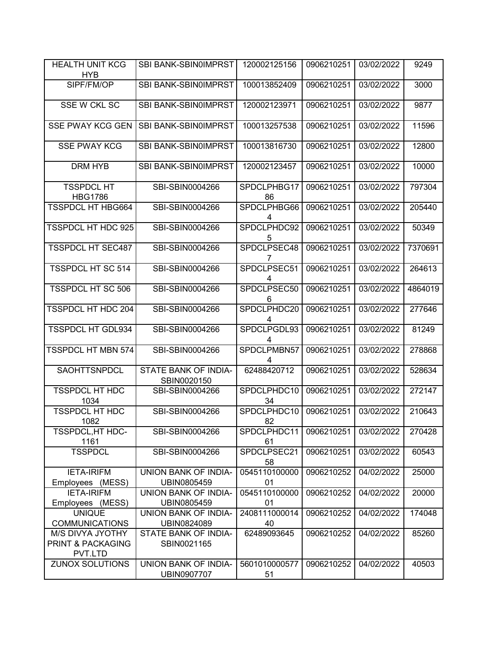| <b>HEALTH UNIT KCG</b><br><b>HYB</b>                    | <b>SBI BANK-SBIN0IMPRST</b>         | 120002125156        | 0906210251 | 03/02/2022 | 9249    |
|---------------------------------------------------------|-------------------------------------|---------------------|------------|------------|---------|
| SIPF/FM/OP                                              | SBI BANK-SBIN0IMPRST                | 100013852409        | 0906210251 | 03/02/2022 | 3000    |
| SSE W CKL SC                                            | SBI BANK-SBIN0IMPRST                | 120002123971        | 0906210251 | 03/02/2022 | 9877    |
| <b>SSE PWAY KCG GEN</b>                                 | SBI BANK-SBIN0IMPRST                | 100013257538        | 0906210251 | 03/02/2022 | 11596   |
| <b>SSE PWAY KCG</b>                                     | <b>SBI BANK-SBIN0IMPRST</b>         | 100013816730        | 0906210251 | 03/02/2022 | 12800   |
| <b>DRM HYB</b>                                          | SBI BANK-SBIN0IMPRST                | 120002123457        | 0906210251 | 03/02/2022 | 10000   |
| <b>TSSPDCL HT</b><br><b>HBG1786</b>                     | SBI-SBIN0004266                     | SPDCLPHBG17<br>86   | 0906210251 | 03/02/2022 | 797304  |
| <b>TSSPDCL HT HBG664</b>                                | SBI-SBIN0004266                     | SPDCLPHBG66<br>4    | 0906210251 | 03/02/2022 | 205440  |
| <b>TSSPDCL HT HDC 925</b>                               | SBI-SBIN0004266                     | SPDCLPHDC92<br>5    | 0906210251 | 03/02/2022 | 50349   |
| <b>TSSPDCL HT SEC487</b>                                | SBI-SBIN0004266                     | SPDCLPSEC48<br>7    | 0906210251 | 03/02/2022 | 7370691 |
| <b>TSSPDCL HT SC 514</b>                                | SBI-SBIN0004266                     | SPDCLPSEC51<br>4    | 0906210251 | 03/02/2022 | 264613  |
| <b>TSSPDCL HT SC 506</b>                                | SBI-SBIN0004266                     | SPDCLPSEC50<br>6    | 0906210251 | 03/02/2022 | 4864019 |
| <b>TSSPDCL HT HDC 204</b>                               | SBI-SBIN0004266                     | SPDCLPHDC20         | 0906210251 | 03/02/2022 | 277646  |
| <b>TSSPDCL HT GDL934</b>                                | SBI-SBIN0004266                     | SPDCLPGDL93<br>4    | 0906210251 | 03/02/2022 | 81249   |
| <b>TSSPDCL HT MBN 574</b>                               | SBI-SBIN0004266                     | SPDCLPMBN57<br>4    | 0906210251 | 03/02/2022 | 278868  |
| SAOHTTSNPDCL                                            | STATE BANK OF INDIA-<br>SBIN0020150 | 62488420712         | 0906210251 | 03/02/2022 | 528634  |
| <b>TSSPDCL HT HDC</b><br>1034                           | SBI-SBIN0004266                     | SPDCLPHDC10<br>34   | 0906210251 | 03/02/2022 | 272147  |
| <b>TSSPDCL HT HDC</b><br>1082                           | SBI-SBIN0004266                     | SPDCLPHDC10<br>82   | 0906210251 | 03/02/2022 | 210643  |
| TSSPDCL, HT HDC-<br>1161                                | SBI-SBIN0004266                     | SPDCLPHDC11<br>61   | 0906210251 | 03/02/2022 | 270428  |
| <b>TSSPDCL</b>                                          | SBI-SBIN0004266                     | SPDCLPSEC21<br>58   | 0906210251 | 03/02/2022 | 60543   |
| <b>IETA-IRIFM</b><br>Employees (MESS)                   | UNION BANK OF INDIA-<br>UBIN0805459 | 0545110100000<br>01 | 0906210252 | 04/02/2022 | 25000   |
| <b>IETA-IRIFM</b><br>Employees (MESS)                   | UNION BANK OF INDIA-<br>UBIN0805459 | 0545110100000<br>01 | 0906210252 | 04/02/2022 | 20000   |
| <b>UNIQUE</b><br><b>COMMUNICATIONS</b>                  | UNION BANK OF INDIA-<br>UBIN0824089 | 2408111000014<br>40 | 0906210252 | 04/02/2022 | 174048  |
| <b>M/S DIVYA JYOTHY</b><br>PRINT & PACKAGING<br>PVT.LTD | STATE BANK OF INDIA-<br>SBIN0021165 | 62489093645         | 0906210252 | 04/02/2022 | 85260   |
| <b>ZUNOX SOLUTIONS</b>                                  | UNION BANK OF INDIA-<br>UBIN0907707 | 5601010000577<br>51 | 0906210252 | 04/02/2022 | 40503   |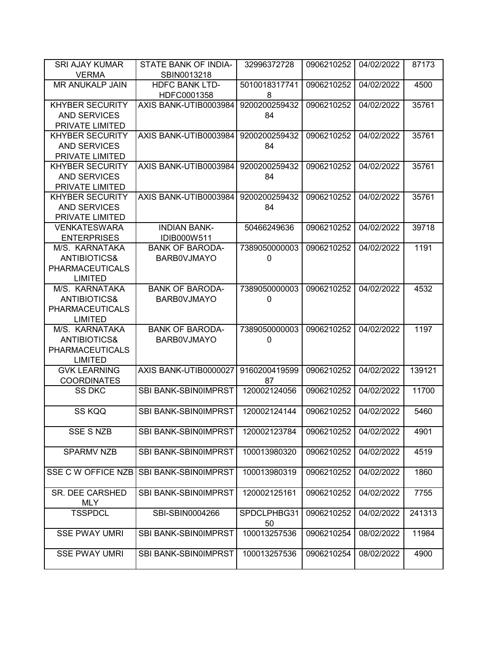| <b>SRI AJAY KUMAR</b>                     | STATE BANK OF INDIA-        | 32996372728         | 0906210252 | 04/02/2022 | 87173  |
|-------------------------------------------|-----------------------------|---------------------|------------|------------|--------|
| <b>VERMA</b>                              | SBIN0013218                 |                     |            |            |        |
| MR ANUKALP JAIN                           | <b>HDFC BANK LTD-</b>       | 5010018317741       | 0906210252 | 04/02/2022 | 4500   |
|                                           | HDFC0001358                 | 8                   |            |            |        |
| <b>KHYBER SECURITY</b>                    | AXIS BANK-UTIB0003984       | 9200200259432       | 0906210252 | 04/02/2022 | 35761  |
| <b>AND SERVICES</b>                       |                             | 84                  |            |            |        |
| PRIVATE LIMITED                           |                             |                     |            |            |        |
| <b>KHYBER SECURITY</b>                    | AXIS BANK-UTIB0003984       | 9200200259432       | 0906210252 | 04/02/2022 | 35761  |
| <b>AND SERVICES</b>                       |                             | 84                  |            |            |        |
| PRIVATE LIMITED                           |                             |                     |            |            |        |
| <b>KHYBER SECURITY</b>                    | AXIS BANK-UTIB0003984       | 9200200259432       | 0906210252 | 04/02/2022 | 35761  |
| <b>AND SERVICES</b>                       |                             | 84                  |            |            |        |
| PRIVATE LIMITED                           |                             |                     |            |            |        |
| <b>KHYBER SECURITY</b>                    | AXIS BANK-UTIB0003984       | 9200200259432       | 0906210252 | 04/02/2022 | 35761  |
| <b>AND SERVICES</b>                       |                             | 84                  |            |            |        |
| PRIVATE LIMITED                           |                             |                     |            |            |        |
| <b>VENKATESWARA</b>                       | <b>INDIAN BANK-</b>         | 50466249636         | 0906210252 | 04/02/2022 | 39718  |
| <b>ENTERPRISES</b>                        | IDIB000W511                 |                     |            |            |        |
| M/S. KARNATAKA                            | <b>BANK OF BARODA-</b>      | 7389050000003       | 0906210252 | 04/02/2022 | 1191   |
| <b>ANTIBIOTICS&amp;</b>                   | <b>BARBOVJMAYO</b>          | 0                   |            |            |        |
| <b>PHARMACEUTICALS</b>                    |                             |                     |            |            |        |
| <b>LIMITED</b>                            |                             |                     |            |            |        |
| M/S. KARNATAKA                            | <b>BANK OF BARODA-</b>      | 7389050000003       | 0906210252 | 04/02/2022 | 4532   |
| <b>ANTIBIOTICS&amp;</b>                   | <b>BARBOVJMAYO</b>          | 0                   |            |            |        |
| <b>PHARMACEUTICALS</b>                    |                             |                     |            |            |        |
| <b>LIMITED</b>                            |                             |                     |            |            |        |
| M/S. KARNATAKA                            | <b>BANK OF BARODA-</b>      | 7389050000003       | 0906210252 | 04/02/2022 | 1197   |
| <b>ANTIBIOTICS&amp;</b>                   | <b>BARBOVJMAYO</b>          | 0                   |            |            |        |
| <b>PHARMACEUTICALS</b>                    |                             |                     |            |            |        |
| <b>LIMITED</b>                            |                             |                     |            |            |        |
| <b>GVK LEARNING</b><br><b>COORDINATES</b> | AXIS BANK-UTIB0000027       | 9160200419599<br>87 | 0906210252 | 04/02/2022 | 139121 |
| <b>SS DKC</b>                             | <b>SBI BANK-SBIN0IMPRST</b> | 120002124056        | 0906210252 | 04/02/2022 | 11700  |
|                                           |                             |                     |            |            |        |
| SS KQQ                                    | SBI BANK-SBIN0IMPRST        | 120002124144        | 0906210252 | 04/02/2022 | 5460   |
|                                           |                             |                     |            |            |        |
| <b>SSE S NZB</b>                          | SBI BANK-SBIN0IMPRST        | 120002123784        | 0906210252 | 04/02/2022 | 4901   |
|                                           |                             |                     |            |            |        |
| <b>SPARMV NZB</b>                         | SBI BANK-SBIN0IMPRST        | 100013980320        | 0906210252 | 04/02/2022 | 4519   |
|                                           |                             |                     |            |            |        |
| SSE C W OFFICE NZB                        | <b>SBI BANK-SBIN0IMPRST</b> | 100013980319        | 0906210252 | 04/02/2022 | 1860   |
|                                           |                             |                     |            |            |        |
| SR. DEE CARSHED                           | SBI BANK-SBIN0IMPRST        | 120002125161        | 0906210252 | 04/02/2022 | 7755   |
| <b>MLY</b>                                |                             |                     |            |            |        |
| <b>TSSPDCL</b>                            | SBI-SBIN0004266             | SPDCLPHBG31         | 0906210252 | 04/02/2022 | 241313 |
|                                           |                             | 50                  |            |            |        |
| <b>SSE PWAY UMRI</b>                      | SBI BANK-SBIN0IMPRST        | 100013257536        | 0906210254 | 08/02/2022 | 11984  |
|                                           |                             |                     |            |            |        |
| <b>SSE PWAY UMRI</b>                      | SBI BANK-SBIN0IMPRST        | 100013257536        | 0906210254 | 08/02/2022 | 4900   |
|                                           |                             |                     |            |            |        |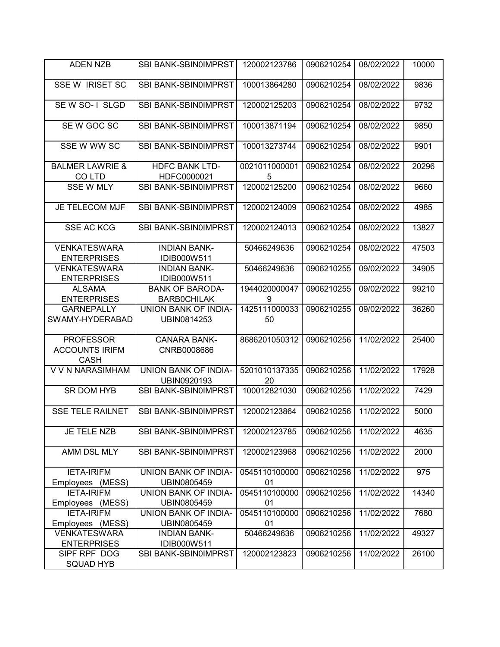| <b>ADEN NZB</b>                                          | SBI BANK-SBIN0IMPRST                 | 120002123786        | 0906210254 | 08/02/2022 | 10000 |
|----------------------------------------------------------|--------------------------------------|---------------------|------------|------------|-------|
| <b>SSE W IRISET SC</b>                                   | SBI BANK-SBIN0IMPRST                 | 100013864280        | 0906210254 | 08/02/2022 | 9836  |
| SE W SO-1 SLGD                                           | SBI BANK-SBIN0IMPRST                 | 120002125203        | 0906210254 | 08/02/2022 | 9732  |
| SE W GOC SC                                              | SBI BANK-SBIN0IMPRST                 | 100013871194        | 0906210254 | 08/02/2022 | 9850  |
| SSE W WW SC                                              | <b>SBI BANK-SBIN0IMPRST</b>          | 100013273744        | 0906210254 | 08/02/2022 | 9901  |
| <b>BALMER LAWRIE &amp;</b><br>CO LTD                     | <b>HDFC BANK LTD-</b><br>HDFC0000021 | 0021011000001<br>5  | 0906210254 | 08/02/2022 | 20296 |
| <b>SSE W MLY</b>                                         | SBI BANK-SBIN0IMPRST                 | 120002125200        | 0906210254 | 08/02/2022 | 9660  |
| JE TELECOM MJF                                           | SBI BANK-SBIN0IMPRST                 | 120002124009        | 0906210254 | 08/02/2022 | 4985  |
| <b>SSE AC KCG</b>                                        | SBI BANK-SBIN0IMPRST                 | 120002124013        | 0906210254 | 08/02/2022 | 13827 |
| <b>VENKATESWARA</b><br><b>ENTERPRISES</b>                | <b>INDIAN BANK-</b><br>IDIB000W511   | 50466249636         | 0906210254 | 08/02/2022 | 47503 |
| <b>VENKATESWARA</b><br><b>ENTERPRISES</b>                | <b>INDIAN BANK-</b><br>IDIB000W511   | 50466249636         | 0906210255 | 09/02/2022 | 34905 |
| <b>ALSAMA</b>                                            | <b>BANK OF BARODA-</b>               | 1944020000047       | 0906210255 | 09/02/2022 | 99210 |
| <b>ENTERPRISES</b>                                       | <b>BARBOCHILAK</b>                   | 9                   |            |            |       |
| <b>GARNEPALLY</b><br>SWAMY-HYDERABAD                     | UNION BANK OF INDIA-<br>UBIN0814253  | 1425111000033<br>50 | 0906210255 | 09/02/2022 | 36260 |
| <b>PROFESSOR</b><br><b>ACCOUNTS IRIFM</b><br><b>CASH</b> | <b>CANARA BANK-</b><br>CNRB0008686   | 8686201050312       | 0906210256 | 11/02/2022 | 25400 |
| V V N NARASIMHAM                                         | UNION BANK OF INDIA-<br>UBIN0920193  | 5201010137335<br>20 | 0906210256 | 11/02/2022 | 17928 |
| SR DOM HYB                                               | SBI BANK-SBIN0IMPRST                 | 100012821030        | 0906210256 | 11/02/2022 | 7429  |
| <b>SSE TELE RAILNET</b>                                  | SBI BANK-SBIN0IMPRST                 | 120002123864        | 0906210256 | 11/02/2022 | 5000  |
| JE TELE NZB                                              | SBI BANK-SBIN0IMPRST                 | 120002123785        | 0906210256 | 11/02/2022 | 4635  |
| AMM DSL MLY                                              | SBI BANK-SBIN0IMPRST                 | 120002123968        | 0906210256 | 11/02/2022 | 2000  |
| <b>IETA-IRIFM</b>                                        | UNION BANK OF INDIA-                 | 0545110100000       | 0906210256 | 11/02/2022 | 975   |
| Employees (MESS)                                         | UBIN0805459                          | 01                  |            |            |       |
| <b>IETA-IRIFM</b><br>Employees (MESS)                    | UNION BANK OF INDIA-<br>UBIN0805459  | 0545110100000<br>01 | 0906210256 | 11/02/2022 | 14340 |
| <b>IETA-IRIFM</b><br>Employees (MESS)                    | UNION BANK OF INDIA-<br>UBIN0805459  | 0545110100000<br>01 | 0906210256 | 11/02/2022 | 7680  |
| <b>VENKATESWARA</b>                                      | <b>INDIAN BANK-</b>                  | 50466249636         | 0906210256 | 11/02/2022 | 49327 |
| <b>ENTERPRISES</b>                                       | IDIB000W511                          |                     |            |            |       |
| SIPF RPF DOG                                             | SBI BANK-SBIN0IMPRST                 | 120002123823        | 0906210256 | 11/02/2022 | 26100 |
| SQUAD HYB                                                |                                      |                     |            |            |       |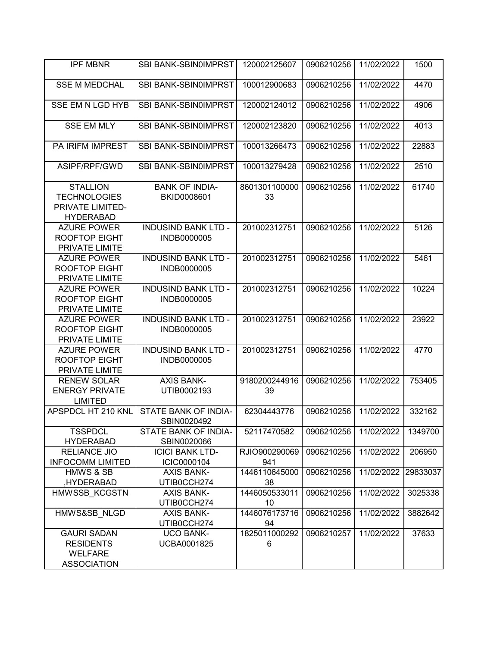| <b>IPF MBNR</b>                                                                | SBI BANK-SBIN0IMPRST                      | 120002125607         | 0906210256 | 11/02/2022 | 1500     |
|--------------------------------------------------------------------------------|-------------------------------------------|----------------------|------------|------------|----------|
| <b>SSE M MEDCHAL</b>                                                           | SBI BANK-SBIN0IMPRST                      | 100012900683         | 0906210256 | 11/02/2022 | 4470     |
| <b>SSE EM N LGD HYB</b>                                                        | <b>SBI BANK-SBIN0IMPRST</b>               | 120002124012         | 0906210256 | 11/02/2022 | 4906     |
| <b>SSE EM MLY</b>                                                              | SBI BANK-SBIN0IMPRST                      | 120002123820         | 0906210256 | 11/02/2022 | 4013     |
| PA IRIFM IMPREST                                                               | SBI BANK-SBIN0IMPRST                      | 100013266473         | 0906210256 | 11/02/2022 | 22883    |
| ASIPF/RPF/GWD                                                                  | <b>SBI BANK-SBIN0IMPRST</b>               | 100013279428         | 0906210256 | 11/02/2022 | 2510     |
| <b>STALLION</b><br><b>TECHNOLOGIES</b><br>PRIVATE LIMITED-<br><b>HYDERABAD</b> | <b>BANK OF INDIA-</b><br>BKID0008601      | 8601301100000<br>33  | 0906210256 | 11/02/2022 | 61740    |
| <b>AZURE POWER</b><br><b>ROOFTOP EIGHT</b><br>PRIVATE LIMITE                   | <b>INDUSIND BANK LTD -</b><br>INDB0000005 | 201002312751         | 0906210256 | 11/02/2022 | 5126     |
| <b>AZURE POWER</b><br><b>ROOFTOP EIGHT</b><br>PRIVATE LIMITE                   | <b>INDUSIND BANK LTD -</b><br>INDB0000005 | 201002312751         | 0906210256 | 11/02/2022 | 5461     |
| <b>AZURE POWER</b><br><b>ROOFTOP EIGHT</b><br>PRIVATE LIMITE                   | <b>INDUSIND BANK LTD -</b><br>INDB0000005 | 201002312751         | 0906210256 | 11/02/2022 | 10224    |
| <b>AZURE POWER</b><br><b>ROOFTOP EIGHT</b><br>PRIVATE LIMITE                   | <b>INDUSIND BANK LTD -</b><br>INDB0000005 | 201002312751         | 0906210256 | 11/02/2022 | 23922    |
| <b>AZURE POWER</b><br><b>ROOFTOP EIGHT</b><br>PRIVATE LIMITE                   | <b>INDUSIND BANK LTD -</b><br>INDB0000005 | 201002312751         | 0906210256 | 11/02/2022 | 4770     |
| <b>RENEW SOLAR</b><br><b>ENERGY PRIVATE</b><br><b>LIMITED</b>                  | <b>AXIS BANK-</b><br>UTIB0002193          | 9180200244916<br>39  | 0906210256 | 11/02/2022 | 753405   |
| APSPDCL HT 210 KNL                                                             | STATE BANK OF INDIA-<br>SBIN0020492       | 62304443776          | 0906210256 | 11/02/2022 | 332162   |
| <b>TSSPDCL</b><br><b>HYDERABAD</b>                                             | STATE BANK OF INDIA-<br>SBIN0020066       | 52117470582          | 0906210256 | 11/02/2022 | 1349700  |
| <b>RELIANCE JIO</b><br><b>INFOCOMM LIMITED</b>                                 | <b>ICICI BANK LTD-</b><br>ICIC0000104     | RJIO900290069<br>941 | 0906210256 | 11/02/2022 | 206950   |
| <b>HMWS &amp; SB</b><br>,HYDERABAD                                             | <b>AXIS BANK-</b><br>UTIB0CCH274          | 1446110645000<br>38  | 0906210256 | 11/02/2022 | 29833037 |
| HMWSSB KCGSTN                                                                  | <b>AXIS BANK-</b><br>UTIB0CCH274          | 1446050533011<br>10  | 0906210256 | 11/02/2022 | 3025338  |
| HMWS&SB NLGD                                                                   | <b>AXIS BANK-</b><br>UTIB0CCH274          | 1446076173716<br>94  | 0906210256 | 11/02/2022 | 3882642  |
| <b>GAURI SADAN</b><br><b>RESIDENTS</b><br><b>WELFARE</b><br><b>ASSOCIATION</b> | <b>UCO BANK-</b><br>UCBA0001825           | 1825011000292<br>6   | 0906210257 | 11/02/2022 | 37633    |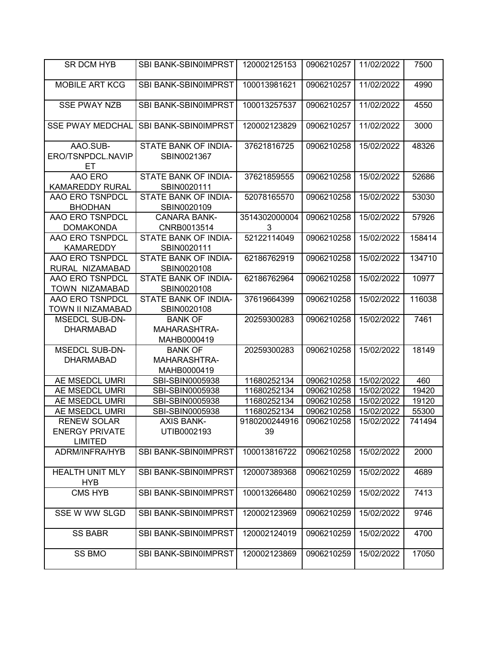| SR DCM HYB                                                    | SBI BANK-SBIN0IMPRST                          | 120002125153        | 0906210257 | 11/02/2022 | 7500   |
|---------------------------------------------------------------|-----------------------------------------------|---------------------|------------|------------|--------|
| <b>MOBILE ART KCG</b>                                         | SBI BANK-SBIN0IMPRST                          | 100013981621        | 0906210257 | 11/02/2022 | 4990   |
| <b>SSE PWAY NZB</b>                                           | SBI BANK-SBIN0IMPRST                          | 100013257537        | 0906210257 | 11/02/2022 | 4550   |
| <b>SSE PWAY MEDCHAL</b>                                       | SBI BANK-SBIN0IMPRST                          | 120002123829        | 0906210257 | 11/02/2022 | 3000   |
| AAO.SUB-<br>ERO/TSNPDCL.NAVIP<br>EТ                           | STATE BANK OF INDIA-<br>SBIN0021367           | 37621816725         | 0906210258 | 15/02/2022 | 48326  |
| AAO ERO<br><b>KAMAREDDY RURAL</b>                             | STATE BANK OF INDIA-<br>SBIN0020111           | 37621859555         | 0906210258 | 15/02/2022 | 52686  |
| AAO ERO TSNPDCL<br><b>BHODHAN</b>                             | STATE BANK OF INDIA-<br>SBIN0020109           | 52078165570         | 0906210258 | 15/02/2022 | 53030  |
| AAO ERO TSNPDCL<br><b>DOMAKONDA</b>                           | <b>CANARA BANK-</b><br>CNRB0013514            | 3514302000004<br>3  | 0906210258 | 15/02/2022 | 57926  |
| AAO ERO TSNPDCL<br><b>KAMAREDDY</b>                           | STATE BANK OF INDIA-<br>SBIN0020111           | 52122114049         | 0906210258 | 15/02/2022 | 158414 |
| AAO ERO TSNPDCL<br>RURAL NIZAMABAD                            | STATE BANK OF INDIA-<br>SBIN0020108           | 62186762919         | 0906210258 | 15/02/2022 | 134710 |
| AAO ERO TSNPDCL<br>TOWN NIZAMABAD                             | STATE BANK OF INDIA-<br>SBIN0020108           | 62186762964         | 0906210258 | 15/02/2022 | 10977  |
| AAO ERO TSNPDCL<br>TOWN II NIZAMABAD                          | STATE BANK OF INDIA-<br>SBIN0020108           | 37619664399         | 0906210258 | 15/02/2022 | 116038 |
| <b>MSEDCL SUB-DN-</b><br><b>DHARMABAD</b>                     | <b>BANK OF</b><br>MAHARASHTRA-<br>MAHB0000419 | 20259300283         | 0906210258 | 15/02/2022 | 7461   |
| <b>MSEDCL SUB-DN-</b><br><b>DHARMABAD</b>                     | <b>BANK OF</b><br>MAHARASHTRA-<br>MAHB0000419 | 20259300283         | 0906210258 | 15/02/2022 | 18149  |
| AE MSEDCL UMRI                                                | SBI-SBIN0005938                               | 11680252134         | 0906210258 | 15/02/2022 | 460    |
| AE MSEDCL UMRI                                                | SBI-SBIN0005938                               | 11680252134         | 0906210258 | 15/02/2022 | 19420  |
| AE MSEDCL UMRI                                                | SBI-SBIN0005938                               | 11680252134         | 0906210258 | 15/02/2022 | 19120  |
| AE MSEDCL UMRI                                                | SBI-SBIN0005938                               | 11680252134         | 0906210258 | 15/02/2022 | 55300  |
| <b>RENEW SOLAR</b><br><b>ENERGY PRIVATE</b><br><b>LIMITED</b> | <b>AXIS BANK-</b><br>UTIB0002193              | 9180200244916<br>39 | 0906210258 | 15/02/2022 | 741494 |
| ADRM/INFRA/HYB                                                | SBI BANK-SBIN0IMPRST                          | 100013816722        | 0906210258 | 15/02/2022 | 2000   |
| <b>HEALTH UNIT MLY</b><br><b>HYB</b>                          | <b>SBI BANK-SBIN0IMPRST</b>                   | 120007389368        | 0906210259 | 15/02/2022 | 4689   |
| <b>CMS HYB</b>                                                | SBI BANK-SBIN0IMPRST                          | 100013266480        | 0906210259 | 15/02/2022 | 7413   |
| SSE W WW SLGD                                                 | <b>SBI BANK-SBIN0IMPRST</b>                   | 120002123969        | 0906210259 | 15/02/2022 | 9746   |
| <b>SS BABR</b>                                                | SBI BANK-SBIN0IMPRST                          | 120002124019        | 0906210259 | 15/02/2022 | 4700   |
| SS BMO                                                        | SBI BANK-SBIN0IMPRST                          | 120002123869        | 0906210259 | 15/02/2022 | 17050  |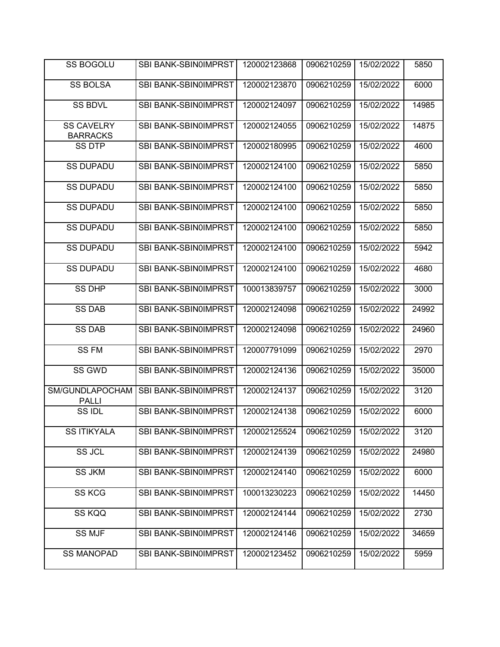| <b>SS BOGOLU</b>                     | <b>SBI BANK-SBIN0IMPRST</b> | 120002123868 | 0906210259 | 15/02/2022 | 5850  |
|--------------------------------------|-----------------------------|--------------|------------|------------|-------|
| <b>SS BOLSA</b>                      | SBI BANK-SBIN0IMPRST        | 120002123870 | 0906210259 | 15/02/2022 | 6000  |
| <b>SS BDVL</b>                       | <b>SBI BANK-SBIN0IMPRST</b> | 120002124097 | 0906210259 | 15/02/2022 | 14985 |
| <b>SS CAVELRY</b><br><b>BARRACKS</b> | SBI BANK-SBIN0IMPRST        | 120002124055 | 0906210259 | 15/02/2022 | 14875 |
| <b>SS DTP</b>                        | SBI BANK-SBIN0IMPRST        | 120002180995 | 0906210259 | 15/02/2022 | 4600  |
| <b>SS DUPADU</b>                     | <b>SBI BANK-SBIN0IMPRST</b> | 120002124100 | 0906210259 | 15/02/2022 | 5850  |
| <b>SS DUPADU</b>                     | SBI BANK-SBIN0IMPRST        | 120002124100 | 0906210259 | 15/02/2022 | 5850  |
| <b>SS DUPADU</b>                     | SBI BANK-SBIN0IMPRST        | 120002124100 | 0906210259 | 15/02/2022 | 5850  |
| <b>SS DUPADU</b>                     | SBI BANK-SBIN0IMPRST        | 120002124100 | 0906210259 | 15/02/2022 | 5850  |
| <b>SS DUPADU</b>                     | SBI BANK-SBIN0IMPRST        | 120002124100 | 0906210259 | 15/02/2022 | 5942  |
| <b>SS DUPADU</b>                     | SBI BANK-SBIN0IMPRST        | 120002124100 | 0906210259 | 15/02/2022 | 4680  |
| <b>SS DHP</b>                        | SBI BANK-SBIN0IMPRST        | 100013839757 | 0906210259 | 15/02/2022 | 3000  |
| <b>SS DAB</b>                        | SBI BANK-SBIN0IMPRST        | 120002124098 | 0906210259 | 15/02/2022 | 24992 |
| <b>SS DAB</b>                        | SBI BANK-SBIN0IMPRST        | 120002124098 | 0906210259 | 15/02/2022 | 24960 |
| <b>SSFM</b>                          | SBI BANK-SBIN0IMPRST        | 120007791099 | 0906210259 | 15/02/2022 | 2970  |
| SS GWD                               | SBI BANK-SBIN0IMPRST        | 120002124136 | 0906210259 | 15/02/2022 | 35000 |
| SM/GUNDLAPOCHAM<br><b>PALLI</b>      | SBI BANK-SBIN0IMPRST        | 120002124137 | 0906210259 | 15/02/2022 | 3120  |
| SS IDL                               | SBI BANK-SBIN0IMPRST        | 120002124138 | 0906210259 | 15/02/2022 | 6000  |
| <b>SS ITIKYALA</b>                   | SBI BANK-SBIN0IMPRST        | 120002125524 | 0906210259 | 15/02/2022 | 3120  |
| SS JCL                               | SBI BANK-SBIN0IMPRST        | 120002124139 | 0906210259 | 15/02/2022 | 24980 |
| <b>SS JKM</b>                        | SBI BANK-SBIN0IMPRST        | 120002124140 | 0906210259 | 15/02/2022 | 6000  |
| SS KCG                               | SBI BANK-SBIN0IMPRST        | 100013230223 | 0906210259 | 15/02/2022 | 14450 |
| SS KQQ                               | SBI BANK-SBIN0IMPRST        | 120002124144 | 0906210259 | 15/02/2022 | 2730  |
| <b>SS MJF</b>                        | <b>SBI BANK-SBIN0IMPRST</b> | 120002124146 | 0906210259 | 15/02/2022 | 34659 |
| <b>SS MANOPAD</b>                    | SBI BANK-SBIN0IMPRST        | 120002123452 | 0906210259 | 15/02/2022 | 5959  |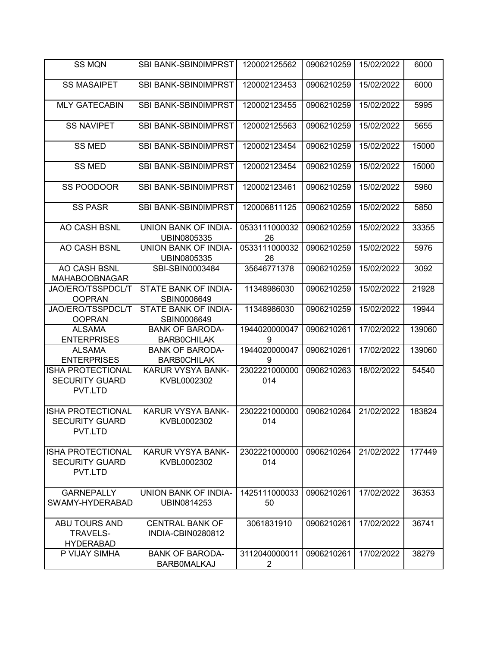| <b>SS MQN</b>                                                | SBI BANK-SBIN0IMPRST                         | 120002125562         | 0906210259 | 15/02/2022 | 6000   |
|--------------------------------------------------------------|----------------------------------------------|----------------------|------------|------------|--------|
| <b>SS MASAIPET</b>                                           | SBI BANK-SBIN0IMPRST                         | 120002123453         | 0906210259 | 15/02/2022 | 6000   |
| <b>MLY GATECABIN</b>                                         | SBI BANK-SBIN0IMPRST                         | 120002123455         | 0906210259 | 15/02/2022 | 5995   |
| <b>SS NAVIPET</b>                                            | SBI BANK-SBIN0IMPRST                         | 120002125563         | 0906210259 | 15/02/2022 | 5655   |
| <b>SS MED</b>                                                | <b>SBI BANK-SBIN0IMPRST</b>                  | 120002123454         | 0906210259 | 15/02/2022 | 15000  |
| <b>SS MED</b>                                                | <b>SBI BANK-SBIN0IMPRST</b>                  | 120002123454         | 0906210259 | 15/02/2022 | 15000  |
| SS POODOOR                                                   | SBI BANK-SBIN0IMPRST                         | 120002123461         | 0906210259 | 15/02/2022 | 5960   |
| <b>SS PASR</b>                                               | SBI BANK-SBIN0IMPRST                         | 120006811125         | 0906210259 | 15/02/2022 | 5850   |
| AO CASH BSNL                                                 | UNION BANK OF INDIA-<br>UBIN0805335          | 0533111000032<br>26  | 0906210259 | 15/02/2022 | 33355  |
| AO CASH BSNL                                                 | UNION BANK OF INDIA-<br>UBIN0805335          | 0533111000032<br>26  | 0906210259 | 15/02/2022 | 5976   |
| AO CASH BSNL<br><b>MAHABOOBNAGAR</b>                         | SBI-SBIN0003484                              | 35646771378          | 0906210259 | 15/02/2022 | 3092   |
| JAO/ERO/TSSPDCL/T                                            | STATE BANK OF INDIA-                         | 11348986030          | 0906210259 | 15/02/2022 | 21928  |
| <b>OOPRAN</b>                                                | SBIN0006649                                  |                      |            |            |        |
| JAO/ERO/TSSPDCL/T                                            | STATE BANK OF INDIA-                         | 11348986030          | 0906210259 | 15/02/2022 | 19944  |
| <b>OOPRAN</b><br><b>ALSAMA</b>                               | SBIN0006649<br><b>BANK OF BARODA-</b>        | 1944020000047        | 0906210261 | 17/02/2022 | 139060 |
| <b>ENTERPRISES</b>                                           | <b>BARBOCHILAK</b>                           | 9                    |            |            |        |
| <b>ALSAMA</b>                                                | <b>BANK OF BARODA-</b>                       | 1944020000047        | 0906210261 | 17/02/2022 | 139060 |
| <b>ENTERPRISES</b>                                           | <b>BARBOCHILAK</b>                           | 9                    |            |            |        |
| <b>ISHA PROTECTIONAL</b><br><b>SECURITY GUARD</b><br>PVT.LTD | KARUR VYSYA BANK-<br>KVBL0002302             | 2302221000000<br>014 | 0906210263 | 18/02/2022 | 54540  |
|                                                              |                                              |                      |            |            |        |
| <b>ISHA PROTECTIONAL</b><br><b>SECURITY GUARD</b><br>PVT.LTD | <b>KARUR VYSYA BANK-</b><br>KVBL0002302      | 2302221000000<br>014 | 0906210264 | 21/02/2022 | 183824 |
| <b>ISHA PROTECTIONAL</b><br><b>SECURITY GUARD</b><br>PVT.LTD | KARUR VYSYA BANK-<br>KVBL0002302             | 2302221000000<br>014 | 0906210264 | 21/02/2022 | 177449 |
| <b>GARNEPALLY</b><br>SWAMY-HYDERABAD                         | UNION BANK OF INDIA-<br>UBIN0814253          | 1425111000033<br>50  | 0906210261 | 17/02/2022 | 36353  |
| ABU TOURS AND<br><b>TRAVELS-</b><br><b>HYDERABAD</b>         | <b>CENTRAL BANK OF</b><br>INDIA-CBIN0280812  | 3061831910           | 0906210261 | 17/02/2022 | 36741  |
| P VIJAY SIMHA                                                | <b>BANK OF BARODA-</b><br><b>BARBOMALKAJ</b> | 3112040000011<br>2   | 0906210261 | 17/02/2022 | 38279  |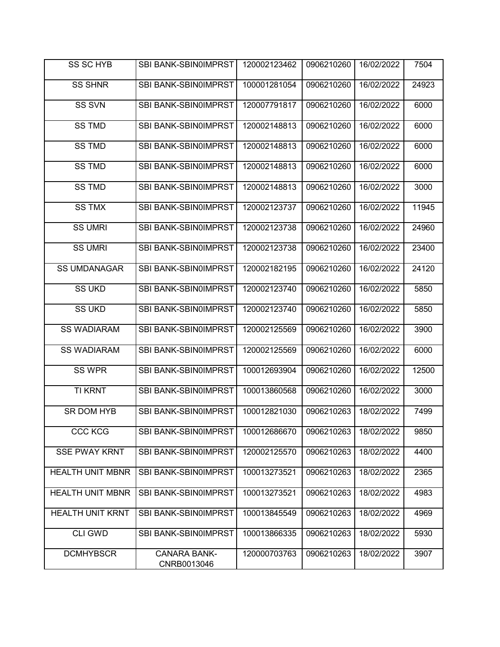| SS SC HYB               | SBI BANK-SBIN0IMPRST               | 120002123462 | 0906210260 | 16/02/2022 | 7504  |
|-------------------------|------------------------------------|--------------|------------|------------|-------|
| <b>SS SHNR</b>          | SBI BANK-SBIN0IMPRST               | 100001281054 | 0906210260 | 16/02/2022 | 24923 |
| <b>SS SVN</b>           | SBI BANK-SBIN0IMPRST               | 120007791817 | 0906210260 | 16/02/2022 | 6000  |
| <b>SS TMD</b>           | SBI BANK-SBIN0IMPRST               | 120002148813 | 0906210260 | 16/02/2022 | 6000  |
| <b>SS TMD</b>           | SBI BANK-SBIN0IMPRST               | 120002148813 | 0906210260 | 16/02/2022 | 6000  |
| <b>SS TMD</b>           | SBI BANK-SBIN0IMPRST               | 120002148813 | 0906210260 | 16/02/2022 | 6000  |
| <b>SS TMD</b>           | SBI BANK-SBIN0IMPRST               | 120002148813 | 0906210260 | 16/02/2022 | 3000  |
| <b>SS TMX</b>           | SBI BANK-SBIN0IMPRST               | 120002123737 | 0906210260 | 16/02/2022 | 11945 |
| <b>SS UMRI</b>          | SBI BANK-SBIN0IMPRST               | 120002123738 | 0906210260 | 16/02/2022 | 24960 |
| <b>SS UMRI</b>          | SBI BANK-SBIN0IMPRST               | 120002123738 | 0906210260 | 16/02/2022 | 23400 |
| <b>SS UMDANAGAR</b>     | SBI BANK-SBIN0IMPRST               | 120002182195 | 0906210260 | 16/02/2022 | 24120 |
| <b>SS UKD</b>           | SBI BANK-SBIN0IMPRST               | 120002123740 | 0906210260 | 16/02/2022 | 5850  |
| <b>SS UKD</b>           | SBI BANK-SBIN0IMPRST               | 120002123740 | 0906210260 | 16/02/2022 | 5850  |
| <b>SS WADIARAM</b>      | SBI BANK-SBIN0IMPRST               | 120002125569 | 0906210260 | 16/02/2022 | 3900  |
| <b>SS WADIARAM</b>      | SBI BANK-SBIN0IMPRST               | 120002125569 | 0906210260 | 16/02/2022 | 6000  |
| <b>SS WPR</b>           | SBI BANK-SBIN0IMPRST               | 100012693904 | 0906210260 | 16/02/2022 | 12500 |
| <b>TI KRNT</b>          | SBI BANK-SBIN0IMPRST               | 100013860568 | 0906210260 | 16/02/2022 | 3000  |
| SR DOM HYB              | <b>SBI BANK-SBIN0IMPRST</b>        | 100012821030 | 0906210263 | 18/02/2022 | 7499  |
| CCC KCG                 | SBI BANK-SBIN0IMPRST               | 100012686670 | 0906210263 | 18/02/2022 | 9850  |
| <b>SSE PWAY KRNT</b>    | SBI BANK-SBIN0IMPRST               | 120002125570 | 0906210263 | 18/02/2022 | 4400  |
| <b>HEALTH UNIT MBNR</b> | SBI BANK-SBIN0IMPRST               | 100013273521 | 0906210263 | 18/02/2022 | 2365  |
| <b>HEALTH UNIT MBNR</b> | SBI BANK-SBIN0IMPRST               | 100013273521 | 0906210263 | 18/02/2022 | 4983  |
| <b>HEALTH UNIT KRNT</b> | SBI BANK-SBIN0IMPRST               | 100013845549 | 0906210263 | 18/02/2022 | 4969  |
| <b>CLI GWD</b>          | SBI BANK-SBIN0IMPRST               | 100013866335 | 0906210263 | 18/02/2022 | 5930  |
| <b>DCMHYBSCR</b>        | <b>CANARA BANK-</b><br>CNRB0013046 | 120000703763 | 0906210263 | 18/02/2022 | 3907  |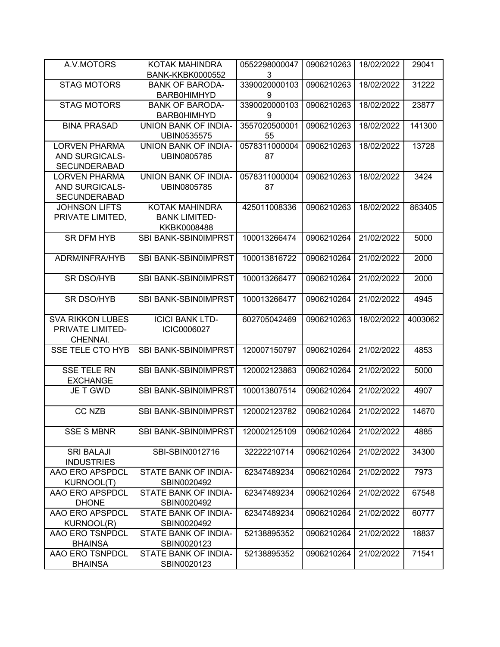| A.V.MOTORS                    | KOTAK MAHINDRA                      | 0552298000047 | 0906210263 | 18/02/2022 | 29041   |
|-------------------------------|-------------------------------------|---------------|------------|------------|---------|
|                               | <b>BANK-KKBK0000552</b>             | 3             |            |            |         |
| <b>STAG MOTORS</b>            | <b>BANK OF BARODA-</b>              | 3390020000103 | 0906210263 | 18/02/2022 | 31222   |
|                               | <b>BARB0HIMHYD</b>                  | 9             |            |            |         |
| <b>STAG MOTORS</b>            | <b>BANK OF BARODA-</b>              | 3390020000103 | 0906210263 | 18/02/2022 | 23877   |
|                               | <b>BARB0HIMHYD</b>                  | 9             |            |            |         |
| <b>BINA PRASAD</b>            | UNION BANK OF INDIA-                | 3557020500001 | 0906210263 | 18/02/2022 | 141300  |
|                               | UBIN0535575                         | 55            |            |            |         |
| <b>LORVEN PHARMA</b>          | UNION BANK OF INDIA-                | 0578311000004 | 0906210263 | 18/02/2022 | 13728   |
| AND SURGICALS-                | UBIN0805785                         | 87            |            |            |         |
| <b>SECUNDERABAD</b>           |                                     |               |            |            |         |
| <b>LORVEN PHARMA</b>          | <b>UNION BANK OF INDIA-</b>         | 0578311000004 | 0906210263 | 18/02/2022 | 3424    |
| AND SURGICALS-                | UBIN0805785                         | 87            |            |            |         |
| <b>SECUNDERABAD</b>           |                                     |               |            |            |         |
| <b>JOHNSON LIFTS</b>          | <b>KOTAK MAHINDRA</b>               | 425011008336  | 0906210263 | 18/02/2022 | 863405  |
| PRIVATE LIMITED.              | <b>BANK LIMITED-</b>                |               |            |            |         |
|                               | KKBK0008488                         |               |            |            |         |
| <b>SR DFM HYB</b>             | SBI BANK-SBIN0IMPRST                | 100013266474  | 0906210264 | 21/02/2022 | 5000    |
| ADRM/INFRA/HYB                | <b>SBI BANK-SBIN0IMPRST</b>         | 100013816722  | 0906210264 | 21/02/2022 | 2000    |
|                               |                                     |               |            |            |         |
| <b>SR DSO/HYB</b>             | SBI BANK-SBIN0IMPRST                | 100013266477  | 0906210264 | 21/02/2022 | 2000    |
|                               |                                     |               |            |            |         |
| <b>SR DSO/HYB</b>             | SBI BANK-SBIN0IMPRST                | 100013266477  | 0906210264 | 21/02/2022 | 4945    |
|                               |                                     |               |            |            |         |
|                               |                                     |               |            |            |         |
| <b>SVA RIKKON LUBES</b>       | <b>ICICI BANK LTD-</b>              | 602705042469  | 0906210263 | 18/02/2022 | 4003062 |
| PRIVATE LIMITED-              | ICIC0006027                         |               |            |            |         |
| CHENNAI.                      |                                     |               |            |            |         |
| <b>SSE TELE CTO HYB</b>       | SBI BANK-SBIN0IMPRST                | 120007150797  | 0906210264 | 21/02/2022 | 4853    |
|                               |                                     |               |            |            |         |
| <b>SSE TELE RN</b>            | SBI BANK-SBIN0IMPRST                | 120002123863  | 0906210264 | 21/02/2022 | 5000    |
| <b>EXCHANGE</b>               |                                     |               |            |            |         |
| JE T GWD                      | <b>SBI BANK-SBIN0IMPRST</b>         | 100013807514  | 0906210264 | 21/02/2022 | 4907    |
|                               |                                     |               |            |            |         |
| <b>CC NZB</b>                 | SBI BANK-SBIN0IMPRST                | 120002123782  | 0906210264 | 21/02/2022 | 14670   |
|                               |                                     |               |            |            |         |
| <b>SSE S MBNR</b>             | SBI BANK-SBIN0IMPRST                | 120002125109  | 0906210264 | 21/02/2022 | 4885    |
|                               |                                     |               |            |            |         |
| <b>SRI BALAJI</b>             | SBI-SBIN0012716                     | 32222210714   | 0906210264 | 21/02/2022 | 34300   |
| <b>INDUSTRIES</b>             |                                     |               |            |            |         |
| AAO ERO APSPDCL               | STATE BANK OF INDIA-                | 62347489234   | 0906210264 | 21/02/2022 | 7973    |
| KURNOOL(T)<br>AAO ERO APSPDCL | SBIN0020492<br>STATE BANK OF INDIA- | 62347489234   | 0906210264 | 21/02/2022 | 67548   |
| <b>DHONE</b>                  | SBIN0020492                         |               |            |            |         |
| AAO ERO APSPDCL               | STATE BANK OF INDIA-                | 62347489234   | 0906210264 | 21/02/2022 | 60777   |
| KURNOOL(R)                    | SBIN0020492                         |               |            |            |         |
| AAO ERO TSNPDCL               | STATE BANK OF INDIA-                | 52138895352   | 0906210264 | 21/02/2022 | 18837   |
| <b>BHAINSA</b>                | SBIN0020123                         |               |            |            |         |
| AAO ERO TSNPDCL               | STATE BANK OF INDIA-                | 52138895352   | 0906210264 | 21/02/2022 | 71541   |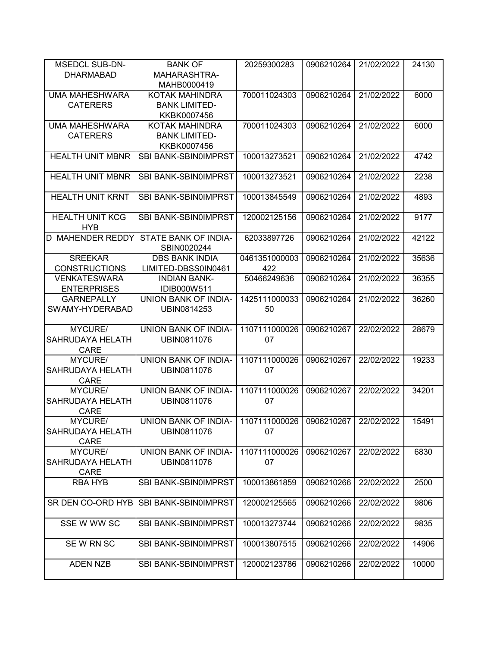| <b>MSEDCL SUB-DN-</b>                | <b>BANK OF</b>                                    | 20259300283   | 0906210264 | 21/02/2022 | 24130 |
|--------------------------------------|---------------------------------------------------|---------------|------------|------------|-------|
| <b>DHARMABAD</b>                     | <b>MAHARASHTRA-</b>                               |               |            |            |       |
|                                      | MAHB0000419                                       |               |            |            |       |
| <b>UMA MAHESHWARA</b>                | KOTAK MAHINDRA                                    | 700011024303  | 0906210264 | 21/02/2022 | 6000  |
| <b>CATERERS</b>                      | <b>BANK LIMITED-</b>                              |               |            |            |       |
|                                      | KKBK0007456                                       |               |            |            |       |
| <b>UMA MAHESHWARA</b>                | KOTAK MAHINDRA                                    | 700011024303  | 0906210264 | 21/02/2022 | 6000  |
| <b>CATERERS</b>                      | <b>BANK LIMITED-</b>                              |               |            |            |       |
|                                      | KKBK0007456                                       |               |            |            |       |
| <b>HEALTH UNIT MBNR</b>              | SBI BANK-SBIN0IMPRST                              | 100013273521  | 0906210264 | 21/02/2022 | 4742  |
| <b>HEALTH UNIT MBNR</b>              | <b>SBI BANK-SBIN0IMPRST</b>                       | 100013273521  | 0906210264 | 21/02/2022 | 2238  |
| <b>HEALTH UNIT KRNT</b>              | <b>SBI BANK-SBIN0IMPRST</b>                       | 100013845549  | 0906210264 | 21/02/2022 | 4893  |
| <b>HEALTH UNIT KCG</b><br><b>HYB</b> | SBI BANK-SBIN0IMPRST                              | 120002125156  | 0906210264 | 21/02/2022 | 9177  |
| <b>D MAHENDER REDDY</b>              | STATE BANK OF INDIA-<br>SBIN0020244               | 62033897726   | 0906210264 | 21/02/2022 | 42122 |
| <b>SREEKAR</b>                       | <b>DBS BANK INDIA</b>                             | 0461351000003 | 0906210264 | 21/02/2022 | 35636 |
| <b>CONSTRUCTIONS</b>                 | LIMITED-DBSS0IN0461                               | 422           |            |            |       |
| <b>VENKATESWARA</b>                  | <b>INDIAN BANK-</b>                               | 50466249636   | 0906210264 | 21/02/2022 | 36355 |
| <b>ENTERPRISES</b>                   | <b>IDIB000W511</b>                                |               |            |            |       |
| <b>GARNEPALLY</b>                    | UNION BANK OF INDIA-                              | 1425111000033 | 0906210264 | 21/02/2022 | 36260 |
| SWAMY-HYDERABAD                      | UBIN0814253                                       | 50            |            |            |       |
| MYCURE/                              | UNION BANK OF INDIA-                              | 1107111000026 | 0906210267 | 22/02/2022 | 28679 |
| <b>SAHRUDAYA HELATH</b>              | UBIN0811076                                       | 07            |            |            |       |
| <b>CARE</b>                          |                                                   |               |            |            |       |
| MYCURE/                              | UNION BANK OF INDIA-                              | 1107111000026 | 0906210267 | 22/02/2022 | 19233 |
| SAHRUDAYA HELATH                     | UBIN0811076                                       | 07            |            |            |       |
| <b>CARE</b>                          |                                                   |               |            |            |       |
| MYCURE/                              | UNION BANK OF INDIA-                              | 1107111000026 | 0906210267 | 22/02/2022 | 34201 |
| SAHRUDAYA HELATH                     | UBIN0811076                                       | 07            |            |            |       |
| <b>CARE</b>                          |                                                   |               |            |            |       |
| MYCURE/                              | UNION BANK OF INDIA-   1107111000026   0906210267 |               |            | 22/02/2022 | 15491 |
| SAHRUDAYA HELATH                     | UBIN0811076                                       | 07            |            |            |       |
| <b>CARE</b>                          |                                                   |               |            |            |       |
| MYCURE/                              | UNION BANK OF INDIA-                              | 1107111000026 | 0906210267 | 22/02/2022 | 6830  |
| <b>SAHRUDAYA HELATH</b>              | UBIN0811076                                       | 07            |            |            |       |
| <b>CARE</b>                          |                                                   |               |            |            |       |
| <b>RBA HYB</b>                       | <b>SBI BANK-SBIN0IMPRST</b>                       | 100013861859  | 0906210266 | 22/02/2022 | 2500  |
| SR DEN CO-ORD HYB                    | <b>SBI BANK-SBIN0IMPRST</b>                       | 120002125565  | 0906210266 | 22/02/2022 | 9806  |
| SSE W WW SC                          | SBI BANK-SBIN0IMPRST                              | 100013273744  | 0906210266 | 22/02/2022 | 9835  |
| SE W RN SC                           | SBI BANK-SBIN0IMPRST                              | 100013807515  | 0906210266 | 22/02/2022 | 14906 |
| ADEN NZB                             | <b>SBI BANK-SBIN0IMPRST</b>                       | 120002123786  | 0906210266 | 22/02/2022 | 10000 |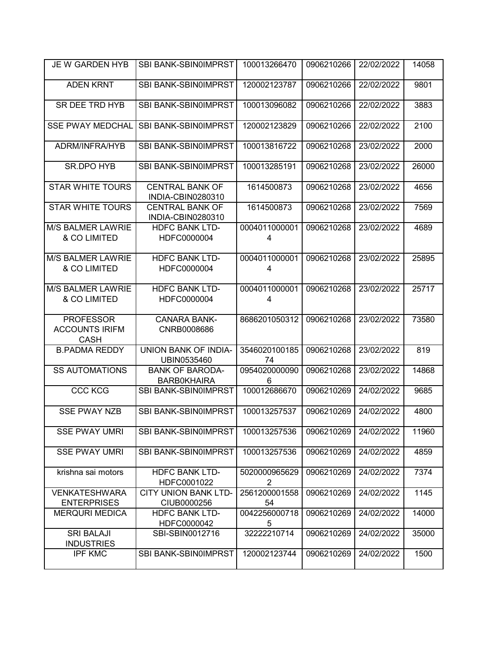| <b>JE W GARDEN HYB</b>                                   | SBI BANK-SBIN0IMPRST                         | 100013266470                    | 0906210266 | 22/02/2022 | 14058 |
|----------------------------------------------------------|----------------------------------------------|---------------------------------|------------|------------|-------|
| <b>ADEN KRNT</b>                                         | SBI BANK-SBIN0IMPRST                         | 120002123787                    | 0906210266 | 22/02/2022 | 9801  |
| SR DEE TRD HYB                                           | <b>SBI BANK-SBIN0IMPRST</b>                  | 100013096082                    | 0906210266 | 22/02/2022 | 3883  |
| <b>SSE PWAY MEDCHAL</b>                                  | SBI BANK-SBIN0IMPRST                         | 120002123829                    | 0906210266 | 22/02/2022 | 2100  |
| ADRM/INFRA/HYB                                           | SBI BANK-SBIN0IMPRST                         | 100013816722                    | 0906210268 | 23/02/2022 | 2000  |
| <b>SR.DPO HYB</b>                                        | SBI BANK-SBIN0IMPRST                         | 100013285191                    | 0906210268 | 23/02/2022 | 26000 |
| <b>STAR WHITE TOURS</b>                                  | <b>CENTRAL BANK OF</b><br>INDIA-CBIN0280310  | 1614500873                      | 0906210268 | 23/02/2022 | 4656  |
| <b>STAR WHITE TOURS</b>                                  | <b>CENTRAL BANK OF</b><br>INDIA-CBIN0280310  | 1614500873                      | 0906210268 | 23/02/2022 | 7569  |
| <b>M/S BALMER LAWRIE</b><br>& CO LIMITED                 | <b>HDFC BANK LTD-</b><br>HDFC0000004         | 0004011000001<br>4              | 0906210268 | 23/02/2022 | 4689  |
| <b>M/S BALMER LAWRIE</b><br>& CO LIMITED                 | <b>HDFC BANK LTD-</b><br>HDFC0000004         | 0004011000001<br>4              | 0906210268 | 23/02/2022 | 25895 |
| <b>M/S BALMER LAWRIE</b><br>& CO LIMITED                 | <b>HDFC BANK LTD-</b><br>HDFC0000004         | 0004011000001<br>4              | 0906210268 | 23/02/2022 | 25717 |
| <b>PROFESSOR</b><br><b>ACCOUNTS IRIFM</b><br><b>CASH</b> | <b>CANARA BANK-</b><br>CNRB0008686           | 8686201050312                   | 0906210268 | 23/02/2022 | 73580 |
| <b>B.PADMA REDDY</b>                                     | UNION BANK OF INDIA-<br>UBIN0535460          | 3546020100185<br>74             | 0906210268 | 23/02/2022 | 819   |
| <b>SS AUTOMATIONS</b>                                    | <b>BANK OF BARODA-</b><br><b>BARBOKHAIRA</b> | 0954020000090<br>6              | 0906210268 | 23/02/2022 | 14868 |
| <b>CCC KCG</b>                                           | SBI BANK-SBIN0IMPRST                         | 100012686670                    | 0906210269 | 24/02/2022 | 9685  |
| <b>SSE PWAY NZB</b>                                      | SBI BANK-SBIN0IMPRST                         | 100013257537                    | 0906210269 | 24/02/2022 | 4800  |
| <b>SSE PWAY UMRI</b>                                     | SBI BANK-SBIN0IMPRST                         | 100013257536                    | 0906210269 | 24/02/2022 | 11960 |
| <b>SSE PWAY UMRI</b>                                     | SBI BANK-SBIN0IMPRST                         | 100013257536                    | 0906210269 | 24/02/2022 | 4859  |
| krishna sai motors                                       | <b>HDFC BANK LTD-</b><br>HDFC0001022         | 5020000965629<br>$\overline{2}$ | 0906210269 | 24/02/2022 | 7374  |
| <b>VENKATESHWARA</b><br><b>ENTERPRISES</b>               | <b>CITY UNION BANK LTD-</b><br>CIUB0000256   | 2561200001558<br>54             | 0906210269 | 24/02/2022 | 1145  |
| <b>MERQURI MEDICA</b>                                    | <b>HDFC BANK LTD-</b><br>HDFC0000042         | 0042256000718<br>5              | 0906210269 | 24/02/2022 | 14000 |
| <b>SRI BALAJI</b><br><b>INDUSTRIES</b>                   | SBI-SBIN0012716                              | 32222210714                     | 0906210269 | 24/02/2022 | 35000 |
| <b>IPF KMC</b>                                           | SBI BANK-SBIN0IMPRST                         | 120002123744                    | 0906210269 | 24/02/2022 | 1500  |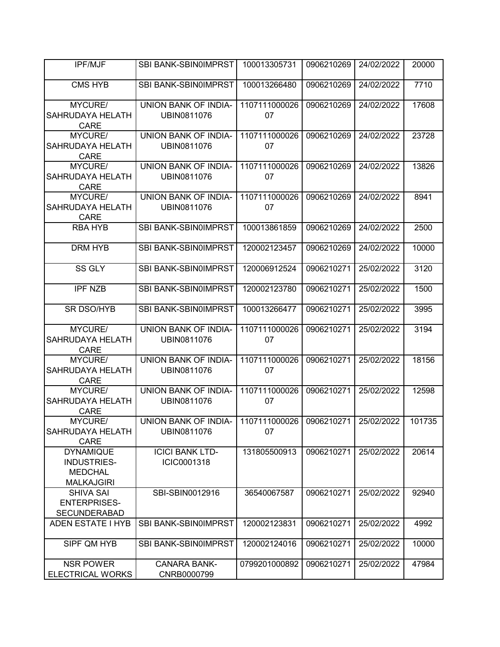| <b>IPF/MJF</b>                                                                | SBI BANK-SBIN0IMPRST                                             | 100013305731        | 0906210269 | 24/02/2022 | 20000  |
|-------------------------------------------------------------------------------|------------------------------------------------------------------|---------------------|------------|------------|--------|
| <b>CMS HYB</b>                                                                | SBI BANK-SBIN0IMPRST                                             | 100013266480        | 0906210269 | 24/02/2022 | 7710   |
| MYCURE/<br>SAHRUDAYA HELATH<br><b>CARE</b>                                    | <b>UNION BANK OF INDIA-</b><br>UBIN0811076                       | 1107111000026<br>07 | 0906210269 | 24/02/2022 | 17608  |
| MYCURE/<br>SAHRUDAYA HELATH<br><b>CARE</b>                                    | UNION BANK OF INDIA-<br>UBIN0811076                              | 1107111000026<br>07 | 0906210269 | 24/02/2022 | 23728  |
| MYCURE/<br>SAHRUDAYA HELATH<br><b>CARE</b>                                    | UNION BANK OF INDIA-<br>UBIN0811076                              | 1107111000026<br>07 | 0906210269 | 24/02/2022 | 13826  |
| MYCURE/<br>SAHRUDAYA HELATH<br><b>CARE</b>                                    | UNION BANK OF INDIA-<br>UBIN0811076                              | 1107111000026<br>07 | 0906210269 | 24/02/2022 | 8941   |
| <b>RBA HYB</b>                                                                | SBI BANK-SBIN0IMPRST                                             | 100013861859        | 0906210269 | 24/02/2022 | 2500   |
| <b>DRM HYB</b>                                                                | SBI BANK-SBIN0IMPRST                                             | 120002123457        | 0906210269 | 24/02/2022 | 10000  |
| <b>SS GLY</b>                                                                 | SBI BANK-SBIN0IMPRST                                             | 120006912524        | 0906210271 | 25/02/2022 | 3120   |
| <b>IPF NZB</b>                                                                | SBI BANK-SBIN0IMPRST                                             | 120002123780        | 0906210271 | 25/02/2022 | 1500   |
| <b>SR DSO/HYB</b>                                                             | SBI BANK-SBIN0IMPRST                                             | 100013266477        | 0906210271 | 25/02/2022 | 3995   |
| MYCURE/<br>SAHRUDAYA HELATH<br><b>CARE</b>                                    | UNION BANK OF INDIA-<br>UBIN0811076                              | 1107111000026<br>07 | 0906210271 | 25/02/2022 | 3194   |
| MYCURE/<br>SAHRUDAYA HELATH<br><b>CARE</b>                                    | UNION BANK OF INDIA-<br>UBIN0811076                              | 1107111000026<br>07 | 0906210271 | 25/02/2022 | 18156  |
| MYCURE/<br>SAHRUDAYA HELATH<br><b>CARE</b>                                    | UNION BANK OF INDIA-<br>UBIN0811076                              | 1107111000026<br>07 | 0906210271 | 25/02/2022 | 12598  |
| MYCURE/<br>SAHRUDAYA HELATH<br><b>CARE</b>                                    | UNION BANK OF INDIA-   1107111000026   0906210271<br>UBIN0811076 | 07                  |            | 25/02/2022 | 101735 |
| <b>DYNAMIQUE</b><br><b>INDUSTRIES-</b><br><b>MEDCHAL</b><br><b>MALKAJGIRI</b> | <b>ICICI BANK LTD-</b><br>ICIC0001318                            | 131805500913        | 0906210271 | 25/02/2022 | 20614  |
| <b>SHIVA SAI</b><br><b>ENTERPRISES-</b><br><b>SECUNDERABAD</b>                | SBI-SBIN0012916                                                  | 36540067587         | 0906210271 | 25/02/2022 | 92940  |
| ADEN ESTATE I HYB                                                             | <b>SBI BANK-SBIN0IMPRST</b>                                      | 120002123831        | 0906210271 | 25/02/2022 | 4992   |
| SIPF QM HYB                                                                   | SBI BANK-SBIN0IMPRST                                             | 120002124016        | 0906210271 | 25/02/2022 | 10000  |
| <b>NSR POWER</b><br><b>ELECTRICAL WORKS</b>                                   | <b>CANARA BANK-</b><br>CNRB0000799                               | 0799201000892       | 0906210271 | 25/02/2022 | 47984  |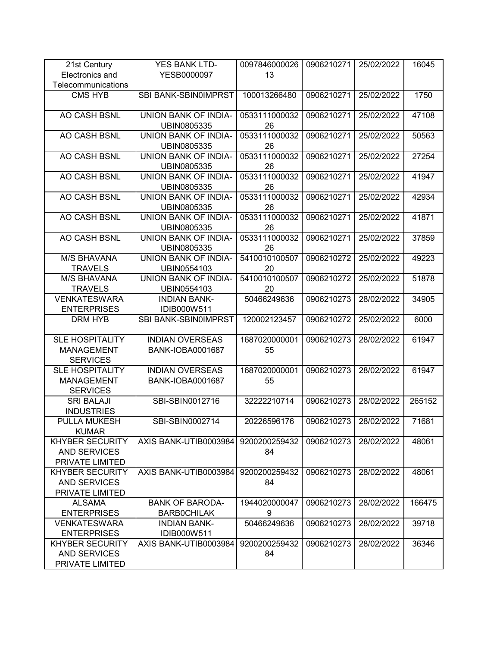| 21st Century           | YES BANK LTD-               | 0097846000026 | 0906210271 | 25/02/2022 | 16045  |
|------------------------|-----------------------------|---------------|------------|------------|--------|
| Electronics and        | YESB0000097                 | 13            |            |            |        |
| Telecommunications     |                             |               |            |            |        |
| <b>CMS HYB</b>         | SBI BANK-SBIN0IMPRST        | 100013266480  | 0906210271 | 25/02/2022 | 1750   |
|                        |                             |               |            |            |        |
| AO CASH BSNL           | <b>UNION BANK OF INDIA-</b> | 0533111000032 | 0906210271 | 25/02/2022 | 47108  |
|                        | UBIN0805335                 | 26            |            |            |        |
| <b>AO CASH BSNL</b>    | UNION BANK OF INDIA-        | 0533111000032 | 0906210271 | 25/02/2022 | 50563  |
|                        | UBIN0805335                 | 26            |            |            |        |
| AO CASH BSNL           | UNION BANK OF INDIA-        | 0533111000032 | 0906210271 | 25/02/2022 | 27254  |
|                        | UBIN0805335                 | 26            |            |            |        |
| AO CASH BSNL           | <b>UNION BANK OF INDIA-</b> | 0533111000032 | 0906210271 | 25/02/2022 | 41947  |
|                        | UBIN0805335                 | 26            |            |            |        |
| AO CASH BSNL           | UNION BANK OF INDIA-        | 0533111000032 | 0906210271 | 25/02/2022 | 42934  |
|                        | UBIN0805335                 | 26            |            |            |        |
| AO CASH BSNL           | UNION BANK OF INDIA-        | 0533111000032 | 0906210271 | 25/02/2022 | 41871  |
|                        | UBIN0805335                 | 26            |            |            |        |
| AO CASH BSNL           | <b>UNION BANK OF INDIA-</b> | 0533111000032 | 0906210271 | 25/02/2022 | 37859  |
|                        | UBIN0805335                 | 26            |            |            |        |
| <b>M/S BHAVANA</b>     | UNION BANK OF INDIA-        | 5410010100507 | 0906210272 | 25/02/2022 | 49223  |
| <b>TRAVELS</b>         | UBIN0554103                 | 20            |            |            |        |
| <b>M/S BHAVANA</b>     | UNION BANK OF INDIA-        | 5410010100507 | 0906210272 | 25/02/2022 | 51878  |
| <b>TRAVELS</b>         | UBIN0554103                 | 20            |            |            |        |
| <b>VENKATESWARA</b>    | <b>INDIAN BANK-</b>         | 50466249636   | 0906210273 | 28/02/2022 | 34905  |
| <b>ENTERPRISES</b>     | IDIB000W511                 |               |            |            |        |
| <b>DRM HYB</b>         | SBI BANK-SBIN0IMPRST        | 120002123457  | 0906210272 | 25/02/2022 | 6000   |
|                        |                             |               |            |            |        |
| <b>SLE HOSPITALITY</b> | <b>INDIAN OVERSEAS</b>      | 1687020000001 | 0906210273 | 28/02/2022 | 61947  |
| <b>MANAGEMENT</b>      | <b>BANK-IOBA0001687</b>     | 55            |            |            |        |
| <b>SERVICES</b>        |                             |               |            |            |        |
| <b>SLE HOSPITALITY</b> | <b>INDIAN OVERSEAS</b>      | 1687020000001 | 0906210273 | 28/02/2022 | 61947  |
| <b>MANAGEMENT</b>      | <b>BANK-IOBA0001687</b>     | 55            |            |            |        |
| <b>SERVICES</b>        |                             |               |            |            |        |
| <b>SRI BALAJI</b>      | SBI-SBIN0012716             | 32222210714   | 0906210273 | 28/02/2022 | 265152 |
| <b>INDUSTRIES</b>      |                             |               |            |            |        |
| <b>PULLA MUKESH</b>    | SBI-SBIN0002714             | 20226596176   | 0906210273 | 28/02/2022 | 71681  |
| <b>KUMAR</b>           |                             |               |            |            |        |
| <b>KHYBER SECURITY</b> | AXIS BANK-UTIB0003984       | 9200200259432 | 0906210273 | 28/02/2022 | 48061  |
| <b>AND SERVICES</b>    |                             | 84            |            |            |        |
| PRIVATE LIMITED        |                             |               |            |            |        |
| <b>KHYBER SECURITY</b> | AXIS BANK-UTIB0003984       | 9200200259432 | 0906210273 | 28/02/2022 | 48061  |
| <b>AND SERVICES</b>    |                             | 84            |            |            |        |
| PRIVATE LIMITED        |                             |               |            |            |        |
| <b>ALSAMA</b>          | <b>BANK OF BARODA-</b>      | 1944020000047 | 0906210273 | 28/02/2022 | 166475 |
| <b>ENTERPRISES</b>     | <b>BARBOCHILAK</b>          | 9             |            |            |        |
| <b>VENKATESWARA</b>    | <b>INDIAN BANK-</b>         | 50466249636   | 0906210273 | 28/02/2022 | 39718  |
| <b>ENTERPRISES</b>     | IDIB000W511                 |               |            |            |        |
| <b>KHYBER SECURITY</b> | AXIS BANK-UTIB0003984       | 9200200259432 | 0906210273 | 28/02/2022 | 36346  |
| <b>AND SERVICES</b>    |                             | 84            |            |            |        |
| PRIVATE LIMITED        |                             |               |            |            |        |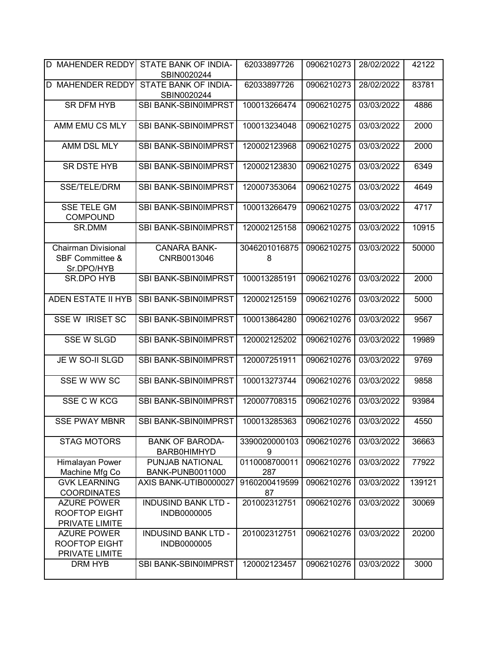| D MAHENDER REDDY                                                       | STATE BANK OF INDIA-<br>SBIN0020244        | 62033897726          | 0906210273 | 28/02/2022 | 42122  |
|------------------------------------------------------------------------|--------------------------------------------|----------------------|------------|------------|--------|
| <b>D MAHENDER REDDY</b>                                                | STATE BANK OF INDIA-<br>SBIN0020244        | 62033897726          | 0906210273 | 28/02/2022 | 83781  |
| <b>SR DFM HYB</b>                                                      | <b>SBI BANK-SBIN0IMPRST</b>                | 100013266474         | 0906210275 | 03/03/2022 | 4886   |
| AMM EMU CS MLY                                                         | SBI BANK-SBIN0IMPRST                       | 100013234048         | 0906210275 | 03/03/2022 | 2000   |
| AMM DSL MLY                                                            | SBI BANK-SBIN0IMPRST                       | 120002123968         | 0906210275 | 03/03/2022 | 2000   |
| <b>SR DSTE HYB</b>                                                     | <b>SBI BANK-SBIN0IMPRST</b>                | 120002123830         | 0906210275 | 03/03/2022 | 6349   |
| SSE/TELE/DRM                                                           | SBI BANK-SBIN0IMPRST                       | 120007353064         | 0906210275 | 03/03/2022 | 4649   |
| <b>SSE TELE GM</b><br><b>COMPOUND</b>                                  | SBI BANK-SBIN0IMPRST                       | 100013266479         | 0906210275 | 03/03/2022 | 4717   |
| SR.DMM                                                                 | SBI BANK-SBIN0IMPRST                       | 120002125158         | 0906210275 | 03/03/2022 | 10915  |
| <b>Chairman Divisional</b><br><b>SBF Committee &amp;</b><br>Sr.DPO/HYB | <b>CANARA BANK-</b><br>CNRB0013046         | 3046201016875<br>8   | 0906210275 | 03/03/2022 | 50000  |
| <b>SR.DPO HYB</b>                                                      | SBI BANK-SBIN0IMPRST                       | 100013285191         | 0906210276 | 03/03/2022 | 2000   |
| <b>ADEN ESTATE II HYB</b>                                              | SBI BANK-SBIN0IMPRST                       | 120002125159         | 0906210276 | 03/03/2022 | 5000   |
| <b>SSE W IRISET SC</b>                                                 | SBI BANK-SBIN0IMPRST                       | 100013864280         | 0906210276 | 03/03/2022 | 9567   |
| <b>SSE W SLGD</b>                                                      | SBI BANK-SBIN0IMPRST                       | 120002125202         | 0906210276 | 03/03/2022 | 19989  |
| JE W SO-II SLGD                                                        | SBI BANK-SBIN0IMPRST                       | 120007251911         | 0906210276 | 03/03/2022 | 9769   |
| SSE W WW SC                                                            | SBI BANK-SBIN0IMPRST                       | 100013273744         | 0906210276 | 03/03/2022 | 9858   |
| SSE C W KCG                                                            | SBI BANK-SBIN0IMPRST                       | 120007708315         | 0906210276 | 03/03/2022 | 93984  |
| <b>SSE PWAY MBNR</b>                                                   | SBI BANK-SBIN0IMPRST                       | 100013285363         | 0906210276 | 03/03/2022 | 4550   |
| <b>STAG MOTORS</b>                                                     | <b>BANK OF BARODA-</b><br>BARB0HIMHYD      | 3390020000103<br>9   | 0906210276 | 03/03/2022 | 36663  |
| Himalayan Power<br>Machine Mfg Co                                      | PUNJAB NATIONAL<br><b>BANK-PUNB0011000</b> | 0110008700011<br>287 | 0906210276 | 03/03/2022 | 77922  |
| <b>GVK LEARNING</b><br><b>COORDINATES</b>                              | AXIS BANK-UTIB0000027                      | 9160200419599<br>87  | 0906210276 | 03/03/2022 | 139121 |
| <b>AZURE POWER</b><br><b>ROOFTOP EIGHT</b><br>PRIVATE LIMITE           | <b>INDUSIND BANK LTD -</b><br>INDB0000005  | 201002312751         | 0906210276 | 03/03/2022 | 30069  |
| <b>AZURE POWER</b><br><b>ROOFTOP EIGHT</b><br>PRIVATE LIMITE           | <b>INDUSIND BANK LTD -</b><br>INDB0000005  | 201002312751         | 0906210276 | 03/03/2022 | 20200  |
| DRM HYB                                                                | SBI BANK-SBIN0IMPRST                       | 120002123457         | 0906210276 | 03/03/2022 | 3000   |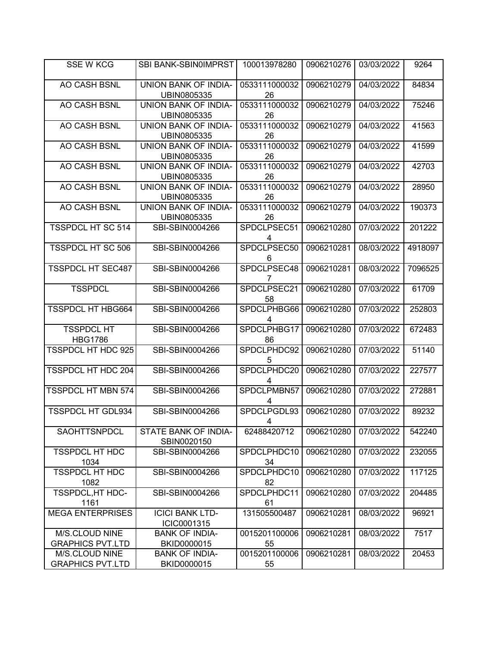| <b>SSE W KCG</b>                          | SBI BANK-SBIN0IMPRST                       | 100013978280        | 0906210276 | 03/03/2022 | 9264    |
|-------------------------------------------|--------------------------------------------|---------------------|------------|------------|---------|
| AO CASH BSNL                              | <b>UNION BANK OF INDIA-</b><br>UBIN0805335 | 0533111000032<br>26 | 0906210279 | 04/03/2022 | 84834   |
| AO CASH BSNL                              | UNION BANK OF INDIA-<br>UBIN0805335        | 0533111000032<br>26 | 0906210279 | 04/03/2022 | 75246   |
| <b>AO CASH BSNL</b>                       | UNION BANK OF INDIA-<br>UBIN0805335        | 0533111000032<br>26 | 0906210279 | 04/03/2022 | 41563   |
| AO CASH BSNL                              | <b>UNION BANK OF INDIA-</b><br>UBIN0805335 | 0533111000032<br>26 | 0906210279 | 04/03/2022 | 41599   |
| <b>AO CASH BSNL</b>                       | <b>UNION BANK OF INDIA-</b><br>UBIN0805335 | 0533111000032<br>26 | 0906210279 | 04/03/2022 | 42703   |
| AO CASH BSNL                              | UNION BANK OF INDIA-<br>UBIN0805335        | 0533111000032<br>26 | 0906210279 | 04/03/2022 | 28950   |
| <b>AO CASH BSNL</b>                       | UNION BANK OF INDIA-<br>UBIN0805335        | 0533111000032<br>26 | 0906210279 | 04/03/2022 | 190373  |
| <b>TSSPDCL HT SC 514</b>                  | SBI-SBIN0004266                            | SPDCLPSEC51<br>4    | 0906210280 | 07/03/2022 | 201222  |
| <b>TSSPDCL HT SC 506</b>                  | SBI-SBIN0004266                            | SPDCLPSEC50<br>6    | 0906210281 | 08/03/2022 | 4918097 |
| <b>TSSPDCL HT SEC487</b>                  | SBI-SBIN0004266                            | SPDCLPSEC48         | 0906210281 | 08/03/2022 | 7096525 |
| <b>TSSPDCL</b>                            | SBI-SBIN0004266                            | SPDCLPSEC21<br>58   | 0906210280 | 07/03/2022 | 61709   |
| <b>TSSPDCL HT HBG664</b>                  | SBI-SBIN0004266                            | SPDCLPHBG66<br>4    | 0906210280 | 07/03/2022 | 252803  |
| <b>TSSPDCL HT</b><br><b>HBG1786</b>       | SBI-SBIN0004266                            | SPDCLPHBG17<br>86   | 0906210280 | 07/03/2022 | 672483  |
| TSSPDCL HT HDC 925                        | SBI-SBIN0004266                            | SPDCLPHDC92<br>5    | 0906210280 | 07/03/2022 | 51140   |
| <b>TSSPDCL HT HDC 204</b>                 | SBI-SBIN0004266                            | SPDCLPHDC20<br>4    | 0906210280 | 07/03/2022 | 227577  |
| <b>TSSPDCL HT MBN 574</b>                 | SBI-SBIN0004266                            | SPDCLPMBN57<br>4    | 0906210280 | 07/03/2022 | 272881  |
| <b>TSSPDCL HT GDL934</b>                  | SBI-SBIN0004266                            | SPDCLPGDL93<br>4    | 0906210280 | 07/03/2022 | 89232   |
| SAOHTTSNPDCL                              | STATE BANK OF INDIA-<br>SBIN0020150        | 62488420712         | 0906210280 | 07/03/2022 | 542240  |
| <b>TSSPDCL HT HDC</b><br>1034             | SBI-SBIN0004266                            | SPDCLPHDC10<br>34   | 0906210280 | 07/03/2022 | 232055  |
| <b>TSSPDCL HT HDC</b><br>1082             | SBI-SBIN0004266                            | SPDCLPHDC10<br>82   | 0906210280 | 07/03/2022 | 117125  |
| TSSPDCL, HT HDC-<br>1161                  | SBI-SBIN0004266                            | SPDCLPHDC11<br>61   | 0906210280 | 07/03/2022 | 204485  |
| <b>MEGA ENTERPRISES</b>                   | <b>ICICI BANK LTD-</b><br>ICIC0001315      | 131505500487        | 0906210281 | 08/03/2022 | 96921   |
| M/S.CLOUD NINE<br><b>GRAPHICS PVT.LTD</b> | <b>BANK OF INDIA-</b><br>BKID0000015       | 0015201100006<br>55 | 0906210281 | 08/03/2022 | 7517    |
| M/S.CLOUD NINE<br><b>GRAPHICS PVT.LTD</b> | <b>BANK OF INDIA-</b><br>BKID0000015       | 0015201100006<br>55 | 0906210281 | 08/03/2022 | 20453   |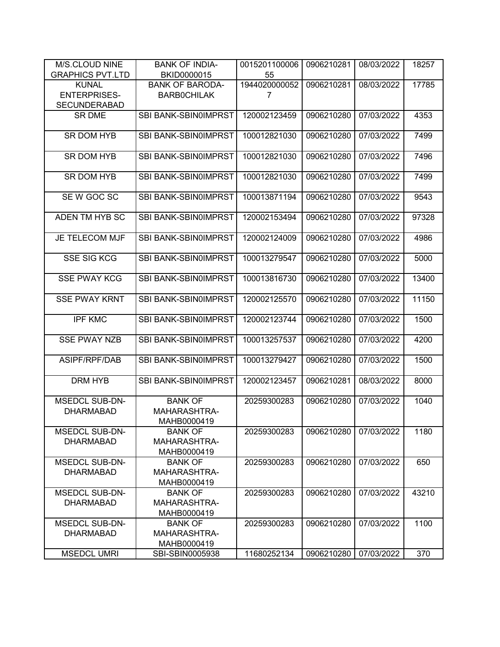| M/S.CLOUD NINE          | <b>BANK OF INDIA-</b>       | 0015201100006 | 0906210281 | 08/03/2022 | 18257 |
|-------------------------|-----------------------------|---------------|------------|------------|-------|
| <b>GRAPHICS PVT.LTD</b> | BKID0000015                 | 55            |            |            |       |
| <b>KUNAL</b>            | <b>BANK OF BARODA-</b>      | 1944020000052 | 0906210281 | 08/03/2022 | 17785 |
| <b>ENTERPRISES-</b>     | <b>BARBOCHILAK</b>          | 7             |            |            |       |
| <b>SECUNDERABAD</b>     |                             |               |            |            |       |
| <b>SR DME</b>           | SBI BANK-SBIN0IMPRST        | 120002123459  | 0906210280 | 07/03/2022 | 4353  |
|                         |                             |               |            |            |       |
| SR DOM HYB              | SBI BANK-SBIN0IMPRST        | 100012821030  | 0906210280 | 07/03/2022 | 7499  |
|                         |                             |               |            |            |       |
| SR DOM HYB              | SBI BANK-SBIN0IMPRST        | 100012821030  | 0906210280 | 07/03/2022 | 7496  |
|                         |                             |               |            |            |       |
| SR DOM HYB              | SBI BANK-SBIN0IMPRST        | 100012821030  | 0906210280 | 07/03/2022 | 7499  |
| SEW GOC SC              | SBI BANK-SBIN0IMPRST        | 100013871194  | 0906210280 |            |       |
|                         |                             |               |            | 07/03/2022 | 9543  |
| ADEN TM HYB SC          | SBI BANK-SBIN0IMPRST        | 120002153494  | 0906210280 | 07/03/2022 | 97328 |
|                         |                             |               |            |            |       |
| JE TELECOM MJF          | SBI BANK-SBIN0IMPRST        | 120002124009  | 0906210280 | 07/03/2022 | 4986  |
|                         |                             |               |            |            |       |
| <b>SSE SIG KCG</b>      | <b>SBI BANK-SBIN0IMPRST</b> | 100013279547  | 0906210280 | 07/03/2022 | 5000  |
|                         |                             |               |            |            |       |
| <b>SSE PWAY KCG</b>     | <b>SBI BANK-SBIN0IMPRST</b> | 100013816730  | 0906210280 | 07/03/2022 | 13400 |
|                         |                             |               |            |            |       |
| <b>SSE PWAY KRNT</b>    | SBI BANK-SBIN0IMPRST        | 120002125570  | 0906210280 | 07/03/2022 | 11150 |
|                         |                             |               |            |            |       |
| <b>IPF KMC</b>          | SBI BANK-SBIN0IMPRST        | 120002123744  | 0906210280 | 07/03/2022 | 1500  |
|                         |                             |               |            |            |       |
| <b>SSE PWAY NZB</b>     | SBI BANK-SBIN0IMPRST        | 100013257537  | 0906210280 | 07/03/2022 | 4200  |
| ASIPF/RPF/DAB           | SBI BANK-SBIN0IMPRST        | 100013279427  | 0906210280 | 07/03/2022 | 1500  |
|                         |                             |               |            |            |       |
| DRM HYB                 | SBI BANK-SBIN0IMPRST        | 120002123457  | 0906210281 | 08/03/2022 | 8000  |
|                         |                             |               |            |            |       |
| <b>MSEDCL SUB-DN-</b>   | <b>BANK OF</b>              | 20259300283   | 0906210280 | 07/03/2022 | 1040  |
| <b>DHARMABAD</b>        | MAHARASHTRA-                |               |            |            |       |
|                         | MAHB0000419                 |               |            |            |       |
| <b>MSEDCL SUB-DN-</b>   | <b>BANK OF</b>              | 20259300283   | 0906210280 | 07/03/2022 | 1180  |
| <b>DHARMABAD</b>        | MAHARASHTRA-                |               |            |            |       |
|                         | MAHB0000419                 |               |            |            |       |
| <b>MSEDCL SUB-DN-</b>   | <b>BANK OF</b>              | 20259300283   | 0906210280 | 07/03/2022 | 650   |
| <b>DHARMABAD</b>        | MAHARASHTRA-                |               |            |            |       |
|                         | MAHB0000419                 |               |            |            |       |
| <b>MSEDCL SUB-DN-</b>   | <b>BANK OF</b>              | 20259300283   | 0906210280 | 07/03/2022 | 43210 |
| <b>DHARMABAD</b>        | MAHARASHTRA-                |               |            |            |       |
|                         | MAHB0000419                 |               |            |            |       |
| <b>MSEDCL SUB-DN-</b>   | <b>BANK OF</b>              | 20259300283   | 0906210280 | 07/03/2022 | 1100  |
| <b>DHARMABAD</b>        | MAHARASHTRA-                |               |            |            |       |
|                         | MAHB0000419                 |               |            |            |       |
| <b>MSEDCL UMRI</b>      | SBI-SBIN0005938             | 11680252134   | 0906210280 | 07/03/2022 | 370   |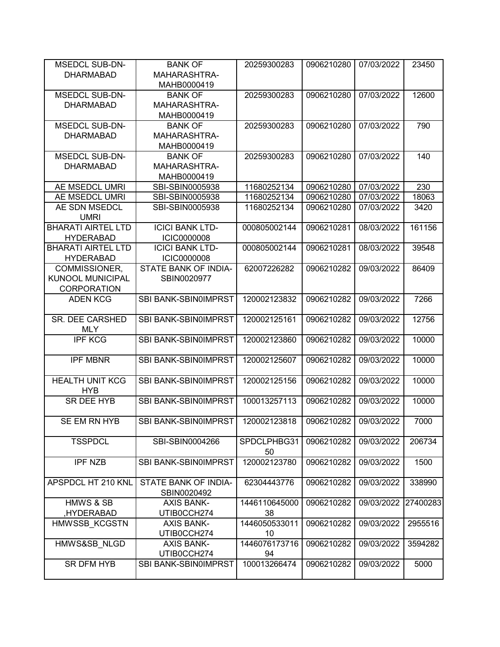| <b>MSEDCL SUB-DN-</b>     | <b>BANK OF</b>         | 20259300283       | 0906210280 | 07/03/2022 | 23450    |
|---------------------------|------------------------|-------------------|------------|------------|----------|
| <b>DHARMABAD</b>          | MAHARASHTRA-           |                   |            |            |          |
|                           | MAHB0000419            |                   |            |            |          |
| <b>MSEDCL SUB-DN-</b>     | <b>BANK OF</b>         | 20259300283       | 0906210280 | 07/03/2022 | 12600    |
| <b>DHARMABAD</b>          | MAHARASHTRA-           |                   |            |            |          |
|                           | MAHB0000419            |                   |            |            |          |
| <b>MSEDCL SUB-DN-</b>     | <b>BANK OF</b>         | 20259300283       | 0906210280 | 07/03/2022 | 790      |
| <b>DHARMABAD</b>          | MAHARASHTRA-           |                   |            |            |          |
|                           | MAHB0000419            |                   |            |            |          |
| <b>MSEDCL SUB-DN-</b>     | <b>BANK OF</b>         | 20259300283       | 0906210280 | 07/03/2022 | 140      |
| <b>DHARMABAD</b>          | MAHARASHTRA-           |                   |            |            |          |
|                           | MAHB0000419            |                   |            |            |          |
| AE MSEDCL UMRI            | SBI-SBIN0005938        | 11680252134       | 0906210280 | 07/03/2022 | 230      |
| AE MSEDCL UMRI            | SBI-SBIN0005938        | 11680252134       | 0906210280 | 07/03/2022 | 18063    |
| AE SDN MSEDCL             | SBI-SBIN0005938        | 11680252134       | 0906210280 | 07/03/2022 | 3420     |
| <b>UMRI</b>               |                        |                   |            |            |          |
| <b>BHARATI AIRTEL LTD</b> | <b>ICICI BANK LTD-</b> | 000805002144      | 0906210281 | 08/03/2022 | 161156   |
| <b>HYDERABAD</b>          | <b>ICIC0000008</b>     |                   |            |            |          |
| <b>BHARATI AIRTEL LTD</b> | <b>ICICI BANK LTD-</b> | 000805002144      | 0906210281 | 08/03/2022 | 39548    |
| <b>HYDERABAD</b>          | <b>ICIC0000008</b>     |                   |            |            |          |
| COMMISSIONER,             | STATE BANK OF INDIA-   | 62007226282       | 0906210282 | 09/03/2022 | 86409    |
| <b>KUNOOL MUNICIPAL</b>   | SBIN0020977            |                   |            |            |          |
| <b>CORPORATION</b>        |                        |                   |            |            |          |
| <b>ADEN KCG</b>           | SBI BANK-SBIN0IMPRST   | 120002123832      | 0906210282 | 09/03/2022 | 7266     |
| SR. DEE CARSHED           | SBI BANK-SBIN0IMPRST   | 120002125161      | 0906210282 | 09/03/2022 | 12756    |
| <b>MLY</b>                |                        |                   |            |            |          |
| <b>IPF KCG</b>            | SBI BANK-SBIN0IMPRST   | 120002123860      | 0906210282 | 09/03/2022 | 10000    |
|                           |                        |                   |            |            |          |
| <b>IPF MBNR</b>           | SBI BANK-SBIN0IMPRST   | 120002125607      | 0906210282 | 09/03/2022 | 10000    |
|                           |                        |                   |            |            |          |
| <b>HEALTH UNIT KCG</b>    | SBI BANK-SBIN0IMPRST   | 120002125156      | 0906210282 | 09/03/2022 | 10000    |
| <b>HYB</b>                |                        |                   |            |            |          |
| SR DEE HYB                | SBI BANK-SBIN0IMPRST   | 100013257113      | 0906210282 | 09/03/2022 | 10000    |
|                           |                        |                   |            |            |          |
| SE EM RN HYB              | SBI BANK-SBIN0IMPRST   | 120002123818      | 0906210282 | 09/03/2022 | 7000     |
|                           |                        |                   |            |            |          |
| <b>TSSPDCL</b>            | SBI-SBIN0004266        | SPDCLPHBG31<br>50 | 0906210282 | 09/03/2022 | 206734   |
| <b>IPF NZB</b>            | SBI BANK-SBIN0IMPRST   | 120002123780      | 0906210282 | 09/03/2022 | 1500     |
|                           |                        |                   |            |            |          |
| APSPDCL HT 210 KNL        | STATE BANK OF INDIA-   | 62304443776       | 0906210282 | 09/03/2022 | 338990   |
|                           | SBIN0020492            |                   |            |            |          |
| <b>HMWS &amp; SB</b>      | <b>AXIS BANK-</b>      | 1446110645000     | 0906210282 | 09/03/2022 | 27400283 |
| HYDERABAD,                | UTIB0CCH274            | 38                |            |            |          |
| HMWSSB KCGSTN             | <b>AXIS BANK-</b>      | 1446050533011     | 0906210282 | 09/03/2022 | 2955516  |
|                           | UTIB0CCH274            | 10                |            |            |          |
| HMWS&SB NLGD              | <b>AXIS BANK-</b>      | 1446076173716     | 0906210282 | 09/03/2022 | 3594282  |
|                           | UTIB0CCH274            | 94                |            |            |          |
| <b>SR DFM HYB</b>         | SBI BANK-SBIN0IMPRST   | 100013266474      | 0906210282 | 09/03/2022 | 5000     |
|                           |                        |                   |            |            |          |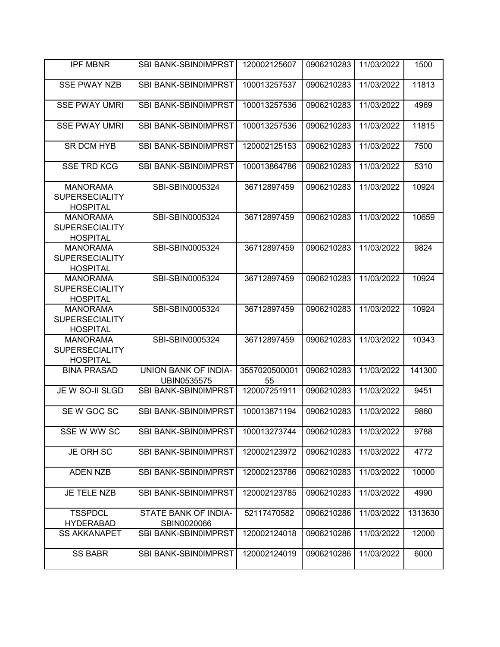| <b>IPF MBNR</b>                                             | SBI BANK-SBIN0IMPRST                | 120002125607        | 0906210283 | 11/03/2022 | 1500    |
|-------------------------------------------------------------|-------------------------------------|---------------------|------------|------------|---------|
| <b>SSE PWAY NZB</b>                                         | SBI BANK-SBIN0IMPRST                | 100013257537        | 0906210283 | 11/03/2022 | 11813   |
| <b>SSE PWAY UMRI</b>                                        | SBI BANK-SBIN0IMPRST                | 100013257536        | 0906210283 | 11/03/2022 | 4969    |
| <b>SSE PWAY UMRI</b>                                        | SBI BANK-SBIN0IMPRST                | 100013257536        | 0906210283 | 11/03/2022 | 11815   |
| <b>SR DCM HYB</b>                                           | <b>SBI BANK-SBIN0IMPRST</b>         | 120002125153        | 0906210283 | 11/03/2022 | 7500    |
| <b>SSE TRD KCG</b>                                          | SBI BANK-SBIN0IMPRST                | 100013864786        | 0906210283 | 11/03/2022 | 5310    |
| <b>MANORAMA</b><br><b>SUPERSECIALITY</b><br><b>HOSPITAL</b> | SBI-SBIN0005324                     | 36712897459         | 0906210283 | 11/03/2022 | 10924   |
| <b>MANORAMA</b><br><b>SUPERSECIALITY</b><br><b>HOSPITAL</b> | SBI-SBIN0005324                     | 36712897459         | 0906210283 | 11/03/2022 | 10659   |
| <b>MANORAMA</b><br><b>SUPERSECIALITY</b><br><b>HOSPITAL</b> | SBI-SBIN0005324                     | 36712897459         | 0906210283 | 11/03/2022 | 9824    |
| <b>MANORAMA</b><br><b>SUPERSECIALITY</b><br><b>HOSPITAL</b> | SBI-SBIN0005324                     | 36712897459         | 0906210283 | 11/03/2022 | 10924   |
| <b>MANORAMA</b><br><b>SUPERSECIALITY</b><br><b>HOSPITAL</b> | SBI-SBIN0005324                     | 36712897459         | 0906210283 | 11/03/2022 | 10924   |
| <b>MANORAMA</b><br><b>SUPERSECIALITY</b><br><b>HOSPITAL</b> | SBI-SBIN0005324                     | 36712897459         | 0906210283 | 11/03/2022 | 10343   |
| <b>BINA PRASAD</b>                                          | UNION BANK OF INDIA-<br>UBIN0535575 | 3557020500001<br>55 | 0906210283 | 11/03/2022 | 141300  |
| JE W SO-II SLGD                                             | SBI BANK-SBIN0IMPRST                | 120007251911        | 0906210283 | 11/03/2022 | 9451    |
| SE W GOC SC                                                 | SBI BANK-SBIN0IMPRST                | 100013871194        | 0906210283 | 11/03/2022 | 9860    |
| SSE W WW SC                                                 | SBI BANK-SBIN0IMPRST                | 100013273744        | 0906210283 | 11/03/2022 | 9788    |
| JE ORH SC                                                   | SBI BANK-SBIN0IMPRST                | 120002123972        | 0906210283 | 11/03/2022 | 4772    |
| <b>ADEN NZB</b>                                             | SBI BANK-SBIN0IMPRST                | 120002123786        | 0906210283 | 11/03/2022 | 10000   |
| JE TELE NZB                                                 | <b>SBI BANK-SBIN0IMPRST</b>         | 120002123785        | 0906210283 | 11/03/2022 | 4990    |
| <b>TSSPDCL</b><br><b>HYDERABAD</b>                          | STATE BANK OF INDIA-<br>SBIN0020066 | 52117470582         | 0906210286 | 11/03/2022 | 1313630 |
| <b>SS AKKANAPET</b>                                         | SBI BANK-SBIN0IMPRST                | 120002124018        | 0906210286 | 11/03/2022 | 12000   |
| <b>SS BABR</b>                                              | SBI BANK-SBIN0IMPRST                | 120002124019        | 0906210286 | 11/03/2022 | 6000    |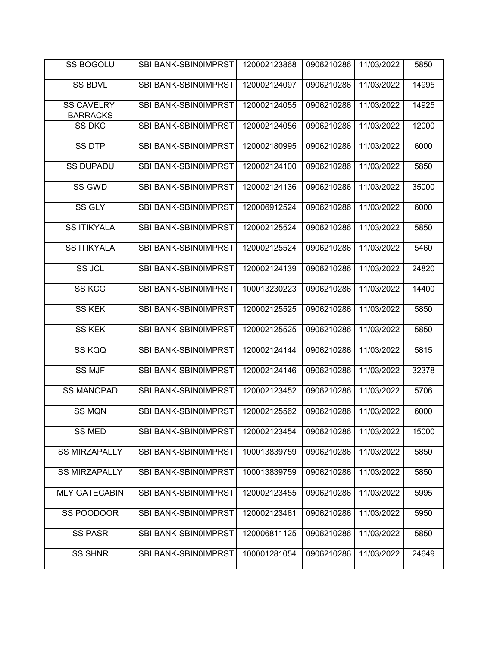| <b>SS BOGOLU</b>                     | <b>SBI BANK-SBIN0IMPRST</b> | 120002123868 | 0906210286 | 11/03/2022 | 5850  |
|--------------------------------------|-----------------------------|--------------|------------|------------|-------|
| <b>SS BDVL</b>                       | SBI BANK-SBIN0IMPRST        | 120002124097 | 0906210286 | 11/03/2022 | 14995 |
| <b>SS CAVELRY</b><br><b>BARRACKS</b> | SBI BANK-SBIN0IMPRST        | 120002124055 | 0906210286 | 11/03/2022 | 14925 |
| <b>SS DKC</b>                        | SBI BANK-SBIN0IMPRST        | 120002124056 | 0906210286 | 11/03/2022 | 12000 |
| <b>SS DTP</b>                        | SBI BANK-SBIN0IMPRST        | 120002180995 | 0906210286 | 11/03/2022 | 6000  |
| <b>SS DUPADU</b>                     | <b>SBI BANK-SBIN0IMPRST</b> | 120002124100 | 0906210286 | 11/03/2022 | 5850  |
| SS GWD                               | SBI BANK-SBIN0IMPRST        | 120002124136 | 0906210286 | 11/03/2022 | 35000 |
| SS GLY                               | SBI BANK-SBIN0IMPRST        | 120006912524 | 0906210286 | 11/03/2022 | 6000  |
| <b>SS ITIKYALA</b>                   | SBI BANK-SBIN0IMPRST        | 120002125524 | 0906210286 | 11/03/2022 | 5850  |
| <b>SS ITIKYALA</b>                   | SBI BANK-SBIN0IMPRST        | 120002125524 | 0906210286 | 11/03/2022 | 5460  |
| SS JCL                               | SBI BANK-SBIN0IMPRST        | 120002124139 | 0906210286 | 11/03/2022 | 24820 |
| <b>SS KCG</b>                        | SBI BANK-SBIN0IMPRST        | 100013230223 | 0906210286 | 11/03/2022 | 14400 |
| <b>SS KEK</b>                        | SBI BANK-SBIN0IMPRST        | 120002125525 | 0906210286 | 11/03/2022 | 5850  |
| <b>SS KEK</b>                        | SBI BANK-SBIN0IMPRST        | 120002125525 | 0906210286 | 11/03/2022 | 5850  |
| SS KQQ                               | SBI BANK-SBIN0IMPRST        | 120002124144 | 0906210286 | 11/03/2022 | 5815  |
| <b>SS MJF</b>                        | SBI BANK-SBIN0IMPRST        | 120002124146 | 0906210286 | 11/03/2022 | 32378 |
| <b>SS MANOPAD</b>                    | SBI BANK-SBIN0IMPRST        | 120002123452 | 0906210286 | 11/03/2022 | 5706  |
| <b>SS MQN</b>                        | SBI BANK-SBIN0IMPRST        | 120002125562 | 0906210286 | 11/03/2022 | 6000  |
| <b>SS MED</b>                        | SBI BANK-SBIN0IMPRST        | 120002123454 | 0906210286 | 11/03/2022 | 15000 |
| <b>SS MIRZAPALLY</b>                 | SBI BANK-SBIN0IMPRST        | 100013839759 | 0906210286 | 11/03/2022 | 5850  |
| <b>SS MIRZAPALLY</b>                 | SBI BANK-SBIN0IMPRST        | 100013839759 | 0906210286 | 11/03/2022 | 5850  |
| <b>MLY GATECABIN</b>                 | SBI BANK-SBIN0IMPRST        | 120002123455 | 0906210286 | 11/03/2022 | 5995  |
| SS POODOOR                           | <b>SBI BANK-SBIN0IMPRST</b> | 120002123461 | 0906210286 | 11/03/2022 | 5950  |
| <b>SS PASR</b>                       | <b>SBI BANK-SBIN0IMPRST</b> | 120006811125 | 0906210286 | 11/03/2022 | 5850  |
| <b>SS SHNR</b>                       | SBI BANK-SBIN0IMPRST        | 100001281054 | 0906210286 | 11/03/2022 | 24649 |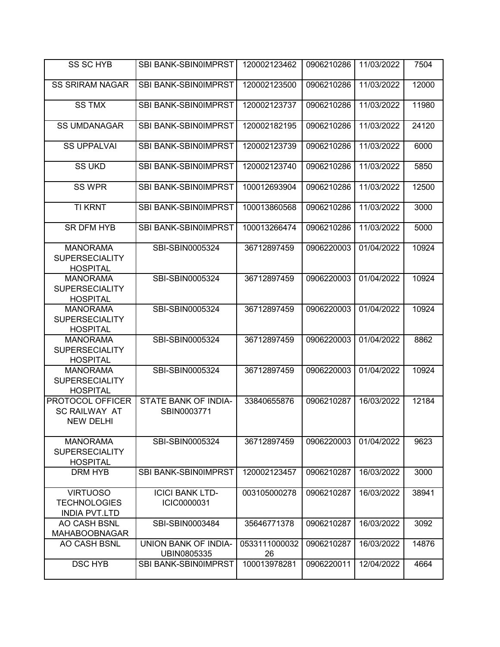| <b>SS SC HYB</b>                                               | SBI BANK-SBIN0IMPRST                  | 120002123462        | 0906210286 | 11/03/2022 | 7504  |
|----------------------------------------------------------------|---------------------------------------|---------------------|------------|------------|-------|
| <b>SS SRIRAM NAGAR</b>                                         | <b>SBI BANK-SBIN0IMPRST</b>           | 120002123500        | 0906210286 | 11/03/2022 | 12000 |
| <b>SS TMX</b>                                                  | <b>SBI BANK-SBIN0IMPRST</b>           | 120002123737        | 0906210286 | 11/03/2022 | 11980 |
| <b>SS UMDANAGAR</b>                                            | SBI BANK-SBIN0IMPRST                  | 120002182195        | 0906210286 | 11/03/2022 | 24120 |
| <b>SS UPPALVAI</b>                                             | SBI BANK-SBIN0IMPRST                  | 120002123739        | 0906210286 | 11/03/2022 | 6000  |
| <b>SS UKD</b>                                                  | SBI BANK-SBIN0IMPRST                  | 120002123740        | 0906210286 | 11/03/2022 | 5850  |
| <b>SS WPR</b>                                                  | SBI BANK-SBIN0IMPRST                  | 100012693904        | 0906210286 | 11/03/2022 | 12500 |
| <b>TI KRNT</b>                                                 | SBI BANK-SBIN0IMPRST                  | 100013860568        | 0906210286 | 11/03/2022 | 3000  |
| <b>SR DFM HYB</b>                                              | SBI BANK-SBIN0IMPRST                  | 100013266474        | 0906210286 | 11/03/2022 | 5000  |
| <b>MANORAMA</b><br><b>SUPERSECIALITY</b><br><b>HOSPITAL</b>    | SBI-SBIN0005324                       | 36712897459         | 0906220003 | 01/04/2022 | 10924 |
| <b>MANORAMA</b><br><b>SUPERSECIALITY</b><br><b>HOSPITAL</b>    | SBI-SBIN0005324                       | 36712897459         | 0906220003 | 01/04/2022 | 10924 |
| <b>MANORAMA</b><br><b>SUPERSECIALITY</b><br><b>HOSPITAL</b>    | SBI-SBIN0005324                       | 36712897459         | 0906220003 | 01/04/2022 | 10924 |
| <b>MANORAMA</b><br><b>SUPERSECIALITY</b><br><b>HOSPITAL</b>    | SBI-SBIN0005324                       | 36712897459         | 0906220003 | 01/04/2022 | 8862  |
| <b>MANORAMA</b><br><b>SUPERSECIALITY</b><br><b>HOSPITAL</b>    | SBI-SBIN0005324                       | 36712897459         | 0906220003 | 01/04/2022 | 10924 |
| PROTOCOL OFFICER<br><b>SC RAILWAY AT</b><br><b>NEW DELHI</b>   | STATE BANK OF INDIA-<br>SBIN0003771   | 33840655876         | 0906210287 | 16/03/2022 | 12184 |
| <b>MANORAMA</b><br><b>SUPERSECIALITY</b><br><b>HOSPITAL</b>    | SBI-SBIN0005324                       | 36712897459         | 0906220003 | 01/04/2022 | 9623  |
| DRM HYB                                                        | SBI BANK-SBIN0IMPRST                  | 120002123457        | 0906210287 | 16/03/2022 | 3000  |
| <b>VIRTUOSO</b><br><b>TECHNOLOGIES</b><br><b>INDIA PVT.LTD</b> | <b>ICICI BANK LTD-</b><br>ICIC0000031 | 003105000278        | 0906210287 | 16/03/2022 | 38941 |
| AO CASH BSNL<br><b>MAHABOOBNAGAR</b>                           | SBI-SBIN0003484                       | 35646771378         | 0906210287 | 16/03/2022 | 3092  |
| AO CASH BSNL                                                   | UNION BANK OF INDIA-<br>UBIN0805335   | 0533111000032<br>26 | 0906210287 | 16/03/2022 | 14876 |
| <b>DSC HYB</b>                                                 | SBI BANK-SBIN0IMPRST                  | 100013978281        | 0906220011 | 12/04/2022 | 4664  |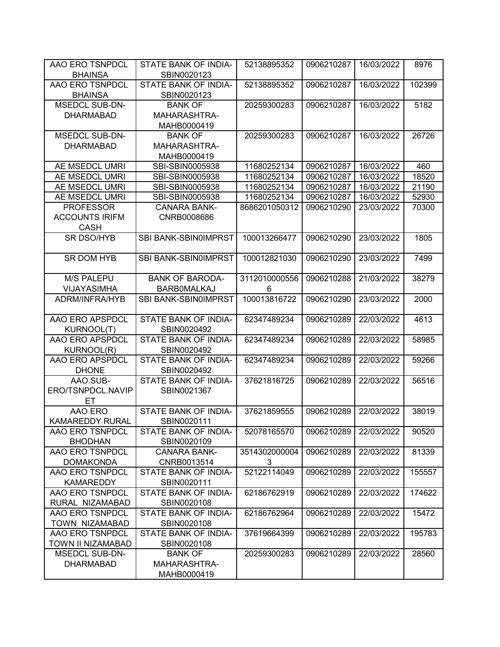| AAO ERO TSNPDCL               | STATE BANK OF INDIA-                | 52138895352   | 0906210287 | 16/03/2022 | 8976   |
|-------------------------------|-------------------------------------|---------------|------------|------------|--------|
| <b>BHAINSA</b>                | SBIN0020123                         |               |            |            |        |
| AAO ERO TSNPDCL               | STATE BANK OF INDIA-                | 52138895352   | 0906210287 | 16/03/2022 | 102399 |
| <b>BHAINSA</b>                | SBIN0020123                         |               |            |            |        |
| <b>MSEDCL SUB-DN-</b>         | <b>BANK OF</b>                      | 20259300283   | 0906210287 | 16/03/2022 | 5182   |
| <b>DHARMABAD</b>              | MAHARASHTRA-                        |               |            |            |        |
|                               | MAHB0000419                         |               |            |            |        |
| <b>MSEDCL SUB-DN-</b>         | <b>BANK OF</b>                      | 20259300283   | 0906210287 | 16/03/2022 | 26726  |
| <b>DHARMABAD</b>              | <b>MAHARASHTRA-</b>                 |               |            |            |        |
|                               | MAHB0000419                         |               |            |            |        |
| AE MSEDCL UMRI                | SBI-SBIN0005938                     | 11680252134   | 0906210287 | 16/03/2022 | 460    |
| AE MSEDCL UMRI                | SBI-SBIN0005938                     | 11680252134   | 0906210287 | 16/03/2022 | 18520  |
| AE MSEDCL UMRI                | SBI-SBIN0005938                     | 11680252134   | 0906210287 | 16/03/2022 | 21190  |
| AE MSEDCL UMRI                | SBI-SBIN0005938                     | 11680252134   | 0906210287 | 16/03/2022 | 52930  |
| <b>PROFESSOR</b>              | <b>CANARA BANK-</b>                 | 8686201050312 | 0906210290 | 23/03/2022 | 70300  |
| <b>ACCOUNTS IRIFM</b>         | CNRB0008686                         |               |            |            |        |
| <b>CASH</b>                   |                                     |               |            |            |        |
| <b>SR DSO/HYB</b>             | SBI BANK-SBIN0IMPRST                | 100013266477  | 0906210290 | 23/03/2022 | 1805   |
|                               |                                     |               |            |            |        |
| <b>SR DOM HYB</b>             | SBI BANK-SBIN0IMPRST                | 100012821030  | 0906210290 | 23/03/2022 | 7499   |
|                               |                                     |               |            |            |        |
| <b>M/S PALEPU</b>             | <b>BANK OF BARODA-</b>              | 3112010000556 | 0906210288 | 21/03/2022 | 38279  |
| <b>VIJAYASIMHA</b>            | <b>BARBOMALKAJ</b>                  | 6             |            |            |        |
| ADRM/INFRA/HYB                | SBI BANK-SBIN0IMPRST                | 100013816722  | 0906210290 | 23/03/2022 | 2000   |
|                               |                                     |               |            |            |        |
| AAO ERO APSPDCL               | STATE BANK OF INDIA-                | 62347489234   | 0906210289 | 22/03/2022 | 4613   |
| KURNOOL(T)                    | SBIN0020492                         |               |            |            |        |
| AAO ERO APSPDCL               | STATE BANK OF INDIA-                | 62347489234   | 0906210289 | 22/03/2022 | 58985  |
| KURNOOL(R)                    | SBIN0020492                         |               |            |            |        |
| AAO ERO APSPDCL               | STATE BANK OF INDIA-                | 62347489234   | 0906210289 | 22/03/2022 | 59266  |
| <b>DHONE</b>                  | SBIN0020492<br>STATE BANK OF INDIA- | 37621816725   | 0906210289 | 22/03/2022 | 56516  |
| AAO.SUB-<br>ERO/TSNPDCL.NAVIP | SBIN0021367                         |               |            |            |        |
| ET                            |                                     |               |            |            |        |
| AAO ERO                       | <b>STATE BANK OF INDIA-</b>         | 37621859555   | 0906210289 | 22/03/2022 | 38019  |
| <b>KAMAREDDY RURAL</b>        | SBIN0020111                         |               |            |            |        |
| AAO ERO TSNPDCL               | STATE BANK OF INDIA-                | 52078165570   | 0906210289 | 22/03/2022 | 90520  |
| <b>BHODHAN</b>                | SBIN0020109                         |               |            |            |        |
| AAO ERO TSNPDCL               | <b>CANARA BANK-</b>                 | 3514302000004 | 0906210289 | 22/03/2022 | 81339  |
| <b>DOMAKONDA</b>              | CNRB0013514                         | 3             |            |            |        |
| AAO ERO TSNPDCL               | STATE BANK OF INDIA-                | 52122114049   | 0906210289 | 22/03/2022 | 155557 |
| <b>KAMAREDDY</b>              | SBIN0020111                         |               |            |            |        |
| AAO ERO TSNPDCL               | STATE BANK OF INDIA-                | 62186762919   | 0906210289 | 22/03/2022 | 174622 |
| RURAL NIZAMABAD               | SBIN0020108                         |               |            |            |        |
| AAO ERO TSNPDCL               | STATE BANK OF INDIA-                | 62186762964   | 0906210289 | 22/03/2022 | 15472  |
| TOWN NIZAMABAD                | SBIN0020108                         |               |            |            |        |
| AAO ERO TSNPDCL               | STATE BANK OF INDIA-                | 37619664399   | 0906210289 | 22/03/2022 | 195783 |
| TOWN II NIZAMABAD             | SBIN0020108                         |               |            |            |        |
| <b>MSEDCL SUB-DN-</b>         | <b>BANK OF</b>                      | 20259300283   | 0906210289 | 22/03/2022 | 28560  |
| <b>DHARMABAD</b>              | MAHARASHTRA-                        |               |            |            |        |
|                               | MAHB0000419                         |               |            |            |        |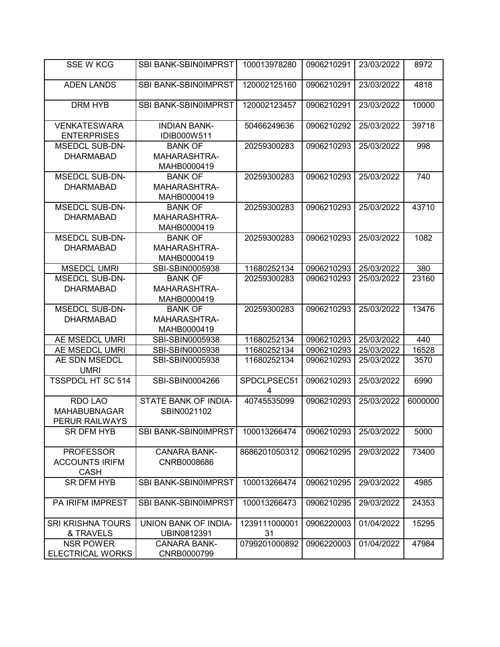| <b>SSE W KCG</b>              | <b>SBI BANK-SBIN0IMPRST</b> | 100013978280        | 0906210291 | 23/03/2022 | 8972    |
|-------------------------------|-----------------------------|---------------------|------------|------------|---------|
|                               |                             |                     |            |            |         |
| <b>ADEN LANDS</b>             | <b>SBI BANK-SBIN0IMPRST</b> | 120002125160        | 0906210291 | 23/03/2022 | 4818    |
|                               |                             |                     |            |            |         |
| <b>DRM HYB</b>                | <b>SBI BANK-SBIN0IMPRST</b> | 120002123457        | 0906210291 | 23/03/2022 | 10000   |
|                               |                             |                     |            |            |         |
| <b>VENKATESWARA</b>           | <b>INDIAN BANK-</b>         | 50466249636         | 0906210292 | 25/03/2022 | 39718   |
| <b>ENTERPRISES</b>            | IDIB000W511                 |                     |            |            |         |
| <b>MSEDCL SUB-DN-</b>         | <b>BANK OF</b>              | 20259300283         | 0906210293 | 25/03/2022 | 998     |
| <b>DHARMABAD</b>              | MAHARASHTRA-                |                     |            |            |         |
|                               | MAHB0000419                 |                     |            |            |         |
| <b>MSEDCL SUB-DN-</b>         | <b>BANK OF</b>              | 20259300283         | 0906210293 | 25/03/2022 | 740     |
| <b>DHARMABAD</b>              | MAHARASHTRA-                |                     |            |            |         |
|                               | MAHB0000419                 |                     |            |            |         |
| <b>MSEDCL SUB-DN-</b>         | <b>BANK OF</b>              | 20259300283         | 0906210293 | 25/03/2022 | 43710   |
| <b>DHARMABAD</b>              | MAHARASHTRA-                |                     |            |            |         |
|                               | MAHB0000419                 |                     |            |            |         |
| <b>MSEDCL SUB-DN-</b>         | <b>BANK OF</b>              | 20259300283         | 0906210293 | 25/03/2022 | 1082    |
| <b>DHARMABAD</b>              | MAHARASHTRA-                |                     |            |            |         |
|                               | MAHB0000419                 |                     |            |            |         |
| <b>MSEDCL UMRI</b>            | SBI-SBIN0005938             | 11680252134         | 0906210293 | 25/03/2022 | 380     |
| <b>MSEDCL SUB-DN-</b>         | <b>BANK OF</b>              | 20259300283         | 0906210293 | 25/03/2022 | 23160   |
| <b>DHARMABAD</b>              | MAHARASHTRA-                |                     |            |            |         |
|                               | MAHB0000419                 |                     |            |            |         |
| <b>MSEDCL SUB-DN-</b>         | <b>BANK OF</b>              | 20259300283         | 0906210293 | 25/03/2022 | 13476   |
| <b>DHARMABAD</b>              | MAHARASHTRA-                |                     |            |            |         |
|                               | MAHB0000419                 |                     |            |            |         |
| AE MSEDCL UMRI                | SBI-SBIN0005938             | 11680252134         | 0906210293 | 25/03/2022 | 440     |
| AE MSEDCL UMRI                | SBI-SBIN0005938             | 11680252134         | 0906210293 | 25/03/2022 | 16528   |
| AE SDN MSEDCL                 | SBI-SBIN0005938             | 11680252134         | 0906210293 | 25/03/2022 | 3570    |
| <b>UMRI</b>                   |                             |                     |            |            |         |
| <b>TSSPDCL HT SC 514</b>      | SBI-SBIN0004266             | SPDCLPSEC51         | 0906210293 | 25/03/2022 | 6990    |
|                               |                             | 4                   |            |            |         |
| RDO LAO                       | STATE BANK OF INDIA-        | 40745535099         | 0906210293 | 25/03/2022 | 6000000 |
| <b>MAHABUBNAGAR</b>           | SBIN0021102                 |                     |            |            |         |
| PERUR RAILWAYS                |                             |                     |            |            |         |
| SR DFM HYB                    | SBI BANK-SBIN0IMPRST        | 100013266474        | 0906210293 | 25/03/2022 | 5000    |
|                               |                             |                     |            |            |         |
| <b>PROFESSOR</b>              | <b>CANARA BANK-</b>         | 8686201050312       | 0906210295 | 29/03/2022 | 73400   |
| <b>ACCOUNTS IRIFM</b>         | CNRB0008686                 |                     |            |            |         |
| <b>CASH</b>                   |                             |                     |            |            |         |
| <b>SR DFM HYB</b>             | SBI BANK-SBIN0IMPRST        | 100013266474        | 0906210295 | 29/03/2022 | 4985    |
|                               |                             |                     |            |            |         |
| <b>PA IRIFM IMPREST</b>       | SBI BANK-SBIN0IMPRST        | 100013266473        | 0906210295 | 29/03/2022 | 24353   |
|                               |                             |                     |            |            |         |
| <b>SRI KRISHNA TOURS</b>      | UNION BANK OF INDIA-        | 1239111000001       | 0906220003 | 01/04/2022 | 15295   |
| & TRAVELS<br><b>NSR POWER</b> | UBIN0812391                 | 31<br>0799201000892 |            | 01/04/2022 |         |
|                               | <b>CANARA BANK-</b>         |                     | 0906220003 |            | 47984   |
| <b>ELECTRICAL WORKS</b>       | CNRB0000799                 |                     |            |            |         |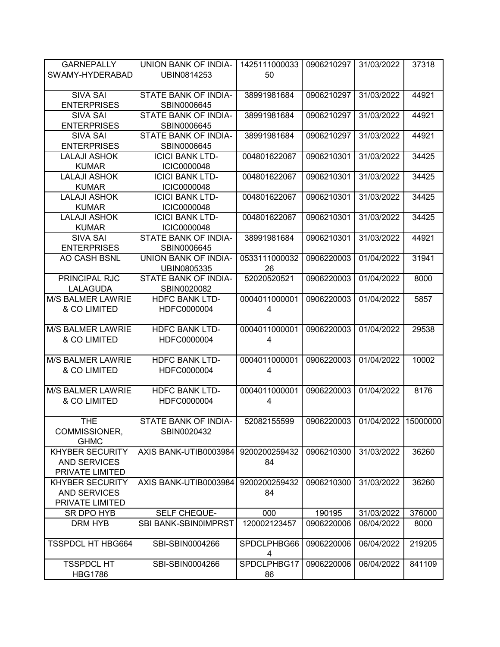| <b>GARNEPALLY</b><br>SWAMY-HYDERABAD                             | UNION BANK OF INDIA-<br>UBIN0814253          | 1425111000033<br>50 | 0906210297 | 31/03/2022 | 37318    |
|------------------------------------------------------------------|----------------------------------------------|---------------------|------------|------------|----------|
| <b>SIVA SAI</b><br><b>ENTERPRISES</b>                            | STATE BANK OF INDIA-<br>SBIN0006645          | 38991981684         | 0906210297 | 31/03/2022 | 44921    |
| <b>SIVA SAI</b><br><b>ENTERPRISES</b>                            | STATE BANK OF INDIA-<br>SBIN0006645          | 38991981684         | 0906210297 | 31/03/2022 | 44921    |
| <b>SIVA SAI</b><br><b>ENTERPRISES</b>                            | STATE BANK OF INDIA-<br>SBIN0006645          | 38991981684         | 0906210297 | 31/03/2022 | 44921    |
| <b>LALAJI ASHOK</b><br><b>KUMAR</b>                              | <b>ICICI BANK LTD-</b><br><b>ICIC0000048</b> | 004801622067        | 0906210301 | 31/03/2022 | 34425    |
| <b>LALAJI ASHOK</b><br><b>KUMAR</b>                              | <b>ICICI BANK LTD-</b><br><b>ICIC0000048</b> | 004801622067        | 0906210301 | 31/03/2022 | 34425    |
| <b>LALAJI ASHOK</b><br><b>KUMAR</b>                              | <b>ICICI BANK LTD-</b><br><b>ICIC0000048</b> | 004801622067        | 0906210301 | 31/03/2022 | 34425    |
| <b>LALAJI ASHOK</b><br><b>KUMAR</b>                              | <b>ICICI BANK LTD-</b><br><b>ICIC0000048</b> | 004801622067        | 0906210301 | 31/03/2022 | 34425    |
| <b>SIVA SAI</b><br><b>ENTERPRISES</b>                            | <b>STATE BANK OF INDIA-</b><br>SBIN0006645   | 38991981684         | 0906210301 | 31/03/2022 | 44921    |
| <b>AO CASH BSNL</b>                                              | UNION BANK OF INDIA-<br>UBIN0805335          | 0533111000032<br>26 | 0906220003 | 01/04/2022 | 31941    |
| PRINCIPAL RJC<br><b>LALAGUDA</b>                                 | <b>STATE BANK OF INDIA-</b><br>SBIN0020082   | 52020520521         | 0906220003 | 01/04/2022 | 8000     |
| <b>M/S BALMER LAWRIE</b><br>& CO LIMITED                         | <b>HDFC BANK LTD-</b><br>HDFC0000004         | 0004011000001<br>4  | 0906220003 | 01/04/2022 | 5857     |
| <b>M/S BALMER LAWRIE</b><br>& CO LIMITED                         | <b>HDFC BANK LTD-</b><br>HDFC0000004         | 0004011000001<br>4  | 0906220003 | 01/04/2022 | 29538    |
| <b>M/S BALMER LAWRIE</b><br>& CO LIMITED                         | <b>HDFC BANK LTD-</b><br>HDFC0000004         | 0004011000001<br>4  | 0906220003 | 01/04/2022 | 10002    |
| <b>M/S BALMER LAWRIE</b><br>& CO LIMITED                         | <b>HDFC BANK LTD-</b><br>HDFC0000004         | 0004011000001<br>4  | 0906220003 | 01/04/2022 | 8176     |
| <b>THE</b><br>COMMISSIONER,<br><b>GHMC</b>                       | STATE BANK OF INDIA-<br>SBIN0020432          | 52082155599         | 0906220003 | 01/04/2022 | 15000000 |
| <b>KHYBER SECURITY</b><br><b>AND SERVICES</b><br>PRIVATE LIMITED | AXIS BANK-UTIB0003984                        | 9200200259432<br>84 | 0906210300 | 31/03/2022 | 36260    |
| <b>KHYBER SECURITY</b><br><b>AND SERVICES</b><br>PRIVATE LIMITED | AXIS BANK-UTIB0003984                        | 9200200259432<br>84 | 0906210300 | 31/03/2022 | 36260    |
| SR DPO HYB                                                       | SELF CHEQUE-                                 | 000                 | 190195     | 31/03/2022 | 376000   |
| DRM HYB                                                          | <b>SBI BANK-SBIN0IMPRST</b>                  | 120002123457        | 0906220006 | 06/04/2022 | 8000     |
| <b>TSSPDCL HT HBG664</b>                                         | SBI-SBIN0004266                              | SPDCLPHBG66<br>4    | 0906220006 | 06/04/2022 | 219205   |
| <b>TSSPDCL HT</b><br><b>HBG1786</b>                              | SBI-SBIN0004266                              | SPDCLPHBG17<br>86   | 0906220006 | 06/04/2022 | 841109   |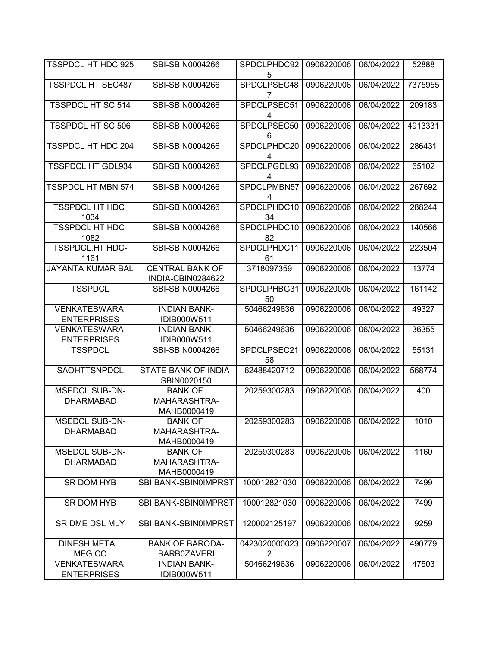| <b>TSSPDCL HT HDC 925</b>                 | SBI-SBIN0004266                               | SPDCLPHDC92<br>5   | 0906220006 | 06/04/2022 | 52888   |
|-------------------------------------------|-----------------------------------------------|--------------------|------------|------------|---------|
| <b>TSSPDCL HT SEC487</b>                  | SBI-SBIN0004266                               | SPDCLPSEC48<br>7   | 0906220006 | 06/04/2022 | 7375955 |
| <b>TSSPDCL HT SC 514</b>                  | SBI-SBIN0004266                               | SPDCLPSEC51<br>4   | 0906220006 | 06/04/2022 | 209183  |
| <b>TSSPDCL HT SC 506</b>                  | SBI-SBIN0004266                               | SPDCLPSEC50<br>6   | 0906220006 | 06/04/2022 | 4913331 |
| <b>TSSPDCL HT HDC 204</b>                 | SBI-SBIN0004266                               | SPDCLPHDC20<br>4   | 0906220006 | 06/04/2022 | 286431  |
| <b>TSSPDCL HT GDL934</b>                  | SBI-SBIN0004266                               | SPDCLPGDL93<br>4   | 0906220006 | 06/04/2022 | 65102   |
| <b>TSSPDCL HT MBN 574</b>                 | SBI-SBIN0004266                               | SPDCLPMBN57<br>4   | 0906220006 | 06/04/2022 | 267692  |
| <b>TSSPDCL HT HDC</b><br>1034             | SBI-SBIN0004266                               | SPDCLPHDC10<br>34  | 0906220006 | 06/04/2022 | 288244  |
| <b>TSSPDCL HT HDC</b><br>1082             | SBI-SBIN0004266                               | SPDCLPHDC10<br>82  | 0906220006 | 06/04/2022 | 140566  |
| TSSPDCL, HT HDC-<br>1161                  | SBI-SBIN0004266                               | SPDCLPHDC11<br>61  | 0906220006 | 06/04/2022 | 223504  |
| <b>JAYANTA KUMAR BAL</b>                  | <b>CENTRAL BANK OF</b><br>INDIA-CBIN0284622   | 3718097359         | 0906220006 | 06/04/2022 | 13774   |
| <b>TSSPDCL</b>                            | SBI-SBIN0004266                               | SPDCLPHBG31<br>50  | 0906220006 | 06/04/2022 | 161142  |
| <b>VENKATESWARA</b><br><b>ENTERPRISES</b> | <b>INDIAN BANK-</b><br>IDIB000W511            | 50466249636        | 0906220006 | 06/04/2022 | 49327   |
| <b>VENKATESWARA</b><br><b>ENTERPRISES</b> | <b>INDIAN BANK-</b><br>IDIB000W511            | 50466249636        | 0906220006 | 06/04/2022 | 36355   |
| <b>TSSPDCL</b>                            | SBI-SBIN0004266                               | SPDCLPSEC21<br>58  | 0906220006 | 06/04/2022 | 55131   |
| SAOHTTSNPDCL                              | STATE BANK OF INDIA-<br>SBIN0020150           | 62488420712        | 0906220006 | 06/04/2022 | 568774  |
| <b>MSEDCL SUB-DN-</b><br><b>DHARMABAD</b> | <b>BANK OF</b><br>MAHARASHTRA-<br>MAHB0000419 | 20259300283        | 0906220006 | 06/04/2022 | 400     |
| <b>MSEDCL SUB-DN-</b><br><b>DHARMABAD</b> | <b>BANK OF</b><br>MAHARASHTRA-<br>MAHB0000419 | 20259300283        | 0906220006 | 06/04/2022 | 1010    |
| <b>MSEDCL SUB-DN-</b><br><b>DHARMABAD</b> | <b>BANK OF</b><br>MAHARASHTRA-<br>MAHB0000419 | 20259300283        | 0906220006 | 06/04/2022 | 1160    |
| <b>SR DOM HYB</b>                         | SBI BANK-SBIN0IMPRST                          | 100012821030       | 0906220006 | 06/04/2022 | 7499    |
| <b>SR DOM HYB</b>                         | SBI BANK-SBIN0IMPRST                          | 100012821030       | 0906220006 | 06/04/2022 | 7499    |
| SR DME DSL MLY                            | SBI BANK-SBIN0IMPRST                          | 120002125197       | 0906220006 | 06/04/2022 | 9259    |
| <b>DINESH METAL</b><br>MFG.CO             | <b>BANK OF BARODA-</b><br>BARB0ZAVERI         | 0423020000023<br>2 | 0906220007 | 06/04/2022 | 490779  |
| <b>VENKATESWARA</b><br><b>ENTERPRISES</b> | <b>INDIAN BANK-</b><br>IDIB000W511            | 50466249636        | 0906220006 | 06/04/2022 | 47503   |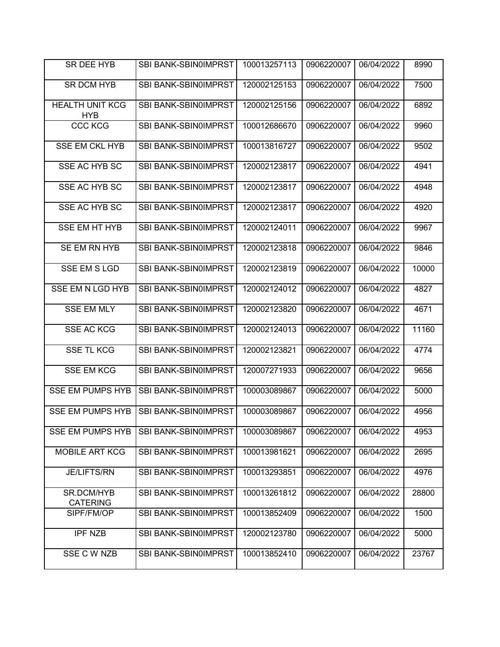| SR DEE HYB                           | SBI BANK-SBIN0IMPRST        | 100013257113 | 0906220007 | 06/04/2022 | 8990  |
|--------------------------------------|-----------------------------|--------------|------------|------------|-------|
| <b>SR DCM HYB</b>                    | SBI BANK-SBIN0IMPRST        | 120002125153 | 0906220007 | 06/04/2022 | 7500  |
| <b>HEALTH UNIT KCG</b><br><b>HYB</b> | SBI BANK-SBIN0IMPRST        | 120002125156 | 0906220007 | 06/04/2022 | 6892  |
| <b>CCC KCG</b>                       | SBI BANK-SBIN0IMPRST        | 100012686670 | 0906220007 | 06/04/2022 | 9960  |
| <b>SSE EM CKL HYB</b>                | <b>SBI BANK-SBIN0IMPRST</b> | 100013816727 | 0906220007 | 06/04/2022 | 9502  |
| SSE AC HYB SC                        | SBI BANK-SBIN0IMPRST        | 120002123817 | 0906220007 | 06/04/2022 | 4941  |
| SSE AC HYB SC                        | SBI BANK-SBIN0IMPRST        | 120002123817 | 0906220007 | 06/04/2022 | 4948  |
| SSE AC HYB SC                        | SBI BANK-SBIN0IMPRST        | 120002123817 | 0906220007 | 06/04/2022 | 4920  |
| <b>SSE EM HT HYB</b>                 | SBI BANK-SBIN0IMPRST        | 120002124011 | 0906220007 | 06/04/2022 | 9967  |
| SE EM RN HYB                         | <b>SBI BANK-SBIN0IMPRST</b> | 120002123818 | 0906220007 | 06/04/2022 | 9846  |
| <b>SSE EM S LGD</b>                  | SBI BANK-SBIN0IMPRST        | 120002123819 | 0906220007 | 06/04/2022 | 10000 |
| SSE EM N LGD HYB                     | <b>SBI BANK-SBIN0IMPRST</b> | 120002124012 | 0906220007 | 06/04/2022 | 4827  |
| <b>SSE EM MLY</b>                    | SBI BANK-SBIN0IMPRST        | 120002123820 | 0906220007 | 06/04/2022 | 4671  |
| <b>SSE AC KCG</b>                    | SBI BANK-SBIN0IMPRST        | 120002124013 | 0906220007 | 06/04/2022 | 11160 |
| <b>SSE TL KCG</b>                    | SBI BANK-SBIN0IMPRST        | 120002123821 | 0906220007 | 06/04/2022 | 4774  |
| <b>SSE EM KCG</b>                    | SBI BANK-SBIN0IMPRST        | 120007271933 | 0906220007 | 06/04/2022 | 9656  |
| <b>SSE EM PUMPS HYB</b>              | SBI BANK-SBIN0IMPRST        | 100003089867 | 0906220007 | 06/04/2022 | 5000  |
| <b>SSE EM PUMPS HYB</b>              | SBI BANK-SBIN0IMPRST        | 100003089867 | 0906220007 | 06/04/2022 | 4956  |
| <b>SSE EM PUMPS HYB</b>              | SBI BANK-SBIN0IMPRST        | 100003089867 | 0906220007 | 06/04/2022 | 4953  |
| MOBILE ART KCG                       | SBI BANK-SBIN0IMPRST        | 100013981621 | 0906220007 | 06/04/2022 | 2695  |
| <b>JE/LIFTS/RN</b>                   | SBI BANK-SBIN0IMPRST        | 100013293851 | 0906220007 | 06/04/2022 | 4976  |
| SR.DCM/HYB<br><b>CATERING</b>        | SBI BANK-SBIN0IMPRST        | 100013261812 | 0906220007 | 06/04/2022 | 28800 |
| SIPF/FM/OP                           | SBI BANK-SBIN0IMPRST        | 100013852409 | 0906220007 | 06/04/2022 | 1500  |
| <b>IPF NZB</b>                       | SBI BANK-SBIN0IMPRST        | 120002123780 | 0906220007 | 06/04/2022 | 5000  |
| SSE C W NZB                          | SBI BANK-SBIN0IMPRST        | 100013852410 | 0906220007 | 06/04/2022 | 23767 |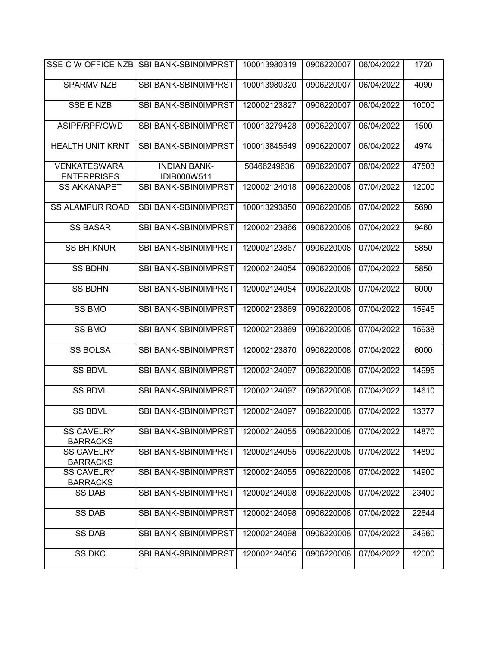| SSE C W OFFICE NZB                        | <b>SBI BANK-SBIN0IMPRST</b>        | 100013980319 | 0906220007 | 06/04/2022 | 1720  |
|-------------------------------------------|------------------------------------|--------------|------------|------------|-------|
| <b>SPARMV NZB</b>                         | SBI BANK-SBIN0IMPRST               | 100013980320 | 0906220007 | 06/04/2022 | 4090  |
| <b>SSE E NZB</b>                          | <b>SBI BANK-SBIN0IMPRST</b>        | 120002123827 | 0906220007 | 06/04/2022 | 10000 |
| ASIPF/RPF/GWD                             | SBI BANK-SBIN0IMPRST               | 100013279428 | 0906220007 | 06/04/2022 | 1500  |
| <b>HEALTH UNIT KRNT</b>                   | SBI BANK-SBIN0IMPRST               | 100013845549 | 0906220007 | 06/04/2022 | 4974  |
| <b>VENKATESWARA</b><br><b>ENTERPRISES</b> | <b>INDIAN BANK-</b><br>IDIB000W511 | 50466249636  | 0906220007 | 06/04/2022 | 47503 |
| <b>SS AKKANAPET</b>                       | SBI BANK-SBIN0IMPRST               | 120002124018 | 0906220008 | 07/04/2022 | 12000 |
| <b>SS ALAMPUR ROAD</b>                    | SBI BANK-SBIN0IMPRST               | 100013293850 | 0906220008 | 07/04/2022 | 5690  |
| <b>SS BASAR</b>                           | SBI BANK-SBIN0IMPRST               | 120002123866 | 0906220008 | 07/04/2022 | 9460  |
| <b>SS BHIKNUR</b>                         | SBI BANK-SBIN0IMPRST               | 120002123867 | 0906220008 | 07/04/2022 | 5850  |
| <b>SS BDHN</b>                            | SBI BANK-SBIN0IMPRST               | 120002124054 | 0906220008 | 07/04/2022 | 5850  |
| <b>SS BDHN</b>                            | SBI BANK-SBIN0IMPRST               | 120002124054 | 0906220008 | 07/04/2022 | 6000  |
| <b>SS BMO</b>                             | SBI BANK-SBIN0IMPRST               | 120002123869 | 0906220008 | 07/04/2022 | 15945 |
| <b>SS BMO</b>                             | SBI BANK-SBIN0IMPRST               | 120002123869 | 0906220008 | 07/04/2022 | 15938 |
| <b>SS BOLSA</b>                           | SBI BANK-SBIN0IMPRST               | 120002123870 | 0906220008 | 07/04/2022 | 6000  |
| <b>SS BDVL</b>                            | SBI BANK-SBIN0IMPRST               | 120002124097 | 0906220008 | 07/04/2022 | 14995 |
| <b>SS BDVL</b>                            | SBI BANK-SBIN0IMPRST               | 120002124097 | 0906220008 | 07/04/2022 | 14610 |
| <b>SS BDVL</b>                            | SBI BANK-SBIN0IMPRST               | 120002124097 | 0906220008 | 07/04/2022 | 13377 |
| <b>SS CAVELRY</b><br><b>BARRACKS</b>      | SBI BANK-SBIN0IMPRST               | 120002124055 | 0906220008 | 07/04/2022 | 14870 |
| <b>SS CAVELRY</b><br><b>BARRACKS</b>      | <b>SBI BANK-SBIN0IMPRST</b>        | 120002124055 | 0906220008 | 07/04/2022 | 14890 |
| <b>SS CAVELRY</b><br><b>BARRACKS</b>      | SBI BANK-SBIN0IMPRST               | 120002124055 | 0906220008 | 07/04/2022 | 14900 |
| <b>SS DAB</b>                             | <b>SBI BANK-SBIN0IMPRST</b>        | 120002124098 | 0906220008 | 07/04/2022 | 23400 |
| <b>SS DAB</b>                             | <b>SBI BANK-SBIN0IMPRST</b>        | 120002124098 | 0906220008 | 07/04/2022 | 22644 |
| <b>SS DAB</b>                             | SBI BANK-SBIN0IMPRST               | 120002124098 | 0906220008 | 07/04/2022 | 24960 |
| <b>SS DKC</b>                             | SBI BANK-SBIN0IMPRST               | 120002124056 | 0906220008 | 07/04/2022 | 12000 |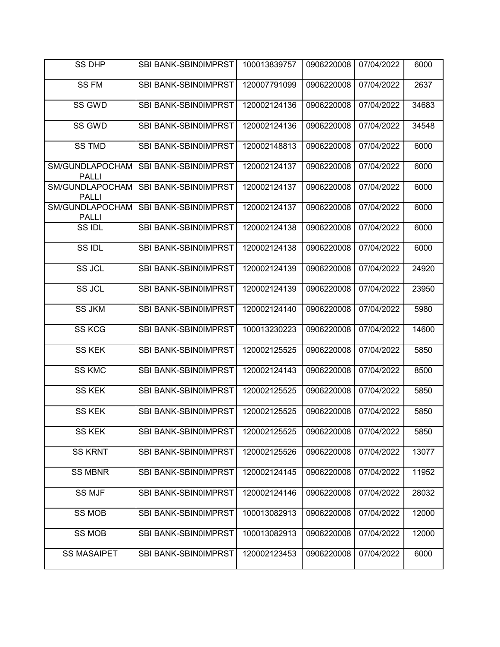| <b>SS DHP</b>                   | <b>SBI BANK-SBIN0IMPRST</b> | 100013839757 | 0906220008 | 07/04/2022 | 6000  |
|---------------------------------|-----------------------------|--------------|------------|------------|-------|
| <b>SS FM</b>                    | SBI BANK-SBIN0IMPRST        | 120007791099 | 0906220008 | 07/04/2022 | 2637  |
| SS GWD                          | SBI BANK-SBIN0IMPRST        | 120002124136 | 0906220008 | 07/04/2022 | 34683 |
| SS GWD                          | SBI BANK-SBIN0IMPRST        | 120002124136 | 0906220008 | 07/04/2022 | 34548 |
| <b>SS TMD</b>                   | SBI BANK-SBIN0IMPRST        | 120002148813 | 0906220008 | 07/04/2022 | 6000  |
| SM/GUNDLAPOCHAM<br><b>PALLI</b> | SBI BANK-SBIN0IMPRST        | 120002124137 | 0906220008 | 07/04/2022 | 6000  |
| SM/GUNDLAPOCHAM<br><b>PALLI</b> | SBI BANK-SBIN0IMPRST        | 120002124137 | 0906220008 | 07/04/2022 | 6000  |
| SM/GUNDLAPOCHAM<br><b>PALLI</b> | SBI BANK-SBIN0IMPRST        | 120002124137 | 0906220008 | 07/04/2022 | 6000  |
| SS IDL                          | SBI BANK-SBIN0IMPRST        | 120002124138 | 0906220008 | 07/04/2022 | 6000  |
| SS IDL                          | SBI BANK-SBIN0IMPRST        | 120002124138 | 0906220008 | 07/04/2022 | 6000  |
| SS JCL                          | SBI BANK-SBIN0IMPRST        | 120002124139 | 0906220008 | 07/04/2022 | 24920 |
| <b>SS JCL</b>                   | SBI BANK-SBIN0IMPRST        | 120002124139 | 0906220008 | 07/04/2022 | 23950 |
| <b>SS JKM</b>                   | SBI BANK-SBIN0IMPRST        | 120002124140 | 0906220008 | 07/04/2022 | 5980  |
| <b>SS KCG</b>                   | SBI BANK-SBIN0IMPRST        | 100013230223 | 0906220008 | 07/04/2022 | 14600 |
| <b>SS KEK</b>                   | SBI BANK-SBIN0IMPRST        | 120002125525 | 0906220008 | 07/04/2022 | 5850  |
| <b>SS KMC</b>                   | SBI BANK-SBIN0IMPRST        | 120002124143 | 0906220008 | 07/04/2022 | 8500  |
| <b>SS KEK</b>                   | SBI BANK-SBIN0IMPRST        | 120002125525 | 0906220008 | 07/04/2022 | 5850  |
| <b>SS KEK</b>                   | SBI BANK-SBIN0IMPRST        | 120002125525 | 0906220008 | 07/04/2022 | 5850  |
| SS KEK                          | SBI BANK-SBIN0IMPRST        | 120002125525 | 0906220008 | 07/04/2022 | 5850  |
| <b>SS KRNT</b>                  | SBI BANK-SBIN0IMPRST        | 120002125526 | 0906220008 | 07/04/2022 | 13077 |
| <b>SS MBNR</b>                  | SBI BANK-SBIN0IMPRST        | 120002124145 | 0906220008 | 07/04/2022 | 11952 |
| SS MJF                          | SBI BANK-SBIN0IMPRST        | 120002124146 | 0906220008 | 07/04/2022 | 28032 |
| <b>SS MOB</b>                   | <b>SBI BANK-SBIN0IMPRST</b> | 100013082913 | 0906220008 | 07/04/2022 | 12000 |
| <b>SS MOB</b>                   | SBI BANK-SBIN0IMPRST        | 100013082913 | 0906220008 | 07/04/2022 | 12000 |
| <b>SS MASAIPET</b>              | SBI BANK-SBIN0IMPRST        | 120002123453 | 0906220008 | 07/04/2022 | 6000  |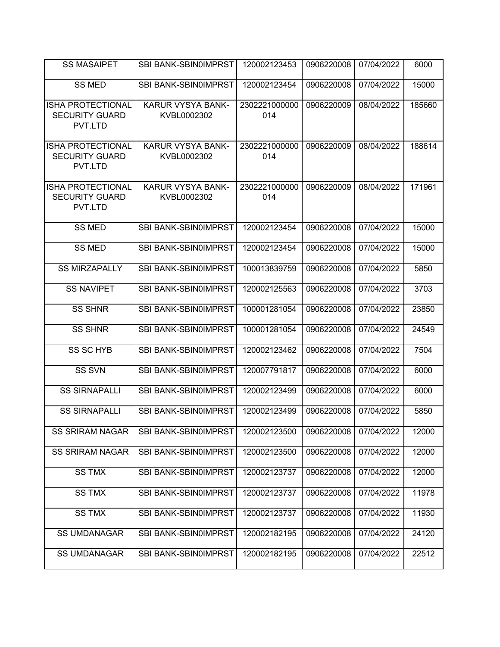| <b>SS MASAIPET</b>                                           | <b>SBI BANK-SBIN0IMPRST</b>             | 120002123453         | 0906220008 | 07/04/2022 | 6000   |
|--------------------------------------------------------------|-----------------------------------------|----------------------|------------|------------|--------|
| <b>SS MED</b>                                                | SBI BANK-SBIN0IMPRST                    | 120002123454         | 0906220008 | 07/04/2022 | 15000  |
| <b>ISHA PROTECTIONAL</b><br><b>SECURITY GUARD</b><br>PVT.LTD | KARUR VYSYA BANK-<br>KVBL0002302        | 2302221000000<br>014 | 0906220009 | 08/04/2022 | 185660 |
| <b>ISHA PROTECTIONAL</b><br><b>SECURITY GUARD</b><br>PVT.LTD | <b>KARUR VYSYA BANK-</b><br>KVBL0002302 | 2302221000000<br>014 | 0906220009 | 08/04/2022 | 188614 |
| <b>ISHA PROTECTIONAL</b><br><b>SECURITY GUARD</b><br>PVT.LTD | <b>KARUR VYSYA BANK-</b><br>KVBL0002302 | 2302221000000<br>014 | 0906220009 | 08/04/2022 | 171961 |
| <b>SS MED</b>                                                | <b>SBI BANK-SBIN0IMPRST</b>             | 120002123454         | 0906220008 | 07/04/2022 | 15000  |
| <b>SS MED</b>                                                | SBI BANK-SBIN0IMPRST                    | 120002123454         | 0906220008 | 07/04/2022 | 15000  |
| <b>SS MIRZAPALLY</b>                                         | SBI BANK-SBIN0IMPRST                    | 100013839759         | 0906220008 | 07/04/2022 | 5850   |
| <b>SS NAVIPET</b>                                            | <b>SBI BANK-SBIN0IMPRST</b>             | 120002125563         | 0906220008 | 07/04/2022 | 3703   |
| <b>SS SHNR</b>                                               | SBI BANK-SBIN0IMPRST                    | 100001281054         | 0906220008 | 07/04/2022 | 23850  |
| <b>SS SHNR</b>                                               | SBI BANK-SBIN0IMPRST                    | 100001281054         | 0906220008 | 07/04/2022 | 24549  |
| <b>SS SC HYB</b>                                             | SBI BANK-SBIN0IMPRST                    | 120002123462         | 0906220008 | 07/04/2022 | 7504   |
| <b>SS SVN</b>                                                | SBI BANK-SBIN0IMPRST                    | 120007791817         | 0906220008 | 07/04/2022 | 6000   |
| <b>SS SIRNAPALLI</b>                                         | SBI BANK-SBIN0IMPRST                    | 120002123499         | 0906220008 | 07/04/2022 | 6000   |
| <b>SS SIRNAPALLI</b>                                         | SBI BANK-SBIN0IMPRST                    | 120002123499         | 0906220008 | 07/04/2022 | 5850   |
| <b>SS SRIRAM NAGAR</b>                                       | SBI BANK-SBIN0IMPRST                    | 120002123500         | 0906220008 | 07/04/2022 | 12000  |
| <b>SS SRIRAM NAGAR</b>                                       | SBI BANK-SBIN0IMPRST                    | 120002123500         | 0906220008 | 07/04/2022 | 12000  |
| <b>SS TMX</b>                                                | SBI BANK-SBIN0IMPRST                    | 120002123737         | 0906220008 | 07/04/2022 | 12000  |
| <b>SS TMX</b>                                                | SBI BANK-SBIN0IMPRST                    | 120002123737         | 0906220008 | 07/04/2022 | 11978  |
| <b>SS TMX</b>                                                | SBI BANK-SBIN0IMPRST                    | 120002123737         | 0906220008 | 07/04/2022 | 11930  |
| <b>SS UMDANAGAR</b>                                          | SBI BANK-SBIN0IMPRST                    | 120002182195         | 0906220008 | 07/04/2022 | 24120  |
| <b>SS UMDANAGAR</b>                                          | SBI BANK-SBIN0IMPRST                    | 120002182195         | 0906220008 | 07/04/2022 | 22512  |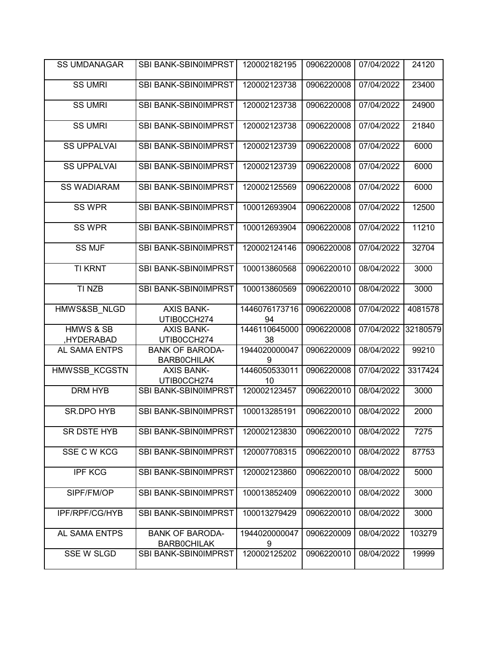| <b>SS UMDANAGAR</b>  | SBI BANK-SBIN0IMPRST                         | 120002182195        | 0906220008 | 07/04/2022 | 24120    |
|----------------------|----------------------------------------------|---------------------|------------|------------|----------|
| <b>SS UMRI</b>       | <b>SBI BANK-SBIN0IMPRST</b>                  | 120002123738        | 0906220008 | 07/04/2022 | 23400    |
| <b>SS UMRI</b>       | SBI BANK-SBIN0IMPRST                         | 120002123738        | 0906220008 | 07/04/2022 | 24900    |
| <b>SS UMRI</b>       | SBI BANK-SBIN0IMPRST                         | 120002123738        | 0906220008 | 07/04/2022 | 21840    |
| <b>SS UPPALVAI</b>   | SBI BANK-SBIN0IMPRST                         | 120002123739        | 0906220008 | 07/04/2022 | 6000     |
| <b>SS UPPALVAI</b>   | SBI BANK-SBIN0IMPRST                         | 120002123739        | 0906220008 | 07/04/2022 | 6000     |
| <b>SS WADIARAM</b>   | SBI BANK-SBIN0IMPRST                         | 120002125569        | 0906220008 | 07/04/2022 | 6000     |
| <b>SS WPR</b>        | SBI BANK-SBIN0IMPRST                         | 100012693904        | 0906220008 | 07/04/2022 | 12500    |
| <b>SS WPR</b>        | SBI BANK-SBIN0IMPRST                         | 100012693904        | 0906220008 | 07/04/2022 | 11210    |
| <b>SS MJF</b>        | SBI BANK-SBIN0IMPRST                         | 120002124146        | 0906220008 | 07/04/2022 | 32704    |
| <b>TI KRNT</b>       | SBI BANK-SBIN0IMPRST                         | 100013860568        | 0906220010 | 08/04/2022 | 3000     |
| TI NZB               | SBI BANK-SBIN0IMPRST                         | 100013860569        | 0906220010 | 08/04/2022 | 3000     |
| HMWS&SB NLGD         | <b>AXIS BANK-</b><br>UTIB0CCH274             | 1446076173716<br>94 | 0906220008 | 07/04/2022 | 4081578  |
| <b>HMWS &amp; SB</b> | <b>AXIS BANK-</b>                            | 1446110645000       | 0906220008 | 07/04/2022 | 32180579 |
| HYDERABAD,           | UTIB0CCH274                                  | 38                  |            |            |          |
| AL SAMA ENTPS        | <b>BANK OF BARODA-</b><br><b>BARBOCHILAK</b> | 1944020000047<br>9  | 0906220009 | 08/04/2022 | 99210    |
| HMWSSB KCGSTN        | <b>AXIS BANK-</b><br>UTIB0CCH274             | 1446050533011<br>10 | 0906220008 | 07/04/2022 | 3317424  |
| DRM HYB              | SBI BANK-SBIN0IMPRST                         | 120002123457        | 0906220010 | 08/04/2022 | 3000     |
| SR.DPO HYB           | SBI BANK-SBIN0IMPRST                         | 100013285191        | 0906220010 | 08/04/2022 | 2000     |
| SR DSTE HYB          | SBI BANK-SBIN0IMPRST                         | 120002123830        | 0906220010 | 08/04/2022 | 7275     |
| SSE C W KCG          | SBI BANK-SBIN0IMPRST                         | 120007708315        | 0906220010 | 08/04/2022 | 87753    |
| <b>IPF KCG</b>       | SBI BANK-SBIN0IMPRST                         | 120002123860        | 0906220010 | 08/04/2022 | 5000     |
| SIPF/FM/OP           | SBI BANK-SBIN0IMPRST                         | 100013852409        | 0906220010 | 08/04/2022 | 3000     |
| IPF/RPF/CG/HYB       | SBI BANK-SBIN0IMPRST                         | 100013279429        | 0906220010 | 08/04/2022 | 3000     |
| AL SAMA ENTPS        | <b>BANK OF BARODA-</b><br><b>BARBOCHILAK</b> | 1944020000047<br>9  | 0906220009 | 08/04/2022 | 103279   |
| <b>SSE W SLGD</b>    | SBI BANK-SBIN0IMPRST                         | 120002125202        | 0906220010 | 08/04/2022 | 19999    |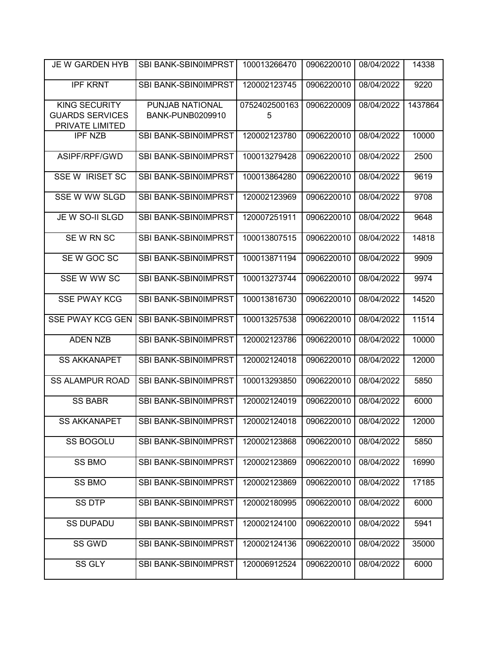| JE W GARDEN HYB                                                   | <b>SBI BANK-SBIN0IMPRST</b>                | 100013266470       | 0906220010 | 08/04/2022 | 14338   |
|-------------------------------------------------------------------|--------------------------------------------|--------------------|------------|------------|---------|
| <b>IPF KRNT</b>                                                   | SBI BANK-SBIN0IMPRST                       | 120002123745       | 0906220010 | 08/04/2022 | 9220    |
| <b>KING SECURITY</b><br><b>GUARDS SERVICES</b><br>PRIVATE LIMITED | PUNJAB NATIONAL<br><b>BANK-PUNB0209910</b> | 0752402500163<br>5 | 0906220009 | 08/04/2022 | 1437864 |
| <b>IPF NZB</b>                                                    | SBI BANK-SBIN0IMPRST                       | 120002123780       | 0906220010 | 08/04/2022 | 10000   |
| ASIPF/RPF/GWD                                                     | SBI BANK-SBIN0IMPRST                       | 100013279428       | 0906220010 | 08/04/2022 | 2500    |
| <b>SSE W IRISET SC</b>                                            | <b>SBI BANK-SBIN0IMPRST</b>                | 100013864280       | 0906220010 | 08/04/2022 | 9619    |
| <b>SSE W WW SLGD</b>                                              | SBI BANK-SBIN0IMPRST                       | 120002123969       | 0906220010 | 08/04/2022 | 9708    |
| JE W SO-II SLGD                                                   | SBI BANK-SBIN0IMPRST                       | 120007251911       | 0906220010 | 08/04/2022 | 9648    |
| SE W RN SC                                                        | <b>SBI BANK-SBIN0IMPRST</b>                | 100013807515       | 0906220010 | 08/04/2022 | 14818   |
| SEW GOC SC                                                        | <b>SBI BANK-SBIN0IMPRST</b>                | 100013871194       | 0906220010 | 08/04/2022 | 9909    |
| SSE W WW SC                                                       | SBI BANK-SBIN0IMPRST                       | 100013273744       | 0906220010 | 08/04/2022 | 9974    |
| <b>SSE PWAY KCG</b>                                               | SBI BANK-SBIN0IMPRST                       | 100013816730       | 0906220010 | 08/04/2022 | 14520   |
| <b>SSE PWAY KCG GEN</b>                                           | SBI BANK-SBIN0IMPRST                       | 100013257538       | 0906220010 | 08/04/2022 | 11514   |
| <b>ADEN NZB</b>                                                   | SBI BANK-SBIN0IMPRST                       | 120002123786       | 0906220010 | 08/04/2022 | 10000   |
| <b>SS AKKANAPET</b>                                               | SBI BANK-SBIN0IMPRST                       | 120002124018       | 0906220010 | 08/04/2022 | 12000   |
| <b>SS ALAMPUR ROAD</b>                                            | <b>SBI BANK-SBIN0IMPRST</b>                | 100013293850       | 0906220010 | 08/04/2022 | 5850    |
| <b>SS BABR</b>                                                    | <b>SBI BANK-SBIN0IMPRST</b>                | 120002124019       | 0906220010 | 08/04/2022 | 6000    |
| <b>SS AKKANAPET</b>                                               | SBI BANK-SBIN0IMPRST                       | 120002124018       | 0906220010 | 08/04/2022 | 12000   |
| <b>SS BOGOLU</b>                                                  | SBI BANK-SBIN0IMPRST                       | 120002123868       | 0906220010 | 08/04/2022 | 5850    |
| SS BMO                                                            | SBI BANK-SBIN0IMPRST                       | 120002123869       | 0906220010 | 08/04/2022 | 16990   |
| <b>SS BMO</b>                                                     | SBI BANK-SBIN0IMPRST                       | 120002123869       | 0906220010 | 08/04/2022 | 17185   |
| <b>SS DTP</b>                                                     | SBI BANK-SBIN0IMPRST                       | 120002180995       | 0906220010 | 08/04/2022 | 6000    |
| <b>SS DUPADU</b>                                                  | <b>SBI BANK-SBIN0IMPRST</b>                | 120002124100       | 0906220010 | 08/04/2022 | 5941    |
| SS GWD                                                            | <b>SBI BANK-SBIN0IMPRST</b>                | 120002124136       | 0906220010 | 08/04/2022 | 35000   |
| SS GLY                                                            | <b>SBI BANK-SBIN0IMPRST</b>                | 120006912524       | 0906220010 | 08/04/2022 | 6000    |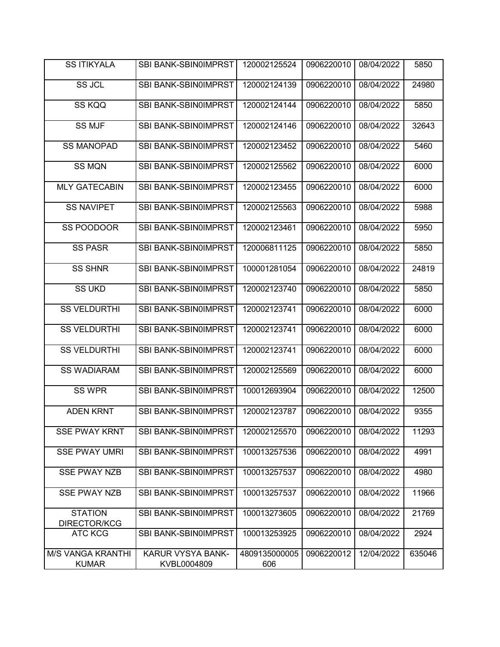| <b>SS ITIKYALA</b>                       | <b>SBI BANK-SBIN0IMPRST</b>      | 120002125524         | 0906220010 | 08/04/2022 | 5850   |
|------------------------------------------|----------------------------------|----------------------|------------|------------|--------|
| SS JCL                                   | SBI BANK-SBIN0IMPRST             | 120002124139         | 0906220010 | 08/04/2022 | 24980  |
| SS KQQ                                   | SBI BANK-SBIN0IMPRST             | 120002124144         | 0906220010 | 08/04/2022 | 5850   |
| <b>SS MJF</b>                            | SBI BANK-SBIN0IMPRST             | 120002124146         | 0906220010 | 08/04/2022 | 32643  |
| <b>SS MANOPAD</b>                        | SBI BANK-SBIN0IMPRST             | 120002123452         | 0906220010 | 08/04/2022 | 5460   |
| <b>SS MQN</b>                            | SBI BANK-SBIN0IMPRST             | 120002125562         | 0906220010 | 08/04/2022 | 6000   |
| <b>MLY GATECABIN</b>                     | SBI BANK-SBIN0IMPRST             | 120002123455         | 0906220010 | 08/04/2022 | 6000   |
| <b>SS NAVIPET</b>                        | SBI BANK-SBIN0IMPRST             | 120002125563         | 0906220010 | 08/04/2022 | 5988   |
| SS POODOOR                               | SBI BANK-SBIN0IMPRST             | 120002123461         | 0906220010 | 08/04/2022 | 5950   |
| <b>SS PASR</b>                           | SBI BANK-SBIN0IMPRST             | 120006811125         | 0906220010 | 08/04/2022 | 5850   |
| <b>SS SHNR</b>                           | SBI BANK-SBIN0IMPRST             | 100001281054         | 0906220010 | 08/04/2022 | 24819  |
| <b>SS UKD</b>                            | SBI BANK-SBIN0IMPRST             | 120002123740         | 0906220010 | 08/04/2022 | 5850   |
| <b>SS VELDURTHI</b>                      | SBI BANK-SBIN0IMPRST             | 120002123741         | 0906220010 | 08/04/2022 | 6000   |
| <b>SS VELDURTHI</b>                      | SBI BANK-SBIN0IMPRST             | 120002123741         | 0906220010 | 08/04/2022 | 6000   |
| <b>SS VELDURTHI</b>                      | SBI BANK-SBIN0IMPRST             | 120002123741         | 0906220010 | 08/04/2022 | 6000   |
| <b>SS WADIARAM</b>                       | SBI BANK-SBIN0IMPRST             | 120002125569         | 0906220010 | 08/04/2022 | 6000   |
| SS WPR                                   | <b>SBI BANK-SBIN0IMPRST</b>      | 100012693904         | 0906220010 | 08/04/2022 | 12500  |
| <b>ADEN KRNT</b>                         | SBI BANK-SBIN0IMPRST             | 120002123787         | 0906220010 | 08/04/2022 | 9355   |
| <b>SSE PWAY KRNT</b>                     | SBI BANK-SBIN0IMPRST             | 120002125570         | 0906220010 | 08/04/2022 | 11293  |
| <b>SSE PWAY UMRI</b>                     | SBI BANK-SBIN0IMPRST             | 100013257536         | 0906220010 | 08/04/2022 | 4991   |
| <b>SSE PWAY NZB</b>                      | SBI BANK-SBIN0IMPRST             | 100013257537         | 0906220010 | 08/04/2022 | 4980   |
| <b>SSE PWAY NZB</b>                      | SBI BANK-SBIN0IMPRST             | 100013257537         | 0906220010 | 08/04/2022 | 11966  |
| <b>STATION</b><br>DIRECTOR/KCG           | SBI BANK-SBIN0IMPRST             | 100013273605         | 0906220010 | 08/04/2022 | 21769  |
| <b>ATC KCG</b>                           | SBI BANK-SBIN0IMPRST             | 100013253925         | 0906220010 | 08/04/2022 | 2924   |
| <b>M/S VANGA KRANTHI</b><br><b>KUMAR</b> | KARUR VYSYA BANK-<br>KVBL0004809 | 4809135000005<br>606 | 0906220012 | 12/04/2022 | 635046 |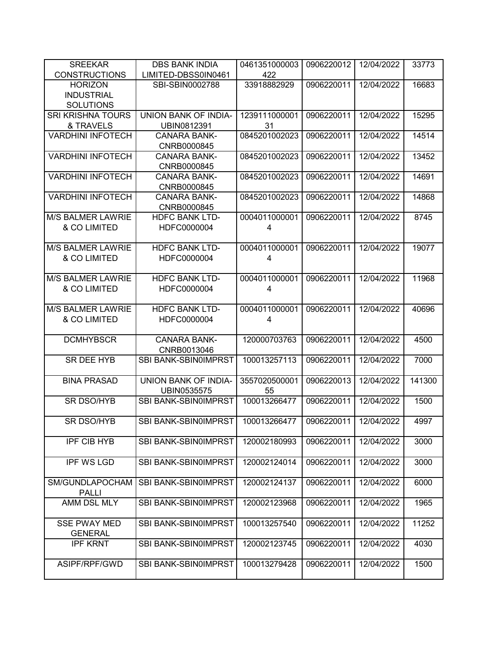| <b>SREEKAR</b>           | <b>DBS BANK INDIA</b>              | 0461351000003 | 0906220012 | 12/04/2022 | 33773  |
|--------------------------|------------------------------------|---------------|------------|------------|--------|
| <b>CONSTRUCTIONS</b>     | LIMITED-DBSS0IN0461                | 422           |            |            |        |
| <b>HORIZON</b>           | SBI-SBIN0002788                    | 33918882929   | 0906220011 | 12/04/2022 | 16683  |
| <b>INDUSTRIAL</b>        |                                    |               |            |            |        |
| <b>SOLUTIONS</b>         |                                    |               |            |            |        |
| <b>SRI KRISHNA TOURS</b> | UNION BANK OF INDIA-               | 1239111000001 | 0906220011 | 12/04/2022 | 15295  |
| & TRAVELS                | UBIN0812391                        | 31            |            |            |        |
| <b>VARDHINI INFOTECH</b> | <b>CANARA BANK-</b>                | 0845201002023 | 0906220011 | 12/04/2022 | 14514  |
|                          | CNRB0000845                        |               |            |            |        |
| <b>VARDHINI INFOTECH</b> | <b>CANARA BANK-</b>                | 0845201002023 | 0906220011 | 12/04/2022 | 13452  |
| <b>VARDHINI INFOTECH</b> | CNRB0000845                        | 0845201002023 |            | 12/04/2022 |        |
|                          | <b>CANARA BANK-</b>                |               | 0906220011 |            | 14691  |
| <b>VARDHINI INFOTECH</b> | CNRB0000845                        | 0845201002023 |            |            |        |
|                          | <b>CANARA BANK-</b><br>CNRB0000845 |               | 0906220011 | 12/04/2022 | 14868  |
| <b>M/S BALMER LAWRIE</b> | <b>HDFC BANK LTD-</b>              | 0004011000001 | 0906220011 | 12/04/2022 | 8745   |
| & CO LIMITED             | HDFC0000004                        | 4             |            |            |        |
|                          |                                    |               |            |            |        |
| <b>M/S BALMER LAWRIE</b> | <b>HDFC BANK LTD-</b>              | 0004011000001 | 0906220011 | 12/04/2022 | 19077  |
| & CO LIMITED             | HDFC0000004                        | 4             |            |            |        |
|                          |                                    |               |            |            |        |
| <b>M/S BALMER LAWRIE</b> | <b>HDFC BANK LTD-</b>              | 0004011000001 | 0906220011 | 12/04/2022 | 11968  |
| & CO LIMITED             | HDFC0000004                        | 4             |            |            |        |
|                          |                                    |               |            |            |        |
| <b>M/S BALMER LAWRIE</b> | <b>HDFC BANK LTD-</b>              | 0004011000001 | 0906220011 | 12/04/2022 | 40696  |
| & CO LIMITED             | HDFC0000004                        | 4             |            |            |        |
|                          |                                    |               |            |            |        |
| <b>DCMHYBSCR</b>         | <b>CANARA BANK-</b>                | 120000703763  | 0906220011 | 12/04/2022 | 4500   |
|                          | CNRB0013046                        |               |            |            |        |
| SR DEE HYB               | SBI BANK-SBIN0IMPRST               | 100013257113  | 0906220011 | 12/04/2022 | 7000   |
|                          |                                    |               |            |            |        |
| <b>BINA PRASAD</b>       | UNION BANK OF INDIA-               | 3557020500001 | 0906220013 | 12/04/2022 | 141300 |
|                          | UBIN0535575                        | 55            |            |            |        |
| SR DSO/HYB               | SBI BANK-SBIN0IMPRST               | 100013266477  | 0906220011 | 12/04/2022 | 1500   |
|                          |                                    |               |            |            |        |
| SR DSO/HYB               | SBI BANK-SBIN0IMPRST               | 100013266477  | 0906220011 | 12/04/2022 | 4997   |
|                          |                                    |               |            |            |        |
| <b>IPF CIB HYB</b>       | SBI BANK-SBIN0IMPRST               | 120002180993  | 0906220011 | 12/04/2022 | 3000   |
|                          |                                    |               |            |            |        |
| <b>IPF WS LGD</b>        | <b>SBI BANK-SBIN0IMPRST</b>        | 120002124014  | 0906220011 | 12/04/2022 | 3000   |
|                          |                                    |               |            |            |        |
| SM/GUNDLAPOCHAM          | SBI BANK-SBIN0IMPRST               | 120002124137  | 0906220011 | 12/04/2022 | 6000   |
| <b>PALLI</b>             |                                    |               |            |            |        |
| AMM DSL MLY              | SBI BANK-SBIN0IMPRST               | 120002123968  | 0906220011 | 12/04/2022 | 1965   |
|                          |                                    |               |            |            |        |
| <b>SSE PWAY MED</b>      | <b>SBI BANK-SBIN0IMPRST</b>        | 100013257540  | 0906220011 | 12/04/2022 | 11252  |
| <b>GENERAL</b>           |                                    |               |            |            |        |
| <b>IPF KRNT</b>          | <b>SBI BANK-SBIN0IMPRST</b>        | 120002123745  | 0906220011 | 12/04/2022 | 4030   |
|                          |                                    |               |            |            |        |
| ASIPF/RPF/GWD            | <b>SBI BANK-SBIN0IMPRST</b>        | 100013279428  | 0906220011 | 12/04/2022 | 1500   |
|                          |                                    |               |            |            |        |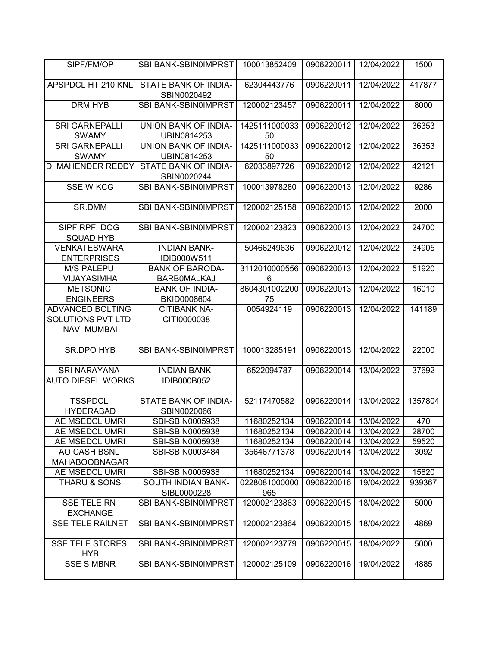| SIPF/FM/OP                                      | SBI BANK-SBIN0IMPRST                         | 100013852409        | 0906220011 | 12/04/2022 | 1500    |
|-------------------------------------------------|----------------------------------------------|---------------------|------------|------------|---------|
| APSPDCL HT 210 KNL                              | STATE BANK OF INDIA-<br>SBIN0020492          | 62304443776         | 0906220011 | 12/04/2022 | 417877  |
| <b>DRM HYB</b>                                  | SBI BANK-SBIN0IMPRST                         | 120002123457        | 0906220011 | 12/04/2022 | 8000    |
| <b>SRI GARNEPALLI</b><br><b>SWAMY</b>           | UNION BANK OF INDIA-<br>UBIN0814253          | 1425111000033<br>50 | 0906220012 | 12/04/2022 | 36353   |
| <b>SRI GARNEPALLI</b><br><b>SWAMY</b>           | UNION BANK OF INDIA-<br>UBIN0814253          | 1425111000033<br>50 | 0906220012 | 12/04/2022 | 36353   |
| <b>D MAHENDER REDDY</b>                         | <b>STATE BANK OF INDIA-</b><br>SBIN0020244   | 62033897726         | 0906220012 | 12/04/2022 | 42121   |
| <b>SSE W KCG</b>                                | SBI BANK-SBIN0IMPRST                         | 100013978280        | 0906220013 | 12/04/2022 | 9286    |
| SR.DMM                                          | SBI BANK-SBIN0IMPRST                         | 120002125158        | 0906220013 | 12/04/2022 | 2000    |
| SIPF RPF DOG<br><b>SQUAD HYB</b>                | SBI BANK-SBIN0IMPRST                         | 120002123823        | 0906220013 | 12/04/2022 | 24700   |
| <b>VENKATESWARA</b><br><b>ENTERPRISES</b>       | <b>INDIAN BANK-</b><br>IDIB000W511           | 50466249636         | 0906220012 | 12/04/2022 | 34905   |
| <b>M/S PALEPU</b><br><b>VIJAYASIMHA</b>         | <b>BANK OF BARODA-</b><br><b>BARBOMALKAJ</b> | 3112010000556<br>6  | 0906220013 | 12/04/2022 | 51920   |
| <b>METSONIC</b>                                 | <b>BANK OF INDIA-</b>                        | 8604301002200       | 0906220013 | 12/04/2022 | 16010   |
| <b>ENGINEERS</b><br>ADVANCED BOLTING            | BKID0008604<br><b>CITIBANK NA-</b>           | 75<br>0054924119    | 0906220013 | 12/04/2022 | 141189  |
| SOLUTIONS PVT LTD-<br><b>NAVI MUMBAI</b>        | CITI0000038                                  |                     |            |            |         |
| <b>SR.DPO HYB</b>                               | SBI BANK-SBIN0IMPRST                         | 100013285191        | 0906220013 | 12/04/2022 | 22000   |
| <b>SRI NARAYANA</b><br><b>AUTO DIESEL WORKS</b> | <b>INDIAN BANK-</b><br><b>IDIB000B052</b>    | 6522094787          | 0906220014 | 13/04/2022 | 37692   |
| <b>TSSPDCL</b><br><b>HYDERABAD</b>              | STATE BANK OF INDIA-<br>SBIN0020066          | 52117470582         | 0906220014 | 13/04/2022 | 1357804 |
| AE MSEDCL UMRI                                  | SBI-SBIN0005938                              | 11680252134         | 0906220014 | 13/04/2022 | 470     |
| AE MSEDCL UMRI                                  | SBI-SBIN0005938                              | 11680252134         | 0906220014 | 13/04/2022 | 28700   |
| AE MSEDCL UMRI                                  | SBI-SBIN0005938                              | 11680252134         | 0906220014 | 13/04/2022 | 59520   |
| AO CASH BSNL<br><b>MAHABOOBNAGAR</b>            | SBI-SBIN0003484                              | 35646771378         | 0906220014 | 13/04/2022 | 3092    |
| AE MSEDCL UMRI                                  | SBI-SBIN0005938                              | 11680252134         | 0906220014 | 13/04/2022 | 15820   |
| THARU & SONS                                    | <b>SOUTH INDIAN BANK-</b>                    | 0228081000000       | 0906220016 | 19/04/2022 | 939367  |
|                                                 | SIBL0000228                                  | 965                 |            |            |         |
| <b>SSE TELE RN</b><br><b>EXCHANGE</b>           | SBI BANK-SBIN0IMPRST                         | 120002123863        | 0906220015 | 18/04/2022 | 5000    |
| <b>SSE TELE RAILNET</b>                         | <b>SBI BANK-SBIN0IMPRST</b>                  | 120002123864        | 0906220015 | 18/04/2022 | 4869    |
| <b>SSE TELE STORES</b><br><b>HYB</b>            | <b>SBI BANK-SBIN0IMPRST</b>                  | 120002123779        | 0906220015 | 18/04/2022 | 5000    |
| <b>SSE S MBNR</b>                               | SBI BANK-SBIN0IMPRST                         | 120002125109        | 0906220016 | 19/04/2022 | 4885    |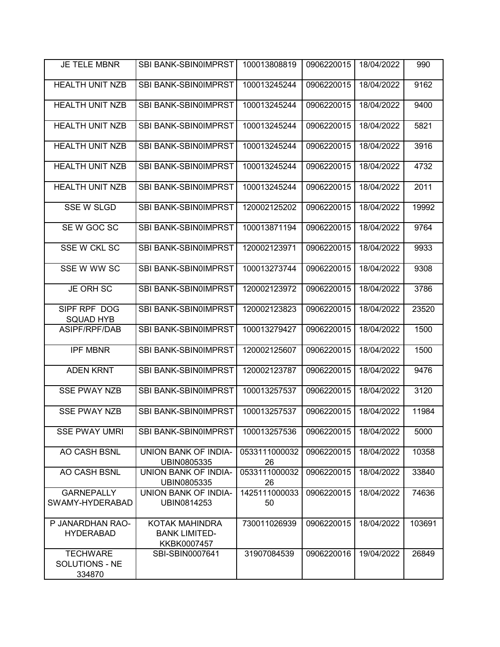| <b>JE TELE MBNR</b>                         | <b>SBI BANK-SBIN0IMPRST</b>                           | 100013808819        | 0906220015 | 18/04/2022 | 990    |
|---------------------------------------------|-------------------------------------------------------|---------------------|------------|------------|--------|
| <b>HEALTH UNIT NZB</b>                      | SBI BANK-SBIN0IMPRST                                  | 100013245244        | 0906220015 | 18/04/2022 | 9162   |
| <b>HEALTH UNIT NZB</b>                      | SBI BANK-SBIN0IMPRST                                  | 100013245244        | 0906220015 | 18/04/2022 | 9400   |
| <b>HEALTH UNIT NZB</b>                      | SBI BANK-SBIN0IMPRST                                  | 100013245244        | 0906220015 | 18/04/2022 | 5821   |
| <b>HEALTH UNIT NZB</b>                      | SBI BANK-SBIN0IMPRST                                  | 100013245244        | 0906220015 | 18/04/2022 | 3916   |
| <b>HEALTH UNIT NZB</b>                      | SBI BANK-SBIN0IMPRST                                  | 100013245244        | 0906220015 | 18/04/2022 | 4732   |
| <b>HEALTH UNIT NZB</b>                      | SBI BANK-SBIN0IMPRST                                  | 100013245244        | 0906220015 | 18/04/2022 | 2011   |
| <b>SSE W SLGD</b>                           | SBI BANK-SBIN0IMPRST                                  | 120002125202        | 0906220015 | 18/04/2022 | 19992  |
| SE W GOC SC                                 | SBI BANK-SBIN0IMPRST                                  | 100013871194        | 0906220015 | 18/04/2022 | 9764   |
| SSE W CKL SC                                | SBI BANK-SBIN0IMPRST                                  | 120002123971        | 0906220015 | 18/04/2022 | 9933   |
| SSE W WW SC                                 | SBI BANK-SBIN0IMPRST                                  | 100013273744        | 0906220015 | 18/04/2022 | 9308   |
| JE ORH SC                                   | SBI BANK-SBIN0IMPRST                                  | 120002123972        | 0906220015 | 18/04/2022 | 3786   |
| SIPF RPF DOG<br><b>SQUAD HYB</b>            | SBI BANK-SBIN0IMPRST                                  | 120002123823        | 0906220015 | 18/04/2022 | 23520  |
| ASIPF/RPF/DAB                               | SBI BANK-SBIN0IMPRST                                  | 100013279427        | 0906220015 | 18/04/2022 | 1500   |
| <b>IPF MBNR</b>                             | SBI BANK-SBIN0IMPRST                                  | 120002125607        | 0906220015 | 18/04/2022 | 1500   |
| <b>ADEN KRNT</b>                            | SBI BANK-SBIN0IMPRST                                  | 120002123787        | 0906220015 | 18/04/2022 | 9476   |
| <b>SSE PWAY NZB</b>                         | SBI BANK-SBIN0IMPRST                                  | 100013257537        | 0906220015 | 18/04/2022 | 3120   |
| <b>SSE PWAY NZB</b>                         | <b>SBI BANK-SBIN0IMPRST</b>                           | 100013257537        | 0906220015 | 18/04/2022 | 11984  |
| <b>SSE PWAY UMRI</b>                        | SBI BANK-SBIN0IMPRST                                  | 100013257536        | 0906220015 | 18/04/2022 | 5000   |
| AO CASH BSNL                                | <b>UNION BANK OF INDIA-</b><br>UBIN0805335            | 0533111000032<br>26 | 0906220015 | 18/04/2022 | 10358  |
| AO CASH BSNL                                | UNION BANK OF INDIA-<br>UBIN0805335                   | 0533111000032<br>26 | 0906220015 | 18/04/2022 | 33840  |
| <b>GARNEPALLY</b><br>SWAMY-HYDERABAD        | UNION BANK OF INDIA-<br>UBIN0814253                   | 1425111000033<br>50 | 0906220015 | 18/04/2022 | 74636  |
| P JANARDHAN RAO-<br><b>HYDERABAD</b>        | KOTAK MAHINDRA<br><b>BANK LIMITED-</b><br>KKBK0007457 | 730011026939        | 0906220015 | 18/04/2022 | 103691 |
| <b>TECHWARE</b><br>SOLUTIONS - NE<br>334870 | SBI-SBIN0007641                                       | 31907084539         | 0906220016 | 19/04/2022 | 26849  |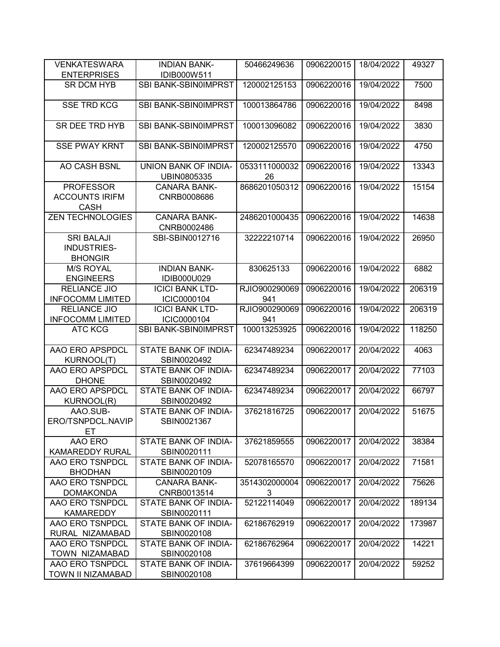| <b>VENKATESWARA</b><br><b>ENTERPRISES</b>                 | <b>INDIAN BANK-</b><br>IDIB000W511  | 50466249636         | 0906220015 | 18/04/2022 | 49327  |
|-----------------------------------------------------------|-------------------------------------|---------------------|------------|------------|--------|
| <b>SR DCM HYB</b>                                         | SBI BANK-SBIN0IMPRST                | 120002125153        | 0906220016 | 19/04/2022 | 7500   |
|                                                           |                                     |                     |            |            |        |
| <b>SSE TRD KCG</b>                                        | SBI BANK-SBIN0IMPRST                | 100013864786        | 0906220016 | 19/04/2022 | 8498   |
| SR DEE TRD HYB                                            | SBI BANK-SBIN0IMPRST                | 100013096082        | 0906220016 | 19/04/2022 | 3830   |
| <b>SSE PWAY KRNT</b>                                      | <b>SBI BANK-SBIN0IMPRST</b>         | 120002125570        | 0906220016 | 19/04/2022 | 4750   |
| AO CASH BSNL                                              | UNION BANK OF INDIA-<br>UBIN0805335 | 0533111000032<br>26 | 0906220016 | 19/04/2022 | 13343  |
| <b>PROFESSOR</b>                                          | <b>CANARA BANK-</b>                 | 8686201050312       | 0906220016 | 19/04/2022 | 15154  |
| <b>ACCOUNTS IRIFM</b><br><b>CASH</b>                      | CNRB0008686                         |                     |            |            |        |
| <b>ZEN TECHNOLOGIES</b>                                   | <b>CANARA BANK-</b><br>CNRB0002486  | 2486201000435       | 0906220016 | 19/04/2022 | 14638  |
| <b>SRI BALAJI</b><br><b>INDUSTRIES-</b><br><b>BHONGIR</b> | SBI-SBIN0012716                     | 32222210714         | 0906220016 | 19/04/2022 | 26950  |
| <b>M/S ROYAL</b><br><b>ENGINEERS</b>                      | <b>INDIAN BANK-</b><br>IDIB000U029  | 830625133           | 0906220016 | 19/04/2022 | 6882   |
| <b>RELIANCE JIO</b>                                       | <b>ICICI BANK LTD-</b>              | RJIO900290069       | 0906220016 | 19/04/2022 | 206319 |
| <b>INFOCOMM LIMITED</b>                                   | ICIC0000104                         | 941                 |            |            |        |
| <b>RELIANCE JIO</b>                                       | <b>ICICI BANK LTD-</b>              | RJIO900290069       | 0906220016 | 19/04/2022 | 206319 |
| <b>INFOCOMM LIMITED</b>                                   | ICIC0000104                         | 941                 |            |            |        |
| <b>ATC KCG</b>                                            | SBI BANK-SBIN0IMPRST                | 100013253925        | 0906220016 | 19/04/2022 | 118250 |
| AAO ERO APSPDCL                                           | STATE BANK OF INDIA-                | 62347489234         | 0906220017 | 20/04/2022 | 4063   |
| <b>KURNOOL(T)</b>                                         | SBIN0020492                         |                     |            |            |        |
| AAO ERO APSPDCL<br><b>DHONE</b>                           | STATE BANK OF INDIA-<br>SBIN0020492 | 62347489234         | 0906220017 | 20/04/2022 | 77103  |
| AAO ERO APSPDCL<br><b>KURNOOL(R)</b>                      | STATE BANK OF INDIA-<br>SBIN0020492 | 62347489234         | 0906220017 | 20/04/2022 | 66797  |
| AAO.SUB-<br>ERO/TSNPDCL.NAVIP<br>EТ                       | STATE BANK OF INDIA-<br>SBIN0021367 | 37621816725         | 0906220017 | 20/04/2022 | 51675  |
| AAO ERO<br><b>KAMAREDDY RURAL</b>                         | STATE BANK OF INDIA-<br>SBIN0020111 | 37621859555         | 0906220017 | 20/04/2022 | 38384  |
| AAO ERO TSNPDCL<br><b>BHODHAN</b>                         | STATE BANK OF INDIA-<br>SBIN0020109 | 52078165570         | 0906220017 | 20/04/2022 | 71581  |
| AAO ERO TSNPDCL<br><b>DOMAKONDA</b>                       | <b>CANARA BANK-</b><br>CNRB0013514  | 3514302000004<br>3  | 0906220017 | 20/04/2022 | 75626  |
| AAO ERO TSNPDCL<br><b>KAMAREDDY</b>                       | STATE BANK OF INDIA-<br>SBIN0020111 | 52122114049         | 0906220017 | 20/04/2022 | 189134 |
| AAO ERO TSNPDCL                                           | STATE BANK OF INDIA-                | 62186762919         | 0906220017 | 20/04/2022 | 173987 |
| RURAL NIZAMABAD                                           | SBIN0020108                         |                     |            |            |        |
| AAO ERO TSNPDCL                                           | STATE BANK OF INDIA-                | 62186762964         | 0906220017 | 20/04/2022 | 14221  |
| TOWN NIZAMABAD                                            | SBIN0020108                         |                     |            |            |        |
| AAO ERO TSNPDCL                                           | STATE BANK OF INDIA-                | 37619664399         | 0906220017 | 20/04/2022 | 59252  |
| TOWN II NIZAMABAD                                         | SBIN0020108                         |                     |            |            |        |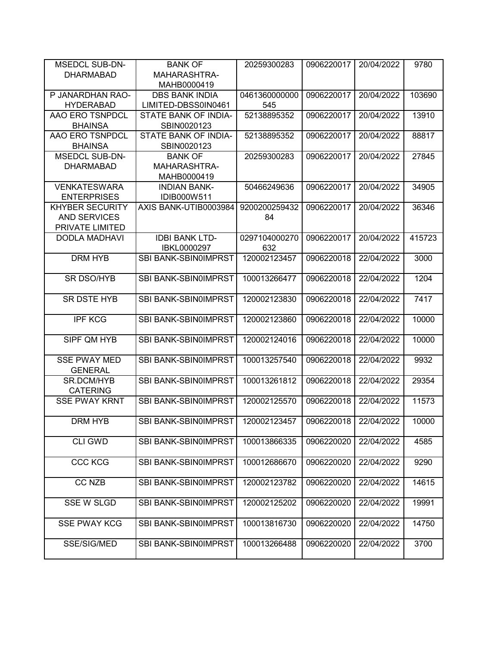| <b>MSEDCL SUB-DN-</b>                   | <b>BANK OF</b>              | 20259300283   | 0906220017 | 20/04/2022 | 9780   |
|-----------------------------------------|-----------------------------|---------------|------------|------------|--------|
| <b>DHARMABAD</b>                        | <b>MAHARASHTRA-</b>         |               |            |            |        |
|                                         | MAHB0000419                 |               |            |            |        |
| P JANARDHAN RAO-                        | <b>DBS BANK INDIA</b>       | 0461360000000 | 0906220017 | 20/04/2022 | 103690 |
| <b>HYDERABAD</b>                        | LIMITED-DBSS0IN0461         | 545           |            |            |        |
| AAO ERO TSNPDCL                         | STATE BANK OF INDIA-        | 52138895352   | 0906220017 | 20/04/2022 | 13910  |
| <b>BHAINSA</b>                          | SBIN0020123                 |               |            |            |        |
| AAO ERO TSNPDCL                         | STATE BANK OF INDIA-        | 52138895352   | 0906220017 | 20/04/2022 | 88817  |
| <b>BHAINSA</b>                          | SBIN0020123                 |               |            |            |        |
| <b>MSEDCL SUB-DN-</b>                   | <b>BANK OF</b>              | 20259300283   | 0906220017 | 20/04/2022 | 27845  |
| <b>DHARMABAD</b>                        | MAHARASHTRA-                |               |            |            |        |
|                                         | MAHB0000419                 |               |            |            |        |
| <b>VENKATESWARA</b>                     | <b>INDIAN BANK-</b>         | 50466249636   | 0906220017 | 20/04/2022 | 34905  |
| <b>ENTERPRISES</b>                      | IDIB000W511                 |               |            |            |        |
| <b>KHYBER SECURITY</b>                  | AXIS BANK-UTIB0003984       | 9200200259432 | 0906220017 | 20/04/2022 | 36346  |
| <b>AND SERVICES</b>                     |                             | 84            |            |            |        |
| PRIVATE LIMITED                         |                             |               |            |            |        |
| <b>DODLA MADHAVI</b>                    | <b>IDBI BANK LTD-</b>       | 0297104000270 | 0906220017 | 20/04/2022 | 415723 |
|                                         | IBKL0000297                 | 632           |            |            |        |
| DRM HYB                                 | <b>SBI BANK-SBIN0IMPRST</b> | 120002123457  | 0906220018 | 22/04/2022 | 3000   |
|                                         |                             |               |            |            |        |
| <b>SR DSO/HYB</b>                       | SBI BANK-SBIN0IMPRST        | 100013266477  | 0906220018 | 22/04/2022 | 1204   |
|                                         |                             |               |            |            |        |
| <b>SR DSTE HYB</b>                      | SBI BANK-SBIN0IMPRST        | 120002123830  | 0906220018 | 22/04/2022 | 7417   |
|                                         |                             |               |            |            |        |
| <b>IPF KCG</b>                          | <b>SBI BANK-SBIN0IMPRST</b> | 120002123860  | 0906220018 | 22/04/2022 | 10000  |
|                                         |                             |               |            |            |        |
| SIPF QM HYB                             | SBI BANK-SBIN0IMPRST        | 120002124016  | 0906220018 | 22/04/2022 | 10000  |
|                                         |                             |               |            |            |        |
| <b>SSE PWAY MED</b>                     | SBI BANK-SBIN0IMPRST        | 100013257540  | 0906220018 | 22/04/2022 | 9932   |
| <b>GENERAL</b>                          |                             |               |            |            |        |
| SR.DCM/HYB                              | SBI BANK-SBIN0IMPRST        | 100013261812  | 0906220018 | 22/04/2022 | 29354  |
| <b>CATERING</b><br><b>SSE PWAY KRNT</b> | SBI BANK-SBIN0IMPRST        | 120002125570  | 0906220018 | 22/04/2022 | 11573  |
|                                         |                             |               |            |            |        |
|                                         |                             |               | 0906220018 | 22/04/2022 | 10000  |
| DRM HYB                                 | <b>SBI BANK-SBIN0IMPRST</b> | 120002123457  |            |            |        |
| <b>CLI GWD</b>                          | SBI BANK-SBIN0IMPRST        | 100013866335  | 0906220020 | 22/04/2022 | 4585   |
|                                         |                             |               |            |            |        |
| <b>CCC KCG</b>                          | SBI BANK-SBIN0IMPRST        | 100012686670  | 0906220020 | 22/04/2022 | 9290   |
|                                         |                             |               |            |            |        |
| <b>CC NZB</b>                           | SBI BANK-SBIN0IMPRST        | 120002123782  | 0906220020 | 22/04/2022 | 14615  |
|                                         |                             |               |            |            |        |
| <b>SSE W SLGD</b>                       | <b>SBI BANK-SBIN0IMPRST</b> | 120002125202  | 0906220020 | 22/04/2022 | 19991  |
|                                         |                             |               |            |            |        |
| <b>SSE PWAY KCG</b>                     | <b>SBI BANK-SBIN0IMPRST</b> | 100013816730  | 0906220020 | 22/04/2022 | 14750  |
|                                         |                             |               |            |            |        |
| SSE/SIG/MED                             | SBI BANK-SBIN0IMPRST        | 100013266488  | 0906220020 | 22/04/2022 | 3700   |
|                                         |                             |               |            |            |        |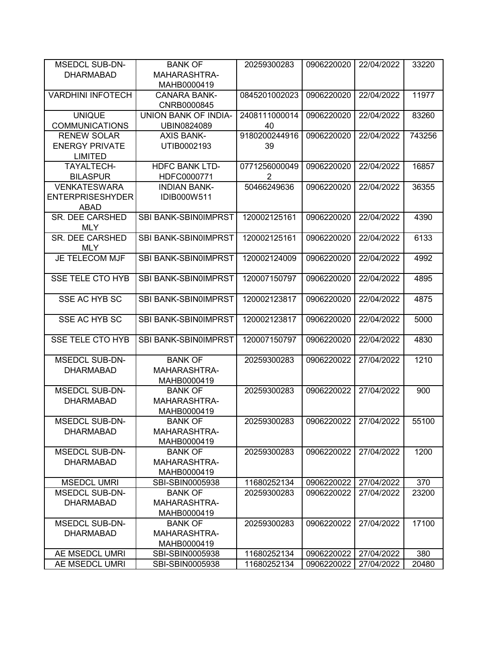| <b>MSEDCL SUB-DN-</b>    | <b>BANK OF</b>        | 20259300283   | 0906220020 | 22/04/2022 | 33220  |
|--------------------------|-----------------------|---------------|------------|------------|--------|
| <b>DHARMABAD</b>         | MAHARASHTRA-          |               |            |            |        |
|                          | MAHB0000419           |               |            |            |        |
| <b>VARDHINI INFOTECH</b> | <b>CANARA BANK-</b>   | 0845201002023 | 0906220020 | 22/04/2022 | 11977  |
|                          | CNRB0000845           |               |            |            |        |
| <b>UNIQUE</b>            | UNION BANK OF INDIA-  | 2408111000014 | 0906220020 | 22/04/2022 | 83260  |
| <b>COMMUNICATIONS</b>    | UBIN0824089           | 40            |            |            |        |
| <b>RENEW SOLAR</b>       | <b>AXIS BANK-</b>     | 9180200244916 | 0906220020 | 22/04/2022 | 743256 |
| <b>ENERGY PRIVATE</b>    | UTIB0002193           | 39            |            |            |        |
| <b>LIMITED</b>           |                       |               |            |            |        |
| TAYALTECH-               | <b>HDFC BANK LTD-</b> | 0771256000049 | 0906220020 | 22/04/2022 | 16857  |
| <b>BILASPUR</b>          | HDFC0000771           | 2             |            |            |        |
| <b>VENKATESWARA</b>      | <b>INDIAN BANK-</b>   | 50466249636   | 0906220020 | 22/04/2022 | 36355  |
| <b>ENTERPRISESHYDER</b>  | IDIB000W511           |               |            |            |        |
| <b>ABAD</b>              |                       |               |            |            |        |
| SR. DEE CARSHED          | SBI BANK-SBIN0IMPRST  | 120002125161  | 0906220020 | 22/04/2022 | 4390   |
| <b>MLY</b>               |                       |               |            |            |        |
| SR. DEE CARSHED          | SBI BANK-SBIN0IMPRST  | 120002125161  | 0906220020 | 22/04/2022 | 6133   |
| <b>MLY</b>               |                       |               |            |            |        |
| JE TELECOM MJF           | SBI BANK-SBIN0IMPRST  | 120002124009  | 0906220020 | 22/04/2022 | 4992   |
|                          |                       |               |            |            |        |
| <b>SSE TELE CTO HYB</b>  | SBI BANK-SBIN0IMPRST  | 120007150797  | 0906220020 | 22/04/2022 | 4895   |
|                          |                       |               |            |            |        |
| SSE AC HYB SC            | SBI BANK-SBIN0IMPRST  | 120002123817  | 0906220020 | 22/04/2022 | 4875   |
|                          |                       |               |            |            |        |
| SSE AC HYB SC            | SBI BANK-SBIN0IMPRST  | 120002123817  | 0906220020 | 22/04/2022 | 5000   |
|                          |                       |               |            |            |        |
| <b>SSE TELE CTO HYB</b>  | SBI BANK-SBIN0IMPRST  | 120007150797  | 0906220020 | 22/04/2022 | 4830   |
|                          |                       |               |            |            |        |
| <b>MSEDCL SUB-DN-</b>    | <b>BANK OF</b>        | 20259300283   | 0906220022 | 27/04/2022 | 1210   |
| <b>DHARMABAD</b>         | MAHARASHTRA-          |               |            |            |        |
|                          | MAHB0000419           |               |            |            |        |
| <b>MSEDCL SUB-DN-</b>    | <b>BANK OF</b>        | 20259300283   | 0906220022 | 27/04/2022 | 900    |
| <b>DHARMABAD</b>         | MAHARASHTRA-          |               |            |            |        |
|                          | MAHB0000419           |               |            |            |        |
| <b>MSEDCL SUB-DN-</b>    | <b>BANK OF</b>        | 20259300283   | 0906220022 | 27/04/2022 | 55100  |
| <b>DHARMABAD</b>         | MAHARASHTRA-          |               |            |            |        |
|                          | MAHB0000419           |               |            |            |        |
| <b>MSEDCL SUB-DN-</b>    | <b>BANK OF</b>        |               |            | 27/04/2022 | 1200   |
|                          |                       | 20259300283   | 0906220022 |            |        |
| <b>DHARMABAD</b>         | MAHARASHTRA-          |               |            |            |        |
|                          | MAHB0000419           |               |            |            |        |
| <b>MSEDCL UMRI</b>       | SBI-SBIN0005938       | 11680252134   | 0906220022 | 27/04/2022 | 370    |
| <b>MSEDCL SUB-DN-</b>    | <b>BANK OF</b>        | 20259300283   | 0906220022 | 27/04/2022 | 23200  |
| <b>DHARMABAD</b>         | MAHARASHTRA-          |               |            |            |        |
|                          | MAHB0000419           |               |            |            |        |
| <b>MSEDCL SUB-DN-</b>    | <b>BANK OF</b>        | 20259300283   | 0906220022 | 27/04/2022 | 17100  |
| <b>DHARMABAD</b>         | MAHARASHTRA-          |               |            |            |        |
|                          | MAHB0000419           |               |            |            |        |
| AE MSEDCL UMRI           | SBI-SBIN0005938       | 11680252134   | 0906220022 | 27/04/2022 | 380    |
| AE MSEDCL UMRI           | SBI-SBIN0005938       | 11680252134   | 0906220022 | 27/04/2022 | 20480  |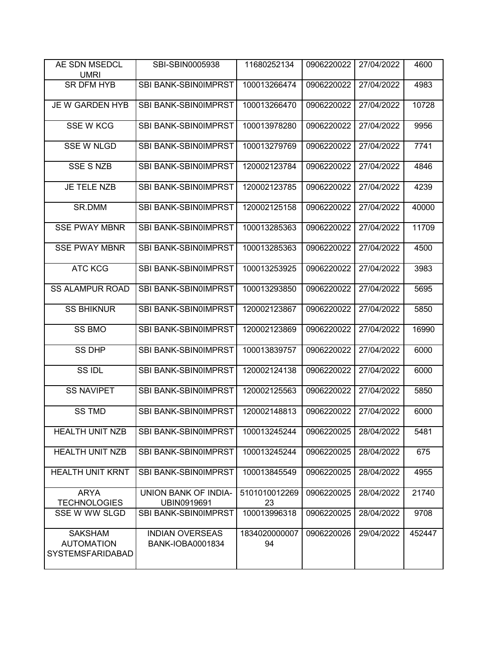| AE SDN MSEDCL<br><b>UMRI</b>                            | SBI-SBIN0005938                            | 11680252134         | 0906220022 | 27/04/2022 | 4600   |
|---------------------------------------------------------|--------------------------------------------|---------------------|------------|------------|--------|
| <b>SR DFM HYB</b>                                       | SBI BANK-SBIN0IMPRST                       | 100013266474        | 0906220022 | 27/04/2022 | 4983   |
| JE W GARDEN HYB                                         | SBI BANK-SBIN0IMPRST                       | 100013266470        | 0906220022 | 27/04/2022 | 10728  |
| <b>SSE W KCG</b>                                        | SBI BANK-SBIN0IMPRST                       | 100013978280        | 0906220022 | 27/04/2022 | 9956   |
| <b>SSE W NLGD</b>                                       | <b>SBI BANK-SBIN0IMPRST</b>                | 100013279769        | 0906220022 | 27/04/2022 | 7741   |
| <b>SSE S NZB</b>                                        | SBI BANK-SBIN0IMPRST                       | 120002123784        | 0906220022 | 27/04/2022 | 4846   |
| JE TELE NZB                                             | SBI BANK-SBIN0IMPRST                       | 120002123785        | 0906220022 | 27/04/2022 | 4239   |
| SR.DMM                                                  | SBI BANK-SBIN0IMPRST                       | 120002125158        | 0906220022 | 27/04/2022 | 40000  |
| <b>SSE PWAY MBNR</b>                                    | SBI BANK-SBIN0IMPRST                       | 100013285363        | 0906220022 | 27/04/2022 | 11709  |
| <b>SSE PWAY MBNR</b>                                    | SBI BANK-SBIN0IMPRST                       | 100013285363        | 0906220022 | 27/04/2022 | 4500   |
| <b>ATC KCG</b>                                          | <b>SBI BANK-SBIN0IMPRST</b>                | 100013253925        | 0906220022 | 27/04/2022 | 3983   |
| <b>SS ALAMPUR ROAD</b>                                  | SBI BANK-SBIN0IMPRST                       | 100013293850        | 0906220022 | 27/04/2022 | 5695   |
| <b>SS BHIKNUR</b>                                       | SBI BANK-SBIN0IMPRST                       | 120002123867        | 0906220022 | 27/04/2022 | 5850   |
| <b>SS BMO</b>                                           | SBI BANK-SBIN0IMPRST                       | 120002123869        | 0906220022 | 27/04/2022 | 16990  |
| <b>SS DHP</b>                                           | SBI BANK-SBIN0IMPRST                       | 100013839757        | 0906220022 | 27/04/2022 | 6000   |
| SS IDL                                                  | SBI BANK-SBIN0IMPRST                       | 120002124138        | 0906220022 | 27/04/2022 | 6000   |
| <b>SS NAVIPET</b>                                       | SBI BANK-SBIN0IMPRST                       | 120002125563        | 0906220022 | 27/04/2022 | 5850   |
| <b>SS TMD</b>                                           | SBI BANK-SBIN0IMPRST                       | 120002148813        | 0906220022 | 27/04/2022 | 6000   |
| <b>HEALTH UNIT NZB</b>                                  | SBI BANK-SBIN0IMPRST                       | 100013245244        | 0906220025 | 28/04/2022 | 5481   |
| <b>HEALTH UNIT NZB</b>                                  | SBI BANK-SBIN0IMPRST                       | 100013245244        | 0906220025 | 28/04/2022 | 675    |
| <b>HEALTH UNIT KRNT</b>                                 | <b>SBI BANK-SBIN0IMPRST</b>                | 100013845549        | 0906220025 | 28/04/2022 | 4955   |
| <b>ARYA</b><br><b>TECHNOLOGIES</b>                      | UNION BANK OF INDIA-<br>UBIN0919691        | 5101010012269<br>23 | 0906220025 | 28/04/2022 | 21740  |
| SSE W WW SLGD                                           | SBI BANK-SBIN0IMPRST                       | 100013996318        | 0906220025 | 28/04/2022 | 9708   |
| <b>SAKSHAM</b><br><b>AUTOMATION</b><br>SYSTEMSFARIDABAD | <b>INDIAN OVERSEAS</b><br>BANK-IOBA0001834 | 1834020000007<br>94 | 0906220026 | 29/04/2022 | 452447 |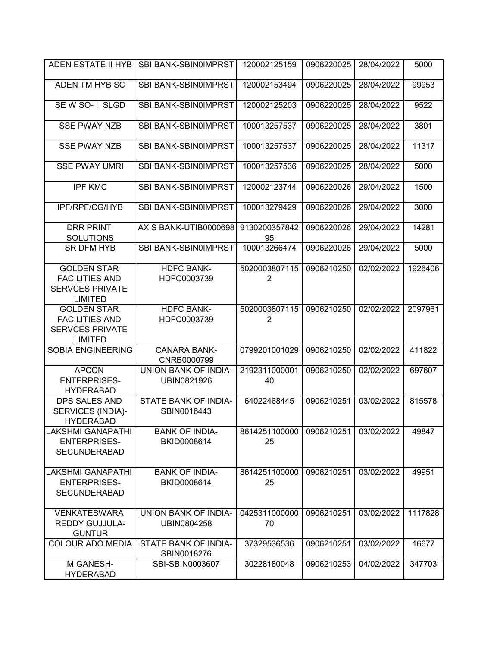| ADEN ESTATE II HYB                                                                      | SBI BANK-SBIN0IMPRST                       | 120002125159                    | 0906220025 | 28/04/2022 | 5000    |
|-----------------------------------------------------------------------------------------|--------------------------------------------|---------------------------------|------------|------------|---------|
| ADEN TM HYB SC                                                                          | SBI BANK-SBIN0IMPRST                       | 120002153494                    | 0906220025 | 28/04/2022 | 99953   |
| SEW SO-1 SLGD                                                                           | SBI BANK-SBIN0IMPRST                       | 120002125203                    | 0906220025 | 28/04/2022 | 9522    |
| <b>SSE PWAY NZB</b>                                                                     | SBI BANK-SBIN0IMPRST                       | 100013257537                    | 0906220025 | 28/04/2022 | 3801    |
| <b>SSE PWAY NZB</b>                                                                     | SBI BANK-SBIN0IMPRST                       | 100013257537                    | 0906220025 | 28/04/2022 | 11317   |
| <b>SSE PWAY UMRI</b>                                                                    | <b>SBI BANK-SBIN0IMPRST</b>                | 100013257536                    | 0906220025 | 28/04/2022 | 5000    |
| <b>IPF KMC</b>                                                                          | SBI BANK-SBIN0IMPRST                       | 120002123744                    | 0906220026 | 29/04/2022 | 1500    |
| IPF/RPF/CG/HYB                                                                          | SBI BANK-SBIN0IMPRST                       | 100013279429                    | 0906220026 | 29/04/2022 | 3000    |
| <b>DRR PRINT</b><br><b>SOLUTIONS</b>                                                    | AXIS BANK-UTIB0000698                      | 9130200357842<br>95             | 0906220026 | 29/04/2022 | 14281   |
| <b>SR DFM HYB</b>                                                                       | <b>SBI BANK-SBIN0IMPRST</b>                | 100013266474                    | 0906220026 | 29/04/2022 | 5000    |
| <b>GOLDEN STAR</b><br><b>FACILITIES AND</b><br><b>SERVCES PRIVATE</b><br><b>LIMITED</b> | <b>HDFC BANK-</b><br>HDFC0003739           | 5020003807115<br>$\overline{2}$ | 0906210250 | 02/02/2022 | 1926406 |
| <b>GOLDEN STAR</b><br><b>FACILITIES AND</b><br><b>SERVCES PRIVATE</b><br><b>LIMITED</b> | <b>HDFC BANK-</b><br>HDFC0003739           | 5020003807115<br>$\overline{2}$ | 0906210250 | 02/02/2022 | 2097961 |
| <b>SOBIA ENGINEERING</b>                                                                | <b>CANARA BANK-</b><br>CNRB0000799         | 0799201001029                   | 0906210250 | 02/02/2022 | 411822  |
| <b>APCON</b><br><b>ENTERPRISES-</b><br><b>HYDERABAD</b>                                 | UNION BANK OF INDIA-<br>UBIN0821926        | 2192311000001<br>40             | 0906210250 | 02/02/2022 | 697607  |
| <b>DPS SALES AND</b><br>SERVICES (INDIA)-<br><b>HYDERABAD</b>                           | STATE BANK OF INDIA-<br>SBIN0016443        | 64022468445                     | 0906210251 | 03/02/2022 | 815578  |
| <b>LAKSHMI GANAPATHI</b><br><b>ENTERPRISES-</b><br><b>SECUNDERABAD</b>                  | <b>BANK OF INDIA-</b><br>BKID0008614       | 8614251100000<br>25             | 0906210251 | 03/02/2022 | 49847   |
| <b>LAKSHMI GANAPATHI</b><br><b>ENTERPRISES-</b><br><b>SECUNDERABAD</b>                  | <b>BANK OF INDIA-</b><br>BKID0008614       | 8614251100000<br>25             | 0906210251 | 03/02/2022 | 49951   |
| <b>VENKATESWARA</b><br><b>REDDY GUJJULA-</b><br><b>GUNTUR</b>                           | <b>UNION BANK OF INDIA-</b><br>UBIN0804258 | 0425311000000<br>70             | 0906210251 | 03/02/2022 | 1117828 |
| COLOUR ADO MEDIA                                                                        | STATE BANK OF INDIA-<br>SBIN0018276        | 37329536536                     | 0906210251 | 03/02/2022 | 16677   |
| M GANESH-<br><b>HYDERABAD</b>                                                           | SBI-SBIN0003607                            | 30228180048                     | 0906210253 | 04/02/2022 | 347703  |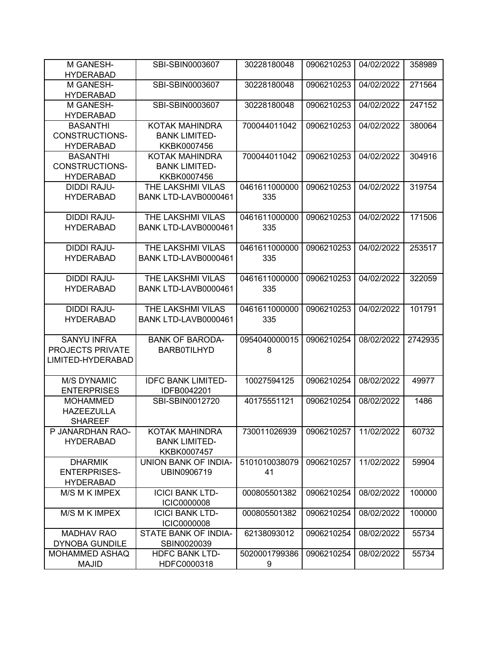| M GANESH-<br><b>HYDERABAD</b>         | SBI-SBIN0003607           | 30228180048         | 0906210253 | 04/02/2022 | 358989  |
|---------------------------------------|---------------------------|---------------------|------------|------------|---------|
| M GANESH-                             | SBI-SBIN0003607           | 30228180048         | 0906210253 | 04/02/2022 | 271564  |
| <b>HYDERABAD</b>                      |                           |                     |            |            |         |
| M GANESH-                             | SBI-SBIN0003607           | 30228180048         | 0906210253 | 04/02/2022 | 247152  |
| <b>HYDERABAD</b>                      |                           |                     |            |            |         |
| <b>BASANTHI</b>                       | KOTAK MAHINDRA            | 700044011042        | 0906210253 | 04/02/2022 | 380064  |
| CONSTRUCTIONS-                        | <b>BANK LIMITED-</b>      |                     |            |            |         |
| <b>HYDERABAD</b>                      | KKBK0007456               |                     |            |            |         |
| <b>BASANTHI</b>                       | KOTAK MAHINDRA            | 700044011042        | 0906210253 | 04/02/2022 | 304916  |
| CONSTRUCTIONS-                        | <b>BANK LIMITED-</b>      |                     |            |            |         |
| <b>HYDERABAD</b>                      | KKBK0007456               |                     |            |            |         |
| DIDDI RAJU-                           | THE LAKSHMI VILAS         | 0461611000000       | 0906210253 | 04/02/2022 | 319754  |
| <b>HYDERABAD</b>                      | BANK LTD-LAVB0000461      | 335                 |            |            |         |
| <b>DIDDI RAJU-</b>                    | THE LAKSHMI VILAS         | 0461611000000       | 0906210253 | 04/02/2022 | 171506  |
| <b>HYDERABAD</b>                      | BANK LTD-LAVB0000461      | 335                 |            |            |         |
|                                       |                           |                     |            |            |         |
| <b>DIDDI RAJU-</b>                    | THE LAKSHMI VILAS         | 0461611000000       | 0906210253 | 04/02/2022 | 253517  |
| <b>HYDERABAD</b>                      | BANK LTD-LAVB0000461      | 335                 |            |            |         |
|                                       |                           |                     |            |            |         |
| <b>DIDDI RAJU-</b>                    | THE LAKSHMI VILAS         | 0461611000000       | 0906210253 | 04/02/2022 | 322059  |
| <b>HYDERABAD</b>                      | BANK LTD-LAVB0000461      | 335                 |            |            |         |
|                                       |                           |                     |            |            |         |
| <b>DIDDI RAJU-</b>                    | THE LAKSHMI VILAS         | 0461611000000       | 0906210253 | 04/02/2022 | 101791  |
| <b>HYDERABAD</b>                      | BANK LTD-LAVB0000461      | 335                 |            |            |         |
| <b>SANYU INFRA</b>                    | <b>BANK OF BARODA-</b>    | 0954040000015       | 0906210254 | 08/02/2022 | 2742935 |
| PROJECTS PRIVATE                      | <b>BARB0TILHYD</b>        | 8                   |            |            |         |
| LIMITED-HYDERABAD                     |                           |                     |            |            |         |
|                                       |                           |                     |            |            |         |
| <b>M/S DYNAMIC</b>                    | <b>IDFC BANK LIMITED-</b> | 10027594125         | 0906210254 | 08/02/2022 | 49977   |
| <b>ENTERPRISES</b>                    | IDFB0042201               |                     |            |            |         |
| <b>MOHAMMED</b>                       | SBI-SBIN0012720           | 40175551121         | 0906210254 | 08/02/2022 | 1486    |
| <b>HAZEEZULLA</b>                     |                           |                     |            |            |         |
| <b>SHAREEF</b>                        |                           |                     |            |            |         |
| P JANARDHAN RAO-                      | KOTAK MAHINDRA            | 730011026939        | 0906210257 | 11/02/2022 | 60732   |
| <b>HYDERABAD</b>                      | <b>BANK LIMITED-</b>      |                     |            |            |         |
|                                       | KKBK0007457               |                     |            |            |         |
| <b>DHARMIK</b><br><b>ENTERPRISES-</b> | UNION BANK OF INDIA-      | 5101010038079<br>41 | 0906210257 | 11/02/2022 | 59904   |
| <b>HYDERABAD</b>                      | UBIN0906719               |                     |            |            |         |
| M/S M K IMPEX                         | <b>ICICI BANK LTD-</b>    | 000805501382        | 0906210254 | 08/02/2022 | 100000  |
|                                       | <b>ICIC0000008</b>        |                     |            |            |         |
| M/S M K IMPEX                         | <b>ICICI BANK LTD-</b>    | 000805501382        | 0906210254 | 08/02/2022 | 100000  |
|                                       | <b>ICIC0000008</b>        |                     |            |            |         |
| <b>MADHAV RAO</b>                     | STATE BANK OF INDIA-      | 62138093012         | 0906210254 | 08/02/2022 | 55734   |
| <b>DYNOBA GUNDILE</b>                 | SBIN0020039               |                     |            |            |         |
| <b>MOHAMMED ASHAQ</b>                 | <b>HDFC BANK LTD-</b>     | 5020001799386       | 0906210254 | 08/02/2022 | 55734   |
| <b>MAJID</b>                          | HDFC0000318               | 9                   |            |            |         |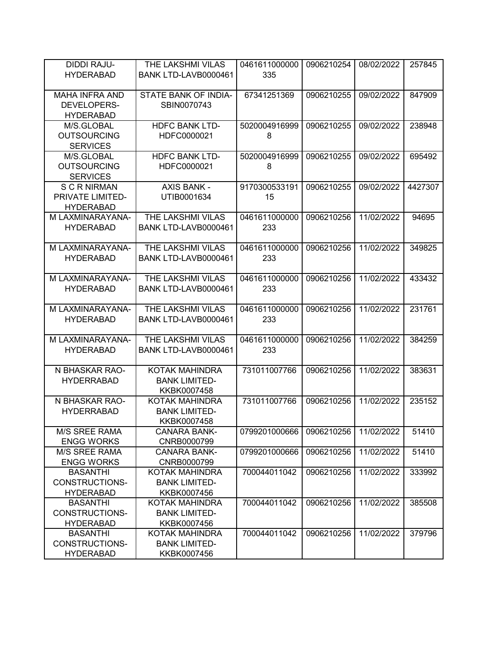| <b>DIDDI RAJU-</b>                       | THE LAKSHMI VILAS     | 0461611000000 | 0906210254 | 08/02/2022 | 257845  |
|------------------------------------------|-----------------------|---------------|------------|------------|---------|
| <b>HYDERABAD</b>                         | BANK LTD-LAVB0000461  | 335           |            |            |         |
|                                          |                       |               |            |            |         |
| <b>MAHA INFRA AND</b>                    | STATE BANK OF INDIA-  | 67341251369   | 0906210255 | 09/02/2022 | 847909  |
| DEVELOPERS-                              | SBIN0070743           |               |            |            |         |
| <b>HYDERABAD</b>                         |                       |               |            |            |         |
| M/S.GLOBAL                               | <b>HDFC BANK LTD-</b> | 5020004916999 | 0906210255 | 09/02/2022 | 238948  |
| <b>OUTSOURCING</b>                       | HDFC0000021           | 8             |            |            |         |
| <b>SERVICES</b>                          |                       |               |            |            |         |
| M/S.GLOBAL                               | <b>HDFC BANK LTD-</b> | 5020004916999 | 0906210255 | 09/02/2022 | 695492  |
| <b>OUTSOURCING</b>                       | HDFC0000021           | 8             |            |            |         |
| <b>SERVICES</b>                          |                       |               |            |            |         |
| <b>SCRNIRMAN</b>                         | <b>AXIS BANK -</b>    | 9170300533191 | 0906210255 | 09/02/2022 | 4427307 |
| PRIVATE LIMITED-                         | UTIB0001634           | 15            |            |            |         |
| <b>HYDERABAD</b>                         |                       |               |            |            |         |
| M LAXMINARAYANA-                         | THE LAKSHMI VILAS     | 0461611000000 | 0906210256 | 11/02/2022 | 94695   |
| <b>HYDERABAD</b>                         | BANK LTD-LAVB0000461  | 233           |            |            |         |
|                                          |                       |               |            |            |         |
| M LAXMINARAYANA-                         | THE LAKSHMI VILAS     | 0461611000000 | 0906210256 | 11/02/2022 | 349825  |
| <b>HYDERABAD</b>                         | BANK LTD-LAVB0000461  | 233           |            |            |         |
|                                          |                       |               |            |            |         |
| M LAXMINARAYANA-                         | THE LAKSHMI VILAS     | 0461611000000 | 0906210256 | 11/02/2022 | 433432  |
| <b>HYDERABAD</b>                         | BANK LTD-LAVB0000461  | 233           |            |            |         |
|                                          |                       |               |            |            |         |
| M LAXMINARAYANA-                         | THE LAKSHMI VILAS     | 0461611000000 | 0906210256 | 11/02/2022 | 231761  |
| <b>HYDERABAD</b>                         | BANK LTD-LAVB0000461  | 233           |            |            |         |
|                                          |                       |               |            |            |         |
| M LAXMINARAYANA-                         | THE LAKSHMI VILAS     | 0461611000000 | 0906210256 | 11/02/2022 | 384259  |
| <b>HYDERABAD</b>                         | BANK LTD-LAVB0000461  | 233           |            |            |         |
|                                          |                       |               |            |            |         |
| N BHASKAR RAO-                           | KOTAK MAHINDRA        | 731011007766  | 0906210256 | 11/02/2022 | 383631  |
| <b>HYDERRABAD</b>                        | <b>BANK LIMITED-</b>  |               |            |            |         |
|                                          | KKBK0007458           |               |            |            |         |
| N BHASKAR RAO-                           | KOTAK MAHINDRA        | 731011007766  | 0906210256 | 11/02/2022 | 235152  |
| <b>HYDERRABAD</b>                        | <b>BANK LIMITED-</b>  |               |            |            |         |
|                                          | KKBK0007458           |               |            |            |         |
| <b>M/S SREE RAMA</b>                     | <b>CANARA BANK-</b>   | 0799201000666 | 0906210256 | 11/02/2022 | 51410   |
| <b>ENGG WORKS</b>                        | CNRB0000799           |               |            |            |         |
| <b>M/S SREE RAMA</b>                     | <b>CANARA BANK-</b>   | 0799201000666 | 0906210256 | 11/02/2022 | 51410   |
| <b>ENGG WORKS</b>                        | CNRB0000799           |               |            |            |         |
| <b>BASANTHI</b>                          | KOTAK MAHINDRA        | 700044011042  | 0906210256 | 11/02/2022 | 333992  |
| CONSTRUCTIONS-                           | <b>BANK LIMITED-</b>  |               |            |            |         |
| <b>HYDERABAD</b>                         | KKBK0007456           |               |            |            |         |
| <b>BASANTHI</b><br><b>CONSTRUCTIONS-</b> | KOTAK MAHINDRA        | 700044011042  | 0906210256 | 11/02/2022 | 385508  |
|                                          | <b>BANK LIMITED-</b>  |               |            |            |         |
| <b>HYDERABAD</b>                         | KKBK0007456           |               |            |            |         |
| <b>BASANTHI</b>                          | KOTAK MAHINDRA        | 700044011042  | 0906210256 | 11/02/2022 | 379796  |
| CONSTRUCTIONS-                           | <b>BANK LIMITED-</b>  |               |            |            |         |
| <b>HYDERABAD</b>                         | KKBK0007456           |               |            |            |         |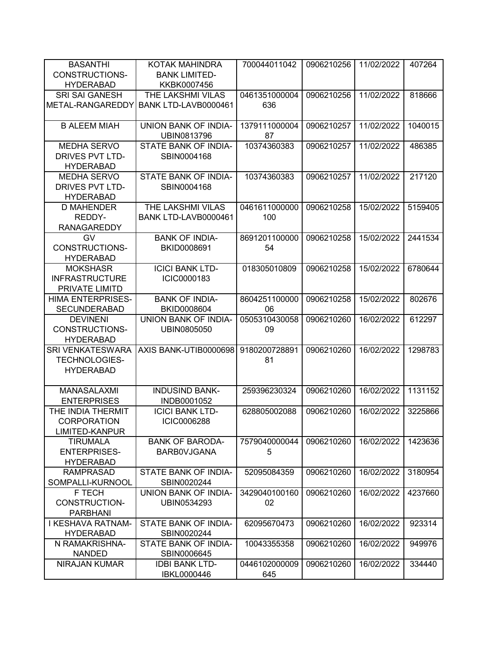| <b>BASANTHI</b>                        | KOTAK MAHINDRA                      | 700044011042        | 0906210256 | 11/02/2022 | 407264  |
|----------------------------------------|-------------------------------------|---------------------|------------|------------|---------|
| CONSTRUCTIONS-                         | <b>BANK LIMITED-</b>                |                     |            |            |         |
| <b>HYDERABAD</b>                       | KKBK0007456                         |                     |            |            |         |
| <b>SRI SAI GANESH</b>                  | THE LAKSHMI VILAS                   | 0461351000004       | 0906210256 | 11/02/2022 | 818666  |
| METAL-RANGAREDDY                       | BANK LTD-LAVB0000461                | 636                 |            |            |         |
|                                        |                                     |                     |            |            |         |
| <b>B ALEEM MIAH</b>                    | <b>UNION BANK OF INDIA-</b>         | 1379111000004       | 0906210257 | 11/02/2022 | 1040015 |
|                                        | UBIN0813796                         | 87                  |            |            |         |
| <b>MEDHA SERVO</b>                     | STATE BANK OF INDIA-                | 10374360383         | 0906210257 | 11/02/2022 | 486385  |
| <b>DRIVES PVT LTD-</b>                 | SBIN0004168                         |                     |            |            |         |
| <b>HYDERABAD</b>                       |                                     |                     |            |            |         |
| <b>MEDHA SERVO</b>                     | STATE BANK OF INDIA-                | 10374360383         | 0906210257 | 11/02/2022 | 217120  |
| DRIVES PVT LTD-                        | SBIN0004168                         |                     |            |            |         |
| <b>HYDERABAD</b>                       |                                     |                     |            |            |         |
| <b>D MAHENDER</b>                      | THE LAKSHMI VILAS                   | 0461611000000       | 0906210258 | 15/02/2022 | 5159405 |
| REDDY-                                 | BANK LTD-LAVB0000461                | 100                 |            |            |         |
| <b>RANAGAREDDY</b>                     |                                     |                     |            |            |         |
| GV                                     | <b>BANK OF INDIA-</b>               | 8691201100000       | 0906210258 | 15/02/2022 | 2441534 |
| CONSTRUCTIONS-                         | BKID0008691                         | 54                  |            |            |         |
| <b>HYDERABAD</b>                       |                                     |                     |            |            |         |
| <b>MOKSHASR</b>                        | <b>ICICI BANK LTD-</b>              | 018305010809        | 0906210258 | 15/02/2022 | 6780644 |
| <b>INFRASTRUCTURE</b>                  | ICIC0000183                         |                     |            |            |         |
| PRIVATE LIMITD                         |                                     |                     |            |            |         |
| <b>HIMA ENTERPRISES-</b>               | <b>BANK OF INDIA-</b>               | 8604251100000<br>06 | 0906210258 | 15/02/2022 | 802676  |
| <b>SECUNDERABAD</b><br><b>DEVINENI</b> | BKID0008604<br>UNION BANK OF INDIA- | 0505310430058       | 0906210260 | 16/02/2022 | 612297  |
| CONSTRUCTIONS-                         | UBIN0805050                         | 09                  |            |            |         |
| <b>HYDERABAD</b>                       |                                     |                     |            |            |         |
| <b>SRI VENKATESWARA</b>                | AXIS BANK-UTIB0000698               | 9180200728891       | 0906210260 | 16/02/2022 | 1298783 |
| <b>TECHNOLOGIES-</b>                   |                                     | 81                  |            |            |         |
| <b>HYDERABAD</b>                       |                                     |                     |            |            |         |
|                                        |                                     |                     |            |            |         |
| <b>MANASALAXMI</b>                     | <b>INDUSIND BANK-</b>               | 259396230324        | 0906210260 | 16/02/2022 | 1131152 |
| <b>ENTERPRISES</b>                     | INDB0001052                         |                     |            |            |         |
| THE INDIA THERMIT                      | <b>ICICI BANK LTD-</b>              | 628805002088        | 0906210260 | 16/02/2022 | 3225866 |
| <b>CORPORATION</b>                     | ICIC0006288                         |                     |            |            |         |
| LIMITED-KANPUR                         |                                     |                     |            |            |         |
| <b>TIRUMALA</b>                        | <b>BANK OF BARODA-</b>              | 7579040000044       | 0906210260 | 16/02/2022 | 1423636 |
| <b>ENTERPRISES-</b>                    | <b>BARBOVJGANA</b>                  | 5                   |            |            |         |
| <b>HYDERABAD</b>                       |                                     |                     |            |            |         |
| <b>RAMPRASAD</b>                       | STATE BANK OF INDIA-                | 52095084359         | 0906210260 | 16/02/2022 | 3180954 |
| SOMPALLI-KURNOOL                       | SBIN0020244                         |                     |            |            |         |
| F TECH                                 | UNION BANK OF INDIA-                | 3429040100160       | 0906210260 | 16/02/2022 | 4237660 |
| CONSTRUCTION-                          | UBIN0534293                         | 02                  |            |            |         |
| <b>PARBHANI</b>                        |                                     |                     |            |            |         |
| I KESHAVA RATNAM-                      | STATE BANK OF INDIA-                | 62095670473         | 0906210260 | 16/02/2022 | 923314  |
| <b>HYDERABAD</b>                       | SBIN0020244                         |                     |            |            |         |
| N RAMAKRISHNA-                         | STATE BANK OF INDIA-                | 10043355358         | 0906210260 | 16/02/2022 | 949976  |
| <b>NANDED</b>                          | SBIN0006645                         |                     |            |            |         |
| NIRAJAN KUMAR                          | <b>IDBI BANK LTD-</b>               | 0446102000009       | 0906210260 | 16/02/2022 | 334440  |
|                                        | <b>IBKL0000446</b>                  | 645                 |            |            |         |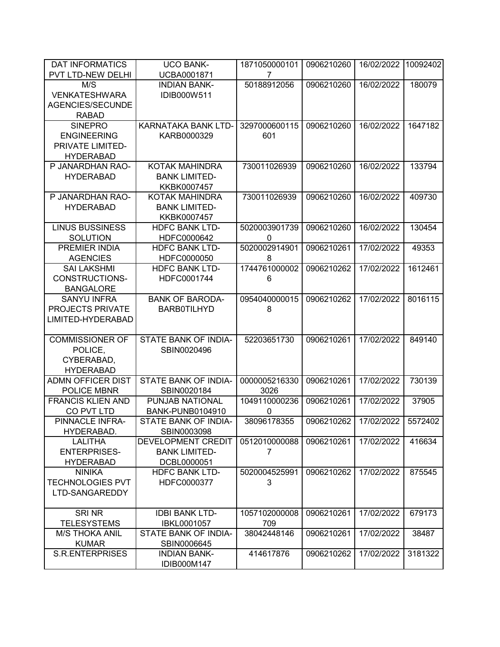| <b>DAT INFORMATICS</b>   | <b>UCO BANK-</b>        | 1871050000101 | 0906210260 | 16/02/2022 | 10092402 |
|--------------------------|-------------------------|---------------|------------|------------|----------|
| PVT LTD-NEW DELHI        | UCBA0001871             | 7             |            |            |          |
| M/S                      | <b>INDIAN BANK-</b>     | 50188912056   | 0906210260 | 16/02/2022 | 180079   |
| <b>VENKATESHWARA</b>     | IDIB000W511             |               |            |            |          |
| AGENCIES/SECUNDE         |                         |               |            |            |          |
| <b>RABAD</b>             |                         |               |            |            |          |
| <b>SINEPRO</b>           | KARNATAKA BANK LTD-     | 3297000600115 | 0906210260 | 16/02/2022 | 1647182  |
| <b>ENGINEERING</b>       | KARB0000329             | 601           |            |            |          |
| PRIVATE LIMITED-         |                         |               |            |            |          |
| <b>HYDERABAD</b>         |                         |               |            |            |          |
| P JANARDHAN RAO-         | <b>KOTAK MAHINDRA</b>   | 730011026939  | 0906210260 | 16/02/2022 | 133794   |
| <b>HYDERABAD</b>         | <b>BANK LIMITED-</b>    |               |            |            |          |
|                          | KKBK0007457             |               |            |            |          |
| P JANARDHAN RAO-         | <b>KOTAK MAHINDRA</b>   | 730011026939  | 0906210260 | 16/02/2022 | 409730   |
| <b>HYDERABAD</b>         | <b>BANK LIMITED-</b>    |               |            |            |          |
|                          | KKBK0007457             |               |            |            |          |
| <b>LINUS BUSSINESS</b>   | <b>HDFC BANK LTD-</b>   | 5020003901739 | 0906210260 | 16/02/2022 | 130454   |
| <b>SOLUTION</b>          | HDFC0000642             | $\mathbf{0}$  |            |            |          |
| PREMIER INDIA            | <b>HDFC BANK LTD-</b>   | 5020002914901 | 0906210261 | 17/02/2022 | 49353    |
| <b>AGENCIES</b>          | HDFC0000050             | 8             |            |            |          |
| <b>SAI LAKSHMI</b>       | <b>HDFC BANK LTD-</b>   | 1744761000002 | 0906210262 | 17/02/2022 | 1612461  |
| CONSTRUCTIONS-           | HDFC0001744             | 6             |            |            |          |
| <b>BANGALORE</b>         |                         |               |            |            |          |
| <b>SANYU INFRA</b>       | <b>BANK OF BARODA-</b>  | 0954040000015 | 0906210262 | 17/02/2022 | 8016115  |
| <b>PROJECTS PRIVATE</b>  | <b>BARBOTILHYD</b>      | 8             |            |            |          |
| LIMITED-HYDERABAD        |                         |               |            |            |          |
|                          |                         |               |            |            |          |
| <b>COMMISSIONER OF</b>   | STATE BANK OF INDIA-    | 52203651730   | 0906210261 | 17/02/2022 | 849140   |
| POLICE,                  | SBIN0020496             |               |            |            |          |
| CYBERABAD,               |                         |               |            |            |          |
| <b>HYDERABAD</b>         |                         |               |            |            |          |
| <b>ADMN OFFICER DIST</b> | STATE BANK OF INDIA-    | 0000005216330 | 0906210261 | 17/02/2022 | 730139   |
| <b>POLICE MBNR</b>       | SBIN0020184             | 3026          |            |            |          |
| <b>FRANCIS KLIEN AND</b> | PUNJAB NATIONAL         | 1049110000236 | 0906210261 | 17/02/2022 | 37905    |
| CO PVT LTD               | <b>BANK-PUNB0104910</b> | 0             |            |            |          |
| PINNACLE INFRA-          | STATE BANK OF INDIA-    | 38096178355   | 0906210262 | 17/02/2022 | 5572402  |
| HYDERABAD.               | SBIN0003098             |               |            |            |          |
| <b>LALITHA</b>           | DEVELOPMENT CREDIT      | 0512010000088 | 0906210261 | 17/02/2022 | 416634   |
| <b>ENTERPRISES-</b>      | <b>BANK LIMITED-</b>    | 7             |            |            |          |
| <b>HYDERABAD</b>         | DCBL0000051             |               |            |            |          |
| <b>NINIKA</b>            | <b>HDFC BANK LTD-</b>   | 5020004525991 | 0906210262 | 17/02/2022 | 875545   |
| <b>TECHNOLOGIES PVT</b>  | HDFC0000377             | 3             |            |            |          |
| LTD-SANGAREDDY           |                         |               |            |            |          |
|                          |                         |               |            |            |          |
| SRI NR                   | <b>IDBI BANK LTD-</b>   | 1057102000008 | 0906210261 | 17/02/2022 | 679173   |
| <b>TELESYSTEMS</b>       | <b>IBKL0001057</b>      | 709           |            |            |          |
| <b>M/S THOKA ANIL</b>    | STATE BANK OF INDIA-    | 38042448146   | 0906210261 | 17/02/2022 | 38487    |
| <b>KUMAR</b>             | SBIN0006645             |               |            |            |          |
| <b>S.R.ENTERPRISES</b>   | <b>INDIAN BANK-</b>     | 414617876     | 0906210262 | 17/02/2022 | 3181322  |
|                          | IDIB000M147             |               |            |            |          |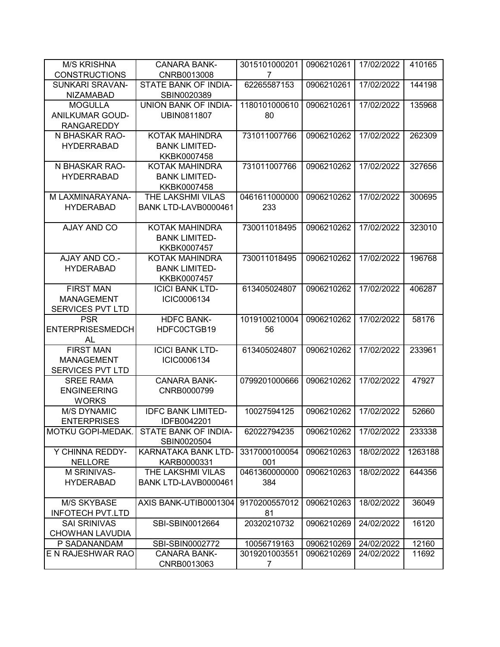| <b>M/S KRISHNA</b>      | <b>CANARA BANK-</b>        | 3015101000201 | 0906210261 | 17/02/2022 | 410165  |
|-------------------------|----------------------------|---------------|------------|------------|---------|
| <b>CONSTRUCTIONS</b>    | CNRB0013008                | 7             |            |            |         |
| <b>SUNKARI SRAVAN-</b>  | STATE BANK OF INDIA-       | 62265587153   | 0906210261 | 17/02/2022 | 144198  |
| <b>NIZAMABAD</b>        | SBIN0020389                |               |            |            |         |
| <b>MOGULLA</b>          | UNION BANK OF INDIA-       | 1180101000610 | 0906210261 | 17/02/2022 | 135968  |
| <b>ANILKUMAR GOUD-</b>  | UBIN0811807                | 80            |            |            |         |
| <b>RANGAREDDY</b>       |                            |               |            |            |         |
| N BHASKAR RAO-          | <b>KOTAK MAHINDRA</b>      | 731011007766  | 0906210262 | 17/02/2022 | 262309  |
| <b>HYDERRABAD</b>       | <b>BANK LIMITED-</b>       |               |            |            |         |
|                         | KKBK0007458                |               |            |            |         |
| N BHASKAR RAO-          | KOTAK MAHINDRA             | 731011007766  | 0906210262 | 17/02/2022 | 327656  |
| <b>HYDERRABAD</b>       | <b>BANK LIMITED-</b>       |               |            |            |         |
|                         | KKBK0007458                |               |            |            |         |
| M LAXMINARAYANA-        | THE LAKSHMI VILAS          | 0461611000000 | 0906210262 | 17/02/2022 | 300695  |
| <b>HYDERABAD</b>        | BANK LTD-LAVB0000461       | 233           |            |            |         |
|                         |                            |               |            |            |         |
| AJAY AND CO             | <b>KOTAK MAHINDRA</b>      | 730011018495  | 0906210262 | 17/02/2022 | 323010  |
|                         | <b>BANK LIMITED-</b>       |               |            |            |         |
|                         | KKBK0007457                |               |            |            |         |
| AJAY AND CO.-           | <b>KOTAK MAHINDRA</b>      | 730011018495  | 0906210262 | 17/02/2022 | 196768  |
| <b>HYDERABAD</b>        | <b>BANK LIMITED-</b>       |               |            |            |         |
|                         | KKBK0007457                |               |            |            |         |
| <b>FIRST MAN</b>        | <b>ICICI BANK LTD-</b>     | 613405024807  | 0906210262 | 17/02/2022 | 406287  |
| <b>MANAGEMENT</b>       | ICIC0006134                |               |            |            |         |
| <b>SERVICES PVT LTD</b> |                            |               |            |            |         |
|                         |                            |               |            |            |         |
| <b>PSR</b>              | <b>HDFC BANK-</b>          | 1019100210004 | 0906210262 | 17/02/2022 | 58176   |
| <b>ENTERPRISESMEDCH</b> | HDFC0CTGB19                | 56            |            |            |         |
| AL                      |                            |               |            |            |         |
| <b>FIRST MAN</b>        | <b>ICICI BANK LTD-</b>     | 613405024807  | 0906210262 | 17/02/2022 | 233961  |
| <b>MANAGEMENT</b>       | ICIC0006134                |               |            |            |         |
| <b>SERVICES PVT LTD</b> |                            |               |            |            |         |
| <b>SREE RAMA</b>        | <b>CANARA BANK-</b>        | 0799201000666 | 0906210262 | 17/02/2022 | 47927   |
| <b>ENGINEERING</b>      | CNRB0000799                |               |            |            |         |
| <b>WORKS</b>            |                            |               |            |            |         |
| <b>M/S DYNAMIC</b>      | <b>IDFC BANK LIMITED-</b>  | 10027594125   | 0906210262 | 17/02/2022 | 52660   |
| <b>ENTERPRISES</b>      | IDFB0042201                |               |            |            |         |
| MOTKU GOPI-MEDAK.       | STATE BANK OF INDIA-       | 62022794235   | 0906210262 | 17/02/2022 | 233338  |
|                         | SBIN0020504                |               |            |            |         |
| Y CHINNA REDDY-         | <b>KARNATAKA BANK LTD-</b> | 3317000100054 | 0906210263 | 18/02/2022 | 1263188 |
| <b>NELLORE</b>          | KARB0000331                | 001           |            |            |         |
| M SRINIVAS-             | THE LAKSHMI VILAS          | 0461360000000 | 0906210263 | 18/02/2022 | 644356  |
| <b>HYDERABAD</b>        | BANK LTD-LAVB0000461       | 384           |            |            |         |
|                         |                            |               |            |            |         |
| <b>M/S SKYBASE</b>      | AXIS BANK-UTIB0001304      | 9170200557012 | 0906210263 | 18/02/2022 | 36049   |
| <b>INFOTECH PVT.LTD</b> |                            | 81            |            |            |         |
| SAI SRINIVAS            | SBI-SBIN0012664            | 20320210732   | 0906210269 | 24/02/2022 | 16120   |
| CHOWHAN LAVUDIA         |                            |               |            |            |         |
| P SADANANDAM            | SBI-SBIN0002772            | 10056719163   | 0906210269 | 24/02/2022 | 12160   |
| E N RAJESHWAR RAO       | <b>CANARA BANK-</b>        | 3019201003551 | 0906210269 | 24/02/2022 | 11692   |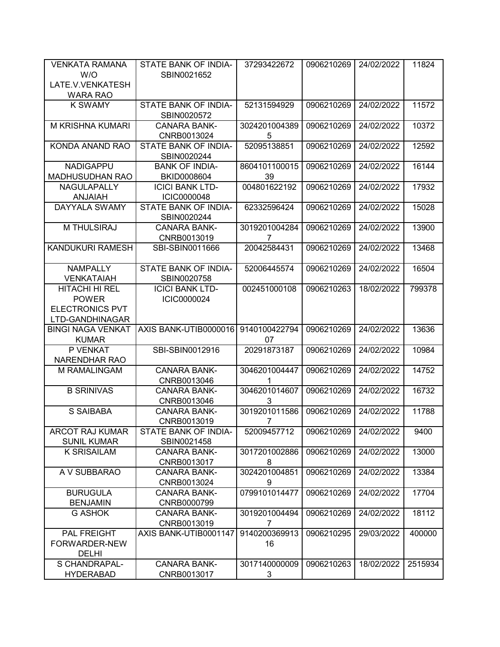| <b>VENKATA RAMANA</b>               | STATE BANK OF INDIA-               | 37293422672                   | 0906210269 | 24/02/2022 | 11824   |
|-------------------------------------|------------------------------------|-------------------------------|------------|------------|---------|
| W/O                                 | SBIN0021652                        |                               |            |            |         |
| LATE.V.VENKATESH<br><b>WARA RAO</b> |                                    |                               |            |            |         |
| <b>K SWAMY</b>                      | STATE BANK OF INDIA-               | 52131594929                   | 0906210269 | 24/02/2022 | 11572   |
|                                     | SBIN0020572                        |                               |            |            |         |
| M KRISHNA KUMARI                    | <b>CANARA BANK-</b>                | 3024201004389                 | 0906210269 | 24/02/2022 | 10372   |
|                                     | CNRB0013024                        | 5                             |            |            |         |
| <b>KONDA ANAND RAO</b>              | <b>STATE BANK OF INDIA-</b>        | 52095138851                   | 0906210269 | 24/02/2022 | 12592   |
|                                     | SBIN0020244                        |                               |            |            |         |
| <b>NADIGAPPU</b>                    | <b>BANK OF INDIA-</b>              | 8604101100015                 | 0906210269 | 24/02/2022 | 16144   |
| <b>MADHUSUDHAN RAO</b>              | BKID0008604                        | 39                            |            |            |         |
| <b>NAGULAPALLY</b>                  | <b>ICICI BANK LTD-</b>             | 004801622192                  | 0906210269 | 24/02/2022 | 17932   |
| <b>ANJAIAH</b>                      | ICIC0000048                        |                               |            |            |         |
| DAYYALA SWAMY                       | STATE BANK OF INDIA-               | 62332596424                   | 0906210269 | 24/02/2022 | 15028   |
|                                     | SBIN0020244                        |                               |            |            |         |
| <b>M THULSIRAJ</b>                  | <b>CANARA BANK-</b><br>CNRB0013019 | 3019201004284                 | 0906210269 | 24/02/2022 | 13900   |
| <b>KANDUKURI RAMESH</b>             | SBI-SBIN0011666                    | $\overline{7}$<br>20042584431 | 0906210269 | 24/02/2022 | 13468   |
|                                     |                                    |                               |            |            |         |
| <b>NAMPALLY</b>                     | STATE BANK OF INDIA-               | 52006445574                   | 0906210269 | 24/02/2022 | 16504   |
| <b>VENKATAIAH</b>                   | SBIN0020758                        |                               |            |            |         |
| HITACHI HI REL                      | <b>ICICI BANK LTD-</b>             | 002451000108                  | 0906210263 | 18/02/2022 | 799378  |
| <b>POWER</b>                        | ICIC0000024                        |                               |            |            |         |
| <b>ELECTRONICS PVT</b>              |                                    |                               |            |            |         |
| LTD-GANDHINAGAR                     |                                    |                               |            |            |         |
| <b>BINGI NAGA VENKAT</b>            | AXIS BANK-UTIB0000016              | 9140100422794                 | 0906210269 | 24/02/2022 | 13636   |
| <b>KUMAR</b>                        |                                    | 07                            |            |            |         |
| P VENKAT                            | SBI-SBIN0012916                    | 20291873187                   | 0906210269 | 24/02/2022 | 10984   |
| NARENDHAR RAO                       |                                    |                               |            |            |         |
| M RAMALINGAM                        | <b>CANARA BANK-</b>                | 3046201004447                 | 0906210269 | 24/02/2022 | 14752   |
|                                     | CNRB0013046                        | 1                             |            |            |         |
| <b>B SRINIVAS</b>                   | <b>CANARA BANK-</b>                | 3046201014607                 | 0906210269 | 24/02/2022 | 16732   |
|                                     | CNRB0013046                        | 3                             |            |            |         |
| S SAIBABA                           | <b>CANARA BANK-</b><br>CNRB0013019 | 3019201011586                 | 0906210269 | 24/02/2022 | 11788   |
| <b>ARCOT RAJ KUMAR</b>              | STATE BANK OF INDIA-               | 7<br>52009457712              | 0906210269 | 24/02/2022 | 9400    |
| <b>SUNIL KUMAR</b>                  | SBIN0021458                        |                               |            |            |         |
| <b>K SRISAILAM</b>                  | <b>CANARA BANK-</b>                | 3017201002886                 | 0906210269 | 24/02/2022 | 13000   |
|                                     | CNRB0013017                        | 8                             |            |            |         |
| A V SUBBARAO                        | <b>CANARA BANK-</b>                | 3024201004851                 | 0906210269 | 24/02/2022 | 13384   |
|                                     | CNRB0013024                        | 9                             |            |            |         |
| <b>BURUGULA</b>                     | <b>CANARA BANK-</b>                | 0799101014477                 | 0906210269 | 24/02/2022 | 17704   |
| <b>BENJAMIN</b>                     | CNRB0000799                        |                               |            |            |         |
| <b>G ASHOK</b>                      | <b>CANARA BANK-</b>                | 3019201004494                 | 0906210269 | 24/02/2022 | 18112   |
|                                     | CNRB0013019                        | 7                             |            |            |         |
| PAL FREIGHT                         | AXIS BANK-UTIB0001147              | 9140200369913                 | 0906210295 | 29/03/2022 | 400000  |
| FORWARDER-NEW                       |                                    | 16                            |            |            |         |
| <b>DELHI</b>                        |                                    |                               |            |            |         |
| S CHANDRAPAL-                       | <b>CANARA BANK-</b>                | 3017140000009                 | 0906210263 | 18/02/2022 | 2515934 |
| <b>HYDERABAD</b>                    | CNRB0013017                        | 3                             |            |            |         |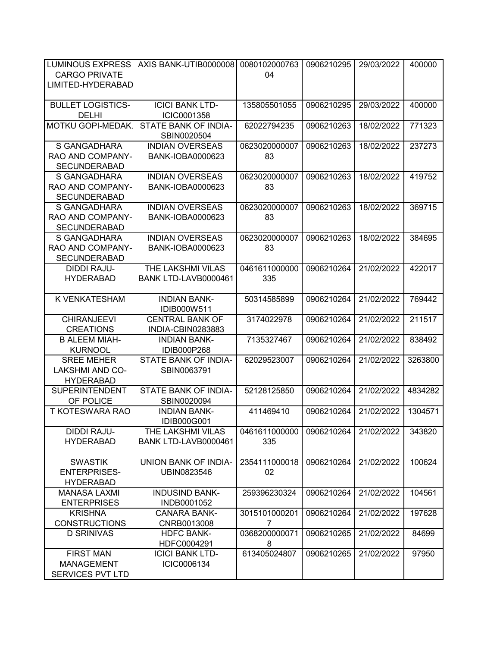| <b>LUMINOUS EXPRESS</b>             | AXIS BANK-UTIB0000008                      | 0080102000763  | 0906210295 | 29/03/2022 | 400000  |
|-------------------------------------|--------------------------------------------|----------------|------------|------------|---------|
| <b>CARGO PRIVATE</b>                |                                            | 04             |            |            |         |
| LIMITED-HYDERABAD                   |                                            |                |            |            |         |
|                                     |                                            |                |            |            |         |
| <b>BULLET LOGISTICS-</b>            | <b>ICICI BANK LTD-</b>                     | 135805501055   | 0906210295 | 29/03/2022 | 400000  |
| <b>DELHI</b>                        | ICIC0001358                                |                |            |            |         |
| MOTKU GOPI-MEDAK.                   | STATE BANK OF INDIA-                       | 62022794235    | 0906210263 | 18/02/2022 | 771323  |
|                                     | SBIN0020504                                |                |            |            |         |
| S GANGADHARA                        | <b>INDIAN OVERSEAS</b>                     | 0623020000007  | 0906210263 | 18/02/2022 | 237273  |
| RAO AND COMPANY-                    | <b>BANK-IOBA0000623</b>                    | 83             |            |            |         |
| <b>SECUNDERABAD</b>                 |                                            |                |            |            |         |
| S GANGADHARA                        | <b>INDIAN OVERSEAS</b>                     | 0623020000007  | 0906210263 | 18/02/2022 | 419752  |
| RAO AND COMPANY-                    | <b>BANK-IOBA0000623</b>                    | 83             |            |            |         |
| <b>SECUNDERABAD</b>                 |                                            |                |            |            |         |
| S GANGADHARA                        | <b>INDIAN OVERSEAS</b>                     | 0623020000007  | 0906210263 | 18/02/2022 | 369715  |
| RAO AND COMPANY-                    | <b>BANK-IOBA0000623</b>                    | 83             |            |            |         |
| <b>SECUNDERABAD</b>                 |                                            |                |            |            |         |
| S GANGADHARA                        | <b>INDIAN OVERSEAS</b>                     | 0623020000007  | 0906210263 | 18/02/2022 | 384695  |
| RAO AND COMPANY-                    | <b>BANK-IOBA0000623</b>                    | 83             |            |            |         |
| <b>SECUNDERABAD</b>                 |                                            |                |            |            |         |
| <b>DIDDI RAJU-</b>                  | THE LAKSHMI VILAS                          | 0461611000000  | 0906210264 | 21/02/2022 | 422017  |
| <b>HYDERABAD</b>                    | BANK LTD-LAVB0000461                       | 335            |            |            |         |
|                                     |                                            |                |            |            |         |
| K VENKATESHAM                       | <b>INDIAN BANK-</b>                        | 50314585899    | 0906210264 | 21/02/2022 | 769442  |
|                                     | IDIB000W511                                |                |            |            |         |
| <b>CHIRANJEEVI</b>                  | <b>CENTRAL BANK OF</b>                     | 3174022978     | 0906210264 | 21/02/2022 | 211517  |
| <b>CREATIONS</b>                    | INDIA-CBIN0283883                          |                |            |            |         |
| <b>B ALEEM MIAH-</b>                | <b>INDIAN BANK-</b>                        | 7135327467     | 0906210264 | 21/02/2022 | 838492  |
| <b>KURNOOL</b><br><b>SREE MEHER</b> | <b>IDIB000P268</b><br>STATE BANK OF INDIA- | 62029523007    | 0906210264 | 21/02/2022 | 3263800 |
| <b>LAKSHMI AND CO-</b>              | SBIN0063791                                |                |            |            |         |
| <b>HYDERABAD</b>                    |                                            |                |            |            |         |
| <b>SUPERINTENDENT</b>               | STATE BANK OF INDIA-                       | 52128125850    | 0906210264 | 21/02/2022 | 4834282 |
| OF POLICE                           | SBIN0020094                                |                |            |            |         |
| T KOTESWARA RAO                     | <b>INDIAN BANK-</b>                        | 411469410      | 0906210264 | 21/02/2022 | 1304571 |
|                                     | IDIB000G001                                |                |            |            |         |
| <b>DIDDI RAJU-</b>                  | THE LAKSHMI VILAS                          | 0461611000000  | 0906210264 | 21/02/2022 | 343820  |
| <b>HYDERABAD</b>                    | BANK LTD-LAVB0000461                       | 335            |            |            |         |
|                                     |                                            |                |            |            |         |
| <b>SWASTIK</b>                      | <b>UNION BANK OF INDIA-</b>                | 2354111000018  | 0906210264 | 21/02/2022 | 100624  |
| <b>ENTERPRISES-</b>                 | UBIN0823546                                | 02             |            |            |         |
| <b>HYDERABAD</b>                    |                                            |                |            |            |         |
| <b>MANASA LAXMI</b>                 | <b>INDUSIND BANK-</b>                      | 259396230324   | 0906210264 | 21/02/2022 | 104561  |
| <b>ENTERPRISES</b>                  | INDB0001052                                |                |            |            |         |
| <b>KRISHNA</b>                      | <b>CANARA BANK-</b>                        | 3015101000201  | 0906210264 | 21/02/2022 | 197628  |
| <b>CONSTRUCTIONS</b>                | CNRB0013008                                | $\overline{7}$ |            |            |         |
| <b>D SRINIVAS</b>                   | <b>HDFC BANK-</b>                          | 0368200000071  | 0906210265 | 21/02/2022 | 84699   |
|                                     | HDFC0004291                                | 8              |            |            |         |
| <b>FIRST MAN</b>                    | <b>ICICI BANK LTD-</b>                     | 613405024807   | 0906210265 | 21/02/2022 | 97950   |
| <b>MANAGEMENT</b>                   | ICIC0006134                                |                |            |            |         |
| <b>SERVICES PVT LTD</b>             |                                            |                |            |            |         |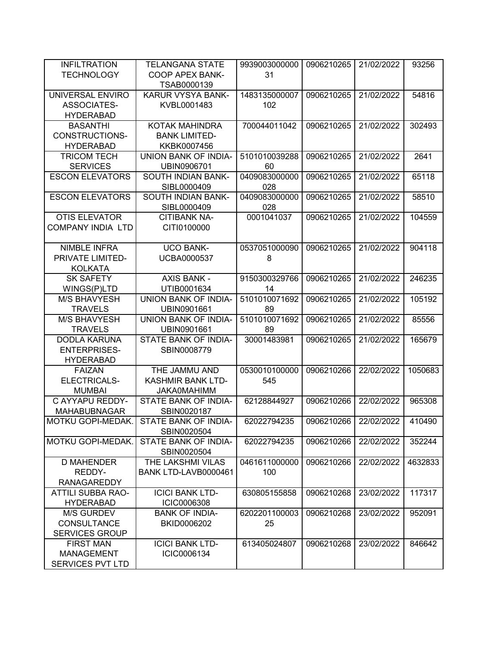| <b>INFILTRATION</b>      | <b>TELANGANA STATE</b>      | 9939003000000 | 0906210265 | 21/02/2022 | 93256   |
|--------------------------|-----------------------------|---------------|------------|------------|---------|
| <b>TECHNOLOGY</b>        | <b>COOP APEX BANK-</b>      | 31            |            |            |         |
|                          | TSAB0000139                 |               |            |            |         |
| UNIVERSAL ENVIRO         | KARUR VYSYA BANK-           | 1483135000007 | 0906210265 | 21/02/2022 | 54816   |
| ASSOCIATES-              | KVBL0001483                 | 102           |            |            |         |
| <b>HYDERABAD</b>         |                             |               |            |            |         |
| <b>BASANTHI</b>          | KOTAK MAHINDRA              | 700044011042  | 0906210265 | 21/02/2022 | 302493  |
| <b>CONSTRUCTIONS-</b>    | <b>BANK LIMITED-</b>        |               |            |            |         |
| <b>HYDERABAD</b>         | KKBK0007456                 |               |            |            |         |
| <b>TRICOM TECH</b>       | UNION BANK OF INDIA-        | 5101010039288 | 0906210265 | 21/02/2022 | 2641    |
| <b>SERVICES</b>          | UBIN0906701                 | 60            |            |            |         |
| <b>ESCON ELEVATORS</b>   | SOUTH INDIAN BANK-          | 0409083000000 | 0906210265 | 21/02/2022 | 65118   |
|                          | SIBL0000409                 | 028           |            |            |         |
| <b>ESCON ELEVATORS</b>   | SOUTH INDIAN BANK-          | 0409083000000 | 0906210265 | 21/02/2022 | 58510   |
|                          | SIBL0000409                 | 028           |            |            |         |
| <b>OTIS ELEVATOR</b>     | <b>CITIBANK NA-</b>         | 0001041037    | 0906210265 | 21/02/2022 | 104559  |
| <b>COMPANY INDIA LTD</b> | CITI0100000                 |               |            |            |         |
|                          |                             |               |            |            |         |
| <b>NIMBLE INFRA</b>      | <b>UCO BANK-</b>            | 0537051000090 | 0906210265 | 21/02/2022 | 904118  |
| PRIVATE LIMITED-         | <b>UCBA0000537</b>          | 8             |            |            |         |
| <b>KOLKATA</b>           |                             |               |            |            |         |
| <b>SK SAFETY</b>         | <b>AXIS BANK -</b>          | 9150300329766 | 0906210265 | 21/02/2022 | 246235  |
| WINGS(P)LTD              | UTIB0001634                 | 14            |            |            |         |
| <b>M/S BHAVYESH</b>      | UNION BANK OF INDIA-        | 5101010071692 | 0906210265 | 21/02/2022 | 105192  |
| <b>TRAVELS</b>           | UBIN0901661                 | 89            |            |            |         |
| <b>M/S BHAVYESH</b>      | <b>UNION BANK OF INDIA-</b> | 5101010071692 | 0906210265 | 21/02/2022 | 85556   |
| <b>TRAVELS</b>           | UBIN0901661                 | 89            |            |            |         |
| <b>DODLA KARUNA</b>      | STATE BANK OF INDIA-        | 30001483981   | 0906210265 | 21/02/2022 | 165679  |
| <b>ENTERPRISES-</b>      | SBIN0008779                 |               |            |            |         |
| <b>HYDERABAD</b>         |                             |               |            |            |         |
| <b>FAIZAN</b>            | THE JAMMU AND               | 0530010100000 | 0906210266 | 22/02/2022 | 1050683 |
| ELECTRICALS-             | <b>KASHMIR BANK LTD-</b>    | 545           |            |            |         |
| <b>MUMBAI</b>            | <b>JAKA0MAHIMM</b>          |               |            |            |         |
| C AYYAPU REDDY-          | STATE BANK OF INDIA-        | 62128844927   | 0906210266 | 22/02/2022 | 965308  |
| <b>MAHABUBNAGAR</b>      | SBIN0020187                 |               |            |            |         |
| MOTKU GOPI-MEDAK.        | STATE BANK OF INDIA-        | 62022794235   | 0906210266 | 22/02/2022 | 410490  |
|                          | SBIN0020504                 |               |            |            |         |
| MOTKU GOPI-MEDAK.        | <b>STATE BANK OF INDIA-</b> | 62022794235   | 0906210266 | 22/02/2022 | 352244  |
|                          | SBIN0020504                 |               |            |            |         |
| <b>D MAHENDER</b>        | THE LAKSHMI VILAS           | 0461611000000 | 0906210266 | 22/02/2022 | 4632833 |
| REDDY-                   | BANK LTD-LAVB0000461        | 100           |            |            |         |
| <b>RANAGAREDDY</b>       |                             |               |            |            |         |
| <b>ATTILI SUBBA RAO-</b> | <b>ICICI BANK LTD-</b>      | 630805155858  | 0906210268 | 23/02/2022 | 117317  |
| <b>HYDERABAD</b>         | ICIC0006308                 |               |            |            |         |
| <b>M/S GURDEV</b>        | <b>BANK OF INDIA-</b>       | 6202201100003 | 0906210268 | 23/02/2022 | 952091  |
| <b>CONSULTANCE</b>       | BKID0006202                 | 25            |            |            |         |
| <b>SERVICES GROUP</b>    |                             |               |            |            |         |
| <b>FIRST MAN</b>         | <b>ICICI BANK LTD-</b>      | 613405024807  | 0906210268 | 23/02/2022 | 846642  |
| <b>MANAGEMENT</b>        | ICIC0006134                 |               |            |            |         |
| SERVICES PVT LTD         |                             |               |            |            |         |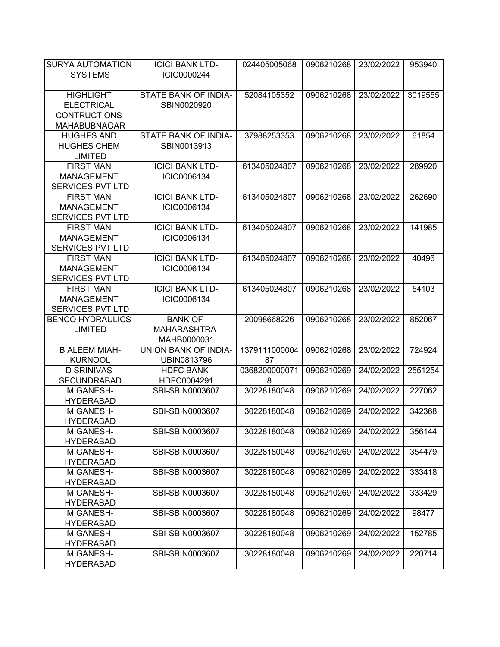| <b>SURYA AUTOMATION</b><br><b>SYSTEMS</b>                                     | <b>ICICI BANK LTD-</b><br>ICIC0000244 | 024405005068               | 0906210268               | 23/02/2022               | 953940           |
|-------------------------------------------------------------------------------|---------------------------------------|----------------------------|--------------------------|--------------------------|------------------|
| <b>HIGHLIGHT</b><br><b>ELECTRICAL</b><br>CONTRUCTIONS-<br><b>MAHABUBNAGAR</b> | STATE BANK OF INDIA-<br>SBIN0020920   | 52084105352                | 0906210268               | 23/02/2022               | 3019555          |
| <b>HUGHES AND</b><br><b>HUGHES CHEM</b><br><b>LIMITED</b>                     | STATE BANK OF INDIA-<br>SBIN0013913   | 37988253353                | 0906210268               | 23/02/2022               | 61854            |
| <b>FIRST MAN</b><br><b>MANAGEMENT</b><br>SERVICES PVT LTD                     | <b>ICICI BANK LTD-</b><br>ICIC0006134 | 613405024807               | 0906210268               | 23/02/2022               | 289920           |
| <b>FIRST MAN</b><br><b>MANAGEMENT</b><br>SERVICES PVT LTD                     | <b>ICICI BANK LTD-</b><br>ICIC0006134 | 613405024807               | 0906210268               | 23/02/2022               | 262690           |
| <b>FIRST MAN</b><br><b>MANAGEMENT</b><br>SERVICES PVT LTD                     | <b>ICICI BANK LTD-</b><br>ICIC0006134 | 613405024807               | 0906210268               | 23/02/2022               | 141985           |
| <b>FIRST MAN</b><br><b>MANAGEMENT</b><br><b>SERVICES PVT LTD</b>              | <b>ICICI BANK LTD-</b><br>ICIC0006134 | 613405024807               | 0906210268               | 23/02/2022               | 40496            |
| <b>FIRST MAN</b><br><b>MANAGEMENT</b><br>SERVICES PVT LTD                     | <b>ICICI BANK LTD-</b><br>ICIC0006134 | 613405024807               | 0906210268               | 23/02/2022               | 54103            |
| <b>BENCO HYDRAULICS</b>                                                       | <b>BANK OF</b>                        | 20098668226                | 0906210268               | 23/02/2022               | 852067           |
| <b>LIMITED</b>                                                                | MAHARASHTRA-<br>MAHB0000031           |                            |                          |                          |                  |
| <b>B ALEEM MIAH-</b><br><b>KURNOOL</b>                                        | UNION BANK OF INDIA-<br>UBIN0813796   | 1379111000004<br>87        | 0906210268               | 23/02/2022               | 724924           |
| <b>D SRINIVAS-</b><br><b>SECUNDRABAD</b>                                      | <b>HDFC BANK-</b><br>HDFC0004291      | 0368200000071<br>8         | 0906210269               | 24/02/2022               | 2551254          |
| M GANESH-<br><b>HYDERABAD</b>                                                 | SBI-SBIN0003607                       | 30228180048                | 0906210269               | 24/02/2022               | 227062           |
| M GANESH-<br><b>HYDERABAD</b>                                                 | SBI-SBIN0003607                       | 30228180048                | 0906210269               | 24/02/2022               | 342368           |
| M GANESH-<br><b>HYDERABAD</b>                                                 | SBI-SBIN0003607                       | 30228180048                | 0906210269               | 24/02/2022               | 356144           |
| M GANESH-<br><b>HYDERABAD</b>                                                 | SBI-SBIN0003607                       | 30228180048                | 0906210269               | 24/02/2022               | 354479           |
| M GANESH-<br><b>HYDERABAD</b>                                                 | SBI-SBIN0003607                       | 30228180048                | 0906210269               | 24/02/2022               | 333418           |
| M GANESH-<br><b>HYDERABAD</b>                                                 | SBI-SBIN0003607                       | 30228180048                | 0906210269               | 24/02/2022               | 333429           |
| M GANESH-<br><b>HYDERABAD</b>                                                 | SBI-SBIN0003607                       | 30228180048                | 0906210269               | 24/02/2022               | 98477            |
| M GANESH-<br><b>HYDERABAD</b><br>M GANESH-                                    | SBI-SBIN0003607<br>SBI-SBIN0003607    | 30228180048<br>30228180048 | 0906210269<br>0906210269 | 24/02/2022<br>24/02/2022 | 152785<br>220714 |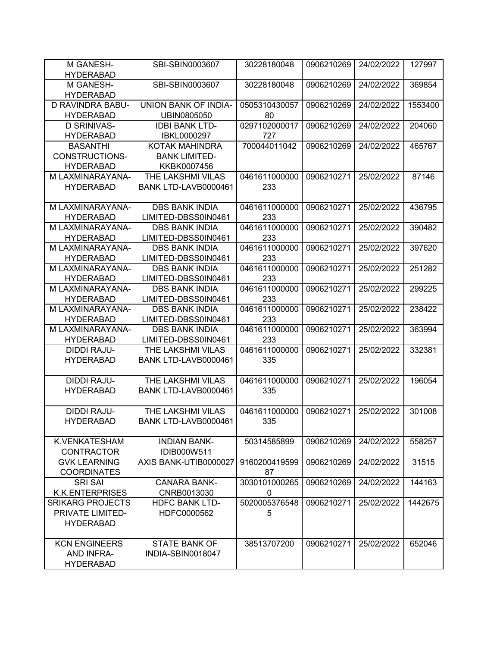| M GANESH-<br><b>HYDERABAD</b>            | SBI-SBIN0003607                      | 30228180048        | 0906210269 | 24/02/2022 | 127997  |
|------------------------------------------|--------------------------------------|--------------------|------------|------------|---------|
| M GANESH-<br><b>HYDERABAD</b>            | SBI-SBIN0003607                      | 30228180048        | 0906210269 | 24/02/2022 | 369854  |
| <b>D RAVINDRA BABU-</b>                  | <b>UNION BANK OF INDIA-</b>          | 0505310430057      | 0906210269 | 24/02/2022 | 1553400 |
| <b>HYDERABAD</b>                         | UBIN0805050                          | 80                 |            |            |         |
| <b>D SRINIVAS-</b>                       | <b>IDBI BANK LTD-</b>                | 0297102000017      | 0906210269 | 24/02/2022 | 204060  |
| <b>HYDERABAD</b>                         | IBKL0000297                          | 727                |            |            |         |
| <b>BASANTHI</b>                          | <b>KOTAK MAHINDRA</b>                | 700044011042       | 0906210269 | 24/02/2022 | 465767  |
| <b>CONSTRUCTIONS-</b>                    | <b>BANK LIMITED-</b>                 |                    |            |            |         |
| <b>HYDERABAD</b>                         | KKBK0007456                          |                    |            |            |         |
| M LAXMINARAYANA-                         | THE LAKSHMI VILAS                    | 0461611000000      | 0906210271 | 25/02/2022 | 87146   |
| <b>HYDERABAD</b>                         | BANK LTD-LAVB0000461                 | 233                |            |            |         |
|                                          |                                      |                    |            |            |         |
| M LAXMINARAYANA-                         | <b>DBS BANK INDIA</b>                | 0461611000000      | 0906210271 | 25/02/2022 | 436795  |
| <b>HYDERABAD</b>                         | LIMITED-DBSS0IN0461                  | 233                |            |            |         |
| M LAXMINARAYANA-                         | <b>DBS BANK INDIA</b>                | 0461611000000      | 0906210271 | 25/02/2022 | 390482  |
| <b>HYDERABAD</b>                         | LIMITED-DBSS0IN0461                  | 233                |            |            |         |
| M LAXMINARAYANA-                         | <b>DBS BANK INDIA</b>                | 0461611000000      | 0906210271 | 25/02/2022 | 397620  |
| <b>HYDERABAD</b>                         | LIMITED-DBSS0IN0461                  | 233                |            |            |         |
| M LAXMINARAYANA-                         | <b>DBS BANK INDIA</b>                | 0461611000000      | 0906210271 | 25/02/2022 | 251282  |
| <b>HYDERABAD</b>                         | LIMITED-DBSS0IN0461                  | 233                |            |            |         |
| M LAXMINARAYANA-                         | <b>DBS BANK INDIA</b>                | 0461611000000      | 0906210271 | 25/02/2022 | 299225  |
| <b>HYDERABAD</b>                         | LIMITED-DBSS0IN0461                  | 233                |            |            |         |
| M LAXMINARAYANA-                         | <b>DBS BANK INDIA</b>                | 0461611000000      | 0906210271 | 25/02/2022 | 238422  |
| <b>HYDERABAD</b>                         | LIMITED-DBSS0IN0461                  | 233                |            |            |         |
| M LAXMINARAYANA-                         | <b>DBS BANK INDIA</b>                | 0461611000000      | 0906210271 | 25/02/2022 | 363994  |
| <b>HYDERABAD</b>                         | LIMITED-DBSS0IN0461                  | 233                |            |            |         |
| <b>DIDDI RAJU-</b>                       | THE LAKSHMI VILAS                    | 0461611000000      | 0906210271 | 25/02/2022 | 332381  |
| <b>HYDERABAD</b>                         | BANK LTD-LAVB0000461                 | 335                |            |            |         |
|                                          |                                      |                    |            |            |         |
| <b>DIDDI RAJU-</b>                       | THE LAKSHMI VILAS                    | 0461611000000      | 0906210271 | 25/02/2022 | 196054  |
| <b>HYDERABAD</b>                         | BANK LTD-LAVB0000461                 | 335                |            |            |         |
|                                          |                                      |                    |            |            |         |
| <b>DIDDI RAJU-</b>                       | THE LAKSHMI VILAS                    | 0461611000000      | 0906210271 | 25/02/2022 | 301008  |
| <b>HYDERABAD</b>                         | BANK LTD-LAVB0000461                 | 335                |            |            |         |
|                                          |                                      |                    |            |            |         |
| K.VENKATESHAM                            | <b>INDIAN BANK-</b>                  | 50314585899        | 0906210269 | 24/02/2022 | 558257  |
| <b>CONTRACTOR</b>                        | IDIB000W511                          |                    |            |            |         |
| <b>GVK LEARNING</b>                      | AXIS BANK-UTIB0000027                | 9160200419599      | 0906210269 | 24/02/2022 | 31515   |
| <b>COORDINATES</b>                       |                                      | 87                 |            |            |         |
| <b>SRI SAI</b><br><b>K.K.ENTERPRISES</b> | <b>CANARA BANK-</b>                  | 3030101000265      | 0906210269 | 24/02/2022 | 144163  |
| <b>SRIKARG PROJECTS</b>                  | CNRB0013030<br><b>HDFC BANK LTD-</b> | 0<br>5020005376548 | 0906210271 | 25/02/2022 | 1442675 |
| PRIVATE LIMITED-                         | HDFC0000562                          | 5                  |            |            |         |
| <b>HYDERABAD</b>                         |                                      |                    |            |            |         |
|                                          |                                      |                    |            |            |         |
| <b>KCN ENGINEERS</b>                     | <b>STATE BANK OF</b>                 | 38513707200        | 0906210271 | 25/02/2022 | 652046  |
| <b>AND INFRA-</b>                        | INDIA-SBIN0018047                    |                    |            |            |         |
| <b>HYDERABAD</b>                         |                                      |                    |            |            |         |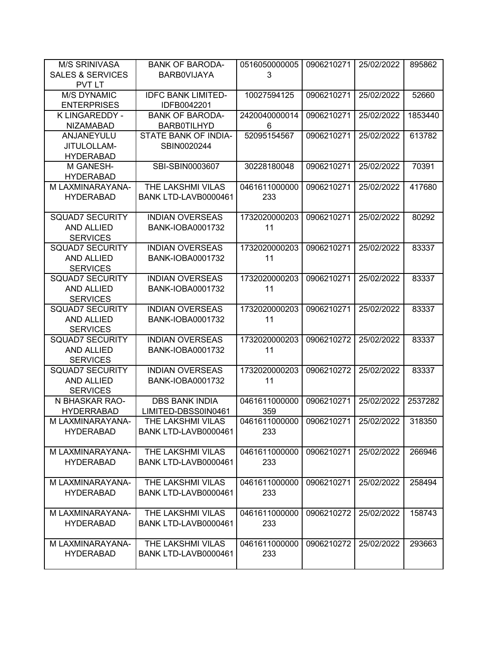| <b>M/S SRINIVASA</b>                         | <b>BANK OF BARODA-</b>                            | 0516050000005       | 0906210271 | 25/02/2022 | 895862  |
|----------------------------------------------|---------------------------------------------------|---------------------|------------|------------|---------|
| <b>SALES &amp; SERVICES</b><br><b>PVT LT</b> | <b>BARBOVIJAYA</b>                                | 3                   |            |            |         |
| <b>M/S DYNAMIC</b>                           | <b>IDFC BANK LIMITED-</b>                         | 10027594125         | 0906210271 | 25/02/2022 | 52660   |
| <b>ENTERPRISES</b>                           | IDFB0042201                                       |                     |            |            |         |
| K LINGAREDDY -                               | <b>BANK OF BARODA-</b>                            | 2420040000014       | 0906210271 | 25/02/2022 | 1853440 |
| <b>NIZAMABAD</b>                             | <b>BARB0TILHYD</b>                                | 6                   |            |            |         |
| ANJANEYULU                                   | STATE BANK OF INDIA-                              | 52095154567         | 0906210271 | 25/02/2022 | 613782  |
| JITULOLLAM-                                  | SBIN0020244                                       |                     |            |            |         |
| <b>HYDERABAD</b>                             |                                                   |                     |            |            |         |
| M GANESH-                                    | SBI-SBIN0003607                                   | 30228180048         | 0906210271 | 25/02/2022 | 70391   |
| <b>HYDERABAD</b>                             |                                                   |                     |            |            |         |
| M LAXMINARAYANA-                             | THE LAKSHMI VILAS                                 | 0461611000000       | 0906210271 | 25/02/2022 | 417680  |
| <b>HYDERABAD</b>                             | BANK LTD-LAVB0000461                              | 233                 |            |            |         |
|                                              |                                                   |                     |            |            |         |
| <b>SQUAD7 SECURITY</b>                       | <b>INDIAN OVERSEAS</b>                            | 1732020000203       | 0906210271 | 25/02/2022 | 80292   |
| <b>AND ALLIED</b>                            | <b>BANK-IOBA0001732</b>                           | 11                  |            |            |         |
| <b>SERVICES</b>                              |                                                   |                     |            |            |         |
| <b>SQUAD7 SECURITY</b><br><b>AND ALLIED</b>  | <b>INDIAN OVERSEAS</b><br><b>BANK-IOBA0001732</b> | 1732020000203<br>11 | 0906210271 | 25/02/2022 | 83337   |
| <b>SERVICES</b>                              |                                                   |                     |            |            |         |
| <b>SQUAD7 SECURITY</b>                       | <b>INDIAN OVERSEAS</b>                            | 1732020000203       | 0906210271 | 25/02/2022 | 83337   |
| AND ALLIED                                   | <b>BANK-IOBA0001732</b>                           | 11                  |            |            |         |
| <b>SERVICES</b>                              |                                                   |                     |            |            |         |
| <b>SQUAD7 SECURITY</b>                       | <b>INDIAN OVERSEAS</b>                            | 1732020000203       | 0906210271 | 25/02/2022 | 83337   |
| <b>AND ALLIED</b>                            | <b>BANK-IOBA0001732</b>                           | 11                  |            |            |         |
| <b>SERVICES</b>                              |                                                   |                     |            |            |         |
| <b>SQUAD7 SECURITY</b>                       | <b>INDIAN OVERSEAS</b>                            | 1732020000203       | 0906210272 | 25/02/2022 | 83337   |
| <b>AND ALLIED</b>                            | <b>BANK-IOBA0001732</b>                           | 11                  |            |            |         |
| <b>SERVICES</b>                              |                                                   |                     |            |            |         |
| <b>SQUAD7 SECURITY</b>                       | <b>INDIAN OVERSEAS</b>                            | 1732020000203       | 0906210272 | 25/02/2022 | 83337   |
| <b>AND ALLIED</b>                            | <b>BANK-IOBA0001732</b>                           | 11                  |            |            |         |
| <b>SERVICES</b>                              |                                                   |                     |            |            |         |
| N BHASKAR RAO-                               | <b>DBS BANK INDIA</b>                             | 0461611000000       | 0906210271 | 25/02/2022 | 2537282 |
| <b>HYDERRABAD</b>                            | LIMITED-DBSS0IN0461                               | 359                 |            |            |         |
| M LAXMINARAYANA-                             | THE LAKSHMI VILAS                                 | 0461611000000       | 0906210271 | 25/02/2022 | 318350  |
| <b>HYDERABAD</b>                             | BANK LTD-LAVB0000461                              | 233                 |            |            |         |
| M LAXMINARAYANA-                             | THE LAKSHMI VILAS                                 | 0461611000000       | 0906210271 | 25/02/2022 | 266946  |
| <b>HYDERABAD</b>                             | BANK LTD-LAVB0000461                              | 233                 |            |            |         |
|                                              |                                                   |                     |            |            |         |
| M LAXMINARAYANA-                             | THE LAKSHMI VILAS                                 | 0461611000000       | 0906210271 | 25/02/2022 | 258494  |
| <b>HYDERABAD</b>                             | BANK LTD-LAVB0000461                              | 233                 |            |            |         |
|                                              |                                                   |                     |            |            |         |
| M LAXMINARAYANA-                             | THE LAKSHMI VILAS                                 | 0461611000000       | 0906210272 | 25/02/2022 | 158743  |
| <b>HYDERABAD</b>                             | BANK LTD-LAVB0000461                              | 233                 |            |            |         |
|                                              |                                                   |                     |            |            |         |
| M LAXMINARAYANA-                             | THE LAKSHMI VILAS                                 | 0461611000000       | 0906210272 | 25/02/2022 | 293663  |
| <b>HYDERABAD</b>                             | BANK LTD-LAVB0000461                              | 233                 |            |            |         |
|                                              |                                                   |                     |            |            |         |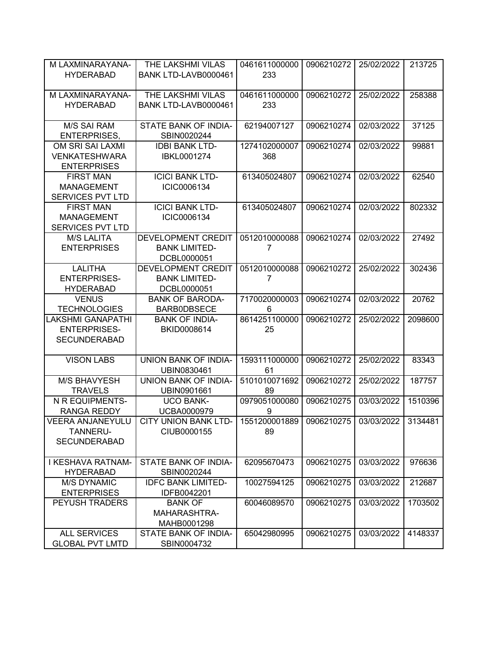| M LAXMINARAYANA-         | THE LAKSHMI VILAS                    | 0461611000000 | 0906210272 | 25/02/2022 | 213725  |
|--------------------------|--------------------------------------|---------------|------------|------------|---------|
| <b>HYDERABAD</b>         | BANK LTD-LAVB0000461                 | 233           |            |            |         |
|                          |                                      |               |            |            |         |
| M LAXMINARAYANA-         | THE LAKSHMI VILAS                    | 0461611000000 | 0906210272 | 25/02/2022 | 258388  |
| <b>HYDERABAD</b>         | BANK LTD-LAVB0000461                 | 233           |            |            |         |
|                          |                                      |               |            |            |         |
| <b>M/S SAI RAM</b>       | STATE BANK OF INDIA-                 | 62194007127   | 0906210274 | 02/03/2022 | 37125   |
| <b>ENTERPRISES,</b>      | SBIN0020244                          |               |            |            |         |
| OM SRI SAI LAXMI         | <b>IDBI BANK LTD-</b>                | 1274102000007 | 0906210274 | 02/03/2022 | 99881   |
| <b>VENKATESHWARA</b>     | IBKL0001274                          | 368           |            |            |         |
| <b>ENTERPRISES</b>       |                                      |               |            |            |         |
| <b>FIRST MAN</b>         | <b>ICICI BANK LTD-</b>               | 613405024807  | 0906210274 | 02/03/2022 | 62540   |
| <b>MANAGEMENT</b>        | ICIC0006134                          |               |            |            |         |
| SERVICES PVT LTD         |                                      |               |            |            |         |
| <b>FIRST MAN</b>         | <b>ICICI BANK LTD-</b>               | 613405024807  | 0906210274 | 02/03/2022 | 802332  |
|                          | ICIC0006134                          |               |            |            |         |
| <b>MANAGEMENT</b>        |                                      |               |            |            |         |
| <b>SERVICES PVT LTD</b>  |                                      |               |            |            |         |
| <b>M/S LALITA</b>        | <b>DEVELOPMENT CREDIT</b>            | 0512010000088 | 0906210274 | 02/03/2022 | 27492   |
| <b>ENTERPRISES</b>       | <b>BANK LIMITED-</b>                 | 7             |            |            |         |
|                          | DCBL0000051                          |               |            |            |         |
| <b>LALITHA</b>           | DEVELOPMENT CREDIT                   | 0512010000088 | 0906210272 | 25/02/2022 | 302436  |
| <b>ENTERPRISES-</b>      | <b>BANK LIMITED-</b>                 | 7             |            |            |         |
| <b>HYDERABAD</b>         | DCBL0000051                          |               |            |            |         |
| <b>VENUS</b>             | <b>BANK OF BARODA-</b>               | 7170020000003 | 0906210274 | 02/03/2022 | 20762   |
| <b>TECHNOLOGIES</b>      | <b>BARBODBSECE</b>                   | 6             |            |            |         |
| <b>LAKSHMI GANAPATHI</b> | <b>BANK OF INDIA-</b>                | 8614251100000 | 0906210272 | 25/02/2022 | 2098600 |
| <b>ENTERPRISES-</b>      | BKID0008614                          | 25            |            |            |         |
| <b>SECUNDERABAD</b>      |                                      |               |            |            |         |
|                          |                                      |               |            |            |         |
| <b>VISON LABS</b>        | UNION BANK OF INDIA-                 | 1593111000000 | 0906210272 | 25/02/2022 | 83343   |
|                          | UBIN0830461                          | 61            |            |            |         |
| <b>M/S BHAVYESH</b>      | UNION BANK OF INDIA-                 | 5101010071692 | 0906210272 | 25/02/2022 | 187757  |
| <b>TRAVELS</b>           | UBIN0901661                          | 89            |            |            |         |
| N R EQUIPMENTS-          | <b>UCO BANK-</b>                     | 0979051000080 | 0906210275 | 03/03/2022 | 1510396 |
| <b>RANGA REDDY</b>       | UCBA0000979                          | 9             |            |            |         |
| <b>VEERA ANJANEYULU</b>  | CITY UNION BANK LTD-   1551200001889 |               | 0906210275 | 03/03/2022 | 3134481 |
| <b>TANNERU-</b>          | CIUB0000155                          | 89            |            |            |         |
| <b>SECUNDERABAD</b>      |                                      |               |            |            |         |
|                          |                                      |               |            |            |         |
| <b>I KESHAVA RATNAM-</b> | STATE BANK OF INDIA-                 | 62095670473   | 0906210275 | 03/03/2022 | 976636  |
| <b>HYDERABAD</b>         | SBIN0020244                          |               |            |            |         |
| <b>M/S DYNAMIC</b>       | <b>IDFC BANK LIMITED-</b>            | 10027594125   | 0906210275 | 03/03/2022 | 212687  |
| <b>ENTERPRISES</b>       | IDFB0042201                          |               |            |            |         |
| <b>PEYUSH TRADERS</b>    | <b>BANK OF</b>                       | 60046089570   | 0906210275 | 03/03/2022 | 1703502 |
|                          |                                      |               |            |            |         |
|                          | MAHARASHTRA-                         |               |            |            |         |
|                          | MAHB0001298                          |               |            |            |         |
| <b>ALL SERVICES</b>      | STATE BANK OF INDIA-                 | 65042980995   | 0906210275 | 03/03/2022 | 4148337 |
| <b>GLOBAL PVT LMTD</b>   | SBIN0004732                          |               |            |            |         |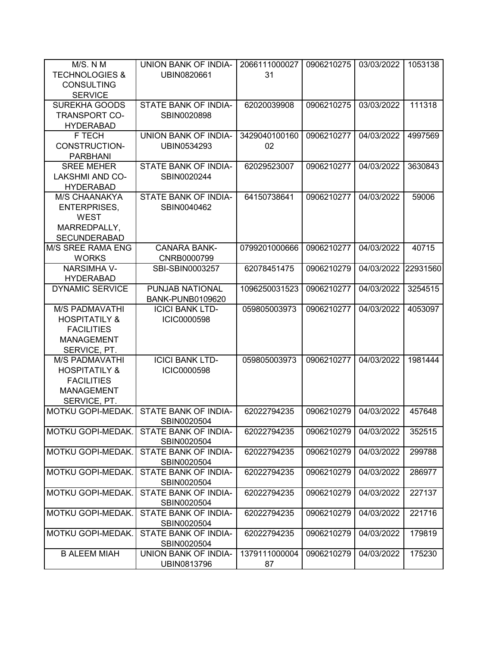| M/S. N M                  | UNION BANK OF INDIA-                | 2066111000027 | 0906210275 | 03/03/2022 | 1053138  |
|---------------------------|-------------------------------------|---------------|------------|------------|----------|
| <b>TECHNOLOGIES &amp;</b> | UBIN0820661                         | 31            |            |            |          |
| <b>CONSULTING</b>         |                                     |               |            |            |          |
| <b>SERVICE</b>            |                                     |               |            |            |          |
| <b>SUREKHA GOODS</b>      | <b>STATE BANK OF INDIA-</b>         | 62020039908   | 0906210275 | 03/03/2022 | 111318   |
| <b>TRANSPORT CO-</b>      | SBIN0020898                         |               |            |            |          |
| <b>HYDERABAD</b>          |                                     |               |            |            |          |
| F TECH                    | UNION BANK OF INDIA-                | 3429040100160 | 0906210277 | 04/03/2022 | 4997569  |
| <b>CONSTRUCTION-</b>      | UBIN0534293                         | 02            |            |            |          |
| <b>PARBHANI</b>           |                                     |               |            |            |          |
| <b>SREE MEHER</b>         | STATE BANK OF INDIA-                | 62029523007   | 0906210277 | 04/03/2022 | 3630843  |
| LAKSHMI AND CO-           | SBIN0020244                         |               |            |            |          |
| <b>HYDERABAD</b>          |                                     |               |            |            |          |
| M/S CHAANAKYA             | STATE BANK OF INDIA-                | 64150738641   | 0906210277 | 04/03/2022 | 59006    |
| <b>ENTERPRISES,</b>       | SBIN0040462                         |               |            |            |          |
| <b>WEST</b>               |                                     |               |            |            |          |
| MARREDPALLY,              |                                     |               |            |            |          |
| <b>SECUNDERABAD</b>       |                                     |               |            |            |          |
| M/S SREE RAMA ENG         | <b>CANARA BANK-</b>                 | 0799201000666 | 0906210277 | 04/03/2022 | 40715    |
| <b>WORKS</b>              | CNRB0000799                         |               |            |            |          |
| <b>NARSIMHA V-</b>        | SBI-SBIN0003257                     | 62078451475   | 0906210279 | 04/03/2022 | 22931560 |
| <b>HYDERABAD</b>          |                                     |               |            |            |          |
| <b>DYNAMIC SERVICE</b>    | PUNJAB NATIONAL                     | 1096250031523 | 0906210277 | 04/03/2022 | 3254515  |
|                           | <b>BANK-PUNB0109620</b>             |               |            |            |          |
| <b>M/S PADMAVATHI</b>     | <b>ICICI BANK LTD-</b>              | 059805003973  | 0906210277 | 04/03/2022 | 4053097  |
| <b>HOSPITATILY &amp;</b>  | ICIC0000598                         |               |            |            |          |
| <b>FACILITIES</b>         |                                     |               |            |            |          |
| <b>MANAGEMENT</b>         |                                     |               |            |            |          |
| SERVICE, PT.              |                                     |               |            |            |          |
| <b>M/S PADMAVATHI</b>     | <b>ICICI BANK LTD-</b>              | 059805003973  | 0906210277 | 04/03/2022 | 1981444  |
| <b>HOSPITATILY &amp;</b>  | ICIC0000598                         |               |            |            |          |
| <b>FACILITIES</b>         |                                     |               |            |            |          |
| <b>MANAGEMENT</b>         |                                     |               |            |            |          |
| SERVICE, PT.              |                                     |               |            |            |          |
| MOTKU GOPI-MEDAK.         | STATE BANK OF INDIA-                | 62022794235   | 0906210279 | 04/03/2022 | 457648   |
|                           | SBIN0020504                         |               |            |            |          |
| MOTKU GOPI-MEDAK.         | STATE BANK OF INDIA-                | 62022794235   | 0906210279 | 04/03/2022 | 352515   |
|                           | SBIN0020504                         |               |            |            |          |
| MOTKU GOPI-MEDAK.         | <b>STATE BANK OF INDIA-</b>         | 62022794235   | 0906210279 | 04/03/2022 | 299788   |
| MOTKU GOPI-MEDAK.         | SBIN0020504<br>STATE BANK OF INDIA- |               | 0906210279 | 04/03/2022 | 286977   |
|                           | SBIN0020504                         | 62022794235   |            |            |          |
| MOTKU GOPI-MEDAK.         | STATE BANK OF INDIA-                | 62022794235   | 0906210279 | 04/03/2022 | 227137   |
|                           | SBIN0020504                         |               |            |            |          |
| MOTKU GOPI-MEDAK.         | STATE BANK OF INDIA-                | 62022794235   | 0906210279 | 04/03/2022 | 221716   |
|                           | SBIN0020504                         |               |            |            |          |
| MOTKU GOPI-MEDAK.         | STATE BANK OF INDIA-                | 62022794235   | 0906210279 | 04/03/2022 | 179819   |
|                           | SBIN0020504                         |               |            |            |          |
| <b>B ALEEM MIAH</b>       | UNION BANK OF INDIA-                | 1379111000004 | 0906210279 | 04/03/2022 | 175230   |
|                           | UBIN0813796                         | 87            |            |            |          |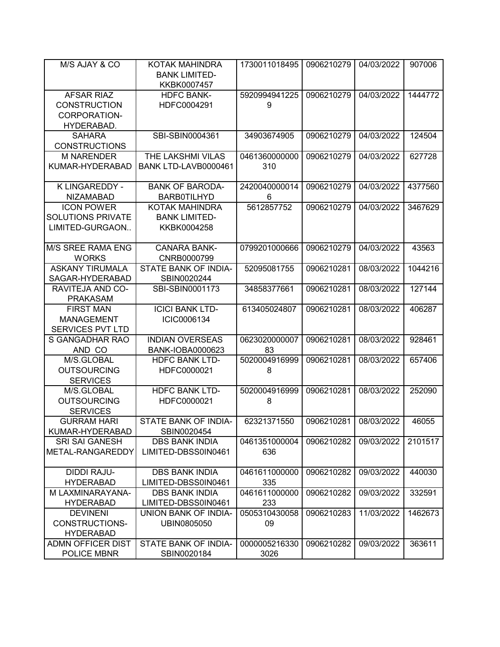| M/S AJAY & CO            | <b>KOTAK MAHINDRA</b>            | 1730011018495 | 0906210279 | 04/03/2022 | 907006  |
|--------------------------|----------------------------------|---------------|------------|------------|---------|
|                          | <b>BANK LIMITED-</b>             |               |            |            |         |
| <b>AFSAR RIAZ</b>        | KKBK0007457<br><b>HDFC BANK-</b> | 5920994941225 | 0906210279 | 04/03/2022 | 1444772 |
| <b>CONSTRUCTION</b>      | HDFC0004291                      | 9             |            |            |         |
| CORPORATION-             |                                  |               |            |            |         |
| HYDERABAD.               |                                  |               |            |            |         |
| <b>SAHARA</b>            | SBI-SBIN0004361                  | 34903674905   | 0906210279 | 04/03/2022 | 124504  |
| <b>CONSTRUCTIONS</b>     |                                  |               |            |            |         |
| <b>M NARENDER</b>        | THE LAKSHMI VILAS                | 0461360000000 | 0906210279 | 04/03/2022 | 627728  |
| KUMAR-HYDERABAD          | BANK LTD-LAVB0000461             | 310           |            |            |         |
|                          |                                  |               |            |            |         |
| K LINGAREDDY -           | <b>BANK OF BARODA-</b>           | 2420040000014 | 0906210279 | 04/03/2022 | 4377560 |
| <b>NIZAMABAD</b>         | <b>BARB0TILHYD</b>               | 6             |            |            |         |
| <b>ICON POWER</b>        | KOTAK MAHINDRA                   | 5612857752    | 0906210279 | 04/03/2022 | 3467629 |
| <b>SOLUTIONS PRIVATE</b> | <b>BANK LIMITED-</b>             |               |            |            |         |
| LIMITED-GURGAON          | KKBK0004258                      |               |            |            |         |
|                          |                                  |               |            |            |         |
| <b>M/S SREE RAMA ENG</b> | <b>CANARA BANK-</b>              | 0799201000666 | 0906210279 | 04/03/2022 | 43563   |
| <b>WORKS</b>             | CNRB0000799                      |               |            |            |         |
| <b>ASKANY TIRUMALA</b>   | STATE BANK OF INDIA-             | 52095081755   | 0906210281 | 08/03/2022 | 1044216 |
| SAGAR-HYDERABAD          | SBIN0020244                      |               |            |            |         |
| <b>RAVITEJA AND CO-</b>  | SBI-SBIN0001173                  | 34858377661   | 0906210281 | 08/03/2022 | 127144  |
| <b>PRAKASAM</b>          |                                  |               |            |            |         |
| <b>FIRST MAN</b>         | <b>ICICI BANK LTD-</b>           | 613405024807  | 0906210281 | 08/03/2022 | 406287  |
| <b>MANAGEMENT</b>        | ICIC0006134                      |               |            |            |         |
| SERVICES PVT LTD         |                                  |               |            |            |         |
| S GANGADHAR RAO          | <b>INDIAN OVERSEAS</b>           | 0623020000007 | 0906210281 | 08/03/2022 | 928461  |
| AND CO                   | <b>BANK-IOBA0000623</b>          | 83            |            |            |         |
| M/S.GLOBAL               | <b>HDFC BANK LTD-</b>            | 5020004916999 | 0906210281 | 08/03/2022 | 657406  |
| <b>OUTSOURCING</b>       | HDFC0000021                      | 8             |            |            |         |
| <b>SERVICES</b>          |                                  |               |            |            |         |
| M/S.GLOBAL               | <b>HDFC BANK LTD-</b>            | 5020004916999 | 0906210281 | 08/03/2022 | 252090  |
| <b>OUTSOURCING</b>       | HDFC0000021                      | 8             |            |            |         |
| <b>SERVICES</b>          |                                  |               |            |            |         |
| <b>GURRAM HARI</b>       | STATE BANK OF INDIA-             | 62321371550   | 0906210281 | 08/03/2022 | 46055   |
| KUMAR-HYDERABAD          | SBIN0020454                      |               |            |            |         |
| <b>SRI SAI GANESH</b>    | <b>DBS BANK INDIA</b>            | 0461351000004 | 0906210282 | 09/03/2022 | 2101517 |
| METAL-RANGAREDDY         | LIMITED-DBSS0IN0461              | 636           |            |            |         |
|                          |                                  |               |            |            |         |
| <b>DIDDI RAJU-</b>       | <b>DBS BANK INDIA</b>            | 0461611000000 | 0906210282 | 09/03/2022 | 440030  |
| <b>HYDERABAD</b>         | LIMITED-DBSS0IN0461              | 335           |            |            |         |
| M LAXMINARAYANA-         | <b>DBS BANK INDIA</b>            | 0461611000000 | 0906210282 | 09/03/2022 | 332591  |
| <b>HYDERABAD</b>         | LIMITED-DBSS0IN0461              | 233           |            |            |         |
| <b>DEVINENI</b>          | UNION BANK OF INDIA-             | 0505310430058 | 0906210283 | 11/03/2022 | 1462673 |
| CONSTRUCTIONS-           | UBIN0805050                      | 09            |            |            |         |
| <b>HYDERABAD</b>         |                                  |               |            |            |         |
| ADMN OFFICER DIST        | STATE BANK OF INDIA-             | 0000005216330 | 0906210282 | 09/03/2022 | 363611  |
| POLICE MBNR              | SBIN0020184                      | 3026          |            |            |         |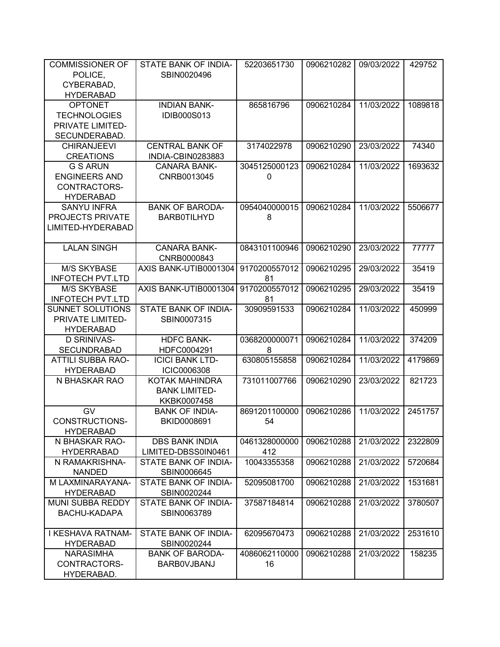| <b>COMMISSIONER OF</b>              | STATE BANK OF INDIA-                     | 52203651730         | 0906210282 | 09/03/2022 | 429752  |
|-------------------------------------|------------------------------------------|---------------------|------------|------------|---------|
| POLICE,                             | SBIN0020496                              |                     |            |            |         |
| CYBERABAD,                          |                                          |                     |            |            |         |
| <b>HYDERABAD</b>                    |                                          |                     |            |            |         |
| <b>OPTONET</b>                      | <b>INDIAN BANK-</b>                      | 865816796           | 0906210284 | 11/03/2022 | 1089818 |
| <b>TECHNOLOGIES</b>                 | IDIB000S013                              |                     |            |            |         |
| PRIVATE LIMITED-                    |                                          |                     |            |            |         |
| SECUNDERABAD.                       |                                          |                     |            |            |         |
| <b>CHIRANJEEVI</b>                  | <b>CENTRAL BANK OF</b>                   | 3174022978          | 0906210290 | 23/03/2022 | 74340   |
| <b>CREATIONS</b><br><b>G S ARUN</b> | INDIA-CBIN0283883<br><b>CANARA BANK-</b> | 3045125000123       | 0906210284 | 11/03/2022 |         |
| <b>ENGINEERS AND</b>                | CNRB0013045                              |                     |            |            | 1693632 |
| CONTRACTORS-                        |                                          | 0                   |            |            |         |
| <b>HYDERABAD</b>                    |                                          |                     |            |            |         |
| <b>SANYU INFRA</b>                  | <b>BANK OF BARODA-</b>                   | 0954040000015       | 0906210284 | 11/03/2022 | 5506677 |
| <b>PROJECTS PRIVATE</b>             | <b>BARB0TILHYD</b>                       | 8                   |            |            |         |
| LIMITED-HYDERABAD                   |                                          |                     |            |            |         |
|                                     |                                          |                     |            |            |         |
| <b>LALAN SINGH</b>                  | <b>CANARA BANK-</b>                      | 0843101100946       | 0906210290 | 23/03/2022 | 77777   |
|                                     | CNRB0000843                              |                     |            |            |         |
| <b>M/S SKYBASE</b>                  | AXIS BANK-UTIB0001304                    | 9170200557012       | 0906210295 | 29/03/2022 | 35419   |
| <b>INFOTECH PVT.LTD</b>             |                                          | 81                  |            |            |         |
| <b>M/S SKYBASE</b>                  | AXIS BANK-UTIB0001304                    | 9170200557012       | 0906210295 | 29/03/2022 | 35419   |
| <b>INFOTECH PVT.LTD</b>             |                                          | 81                  |            |            |         |
| <b>SUNNET SOLUTIONS</b>             | STATE BANK OF INDIA-                     | 30909591533         | 0906210284 | 11/03/2022 | 450999  |
| PRIVATE LIMITED-                    | SBIN0007315                              |                     |            |            |         |
| <b>HYDERABAD</b>                    |                                          |                     |            |            |         |
| <b>D SRINIVAS-</b>                  | <b>HDFC BANK-</b>                        | 0368200000071       | 0906210284 | 11/03/2022 | 374209  |
| <b>SECUNDRABAD</b>                  | HDFC0004291                              | 8                   |            |            |         |
| <b>ATTILI SUBBA RAO-</b>            | <b>ICICI BANK LTD-</b>                   | 630805155858        | 0906210284 | 11/03/2022 | 4179869 |
| <b>HYDERABAD</b>                    | <b>ICIC0006308</b>                       |                     |            |            |         |
| N BHASKAR RAO                       | <b>KOTAK MAHINDRA</b>                    | 731011007766        | 0906210290 | 23/03/2022 | 821723  |
|                                     | <b>BANK LIMITED-</b>                     |                     |            |            |         |
| <b>GV</b>                           | KKBK0007458                              |                     |            |            |         |
| <b>CONSTRUCTIONS-</b>               | <b>BANK OF INDIA-</b><br>BKID0008691     | 8691201100000<br>54 | 0906210286 | 11/03/2022 | 2451757 |
| <b>HYDERABAD</b>                    |                                          |                     |            |            |         |
| N BHASKAR RAO-                      | <b>DBS BANK INDIA</b>                    | 0461328000000       | 0906210288 | 21/03/2022 | 2322809 |
| <b>HYDERRABAD</b>                   | LIMITED-DBSS0IN0461                      | 412                 |            |            |         |
| N RAMAKRISHNA-                      | STATE BANK OF INDIA-                     | 10043355358         | 0906210288 | 21/03/2022 | 5720684 |
| <b>NANDED</b>                       | SBIN0006645                              |                     |            |            |         |
| M LAXMINARAYANA-                    | STATE BANK OF INDIA-                     | 52095081700         | 0906210288 | 21/03/2022 | 1531681 |
| <b>HYDERABAD</b>                    | SBIN0020244                              |                     |            |            |         |
| <b>MUNI SUBBA REDDY</b>             | STATE BANK OF INDIA-                     | 37587184814         | 0906210288 | 21/03/2022 | 3780507 |
| <b>BACHU-KADAPA</b>                 | SBIN0063789                              |                     |            |            |         |
|                                     |                                          |                     |            |            |         |
| I KESHAVA RATNAM-                   | STATE BANK OF INDIA-                     | 62095670473         | 0906210288 | 21/03/2022 | 2531610 |
| <b>HYDERABAD</b>                    | SBIN0020244                              |                     |            |            |         |
| <b>NARASIMHA</b>                    | <b>BANK OF BARODA-</b>                   | 4086062110000       | 0906210288 | 21/03/2022 | 158235  |
| CONTRACTORS-                        | <b>BARBOVJBANJ</b>                       | 16                  |            |            |         |
| HYDERABAD.                          |                                          |                     |            |            |         |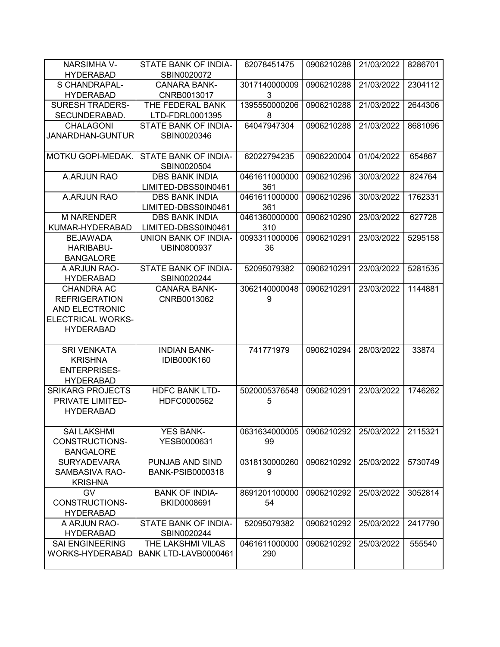| <b>NARSIMHA V-</b>       | STATE BANK OF INDIA-                | 62078451475   | 0906210288 | 21/03/2022 | 8286701 |
|--------------------------|-------------------------------------|---------------|------------|------------|---------|
| <b>HYDERABAD</b>         | SBIN0020072                         |               |            |            |         |
| S CHANDRAPAL-            | <b>CANARA BANK-</b>                 | 3017140000009 | 0906210288 | 21/03/2022 | 2304112 |
| <b>HYDERABAD</b>         | CNRB0013017                         | 3             |            |            |         |
| <b>SURESH TRADERS-</b>   | THE FEDERAL BANK                    | 1395550000206 | 0906210288 | 21/03/2022 | 2644306 |
| SECUNDERABAD.            | LTD-FDRL0001395                     | 8             |            |            |         |
| <b>CHALAGONI</b>         | STATE BANK OF INDIA-                | 64047947304   | 0906210288 | 21/03/2022 | 8681096 |
| JANARDHAN-GUNTUR         | SBIN0020346                         |               |            |            |         |
| MOTKU GOPI-MEDAK.        | STATE BANK OF INDIA-<br>SBIN0020504 | 62022794235   | 0906220004 | 01/04/2022 | 654867  |
| A.ARJUN RAO              | <b>DBS BANK INDIA</b>               | 0461611000000 | 0906210296 | 30/03/2022 | 824764  |
|                          | LIMITED-DBSS0IN0461                 | 361           |            |            |         |
| A.ARJUN RAO              | <b>DBS BANK INDIA</b>               | 0461611000000 | 0906210296 | 30/03/2022 | 1762331 |
|                          | LIMITED-DBSS0IN0461                 | 361           |            |            |         |
| <b>M NARENDER</b>        | <b>DBS BANK INDIA</b>               | 0461360000000 | 0906210290 | 23/03/2022 | 627728  |
| KUMAR-HYDERABAD          | LIMITED-DBSS0IN0461                 | 310           |            |            |         |
| <b>BEJAWADA</b>          | UNION BANK OF INDIA-                | 0093311000006 | 0906210291 | 23/03/2022 | 5295158 |
| HARIBABU-                | UBIN0800937                         | 36            |            |            |         |
| <b>BANGALORE</b>         |                                     |               |            |            |         |
| A ARJUN RAO-             | STATE BANK OF INDIA-                | 52095079382   | 0906210291 | 23/03/2022 | 5281535 |
| <b>HYDERABAD</b>         | SBIN0020244                         |               |            |            |         |
| <b>CHANDRA AC</b>        | <b>CANARA BANK-</b>                 | 3062140000048 | 0906210291 | 23/03/2022 | 1144881 |
| <b>REFRIGERATION</b>     | CNRB0013062                         | 9             |            |            |         |
| AND ELECTRONIC           |                                     |               |            |            |         |
| <b>ELECTRICAL WORKS-</b> |                                     |               |            |            |         |
| <b>HYDERABAD</b>         |                                     |               |            |            |         |
| <b>SRI VENKATA</b>       | <b>INDIAN BANK-</b>                 | 741771979     | 0906210294 | 28/03/2022 | 33874   |
| <b>KRISHNA</b>           | <b>IDIB000K160</b>                  |               |            |            |         |
| <b>ENTERPRISES-</b>      |                                     |               |            |            |         |
| <b>HYDERABAD</b>         |                                     |               |            |            |         |
| <b>SRIKARG PROJECTS</b>  | <b>HDFC BANK LTD-</b>               | 5020005376548 | 0906210291 | 23/03/2022 | 1746262 |
| PRIVATE LIMITED-         | HDFC0000562                         | 5             |            |            |         |
| <b>HYDERABAD</b>         |                                     |               |            |            |         |
|                          |                                     |               |            |            |         |
| <b>SAI LAKSHMI</b>       | <b>YES BANK-</b>                    | 0631634000005 | 0906210292 | 25/03/2022 | 2115321 |
| CONSTRUCTIONS-           | YESB0000631                         | 99            |            |            |         |
| <b>BANGALORE</b>         |                                     |               |            |            |         |
| <b>SURYADEVARA</b>       | PUNJAB AND SIND                     | 0318130000260 | 0906210292 | 25/03/2022 | 5730749 |
| SAMBASIVA RAO-           | <b>BANK-PSIB0000318</b>             | 9             |            |            |         |
| <b>KRISHNA</b>           |                                     |               |            |            |         |
| <b>GV</b>                | <b>BANK OF INDIA-</b>               | 8691201100000 | 0906210292 | 25/03/2022 | 3052814 |
| CONSTRUCTIONS-           | BKID0008691                         | 54            |            |            |         |
| <b>HYDERABAD</b>         |                                     |               |            |            |         |
| A ARJUN RAO-             | STATE BANK OF INDIA-                | 52095079382   | 0906210292 | 25/03/2022 | 2417790 |
| <b>HYDERABAD</b>         | SBIN0020244                         |               |            |            |         |
| <b>SAI ENGINEERING</b>   | THE LAKSHMI VILAS                   | 0461611000000 | 0906210292 | 25/03/2022 | 555540  |
| WORKS-HYDERABAD          | BANK LTD-LAVB0000461                | 290           |            |            |         |
|                          |                                     |               |            |            |         |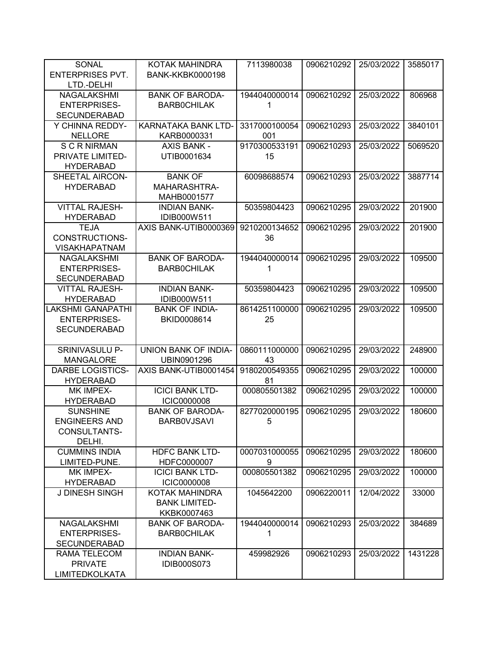| <b>SONAL</b>            | KOTAK MAHINDRA          | 7113980038    | 0906210292 | 25/03/2022 | 3585017 |
|-------------------------|-------------------------|---------------|------------|------------|---------|
| <b>ENTERPRISES PVT.</b> | <b>BANK-KKBK0000198</b> |               |            |            |         |
| LTD.-DELHI              |                         |               |            |            |         |
| NAGALAKSHMI             | <b>BANK OF BARODA-</b>  | 1944040000014 | 0906210292 | 25/03/2022 | 806968  |
| <b>ENTERPRISES-</b>     | <b>BARBOCHILAK</b>      | 1             |            |            |         |
| <b>SECUNDERABAD</b>     |                         |               |            |            |         |
| Y CHINNA REDDY-         | KARNATAKA BANK LTD-     | 3317000100054 | 0906210293 | 25/03/2022 | 3840101 |
| <b>NELLORE</b>          | KARB0000331             | 001           |            |            |         |
| <b>SCRNIRMAN</b>        | <b>AXIS BANK -</b>      | 9170300533191 | 0906210293 | 25/03/2022 | 5069520 |
| PRIVATE LIMITED-        | UTIB0001634             | 15            |            |            |         |
| <b>HYDERABAD</b>        |                         |               |            |            |         |
| SHEETAL AIRCON-         | <b>BANK OF</b>          | 60098688574   | 0906210293 | 25/03/2022 | 3887714 |
| <b>HYDERABAD</b>        | MAHARASHTRA-            |               |            |            |         |
|                         | MAHB0001577             |               |            |            |         |
| <b>VITTAL RAJESH-</b>   | <b>INDIAN BANK-</b>     | 50359804423   | 0906210295 | 29/03/2022 | 201900  |
| <b>HYDERABAD</b>        | IDIB000W511             |               |            |            |         |
| <b>TEJA</b>             | AXIS BANK-UTIB0000369   | 9210200134652 | 0906210295 | 29/03/2022 | 201900  |
| <b>CONSTRUCTIONS-</b>   |                         | 36            |            |            |         |
| <b>VISAKHAPATNAM</b>    |                         |               |            |            |         |
| NAGALAKSHMI             | <b>BANK OF BARODA-</b>  | 1944040000014 | 0906210295 | 29/03/2022 | 109500  |
| <b>ENTERPRISES-</b>     | <b>BARBOCHILAK</b>      | 1             |            |            |         |
| <b>SECUNDERABAD</b>     |                         |               |            |            |         |
| <b>VITTAL RAJESH-</b>   | <b>INDIAN BANK-</b>     | 50359804423   | 0906210295 | 29/03/2022 | 109500  |
| <b>HYDERABAD</b>        | IDIB000W511             |               |            |            |         |
| LAKSHMI GANAPATHI       | <b>BANK OF INDIA-</b>   | 8614251100000 | 0906210295 | 29/03/2022 | 109500  |
| <b>ENTERPRISES-</b>     | BKID0008614             | 25            |            |            |         |
| <b>SECUNDERABAD</b>     |                         |               |            |            |         |
|                         |                         |               |            |            |         |
| SRINIVASULU P-          | UNION BANK OF INDIA-    | 0860111000000 | 0906210295 | 29/03/2022 | 248900  |
| <b>MANGALORE</b>        | UBIN0901296             | 43            |            |            |         |
| <b>DARBE LOGISTICS-</b> | AXIS BANK-UTIB0001454   | 9180200549355 | 0906210295 | 29/03/2022 | 100000  |
| <b>HYDERABAD</b>        |                         | 81            |            |            |         |
| MK IMPEX-               | <b>ICICI BANK LTD-</b>  | 000805501382  | 0906210295 | 29/03/2022 | 100000  |
| <b>HYDERABAD</b>        | <b>ICIC0000008</b>      |               |            |            |         |
| <b>SUNSHINE</b>         | <b>BANK OF BARODA-</b>  | 8277020000195 | 0906210295 | 29/03/2022 | 180600  |
| <b>ENGINEERS AND</b>    | <b>BARBOVJSAVI</b>      | 5             |            |            |         |
| <b>CONSULTANTS-</b>     |                         |               |            |            |         |
| DELHI.                  |                         |               |            |            |         |
| <b>CUMMINS INDIA</b>    | <b>HDFC BANK LTD-</b>   | 0007031000055 | 0906210295 | 29/03/2022 | 180600  |
| LIMITED-PUNE.           | HDFC0000007             | 9             |            |            |         |
| MK IMPEX-               | <b>ICICI BANK LTD-</b>  | 000805501382  | 0906210295 | 29/03/2022 | 100000  |
| <b>HYDERABAD</b>        | <b>ICIC0000008</b>      |               |            |            |         |
| <b>J DINESH SINGH</b>   | KOTAK MAHINDRA          | 1045642200    | 0906220011 | 12/04/2022 | 33000   |
|                         | <b>BANK LIMITED-</b>    |               |            |            |         |
|                         | KKBK0007463             |               |            |            |         |
|                         |                         | 1944040000014 |            |            |         |
| NAGALAKSHMI             | <b>BANK OF BARODA-</b>  |               | 0906210293 | 25/03/2022 | 384689  |
| <b>ENTERPRISES-</b>     | <b>BARBOCHILAK</b>      | 1             |            |            |         |
| <b>SECUNDERABAD</b>     |                         |               |            |            |         |
| RAMA TELECOM            | <b>INDIAN BANK-</b>     | 459982926     | 0906210293 | 25/03/2022 | 1431228 |
| <b>PRIVATE</b>          | <b>IDIB000S073</b>      |               |            |            |         |
| <b>LIMITEDKOLKATA</b>   |                         |               |            |            |         |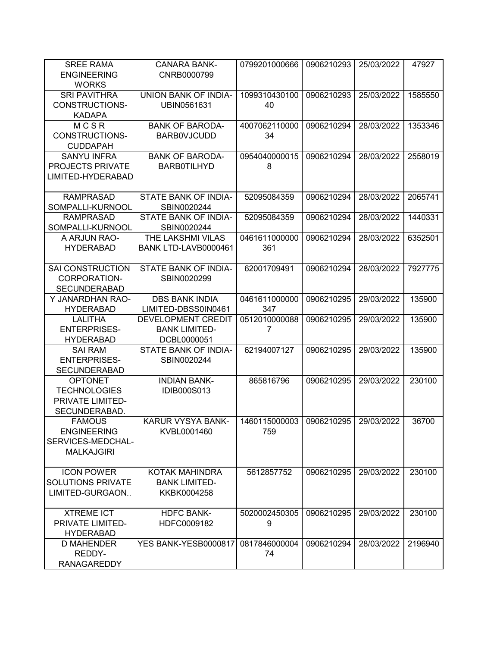| <b>SRI PAVITHRA</b><br>UNION BANK OF INDIA-<br>1099310430100<br>0906210293<br>25/03/2022<br>1585550<br><b>CONSTRUCTIONS-</b><br>UBIN0561631<br>40<br><b>KADAPA</b><br>MCSR<br><b>BANK OF BARODA-</b><br>4007062110000<br>0906210294<br>28/03/2022<br>1353346<br><b>CONSTRUCTIONS-</b><br><b>BARBOVJCUDD</b><br>34<br><b>CUDDAPAH</b><br><b>BANK OF BARODA-</b><br><b>SANYU INFRA</b><br>0954040000015<br>0906210294<br>28/03/2022<br>2558019<br>PROJECTS PRIVATE<br><b>BARB0TILHYD</b><br>8<br>LIMITED-HYDERABAD<br>STATE BANK OF INDIA-<br><b>RAMPRASAD</b><br>52095084359<br>0906210294<br>28/03/2022<br>2065741<br>SOMPALLI-KURNOOL<br>SBIN0020244<br><b>RAMPRASAD</b><br>STATE BANK OF INDIA-<br>52095084359<br>0906210294<br>28/03/2022<br>1440331<br>SOMPALLI-KURNOOL<br>SBIN0020244<br>THE LAKSHMI VILAS<br>0461611000000<br>6352501<br>A ARJUN RAO-<br>0906210294<br>28/03/2022<br><b>HYDERABAD</b><br>BANK LTD-LAVB0000461<br>361<br>STATE BANK OF INDIA-<br>62001709491<br>0906210294<br>28/03/2022<br><b>SAI CONSTRUCTION</b><br>7927775<br>CORPORATION-<br>SBIN0020299<br><b>SECUNDERABAD</b><br><b>DBS BANK INDIA</b><br>0461611000000<br>0906210295<br>29/03/2022<br>135900<br>Y JANARDHAN RAO-<br>LIMITED-DBSS0IN0461<br><b>HYDERABAD</b><br>347<br><b>LALITHA</b><br>DEVELOPMENT CREDIT<br>0512010000088<br>0906210295<br>29/03/2022<br>135900<br><b>ENTERPRISES-</b><br><b>BANK LIMITED-</b><br>7<br><b>HYDERABAD</b><br>DCBL0000051<br>62194007127<br>0906210295<br>29/03/2022<br><b>SAI RAM</b><br>STATE BANK OF INDIA-<br>135900<br><b>ENTERPRISES-</b><br>SBIN0020244<br><b>SECUNDERABAD</b><br><b>OPTONET</b><br><b>INDIAN BANK-</b><br>865816796<br>0906210295<br>29/03/2022<br>230100<br><b>TECHNOLOGIES</b><br>IDIB000S013<br>PRIVATE LIMITED-<br>SECUNDERABAD.<br>KARUR VYSYA BANK-<br>1460115000003<br>0906210295<br>29/03/2022<br>36700<br><b>FAMOUS</b><br><b>ENGINEERING</b><br>KVBL0001460<br>759<br>SERVICES-MEDCHAL-<br><b>MALKAJGIRI</b><br><b>ICON POWER</b><br>KOTAK MAHINDRA<br>29/03/2022<br>5612857752<br>0906210295<br>230100<br><b>SOLUTIONS PRIVATE</b><br><b>BANK LIMITED-</b><br>LIMITED-GURGAON<br>KKBK0004258<br><b>XTREME ICT</b><br><b>HDFC BANK-</b><br>5020002450305<br>0906210295<br>29/03/2022<br>230100<br><b>PRIVATE LIMITED-</b><br>HDFC0009182<br>9<br><b>HYDERABAD</b><br>YES BANK-YESB0000817<br>0817846000004<br>0906210294<br>28/03/2022<br>2196940<br>D MAHENDER<br>REDDY-<br>74 | <b>SREE RAMA</b><br><b>ENGINEERING</b> | <b>CANARA BANK-</b><br>CNRB0000799 | 0799201000666 | 0906210293 | 25/03/2022 | 47927 |
|-----------------------------------------------------------------------------------------------------------------------------------------------------------------------------------------------------------------------------------------------------------------------------------------------------------------------------------------------------------------------------------------------------------------------------------------------------------------------------------------------------------------------------------------------------------------------------------------------------------------------------------------------------------------------------------------------------------------------------------------------------------------------------------------------------------------------------------------------------------------------------------------------------------------------------------------------------------------------------------------------------------------------------------------------------------------------------------------------------------------------------------------------------------------------------------------------------------------------------------------------------------------------------------------------------------------------------------------------------------------------------------------------------------------------------------------------------------------------------------------------------------------------------------------------------------------------------------------------------------------------------------------------------------------------------------------------------------------------------------------------------------------------------------------------------------------------------------------------------------------------------------------------------------------------------------------------------------------------------------------------------------------------------------------------------------------------------------------------------------------------------------------------------------------------------------------------------------------------------------------------------------------------------------------------------------------------------------------------------------------------------------------------------------------------------------------------|----------------------------------------|------------------------------------|---------------|------------|------------|-------|
|                                                                                                                                                                                                                                                                                                                                                                                                                                                                                                                                                                                                                                                                                                                                                                                                                                                                                                                                                                                                                                                                                                                                                                                                                                                                                                                                                                                                                                                                                                                                                                                                                                                                                                                                                                                                                                                                                                                                                                                                                                                                                                                                                                                                                                                                                                                                                                                                                                               | <b>WORKS</b>                           |                                    |               |            |            |       |
|                                                                                                                                                                                                                                                                                                                                                                                                                                                                                                                                                                                                                                                                                                                                                                                                                                                                                                                                                                                                                                                                                                                                                                                                                                                                                                                                                                                                                                                                                                                                                                                                                                                                                                                                                                                                                                                                                                                                                                                                                                                                                                                                                                                                                                                                                                                                                                                                                                               |                                        |                                    |               |            |            |       |
|                                                                                                                                                                                                                                                                                                                                                                                                                                                                                                                                                                                                                                                                                                                                                                                                                                                                                                                                                                                                                                                                                                                                                                                                                                                                                                                                                                                                                                                                                                                                                                                                                                                                                                                                                                                                                                                                                                                                                                                                                                                                                                                                                                                                                                                                                                                                                                                                                                               |                                        |                                    |               |            |            |       |
|                                                                                                                                                                                                                                                                                                                                                                                                                                                                                                                                                                                                                                                                                                                                                                                                                                                                                                                                                                                                                                                                                                                                                                                                                                                                                                                                                                                                                                                                                                                                                                                                                                                                                                                                                                                                                                                                                                                                                                                                                                                                                                                                                                                                                                                                                                                                                                                                                                               |                                        |                                    |               |            |            |       |
|                                                                                                                                                                                                                                                                                                                                                                                                                                                                                                                                                                                                                                                                                                                                                                                                                                                                                                                                                                                                                                                                                                                                                                                                                                                                                                                                                                                                                                                                                                                                                                                                                                                                                                                                                                                                                                                                                                                                                                                                                                                                                                                                                                                                                                                                                                                                                                                                                                               |                                        |                                    |               |            |            |       |
|                                                                                                                                                                                                                                                                                                                                                                                                                                                                                                                                                                                                                                                                                                                                                                                                                                                                                                                                                                                                                                                                                                                                                                                                                                                                                                                                                                                                                                                                                                                                                                                                                                                                                                                                                                                                                                                                                                                                                                                                                                                                                                                                                                                                                                                                                                                                                                                                                                               |                                        |                                    |               |            |            |       |
|                                                                                                                                                                                                                                                                                                                                                                                                                                                                                                                                                                                                                                                                                                                                                                                                                                                                                                                                                                                                                                                                                                                                                                                                                                                                                                                                                                                                                                                                                                                                                                                                                                                                                                                                                                                                                                                                                                                                                                                                                                                                                                                                                                                                                                                                                                                                                                                                                                               |                                        |                                    |               |            |            |       |
|                                                                                                                                                                                                                                                                                                                                                                                                                                                                                                                                                                                                                                                                                                                                                                                                                                                                                                                                                                                                                                                                                                                                                                                                                                                                                                                                                                                                                                                                                                                                                                                                                                                                                                                                                                                                                                                                                                                                                                                                                                                                                                                                                                                                                                                                                                                                                                                                                                               |                                        |                                    |               |            |            |       |
|                                                                                                                                                                                                                                                                                                                                                                                                                                                                                                                                                                                                                                                                                                                                                                                                                                                                                                                                                                                                                                                                                                                                                                                                                                                                                                                                                                                                                                                                                                                                                                                                                                                                                                                                                                                                                                                                                                                                                                                                                                                                                                                                                                                                                                                                                                                                                                                                                                               |                                        |                                    |               |            |            |       |
|                                                                                                                                                                                                                                                                                                                                                                                                                                                                                                                                                                                                                                                                                                                                                                                                                                                                                                                                                                                                                                                                                                                                                                                                                                                                                                                                                                                                                                                                                                                                                                                                                                                                                                                                                                                                                                                                                                                                                                                                                                                                                                                                                                                                                                                                                                                                                                                                                                               |                                        |                                    |               |            |            |       |
|                                                                                                                                                                                                                                                                                                                                                                                                                                                                                                                                                                                                                                                                                                                                                                                                                                                                                                                                                                                                                                                                                                                                                                                                                                                                                                                                                                                                                                                                                                                                                                                                                                                                                                                                                                                                                                                                                                                                                                                                                                                                                                                                                                                                                                                                                                                                                                                                                                               |                                        |                                    |               |            |            |       |
|                                                                                                                                                                                                                                                                                                                                                                                                                                                                                                                                                                                                                                                                                                                                                                                                                                                                                                                                                                                                                                                                                                                                                                                                                                                                                                                                                                                                                                                                                                                                                                                                                                                                                                                                                                                                                                                                                                                                                                                                                                                                                                                                                                                                                                                                                                                                                                                                                                               |                                        |                                    |               |            |            |       |
|                                                                                                                                                                                                                                                                                                                                                                                                                                                                                                                                                                                                                                                                                                                                                                                                                                                                                                                                                                                                                                                                                                                                                                                                                                                                                                                                                                                                                                                                                                                                                                                                                                                                                                                                                                                                                                                                                                                                                                                                                                                                                                                                                                                                                                                                                                                                                                                                                                               |                                        |                                    |               |            |            |       |
|                                                                                                                                                                                                                                                                                                                                                                                                                                                                                                                                                                                                                                                                                                                                                                                                                                                                                                                                                                                                                                                                                                                                                                                                                                                                                                                                                                                                                                                                                                                                                                                                                                                                                                                                                                                                                                                                                                                                                                                                                                                                                                                                                                                                                                                                                                                                                                                                                                               |                                        |                                    |               |            |            |       |
|                                                                                                                                                                                                                                                                                                                                                                                                                                                                                                                                                                                                                                                                                                                                                                                                                                                                                                                                                                                                                                                                                                                                                                                                                                                                                                                                                                                                                                                                                                                                                                                                                                                                                                                                                                                                                                                                                                                                                                                                                                                                                                                                                                                                                                                                                                                                                                                                                                               |                                        |                                    |               |            |            |       |
|                                                                                                                                                                                                                                                                                                                                                                                                                                                                                                                                                                                                                                                                                                                                                                                                                                                                                                                                                                                                                                                                                                                                                                                                                                                                                                                                                                                                                                                                                                                                                                                                                                                                                                                                                                                                                                                                                                                                                                                                                                                                                                                                                                                                                                                                                                                                                                                                                                               |                                        |                                    |               |            |            |       |
|                                                                                                                                                                                                                                                                                                                                                                                                                                                                                                                                                                                                                                                                                                                                                                                                                                                                                                                                                                                                                                                                                                                                                                                                                                                                                                                                                                                                                                                                                                                                                                                                                                                                                                                                                                                                                                                                                                                                                                                                                                                                                                                                                                                                                                                                                                                                                                                                                                               |                                        |                                    |               |            |            |       |
|                                                                                                                                                                                                                                                                                                                                                                                                                                                                                                                                                                                                                                                                                                                                                                                                                                                                                                                                                                                                                                                                                                                                                                                                                                                                                                                                                                                                                                                                                                                                                                                                                                                                                                                                                                                                                                                                                                                                                                                                                                                                                                                                                                                                                                                                                                                                                                                                                                               |                                        |                                    |               |            |            |       |
|                                                                                                                                                                                                                                                                                                                                                                                                                                                                                                                                                                                                                                                                                                                                                                                                                                                                                                                                                                                                                                                                                                                                                                                                                                                                                                                                                                                                                                                                                                                                                                                                                                                                                                                                                                                                                                                                                                                                                                                                                                                                                                                                                                                                                                                                                                                                                                                                                                               |                                        |                                    |               |            |            |       |
|                                                                                                                                                                                                                                                                                                                                                                                                                                                                                                                                                                                                                                                                                                                                                                                                                                                                                                                                                                                                                                                                                                                                                                                                                                                                                                                                                                                                                                                                                                                                                                                                                                                                                                                                                                                                                                                                                                                                                                                                                                                                                                                                                                                                                                                                                                                                                                                                                                               |                                        |                                    |               |            |            |       |
|                                                                                                                                                                                                                                                                                                                                                                                                                                                                                                                                                                                                                                                                                                                                                                                                                                                                                                                                                                                                                                                                                                                                                                                                                                                                                                                                                                                                                                                                                                                                                                                                                                                                                                                                                                                                                                                                                                                                                                                                                                                                                                                                                                                                                                                                                                                                                                                                                                               |                                        |                                    |               |            |            |       |
|                                                                                                                                                                                                                                                                                                                                                                                                                                                                                                                                                                                                                                                                                                                                                                                                                                                                                                                                                                                                                                                                                                                                                                                                                                                                                                                                                                                                                                                                                                                                                                                                                                                                                                                                                                                                                                                                                                                                                                                                                                                                                                                                                                                                                                                                                                                                                                                                                                               |                                        |                                    |               |            |            |       |
|                                                                                                                                                                                                                                                                                                                                                                                                                                                                                                                                                                                                                                                                                                                                                                                                                                                                                                                                                                                                                                                                                                                                                                                                                                                                                                                                                                                                                                                                                                                                                                                                                                                                                                                                                                                                                                                                                                                                                                                                                                                                                                                                                                                                                                                                                                                                                                                                                                               |                                        |                                    |               |            |            |       |
|                                                                                                                                                                                                                                                                                                                                                                                                                                                                                                                                                                                                                                                                                                                                                                                                                                                                                                                                                                                                                                                                                                                                                                                                                                                                                                                                                                                                                                                                                                                                                                                                                                                                                                                                                                                                                                                                                                                                                                                                                                                                                                                                                                                                                                                                                                                                                                                                                                               |                                        |                                    |               |            |            |       |
|                                                                                                                                                                                                                                                                                                                                                                                                                                                                                                                                                                                                                                                                                                                                                                                                                                                                                                                                                                                                                                                                                                                                                                                                                                                                                                                                                                                                                                                                                                                                                                                                                                                                                                                                                                                                                                                                                                                                                                                                                                                                                                                                                                                                                                                                                                                                                                                                                                               |                                        |                                    |               |            |            |       |
|                                                                                                                                                                                                                                                                                                                                                                                                                                                                                                                                                                                                                                                                                                                                                                                                                                                                                                                                                                                                                                                                                                                                                                                                                                                                                                                                                                                                                                                                                                                                                                                                                                                                                                                                                                                                                                                                                                                                                                                                                                                                                                                                                                                                                                                                                                                                                                                                                                               |                                        |                                    |               |            |            |       |
|                                                                                                                                                                                                                                                                                                                                                                                                                                                                                                                                                                                                                                                                                                                                                                                                                                                                                                                                                                                                                                                                                                                                                                                                                                                                                                                                                                                                                                                                                                                                                                                                                                                                                                                                                                                                                                                                                                                                                                                                                                                                                                                                                                                                                                                                                                                                                                                                                                               |                                        |                                    |               |            |            |       |
|                                                                                                                                                                                                                                                                                                                                                                                                                                                                                                                                                                                                                                                                                                                                                                                                                                                                                                                                                                                                                                                                                                                                                                                                                                                                                                                                                                                                                                                                                                                                                                                                                                                                                                                                                                                                                                                                                                                                                                                                                                                                                                                                                                                                                                                                                                                                                                                                                                               |                                        |                                    |               |            |            |       |
|                                                                                                                                                                                                                                                                                                                                                                                                                                                                                                                                                                                                                                                                                                                                                                                                                                                                                                                                                                                                                                                                                                                                                                                                                                                                                                                                                                                                                                                                                                                                                                                                                                                                                                                                                                                                                                                                                                                                                                                                                                                                                                                                                                                                                                                                                                                                                                                                                                               |                                        |                                    |               |            |            |       |
|                                                                                                                                                                                                                                                                                                                                                                                                                                                                                                                                                                                                                                                                                                                                                                                                                                                                                                                                                                                                                                                                                                                                                                                                                                                                                                                                                                                                                                                                                                                                                                                                                                                                                                                                                                                                                                                                                                                                                                                                                                                                                                                                                                                                                                                                                                                                                                                                                                               |                                        |                                    |               |            |            |       |
|                                                                                                                                                                                                                                                                                                                                                                                                                                                                                                                                                                                                                                                                                                                                                                                                                                                                                                                                                                                                                                                                                                                                                                                                                                                                                                                                                                                                                                                                                                                                                                                                                                                                                                                                                                                                                                                                                                                                                                                                                                                                                                                                                                                                                                                                                                                                                                                                                                               |                                        |                                    |               |            |            |       |
|                                                                                                                                                                                                                                                                                                                                                                                                                                                                                                                                                                                                                                                                                                                                                                                                                                                                                                                                                                                                                                                                                                                                                                                                                                                                                                                                                                                                                                                                                                                                                                                                                                                                                                                                                                                                                                                                                                                                                                                                                                                                                                                                                                                                                                                                                                                                                                                                                                               |                                        |                                    |               |            |            |       |
|                                                                                                                                                                                                                                                                                                                                                                                                                                                                                                                                                                                                                                                                                                                                                                                                                                                                                                                                                                                                                                                                                                                                                                                                                                                                                                                                                                                                                                                                                                                                                                                                                                                                                                                                                                                                                                                                                                                                                                                                                                                                                                                                                                                                                                                                                                                                                                                                                                               |                                        |                                    |               |            |            |       |
|                                                                                                                                                                                                                                                                                                                                                                                                                                                                                                                                                                                                                                                                                                                                                                                                                                                                                                                                                                                                                                                                                                                                                                                                                                                                                                                                                                                                                                                                                                                                                                                                                                                                                                                                                                                                                                                                                                                                                                                                                                                                                                                                                                                                                                                                                                                                                                                                                                               |                                        |                                    |               |            |            |       |
|                                                                                                                                                                                                                                                                                                                                                                                                                                                                                                                                                                                                                                                                                                                                                                                                                                                                                                                                                                                                                                                                                                                                                                                                                                                                                                                                                                                                                                                                                                                                                                                                                                                                                                                                                                                                                                                                                                                                                                                                                                                                                                                                                                                                                                                                                                                                                                                                                                               |                                        |                                    |               |            |            |       |
|                                                                                                                                                                                                                                                                                                                                                                                                                                                                                                                                                                                                                                                                                                                                                                                                                                                                                                                                                                                                                                                                                                                                                                                                                                                                                                                                                                                                                                                                                                                                                                                                                                                                                                                                                                                                                                                                                                                                                                                                                                                                                                                                                                                                                                                                                                                                                                                                                                               |                                        |                                    |               |            |            |       |
|                                                                                                                                                                                                                                                                                                                                                                                                                                                                                                                                                                                                                                                                                                                                                                                                                                                                                                                                                                                                                                                                                                                                                                                                                                                                                                                                                                                                                                                                                                                                                                                                                                                                                                                                                                                                                                                                                                                                                                                                                                                                                                                                                                                                                                                                                                                                                                                                                                               |                                        |                                    |               |            |            |       |
|                                                                                                                                                                                                                                                                                                                                                                                                                                                                                                                                                                                                                                                                                                                                                                                                                                                                                                                                                                                                                                                                                                                                                                                                                                                                                                                                                                                                                                                                                                                                                                                                                                                                                                                                                                                                                                                                                                                                                                                                                                                                                                                                                                                                                                                                                                                                                                                                                                               |                                        |                                    |               |            |            |       |
|                                                                                                                                                                                                                                                                                                                                                                                                                                                                                                                                                                                                                                                                                                                                                                                                                                                                                                                                                                                                                                                                                                                                                                                                                                                                                                                                                                                                                                                                                                                                                                                                                                                                                                                                                                                                                                                                                                                                                                                                                                                                                                                                                                                                                                                                                                                                                                                                                                               |                                        |                                    |               |            |            |       |
|                                                                                                                                                                                                                                                                                                                                                                                                                                                                                                                                                                                                                                                                                                                                                                                                                                                                                                                                                                                                                                                                                                                                                                                                                                                                                                                                                                                                                                                                                                                                                                                                                                                                                                                                                                                                                                                                                                                                                                                                                                                                                                                                                                                                                                                                                                                                                                                                                                               |                                        |                                    |               |            |            |       |
|                                                                                                                                                                                                                                                                                                                                                                                                                                                                                                                                                                                                                                                                                                                                                                                                                                                                                                                                                                                                                                                                                                                                                                                                                                                                                                                                                                                                                                                                                                                                                                                                                                                                                                                                                                                                                                                                                                                                                                                                                                                                                                                                                                                                                                                                                                                                                                                                                                               |                                        |                                    |               |            |            |       |
|                                                                                                                                                                                                                                                                                                                                                                                                                                                                                                                                                                                                                                                                                                                                                                                                                                                                                                                                                                                                                                                                                                                                                                                                                                                                                                                                                                                                                                                                                                                                                                                                                                                                                                                                                                                                                                                                                                                                                                                                                                                                                                                                                                                                                                                                                                                                                                                                                                               |                                        |                                    |               |            |            |       |
|                                                                                                                                                                                                                                                                                                                                                                                                                                                                                                                                                                                                                                                                                                                                                                                                                                                                                                                                                                                                                                                                                                                                                                                                                                                                                                                                                                                                                                                                                                                                                                                                                                                                                                                                                                                                                                                                                                                                                                                                                                                                                                                                                                                                                                                                                                                                                                                                                                               |                                        |                                    |               |            |            |       |
|                                                                                                                                                                                                                                                                                                                                                                                                                                                                                                                                                                                                                                                                                                                                                                                                                                                                                                                                                                                                                                                                                                                                                                                                                                                                                                                                                                                                                                                                                                                                                                                                                                                                                                                                                                                                                                                                                                                                                                                                                                                                                                                                                                                                                                                                                                                                                                                                                                               |                                        |                                    |               |            |            |       |
|                                                                                                                                                                                                                                                                                                                                                                                                                                                                                                                                                                                                                                                                                                                                                                                                                                                                                                                                                                                                                                                                                                                                                                                                                                                                                                                                                                                                                                                                                                                                                                                                                                                                                                                                                                                                                                                                                                                                                                                                                                                                                                                                                                                                                                                                                                                                                                                                                                               |                                        |                                    |               |            |            |       |
|                                                                                                                                                                                                                                                                                                                                                                                                                                                                                                                                                                                                                                                                                                                                                                                                                                                                                                                                                                                                                                                                                                                                                                                                                                                                                                                                                                                                                                                                                                                                                                                                                                                                                                                                                                                                                                                                                                                                                                                                                                                                                                                                                                                                                                                                                                                                                                                                                                               |                                        |                                    |               |            |            |       |
|                                                                                                                                                                                                                                                                                                                                                                                                                                                                                                                                                                                                                                                                                                                                                                                                                                                                                                                                                                                                                                                                                                                                                                                                                                                                                                                                                                                                                                                                                                                                                                                                                                                                                                                                                                                                                                                                                                                                                                                                                                                                                                                                                                                                                                                                                                                                                                                                                                               |                                        |                                    |               |            |            |       |
|                                                                                                                                                                                                                                                                                                                                                                                                                                                                                                                                                                                                                                                                                                                                                                                                                                                                                                                                                                                                                                                                                                                                                                                                                                                                                                                                                                                                                                                                                                                                                                                                                                                                                                                                                                                                                                                                                                                                                                                                                                                                                                                                                                                                                                                                                                                                                                                                                                               | <b>RANAGAREDDY</b>                     |                                    |               |            |            |       |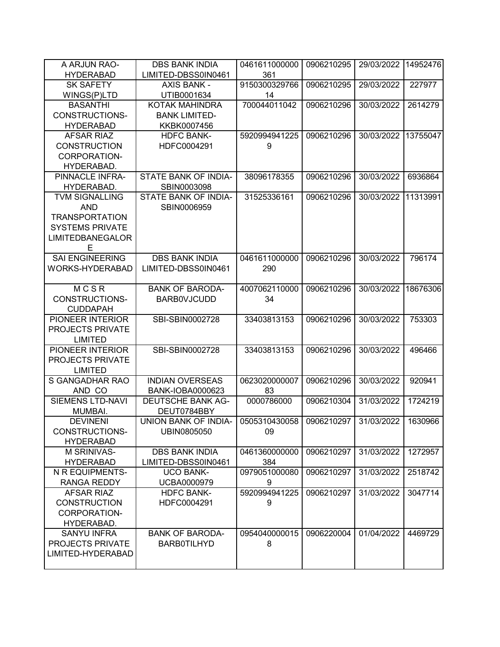| A ARJUN RAO-            | <b>DBS BANK INDIA</b>    | 0461611000000 | 0906210295 | 29/03/2022 | 14952476 |
|-------------------------|--------------------------|---------------|------------|------------|----------|
| <b>HYDERABAD</b>        | LIMITED-DBSS0IN0461      | 361           |            |            |          |
| <b>SK SAFETY</b>        | <b>AXIS BANK -</b>       | 9150300329766 | 0906210295 | 29/03/2022 | 227977   |
| WINGS(P)LTD             | UTIB0001634              | 14            |            |            |          |
| <b>BASANTHI</b>         | <b>KOTAK MAHINDRA</b>    | 700044011042  | 0906210296 | 30/03/2022 | 2614279  |
| CONSTRUCTIONS-          | <b>BANK LIMITED-</b>     |               |            |            |          |
| <b>HYDERABAD</b>        | KKBK0007456              |               |            |            |          |
| <b>AFSAR RIAZ</b>       | <b>HDFC BANK-</b>        | 5920994941225 | 0906210296 | 30/03/2022 | 13755047 |
| <b>CONSTRUCTION</b>     | HDFC0004291              | 9             |            |            |          |
| CORPORATION-            |                          |               |            |            |          |
| HYDERABAD.              |                          |               |            |            |          |
| PINNACLE INFRA-         | STATE BANK OF INDIA-     | 38096178355   | 0906210296 | 30/03/2022 | 6936864  |
| HYDERABAD.              | SBIN0003098              |               |            |            |          |
| <b>TVM SIGNALLING</b>   | STATE BANK OF INDIA-     | 31525336161   | 0906210296 | 30/03/2022 | 11313991 |
| <b>AND</b>              | SBIN0006959              |               |            |            |          |
| <b>TRANSPORTATION</b>   |                          |               |            |            |          |
| <b>SYSTEMS PRIVATE</b>  |                          |               |            |            |          |
| <b>LIMITEDBANEGALOR</b> |                          |               |            |            |          |
| E                       |                          |               |            |            |          |
| <b>SAI ENGINEERING</b>  | <b>DBS BANK INDIA</b>    | 0461611000000 | 0906210296 | 30/03/2022 | 796174   |
| WORKS-HYDERABAD         | LIMITED-DBSS0IN0461      | 290           |            |            |          |
|                         |                          |               |            |            |          |
| MCSR                    | <b>BANK OF BARODA-</b>   | 4007062110000 | 0906210296 | 30/03/2022 | 18676306 |
| <b>CONSTRUCTIONS-</b>   | <b>BARBOVJCUDD</b>       | 34            |            |            |          |
| <b>CUDDAPAH</b>         |                          |               |            |            |          |
| PIONEER INTERIOR        | SBI-SBIN0002728          | 33403813153   | 0906210296 | 30/03/2022 | 753303   |
| <b>PROJECTS PRIVATE</b> |                          |               |            |            |          |
| <b>LIMITED</b>          |                          |               |            |            |          |
| PIONEER INTERIOR        | SBI-SBIN0002728          | 33403813153   | 0906210296 | 30/03/2022 | 496466   |
| PROJECTS PRIVATE        |                          |               |            |            |          |
| <b>LIMITED</b>          |                          |               |            |            |          |
| S GANGADHAR RAO         | <b>INDIAN OVERSEAS</b>   | 0623020000007 | 0906210296 | 30/03/2022 | 920941   |
| AND CO                  | BANK-IOBA0000623         | 83            |            |            |          |
| <b>SIEMENS LTD-NAVI</b> | <b>DEUTSCHE BANK AG-</b> | 0000786000    | 0906210304 | 31/03/2022 | 1724219  |
| MUMBAI.                 | DEUT0784BBY              |               |            |            |          |
| <b>DEVINENI</b>         | UNION BANK OF INDIA-     | 0505310430058 | 0906210297 | 31/03/2022 | 1630966  |
| CONSTRUCTIONS-          | UBIN0805050              | 09            |            |            |          |
| <b>HYDERABAD</b>        |                          |               |            |            |          |
| <b>M SRINIVAS-</b>      | <b>DBS BANK INDIA</b>    | 0461360000000 | 0906210297 | 31/03/2022 | 1272957  |
| <b>HYDERABAD</b>        | LIMITED-DBSS0IN0461      | 384           |            |            |          |
| N R EQUIPMENTS-         | <b>UCO BANK-</b>         | 0979051000080 | 0906210297 | 31/03/2022 | 2518742  |
| <b>RANGA REDDY</b>      | <b>UCBA0000979</b>       | 9             |            |            |          |
| <b>AFSAR RIAZ</b>       | <b>HDFC BANK-</b>        | 5920994941225 | 0906210297 | 31/03/2022 | 3047714  |
| <b>CONSTRUCTION</b>     | HDFC0004291              | 9             |            |            |          |
| CORPORATION-            |                          |               |            |            |          |
| HYDERABAD.              |                          |               |            |            |          |
| <b>SANYU INFRA</b>      | <b>BANK OF BARODA-</b>   | 0954040000015 | 0906220004 | 01/04/2022 | 4469729  |
| PROJECTS PRIVATE        | <b>BARB0TILHYD</b>       | 8             |            |            |          |
| LIMITED-HYDERABAD       |                          |               |            |            |          |
|                         |                          |               |            |            |          |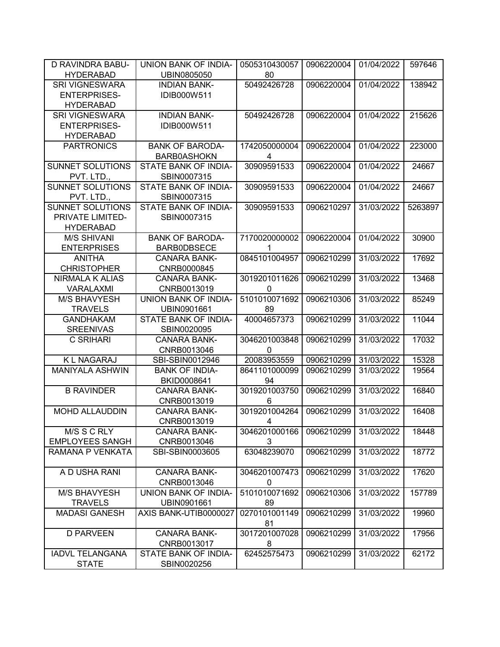| <b>D RAVINDRA BABU-</b> | <b>UNION BANK OF INDIA-</b> | 0505310430057 | 0906220004 | 01/04/2022 | 597646  |
|-------------------------|-----------------------------|---------------|------------|------------|---------|
| <b>HYDERABAD</b>        | UBIN0805050                 | 80            |            |            |         |
| <b>SRI VIGNESWARA</b>   | <b>INDIAN BANK-</b>         | 50492426728   | 0906220004 | 01/04/2022 | 138942  |
| <b>ENTERPRISES-</b>     | IDIB000W511                 |               |            |            |         |
| <b>HYDERABAD</b>        |                             |               |            |            |         |
| <b>SRI VIGNESWARA</b>   | <b>INDIAN BANK-</b>         | 50492426728   | 0906220004 | 01/04/2022 | 215626  |
| <b>ENTERPRISES-</b>     | IDIB000W511                 |               |            |            |         |
| <b>HYDERABAD</b>        |                             |               |            |            |         |
| <b>PARTRONICS</b>       | <b>BANK OF BARODA-</b>      | 1742050000004 | 0906220004 | 01/04/2022 | 223000  |
|                         | <b>BARB0ASHOKN</b>          | 4             |            |            |         |
| SUNNET SOLUTIONS        | STATE BANK OF INDIA-        | 30909591533   | 0906220004 | 01/04/2022 | 24667   |
| PVT. LTD.,              | SBIN0007315                 |               |            |            |         |
| <b>SUNNET SOLUTIONS</b> | STATE BANK OF INDIA-        | 30909591533   | 0906220004 | 01/04/2022 | 24667   |
| PVT. LTD.,              | SBIN0007315                 |               |            |            |         |
| SUNNET SOLUTIONS        | STATE BANK OF INDIA-        | 30909591533   | 0906210297 | 31/03/2022 | 5263897 |
| PRIVATE LIMITED-        | SBIN0007315                 |               |            |            |         |
| <b>HYDERABAD</b>        |                             |               |            |            |         |
| <b>M/S SHIVANI</b>      | <b>BANK OF BARODA-</b>      | 7170020000002 | 0906220004 | 01/04/2022 | 30900   |
| <b>ENTERPRISES</b>      | <b>BARB0DBSECE</b>          | 1             |            |            |         |
| <b>ANITHA</b>           | <b>CANARA BANK-</b>         | 0845101004957 | 0906210299 | 31/03/2022 | 17692   |
| <b>CHRISTOPHER</b>      | CNRB0000845                 |               |            |            |         |
| <b>NIRMALA K ALIAS</b>  | <b>CANARA BANK-</b>         | 3019201011626 | 0906210299 | 31/03/2022 | 13468   |
| VARALAXMI               | CNRB0013019                 | $\mathbf{0}$  |            |            |         |
| <b>M/S BHAVYESH</b>     | UNION BANK OF INDIA-        | 5101010071692 | 0906210306 | 31/03/2022 | 85249   |
| <b>TRAVELS</b>          | UBIN0901661                 | 89            |            |            |         |
| <b>GANDHAKAM</b>        | STATE BANK OF INDIA-        | 40004657373   | 0906210299 | 31/03/2022 | 11044   |
| <b>SREENIVAS</b>        | SBIN0020095                 |               |            |            |         |
| C SRIHARI               | <b>CANARA BANK-</b>         | 3046201003848 | 0906210299 | 31/03/2022 | 17032   |
|                         | CNRB0013046                 | $\mathbf{0}$  |            |            |         |
| <b>KL NAGARAJ</b>       | SBI-SBIN0012946             | 20083953559   | 0906210299 | 31/03/2022 | 15328   |
| <b>MANIYALA ASHWIN</b>  | <b>BANK OF INDIA-</b>       | 8641101000099 | 0906210299 | 31/03/2022 | 19564   |
|                         | BKID0008641                 | 94            |            |            |         |
| <b>B RAVINDER</b>       | <b>CANARA BANK-</b>         | 3019201003750 | 0906210299 | 31/03/2022 | 16840   |
|                         | CNRB0013019                 | 6             |            |            |         |
| <b>MOHD ALLAUDDIN</b>   | <b>CANARA BANK-</b>         | 3019201004264 | 0906210299 | 31/03/2022 | 16408   |
|                         | CNRB0013019                 | 4             |            |            |         |
| M/S S C RLY             | <b>CANARA BANK-</b>         | 3046201000166 | 0906210299 | 31/03/2022 | 18448   |
| <b>EMPLOYEES SANGH</b>  | CNRB0013046                 | 3             |            |            |         |
| RAMANA P VENKATA        | SBI-SBIN0003605             | 63048239070   | 0906210299 | 31/03/2022 | 18772   |
|                         |                             |               |            |            |         |
| A D USHA RANI           | <b>CANARA BANK-</b>         | 3046201007473 | 0906210299 | 31/03/2022 | 17620   |
|                         | CNRB0013046                 | 0             |            |            |         |
| <b>M/S BHAVYESH</b>     | UNION BANK OF INDIA-        | 5101010071692 | 0906210306 | 31/03/2022 | 157789  |
| <b>TRAVELS</b>          | UBIN0901661                 | 89            |            |            |         |
| <b>MADASI GANESH</b>    | AXIS BANK-UTIB0000027       | 0270101001149 | 0906210299 | 31/03/2022 | 19960   |
|                         |                             | 81            |            |            |         |
| <b>D PARVEEN</b>        | <b>CANARA BANK-</b>         | 3017201007028 | 0906210299 | 31/03/2022 | 17956   |
|                         | CNRB0013017                 | 8             |            |            |         |
| <b>IADVL TELANGANA</b>  | STATE BANK OF INDIA-        | 62452575473   | 0906210299 | 31/03/2022 | 62172   |
| <b>STATE</b>            | SBIN0020256                 |               |            |            |         |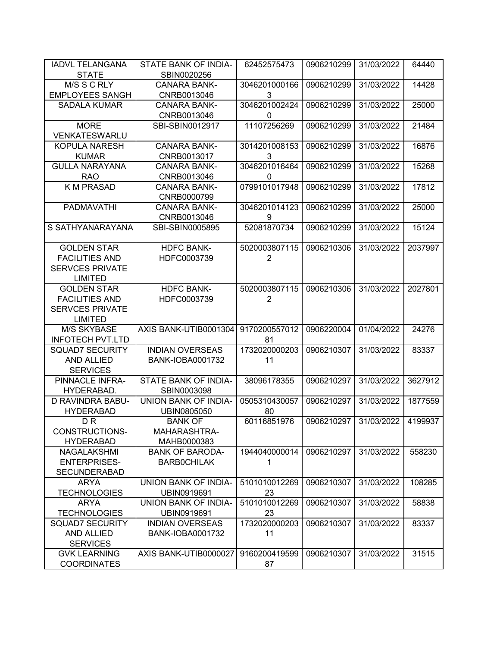| <b>IADVL TELANGANA</b>  | <b>STATE BANK OF INDIA-</b> | 62452575473    | 0906210299 | 31/03/2022 | 64440   |
|-------------------------|-----------------------------|----------------|------------|------------|---------|
| <b>STATE</b>            | SBIN0020256                 |                |            |            |         |
| M/S S C RLY             | <b>CANARA BANK-</b>         | 3046201000166  | 0906210299 | 31/03/2022 | 14428   |
| <b>EMPLOYEES SANGH</b>  | CNRB0013046                 | 3              |            |            |         |
| <b>SADALA KUMAR</b>     | <b>CANARA BANK-</b>         | 3046201002424  | 0906210299 | 31/03/2022 | 25000   |
|                         | CNRB0013046                 | 0              |            |            |         |
| <b>MORE</b>             | SBI-SBIN0012917             | 11107256269    | 0906210299 | 31/03/2022 | 21484   |
| <b>VENKATESWARLU</b>    |                             |                |            |            |         |
| <b>KOPULA NARESH</b>    | <b>CANARA BANK-</b>         | 3014201008153  | 0906210299 | 31/03/2022 | 16876   |
| <b>KUMAR</b>            | CNRB0013017                 | 3              |            |            |         |
| <b>GULLA NARAYANA</b>   | <b>CANARA BANK-</b>         | 3046201016464  | 0906210299 | 31/03/2022 | 15268   |
| <b>RAO</b>              | CNRB0013046                 | 0              |            |            |         |
| <b>K M PRASAD</b>       | <b>CANARA BANK-</b>         | 0799101017948  | 0906210299 | 31/03/2022 | 17812   |
|                         | CNRB0000799                 |                |            |            |         |
| <b>PADMAVATHI</b>       | <b>CANARA BANK-</b>         | 3046201014123  | 0906210299 | 31/03/2022 | 25000   |
|                         | CNRB0013046                 | 9              |            |            |         |
| S SATHYANARAYANA        | SBI-SBIN0005895             | 52081870734    | 0906210299 | 31/03/2022 | 15124   |
|                         |                             |                |            |            |         |
| <b>GOLDEN STAR</b>      | <b>HDFC BANK-</b>           | 5020003807115  | 0906210306 | 31/03/2022 | 2037997 |
| <b>FACILITIES AND</b>   | HDFC0003739                 | $\overline{2}$ |            |            |         |
| <b>SERVCES PRIVATE</b>  |                             |                |            |            |         |
| <b>LIMITED</b>          |                             |                |            |            |         |
| <b>GOLDEN STAR</b>      | <b>HDFC BANK-</b>           | 5020003807115  | 0906210306 | 31/03/2022 | 2027801 |
| <b>FACILITIES AND</b>   | HDFC0003739                 | $\overline{2}$ |            |            |         |
| <b>SERVCES PRIVATE</b>  |                             |                |            |            |         |
| <b>LIMITED</b>          |                             |                |            |            |         |
| <b>M/S SKYBASE</b>      | AXIS BANK-UTIB0001304       | 9170200557012  | 0906220004 | 01/04/2022 | 24276   |
| <b>INFOTECH PVT.LTD</b> |                             | 81             |            |            |         |
| <b>SQUAD7 SECURITY</b>  | <b>INDIAN OVERSEAS</b>      | 1732020000203  | 0906210307 | 31/03/2022 | 83337   |
| AND ALLIED              | <b>BANK-IOBA0001732</b>     | 11             |            |            |         |
| <b>SERVICES</b>         |                             |                |            |            |         |
| PINNACLE INFRA-         | STATE BANK OF INDIA-        | 38096178355    | 0906210297 | 31/03/2022 | 3627912 |
| HYDERABAD.              | SBIN0003098                 |                |            |            |         |
| <b>D RAVINDRA BABU-</b> | UNION BANK OF INDIA-        | 0505310430057  | 0906210297 | 31/03/2022 | 1877559 |
| <b>HYDERABAD</b>        | UBIN0805050                 | 80             |            |            |         |
| D <sub>R</sub>          | <b>BANK OF</b>              | 60116851976    | 0906210297 | 31/03/2022 | 4199937 |
| CONSTRUCTIONS-          | MAHARASHTRA-                |                |            |            |         |
| <b>HYDERABAD</b>        | MAHB0000383                 |                |            |            |         |
| <b>NAGALAKSHMI</b>      | <b>BANK OF BARODA-</b>      | 1944040000014  | 0906210297 | 31/03/2022 | 558230  |
| <b>ENTERPRISES-</b>     | <b>BARBOCHILAK</b>          | 1              |            |            |         |
| <b>SECUNDERABAD</b>     |                             |                |            |            |         |
| <b>ARYA</b>             | UNION BANK OF INDIA-        | 5101010012269  | 0906210307 | 31/03/2022 | 108285  |
| <b>TECHNOLOGIES</b>     | UBIN0919691                 | 23             |            |            |         |
| <b>ARYA</b>             | UNION BANK OF INDIA-        | 5101010012269  | 0906210307 | 31/03/2022 | 58838   |
| <b>TECHNOLOGIES</b>     | UBIN0919691                 | 23             |            |            |         |
| <b>SQUAD7 SECURITY</b>  | <b>INDIAN OVERSEAS</b>      | 1732020000203  | 0906210307 | 31/03/2022 | 83337   |
| AND ALLIED              | <b>BANK-IOBA0001732</b>     | 11             |            |            |         |
| <b>SERVICES</b>         |                             |                |            |            |         |
| <b>GVK LEARNING</b>     | AXIS BANK-UTIB0000027       | 9160200419599  | 0906210307 | 31/03/2022 | 31515   |
| <b>COORDINATES</b>      |                             | 87             |            |            |         |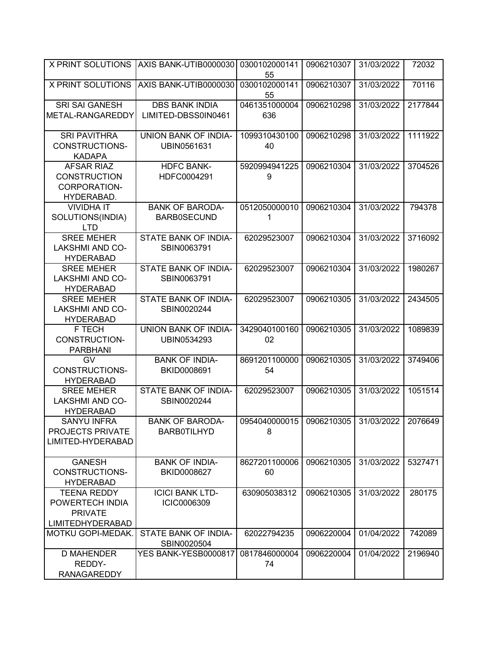| <b>X PRINT SOLUTIONS</b>                                                           | AXIS BANK-UTIB0000030                        | 0300102000141<br>55  | 0906210307 | 31/03/2022 | 72032   |
|------------------------------------------------------------------------------------|----------------------------------------------|----------------------|------------|------------|---------|
| <b>X PRINT SOLUTIONS</b>                                                           | AXIS BANK-UTIB0000030                        | 0300102000141<br>55  | 0906210307 | 31/03/2022 | 70116   |
| <b>SRI SAI GANESH</b><br>METAL-RANGAREDDY                                          | <b>DBS BANK INDIA</b><br>LIMITED-DBSS0IN0461 | 0461351000004<br>636 | 0906210298 | 31/03/2022 | 2177844 |
| <b>SRI PAVITHRA</b><br>CONSTRUCTIONS-<br><b>KADAPA</b>                             | <b>UNION BANK OF INDIA-</b><br>UBIN0561631   | 1099310430100<br>40  | 0906210298 | 31/03/2022 | 1111922 |
| <b>AFSAR RIAZ</b><br><b>CONSTRUCTION</b><br><b>CORPORATION-</b><br>HYDERABAD.      | <b>HDFC BANK-</b><br>HDFC0004291             | 5920994941225<br>9   | 0906210304 | 31/03/2022 | 3704526 |
| <b>VIVIDHA IT</b><br>SOLUTIONS(INDIA)<br><b>LTD</b>                                | <b>BANK OF BARODA-</b><br><b>BARB0SECUND</b> | 0512050000010<br>1   | 0906210304 | 31/03/2022 | 794378  |
| <b>SREE MEHER</b><br><b>LAKSHMI AND CO-</b><br><b>HYDERABAD</b>                    | STATE BANK OF INDIA-<br>SBIN0063791          | 62029523007          | 0906210304 | 31/03/2022 | 3716092 |
| <b>SREE MEHER</b><br><b>LAKSHMI AND CO-</b><br><b>HYDERABAD</b>                    | STATE BANK OF INDIA-<br>SBIN0063791          | 62029523007          | 0906210304 | 31/03/2022 | 1980267 |
| <b>SREE MEHER</b><br><b>LAKSHMI AND CO-</b><br><b>HYDERABAD</b>                    | STATE BANK OF INDIA-<br>SBIN0020244          | 62029523007          | 0906210305 | 31/03/2022 | 2434505 |
| F TECH<br>CONSTRUCTION-<br><b>PARBHANI</b>                                         | UNION BANK OF INDIA-<br>UBIN0534293          | 3429040100160<br>02  | 0906210305 | 31/03/2022 | 1089839 |
| <b>GV</b><br>CONSTRUCTIONS-<br><b>HYDERABAD</b>                                    | <b>BANK OF INDIA-</b><br>BKID0008691         | 8691201100000<br>54  | 0906210305 | 31/03/2022 | 3749406 |
| <b>SREE MEHER</b><br><b>LAKSHMI AND CO-</b><br><b>HYDERABAD</b>                    | STATE BANK OF INDIA-<br>SBIN0020244          | 62029523007          | 0906210305 | 31/03/2022 | 1051514 |
| <b>SANYU INFRA</b><br>PROJECTS PRIVATE<br>LIMITED-HYDERABAD                        | <b>BANK OF BARODA-</b><br><b>BARB0TILHYD</b> | 0954040000015<br>8   | 0906210305 | 31/03/2022 | 2076649 |
| <b>GANESH</b><br><b>CONSTRUCTIONS-</b><br><b>HYDERABAD</b>                         | <b>BANK OF INDIA-</b><br>BKID0008627         | 8627201100006<br>60  | 0906210305 | 31/03/2022 | 5327471 |
| <b>TEENA REDDY</b><br>POWERTECH INDIA<br><b>PRIVATE</b><br><b>LIMITEDHYDERABAD</b> | <b>ICICI BANK LTD-</b><br>ICIC0006309        | 630905038312         | 0906210305 | 31/03/2022 | 280175  |
| MOTKU GOPI-MEDAK.                                                                  | STATE BANK OF INDIA-<br>SBIN0020504          | 62022794235          | 0906220004 | 01/04/2022 | 742089  |
| <b>D MAHENDER</b><br>REDDY-<br><b>RANAGAREDDY</b>                                  | YES BANK-YESB0000817                         | 0817846000004<br>74  | 0906220004 | 01/04/2022 | 2196940 |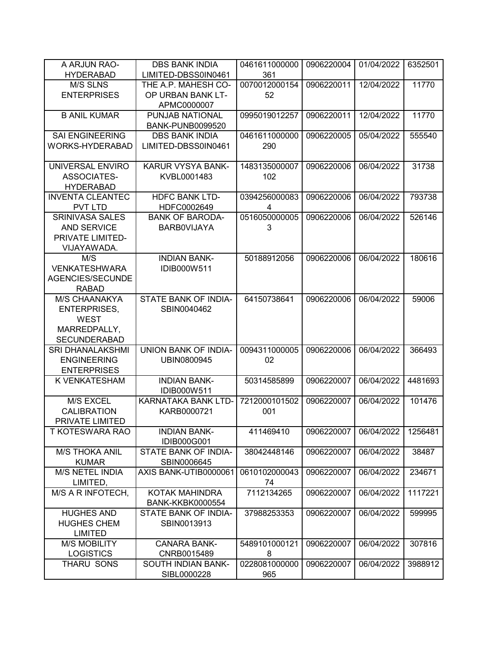| A ARJUN RAO-            | <b>DBS BANK INDIA</b>              | 0461611000000 | 0906220004 | 01/04/2022 | 6352501 |
|-------------------------|------------------------------------|---------------|------------|------------|---------|
| <b>HYDERABAD</b>        | LIMITED-DBSS0IN0461                | 361           |            |            |         |
| M/S SLNS                | THE A.P. MAHESH CO-                | 0070012000154 | 0906220011 | 12/04/2022 | 11770   |
| <b>ENTERPRISES</b>      | OP URBAN BANK LT-                  | 52            |            |            |         |
|                         | APMC0000007                        |               |            |            |         |
| <b>B ANIL KUMAR</b>     | PUNJAB NATIONAL                    | 0995019012257 | 0906220011 | 12/04/2022 | 11770   |
|                         | <b>BANK-PUNB0099520</b>            |               |            |            |         |
| <b>SAI ENGINEERING</b>  | <b>DBS BANK INDIA</b>              | 0461611000000 | 0906220005 | 05/04/2022 | 555540  |
| WORKS-HYDERABAD         | LIMITED-DBSS0IN0461                | 290           |            |            |         |
|                         |                                    |               |            |            |         |
| UNIVERSAL ENVIRO        | KARUR VYSYA BANK-                  | 1483135000007 | 0906220006 | 06/04/2022 | 31738   |
| <b>ASSOCIATES-</b>      | KVBL0001483                        | 102           |            |            |         |
| <b>HYDERABAD</b>        |                                    |               |            |            |         |
| <b>INVENTA CLEANTEC</b> | <b>HDFC BANK LTD-</b>              | 0394256000083 | 0906220006 | 06/04/2022 | 793738  |
| PVT LTD                 | HDFC0002649                        | 4             |            |            |         |
| <b>SRINIVASA SALES</b>  | <b>BANK OF BARODA-</b>             | 0516050000005 | 0906220006 | 06/04/2022 | 526146  |
| <b>AND SERVICE</b>      | <b>BARBOVIJAYA</b>                 | 3             |            |            |         |
| PRIVATE LIMITED-        |                                    |               |            |            |         |
| VIJAYAWADA.             |                                    |               |            |            |         |
| M/S                     | <b>INDIAN BANK-</b>                | 50188912056   | 0906220006 | 06/04/2022 | 180616  |
| <b>VENKATESHWARA</b>    | IDIB000W511                        |               |            |            |         |
| AGENCIES/SECUNDE        |                                    |               |            |            |         |
| <b>RABAD</b>            |                                    |               |            |            |         |
| M/S CHAANAKYA           | STATE BANK OF INDIA-               | 64150738641   | 0906220006 | 06/04/2022 | 59006   |
| <b>ENTERPRISES,</b>     | SBIN0040462                        |               |            |            |         |
| <b>WEST</b>             |                                    |               |            |            |         |
| MARREDPALLY,            |                                    |               |            |            |         |
| <b>SECUNDERABAD</b>     |                                    |               |            |            |         |
| <b>SRI DHANALAKSHMI</b> | UNION BANK OF INDIA-               | 0094311000005 | 0906220006 | 06/04/2022 | 366493  |
| <b>ENGINEERING</b>      | UBIN0800945                        | 02            |            |            |         |
| <b>ENTERPRISES</b>      |                                    |               |            |            |         |
| K VENKATESHAM           | <b>INDIAN BANK-</b>                | 50314585899   | 0906220007 | 06/04/2022 | 4481693 |
| M/S EXCEL               | IDIB000W511<br>KARNATAKA BANK LTD- | 7212000101502 | 0906220007 | 06/04/2022 | 101476  |
| <b>CALIBRATION</b>      | KARB0000721                        | 001           |            |            |         |
| PRIVATE LIMITED         |                                    |               |            |            |         |
| T KOTESWARA RAO         | <b>INDIAN BANK-</b>                | 411469410     | 0906220007 | 06/04/2022 | 1256481 |
|                         | IDIB000G001                        |               |            |            |         |
| <b>M/S THOKA ANIL</b>   | STATE BANK OF INDIA-               | 38042448146   | 0906220007 | 06/04/2022 | 38487   |
| <b>KUMAR</b>            | SBIN0006645                        |               |            |            |         |
| M/S NETEL INDIA         | AXIS BANK-UTIB0000061              | 0610102000043 | 0906220007 | 06/04/2022 | 234671  |
| LIMITED,                |                                    | 74            |            |            |         |
| M/S A R INFOTECH,       | KOTAK MAHINDRA                     | 7112134265    | 0906220007 | 06/04/2022 | 1117221 |
|                         | <b>BANK-KKBK0000554</b>            |               |            |            |         |
| <b>HUGHES AND</b>       | STATE BANK OF INDIA-               | 37988253353   | 0906220007 | 06/04/2022 | 599995  |
| <b>HUGHES CHEM</b>      | SBIN0013913                        |               |            |            |         |
| <b>LIMITED</b>          |                                    |               |            |            |         |
| <b>M/S MOBILITY</b>     | <b>CANARA BANK-</b>                | 5489101000121 | 0906220007 | 06/04/2022 | 307816  |
| <b>LOGISTICS</b>        | CNRB0015489                        | 8             |            |            |         |
| THARU SONS              | SOUTH INDIAN BANK-                 | 0228081000000 | 0906220007 | 06/04/2022 | 3988912 |
|                         | SIBL0000228                        | 965           |            |            |         |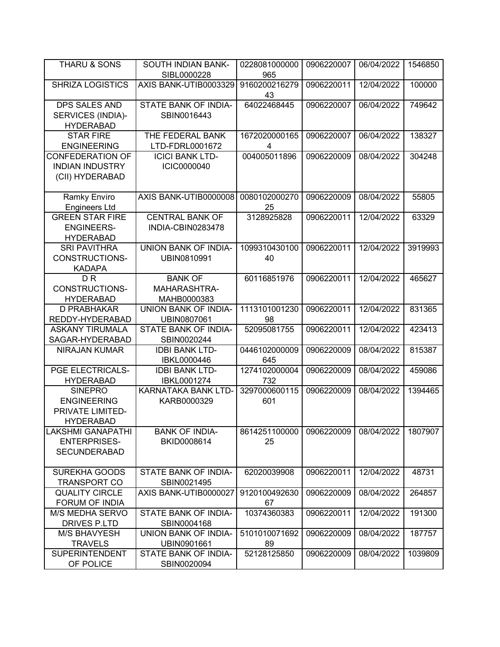| <b>THARU &amp; SONS</b>                           | SOUTH INDIAN BANK-<br>SIBL0000228   | 0228081000000<br>965 | 0906220007 | 06/04/2022 | 1546850 |
|---------------------------------------------------|-------------------------------------|----------------------|------------|------------|---------|
| <b>SHRIZA LOGISTICS</b>                           | AXIS BANK-UTIB0003329               | 9160200216279<br>43  | 0906220011 | 12/04/2022 | 100000  |
| <b>DPS SALES AND</b>                              | STATE BANK OF INDIA-                | 64022468445          | 0906220007 | 06/04/2022 | 749642  |
| SERVICES (INDIA)-                                 | SBIN0016443                         |                      |            |            |         |
| <b>HYDERABAD</b>                                  |                                     |                      |            |            |         |
| <b>STAR FIRE</b>                                  | THE FEDERAL BANK                    | 1672020000165        | 0906220007 | 06/04/2022 | 138327  |
| <b>ENGINEERING</b>                                | LTD-FDRL0001672                     | 4                    |            |            |         |
| <b>CONFEDERATION OF</b><br><b>INDIAN INDUSTRY</b> | <b>ICICI BANK LTD-</b>              | 004005011896         | 0906220009 | 08/04/2022 | 304248  |
| (CII) HYDERABAD                                   | ICIC0000040                         |                      |            |            |         |
|                                                   |                                     |                      |            |            |         |
| Ramky Enviro                                      | AXIS BANK-UTIB0000008               | 0080102000270        | 0906220009 | 08/04/2022 | 55805   |
| <b>Engineers Ltd</b>                              |                                     | 25                   |            |            |         |
| <b>GREEN STAR FIRE</b>                            | <b>CENTRAL BANK OF</b>              | 3128925828           | 0906220011 | 12/04/2022 | 63329   |
| <b>ENGINEERS-</b>                                 | INDIA-CBIN0283478                   |                      |            |            |         |
| <b>HYDERABAD</b>                                  |                                     |                      |            |            |         |
| <b>SRI PAVITHRA</b>                               | <b>UNION BANK OF INDIA-</b>         | 1099310430100        | 0906220011 | 12/04/2022 | 3919993 |
| <b>CONSTRUCTIONS-</b>                             | UBIN0810991                         | 40                   |            |            |         |
| <b>KADAPA</b>                                     |                                     |                      |            |            |         |
| D <sub>R</sub>                                    | <b>BANK OF</b>                      | 60116851976          | 0906220011 | 12/04/2022 | 465627  |
| CONSTRUCTIONS-                                    | MAHARASHTRA-                        |                      |            |            |         |
| <b>HYDERABAD</b>                                  | MAHB0000383                         |                      |            |            |         |
| D PRABHAKAR<br>REDDY-HYDERABAD                    | UNION BANK OF INDIA-                | 1113101001230<br>98  | 0906220011 | 12/04/2022 | 831365  |
| <b>ASKANY TIRUMALA</b>                            | UBIN0807061<br>STATE BANK OF INDIA- | 52095081755          | 0906220011 | 12/04/2022 | 423413  |
| SAGAR-HYDERABAD                                   | SBIN0020244                         |                      |            |            |         |
| NIRAJAN KUMAR                                     | <b>IDBI BANK LTD-</b>               | 0446102000009        | 0906220009 | 08/04/2022 | 815387  |
|                                                   | <b>IBKL0000446</b>                  | 645                  |            |            |         |
| PGE ELECTRICALS-                                  | <b>IDBI BANK LTD-</b>               | 1274102000004        | 0906220009 | 08/04/2022 | 459086  |
| <b>HYDERABAD</b>                                  | IBKL0001274                         | 732                  |            |            |         |
| <b>SINEPRO</b>                                    | KARNATAKA BANK LTD-                 | 3297000600115        | 0906220009 | 08/04/2022 | 1394465 |
| <b>ENGINEERING</b>                                | KARB0000329                         | 601                  |            |            |         |
| PRIVATE LIMITED-                                  |                                     |                      |            |            |         |
| <b>HYDERABAD</b>                                  |                                     |                      |            |            |         |
| <b>LAKSHMI GANAPATHI</b>                          | <b>BANK OF INDIA-</b>               | 8614251100000        | 0906220009 | 08/04/2022 | 1807907 |
| <b>ENTERPRISES-</b>                               | BKID0008614                         | 25                   |            |            |         |
| <b>SECUNDERABAD</b>                               |                                     |                      |            |            |         |
| SUREKHA GOODS                                     | STATE BANK OF INDIA-                | 62020039908          | 0906220011 | 12/04/2022 | 48731   |
| TRANSPORT CO                                      | SBIN0021495                         |                      |            |            |         |
| <b>QUALITY CIRCLE</b>                             | AXIS BANK-UTIB0000027               | 9120100492630        | 0906220009 | 08/04/2022 | 264857  |
| FORUM OF INDIA                                    |                                     | 67                   |            |            |         |
| M/S MEDHA SERVO                                   | STATE BANK OF INDIA-                | 10374360383          | 0906220011 | 12/04/2022 | 191300  |
| <b>DRIVES P.LTD</b>                               | SBIN0004168                         |                      |            |            |         |
| <b>M/S BHAVYESH</b>                               | UNION BANK OF INDIA-                | 5101010071692        | 0906220009 | 08/04/2022 | 187757  |
| <b>TRAVELS</b>                                    | UBIN0901661                         | 89                   |            |            |         |
| <b>SUPERINTENDENT</b>                             | STATE BANK OF INDIA-                | 52128125850          | 0906220009 | 08/04/2022 | 1039809 |
| OF POLICE                                         | SBIN0020094                         |                      |            |            |         |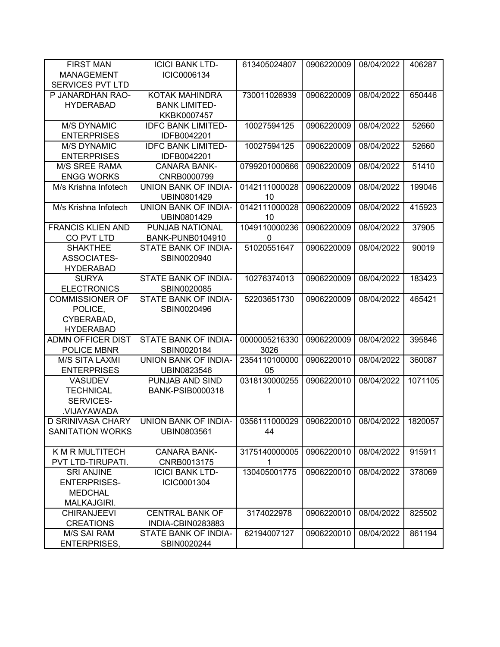| <b>FIRST MAN</b>         | <b>ICICI BANK LTD-</b>      | 613405024807                            | 0906220009 | 08/04/2022 | 406287  |
|--------------------------|-----------------------------|-----------------------------------------|------------|------------|---------|
| <b>MANAGEMENT</b>        | ICIC0006134                 |                                         |            |            |         |
| <b>SERVICES PVT LTD</b>  |                             |                                         |            |            |         |
| P JANARDHAN RAO-         | KOTAK MAHINDRA              | 730011026939                            | 0906220009 | 08/04/2022 | 650446  |
| <b>HYDERABAD</b>         | <b>BANK LIMITED-</b>        |                                         |            |            |         |
|                          | KKBK0007457                 |                                         |            |            |         |
| <b>M/S DYNAMIC</b>       | <b>IDFC BANK LIMITED-</b>   | 10027594125                             | 0906220009 | 08/04/2022 | 52660   |
| <b>ENTERPRISES</b>       | IDFB0042201                 |                                         |            |            |         |
| <b>M/S DYNAMIC</b>       | <b>IDFC BANK LIMITED-</b>   | 10027594125                             | 0906220009 | 08/04/2022 | 52660   |
| <b>ENTERPRISES</b>       | IDFB0042201                 |                                         |            |            |         |
| <b>M/S SREE RAMA</b>     | <b>CANARA BANK-</b>         | 0799201000666                           | 0906220009 | 08/04/2022 | 51410   |
| <b>ENGG WORKS</b>        | CNRB0000799                 |                                         |            |            |         |
| M/s Krishna Infotech     | UNION BANK OF INDIA-        | 0142111000028                           | 0906220009 | 08/04/2022 | 199046  |
|                          | UBIN0801429                 | 10                                      |            |            |         |
| M/s Krishna Infotech     | <b>UNION BANK OF INDIA-</b> | 0142111000028                           | 0906220009 | 08/04/2022 | 415923  |
|                          | UBIN0801429                 | 10                                      |            |            |         |
| <b>FRANCIS KLIEN AND</b> | PUNJAB NATIONAL             | 1049110000236                           | 0906220009 | 08/04/2022 | 37905   |
| CO PVT LTD               | <b>BANK-PUNB0104910</b>     | 0                                       |            |            |         |
| <b>SHAKTHEE</b>          | STATE BANK OF INDIA-        | 51020551647                             | 0906220009 | 08/04/2022 | 90019   |
| <b>ASSOCIATES-</b>       | SBIN0020940                 |                                         |            |            |         |
| <b>HYDERABAD</b>         |                             |                                         |            |            |         |
| <b>SURYA</b>             | STATE BANK OF INDIA-        | 10276374013                             | 0906220009 | 08/04/2022 | 183423  |
| <b>ELECTRONICS</b>       | SBIN0020085                 |                                         |            |            |         |
| <b>COMMISSIONER OF</b>   | STATE BANK OF INDIA-        | 52203651730                             | 0906220009 | 08/04/2022 | 465421  |
| POLICE,                  | SBIN0020496                 |                                         |            |            |         |
| CYBERABAD,               |                             |                                         |            |            |         |
| <b>HYDERABAD</b>         |                             |                                         |            |            |         |
| <b>ADMN OFFICER DIST</b> | STATE BANK OF INDIA-        | 0000005216330                           | 0906220009 | 08/04/2022 | 395846  |
| POLICE MBNR              | SBIN0020184                 | 3026                                    |            |            |         |
| <b>M/S SITA LAXMI</b>    | UNION BANK OF INDIA-        | 2354110100000                           | 0906220010 | 08/04/2022 | 360087  |
| <b>ENTERPRISES</b>       | UBIN0823546                 | 05                                      |            |            |         |
| <b>VASUDEV</b>           | PUNJAB AND SIND             | 0318130000255                           | 0906220010 | 08/04/2022 | 1071105 |
| <b>TECHNICAL</b>         | <b>BANK-PSIB0000318</b>     | 1                                       |            |            |         |
| SERVICES-                |                             |                                         |            |            |         |
| VIJAYAWADA.              |                             |                                         |            |            |         |
| D SRINIVASA CHARY        | UNION BANK OF INDIA-        | 0356111000029   0906220010   08/04/2022 |            |            | 1820057 |
| <b>SANITATION WORKS</b>  | UBIN0803561                 | 44                                      |            |            |         |
|                          |                             |                                         |            |            |         |
| K M R MULTITECH          | <b>CANARA BANK-</b>         | 3175140000005                           | 0906220010 | 08/04/2022 | 915911  |
| PVT LTD-TIRUPATI.        | CNRB0013175                 | 1                                       |            |            |         |
| <b>SRI ANJINE</b>        | <b>ICICI BANK LTD-</b>      | 130405001775                            | 0906220010 | 08/04/2022 | 378069  |
| <b>ENTERPRISES-</b>      | ICIC0001304                 |                                         |            |            |         |
| <b>MEDCHAL</b>           |                             |                                         |            |            |         |
| MALKAJGIRI.              |                             |                                         |            |            |         |
| <b>CHIRANJEEVI</b>       | <b>CENTRAL BANK OF</b>      | 3174022978                              | 0906220010 | 08/04/2022 | 825502  |
| <b>CREATIONS</b>         | INDIA-CBIN0283883           |                                         |            |            |         |
| <b>M/S SAI RAM</b>       | STATE BANK OF INDIA-        | 62194007127                             | 0906220010 | 08/04/2022 | 861194  |
| <b>ENTERPRISES,</b>      | SBIN0020244                 |                                         |            |            |         |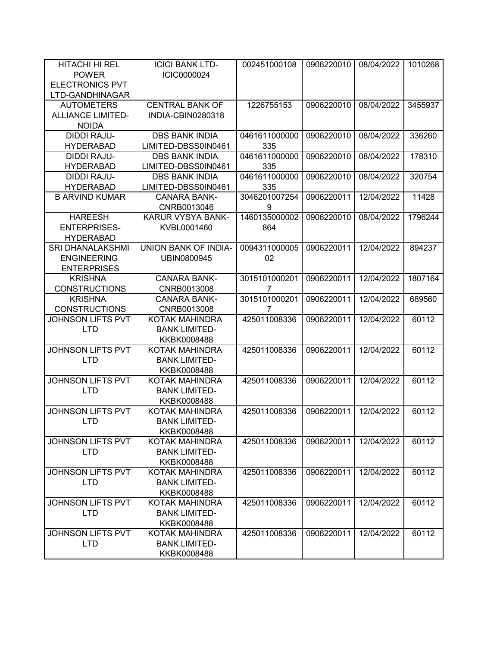| HITACHI HI REL           | <b>ICICI BANK LTD-</b> | 002451000108  | 0906220010 | 08/04/2022 | 1010268 |
|--------------------------|------------------------|---------------|------------|------------|---------|
| <b>POWER</b>             | ICIC0000024            |               |            |            |         |
| <b>ELECTRONICS PVT</b>   |                        |               |            |            |         |
| LTD-GANDHINAGAR          |                        |               |            |            |         |
| <b>AUTOMETERS</b>        | <b>CENTRAL BANK OF</b> | 1226755153    | 0906220010 | 08/04/2022 | 3455937 |
| <b>ALLIANCE LIMITED-</b> | INDIA-CBIN0280318      |               |            |            |         |
| <b>NOIDA</b>             |                        |               |            |            |         |
| <b>DIDDI RAJU-</b>       | <b>DBS BANK INDIA</b>  | 0461611000000 | 0906220010 | 08/04/2022 | 336260  |
| <b>HYDERABAD</b>         | LIMITED-DBSS0IN0461    | 335           |            |            |         |
| <b>DIDDI RAJU-</b>       | <b>DBS BANK INDIA</b>  | 0461611000000 | 0906220010 | 08/04/2022 | 178310  |
| <b>HYDERABAD</b>         | LIMITED-DBSS0IN0461    | 335           |            |            |         |
| <b>DIDDI RAJU-</b>       | <b>DBS BANK INDIA</b>  | 0461611000000 | 0906220010 | 08/04/2022 | 320754  |
| <b>HYDERABAD</b>         | LIMITED-DBSS0IN0461    | 335           |            |            |         |
| <b>B ARVIND KUMAR</b>    | <b>CANARA BANK-</b>    | 3046201007254 | 0906220011 | 12/04/2022 | 11428   |
|                          | CNRB0013046            | 9             |            |            |         |
| <b>HAREESH</b>           | KARUR VYSYA BANK-      | 1460135000002 | 0906220010 | 08/04/2022 | 1796244 |
| <b>ENTERPRISES-</b>      | KVBL0001460            | 864           |            |            |         |
| <b>HYDERABAD</b>         |                        |               |            |            |         |
| <b>SRI DHANALAKSHMI</b>  | UNION BANK OF INDIA-   | 0094311000005 | 0906220011 | 12/04/2022 | 894237  |
| <b>ENGINEERING</b>       | UBIN0800945            | 02            |            |            |         |
| <b>ENTERPRISES</b>       |                        |               |            |            |         |
| <b>KRISHNA</b>           | <b>CANARA BANK-</b>    | 3015101000201 | 0906220011 | 12/04/2022 | 1807164 |
| <b>CONSTRUCTIONS</b>     | CNRB0013008            | 7             |            |            |         |
| <b>KRISHNA</b>           | <b>CANARA BANK-</b>    | 3015101000201 | 0906220011 | 12/04/2022 | 689560  |
| <b>CONSTRUCTIONS</b>     | CNRB0013008            | 7             |            |            |         |
| JOHNSON LIFTS PVT        | KOTAK MAHINDRA         | 425011008336  | 0906220011 | 12/04/2022 | 60112   |
| <b>LTD</b>               | <b>BANK LIMITED-</b>   |               |            |            |         |
|                          | KKBK0008488            |               |            |            |         |
| JOHNSON LIFTS PVT        | KOTAK MAHINDRA         | 425011008336  | 0906220011 | 12/04/2022 | 60112   |
| <b>LTD</b>               | <b>BANK LIMITED-</b>   |               |            |            |         |
|                          | KKBK0008488            |               |            |            |         |
| JOHNSON LIFTS PVT        | KOTAK MAHINDRA         | 425011008336  | 0906220011 | 12/04/2022 | 60112   |
| <b>LTD</b>               | <b>BANK LIMITED-</b>   |               |            |            |         |
|                          | KKBK0008488            |               |            |            |         |
| JOHNSON LIFTS PVT        | <b>KOTAK MAHINDRA</b>  | 425011008336  | 0906220011 | 12/04/2022 | 60112   |
| <b>LTD</b>               | <b>BANK LIMITED-</b>   |               |            |            |         |
|                          | KKBK0008488            |               |            |            |         |
| <b>JOHNSON LIFTS PVT</b> | <b>KOTAK MAHINDRA</b>  | 425011008336  | 0906220011 | 12/04/2022 | 60112   |
| <b>LTD</b>               | <b>BANK LIMITED-</b>   |               |            |            |         |
|                          | KKBK0008488            |               |            |            |         |
| JOHNSON LIFTS PVT        | KOTAK MAHINDRA         | 425011008336  | 0906220011 | 12/04/2022 | 60112   |
| <b>LTD</b>               | <b>BANK LIMITED-</b>   |               |            |            |         |
|                          | KKBK0008488            |               |            |            |         |
| <b>JOHNSON LIFTS PVT</b> | KOTAK MAHINDRA         | 425011008336  | 0906220011 | 12/04/2022 | 60112   |
| <b>LTD</b>               | <b>BANK LIMITED-</b>   |               |            |            |         |
|                          | KKBK0008488            |               |            |            |         |
| <b>JOHNSON LIFTS PVT</b> | KOTAK MAHINDRA         | 425011008336  | 0906220011 | 12/04/2022 | 60112   |
| <b>LTD</b>               | <b>BANK LIMITED-</b>   |               |            |            |         |
|                          | KKBK0008488            |               |            |            |         |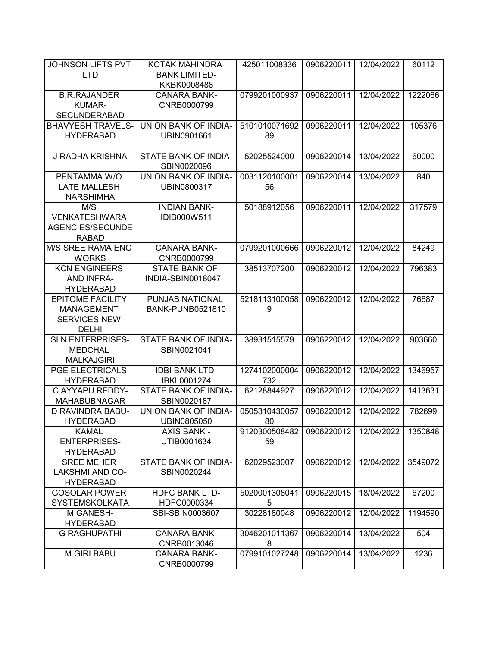| JOHNSON LIFTS PVT                         | KOTAK MAHINDRA              | 425011008336  | 0906220011 | 12/04/2022 | 60112   |
|-------------------------------------------|-----------------------------|---------------|------------|------------|---------|
| <b>LTD</b>                                | <b>BANK LIMITED-</b>        |               |            |            |         |
|                                           | KKBK0008488                 |               |            |            |         |
| <b>B.R.RAJANDER</b>                       | <b>CANARA BANK-</b>         | 0799201000937 | 0906220011 | 12/04/2022 | 1222066 |
| KUMAR-                                    | CNRB0000799                 |               |            |            |         |
| <b>SECUNDERABAD</b>                       |                             |               |            |            |         |
| <b>BHAVYESH TRAVELS-</b>                  | UNION BANK OF INDIA-        | 5101010071692 | 0906220011 | 12/04/2022 | 105376  |
| <b>HYDERABAD</b>                          | UBIN0901661                 | 89            |            |            |         |
| J RADHA KRISHNA                           | STATE BANK OF INDIA-        | 52025524000   | 0906220014 | 13/04/2022 | 60000   |
|                                           | SBIN0020096                 |               |            |            |         |
| PENTAMMA W/O                              | UNION BANK OF INDIA-        | 0031120100001 | 0906220014 | 13/04/2022 | 840     |
| <b>LATE MALLESH</b>                       | UBIN0800317                 | 56            |            |            |         |
| <b>NARSHIMHA</b>                          |                             |               |            |            |         |
| M/S                                       | <b>INDIAN BANK-</b>         | 50188912056   | 0906220011 | 12/04/2022 | 317579  |
| <b>VENKATESHWARA</b>                      | IDIB000W511                 |               |            |            |         |
| AGENCIES/SECUNDE                          |                             |               |            |            |         |
| <b>RABAD</b>                              |                             |               |            |            |         |
| M/S SREE RAMA ENG                         | <b>CANARA BANK-</b>         | 0799201000666 | 0906220012 | 12/04/2022 | 84249   |
| <b>WORKS</b>                              | CNRB0000799                 |               |            |            |         |
| <b>KCN ENGINEERS</b>                      | <b>STATE BANK OF</b>        | 38513707200   | 0906220012 | 12/04/2022 | 796383  |
| <b>AND INFRA-</b>                         | INDIA-SBIN0018047           |               |            |            |         |
| <b>HYDERABAD</b>                          |                             |               |            |            |         |
| <b>EPITOME FACILITY</b>                   | PUNJAB NATIONAL             | 5218113100058 | 0906220012 | 12/04/2022 | 76687   |
| <b>MANAGEMENT</b>                         | <b>BANK-PUNB0521810</b>     | 9             |            |            |         |
| SERVICES-NEW                              |                             |               |            |            |         |
| <b>DELHI</b>                              |                             |               |            |            |         |
| <b>SLN ENTERPRISES-</b><br><b>MEDCHAL</b> | STATE BANK OF INDIA-        | 38931515579   | 0906220012 | 12/04/2022 | 903660  |
| <b>MALKAJGIRI</b>                         | SBIN0021041                 |               |            |            |         |
| PGE ELECTRICALS-                          | <b>IDBI BANK LTD-</b>       | 1274102000004 | 0906220012 | 12/04/2022 | 1346957 |
| <b>HYDERABAD</b>                          | IBKL0001274                 | 732           |            |            |         |
| C AYYAPU REDDY-                           | STATE BANK OF INDIA-        | 62128844927   | 0906220012 | 12/04/2022 | 1413631 |
| <b>MAHABUBNAGAR</b>                       | SBIN0020187                 |               |            |            |         |
| D RAVINDRA BABU-                          | <b>UNION BANK OF INDIA-</b> | 0505310430057 | 0906220012 | 12/04/2022 | 782699  |
| <b>HYDERABAD</b>                          | UBIN0805050                 | 80            |            |            |         |
| <b>KAMAL</b>                              | <b>AXIS BANK -</b>          | 9120300508482 | 0906220012 | 12/04/2022 | 1350848 |
| <b>ENTERPRISES-</b>                       | UTIB0001634                 | 59            |            |            |         |
| <b>HYDERABAD</b>                          |                             |               |            |            |         |
| <b>SREE MEHER</b>                         | STATE BANK OF INDIA-        | 62029523007   | 0906220012 | 12/04/2022 | 3549072 |
| <b>LAKSHMI AND CO-</b>                    | SBIN0020244                 |               |            |            |         |
| <b>HYDERABAD</b>                          |                             |               |            |            |         |
| <b>GOSOLAR POWER</b>                      | <b>HDFC BANK LTD-</b>       | 5020001308041 | 0906220015 | 18/04/2022 | 67200   |
| <b>SYSTEMSKOLKATA</b>                     | HDFC0000334                 | 5             |            |            |         |
| M GANESH-                                 | SBI-SBIN0003607             | 30228180048   | 0906220012 | 12/04/2022 | 1194590 |
| <b>HYDERABAD</b>                          |                             |               |            |            |         |
| <b>G RAGHUPATHI</b>                       | <b>CANARA BANK-</b>         | 3046201011367 | 0906220014 | 13/04/2022 | 504     |
|                                           | CNRB0013046                 | 8             |            |            |         |
| <b>M GIRI BABU</b>                        | <b>CANARA BANK-</b>         | 0799101027248 | 0906220014 | 13/04/2022 | 1236    |
|                                           | CNRB0000799                 |               |            |            |         |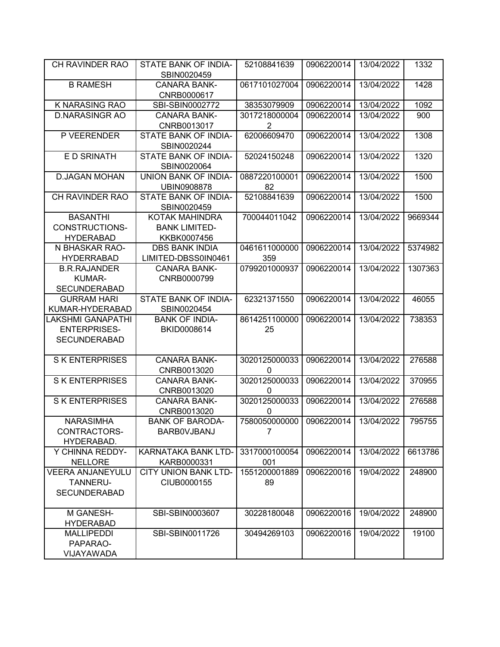| <b>CH RAVINDER RAO</b>  | STATE BANK OF INDIA-<br>SBIN0020459 | 52108841639    | 0906220014 | 13/04/2022 | 1332    |
|-------------------------|-------------------------------------|----------------|------------|------------|---------|
| <b>B RAMESH</b>         | <b>CANARA BANK-</b><br>CNRB0000617  | 0617101027004  | 0906220014 | 13/04/2022 | 1428    |
| K NARASING RAO          | SBI-SBIN0002772                     | 38353079909    | 0906220014 | 13/04/2022 | 1092    |
| <b>D.NARASINGR AO</b>   | <b>CANARA BANK-</b>                 | 3017218000004  | 0906220014 | 13/04/2022 | 900     |
|                         | CNRB0013017                         | $\overline{2}$ |            |            |         |
| P VEERENDER             | STATE BANK OF INDIA-                | 62006609470    | 0906220014 | 13/04/2022 | 1308    |
|                         | SBIN0020244                         |                |            |            |         |
| E D SRINATH             | STATE BANK OF INDIA-                | 52024150248    | 0906220014 | 13/04/2022 | 1320    |
|                         | SBIN0020064                         |                |            |            |         |
| <b>D.JAGAN MOHAN</b>    | UNION BANK OF INDIA-                | 0887220100001  | 0906220014 | 13/04/2022 | 1500    |
|                         | UBIN0908878                         | 82             |            |            |         |
| CH RAVINDER RAO         | STATE BANK OF INDIA-<br>SBIN0020459 | 52108841639    | 0906220014 | 13/04/2022 | 1500    |
| <b>BASANTHI</b>         | KOTAK MAHINDRA                      | 700044011042   | 0906220014 | 13/04/2022 | 9669344 |
| <b>CONSTRUCTIONS-</b>   | <b>BANK LIMITED-</b>                |                |            |            |         |
| <b>HYDERABAD</b>        | KKBK0007456                         |                |            |            |         |
| N BHASKAR RAO-          | <b>DBS BANK INDIA</b>               | 0461611000000  | 0906220014 | 13/04/2022 | 5374982 |
| <b>HYDERRABAD</b>       | LIMITED-DBSS0IN0461                 | 359            |            |            |         |
| <b>B.R.RAJANDER</b>     | <b>CANARA BANK-</b>                 | 0799201000937  | 0906220014 | 13/04/2022 | 1307363 |
| <b>KUMAR-</b>           | CNRB0000799                         |                |            |            |         |
| <b>SECUNDERABAD</b>     |                                     |                |            |            |         |
| <b>GURRAM HARI</b>      | STATE BANK OF INDIA-                | 62321371550    | 0906220014 | 13/04/2022 | 46055   |
| KUMAR-HYDERABAD         | SBIN0020454                         |                |            |            |         |
| LAKSHMI GANAPATHI       | <b>BANK OF INDIA-</b>               | 8614251100000  | 0906220014 | 13/04/2022 | 738353  |
| <b>ENTERPRISES-</b>     | BKID0008614                         | 25             |            |            |         |
| <b>SECUNDERABAD</b>     |                                     |                |            |            |         |
| <b>SK ENTERPRISES</b>   | <b>CANARA BANK-</b>                 | 3020125000033  | 0906220014 | 13/04/2022 | 276588  |
|                         | CNRB0013020                         | 0              |            |            |         |
| <b>SK ENTERPRISES</b>   | <b>CANARA BANK-</b>                 | 3020125000033  | 0906220014 | 13/04/2022 | 370955  |
|                         | CNRB0013020                         | $\mathbf{0}$   |            |            |         |
| <b>SK ENTERPRISES</b>   | <b>CANARA BANK-</b>                 | 3020125000033  | 0906220014 | 13/04/2022 | 276588  |
|                         | CNRB0013020                         | 0              |            |            |         |
| <b>NARASIMHA</b>        | <b>BANK OF BARODA-</b>              | 7580050000000  | 0906220014 | 13/04/2022 | 795755  |
| CONTRACTORS-            | <b>BARBOVJBANJ</b>                  | 7              |            |            |         |
| HYDERABAD.              |                                     |                |            |            |         |
| Y CHINNA REDDY-         | KARNATAKA BANK LTD-                 | 3317000100054  | 0906220014 | 13/04/2022 | 6613786 |
| <b>NELLORE</b>          | KARB0000331                         | 001            |            |            |         |
| <b>VEERA ANJANEYULU</b> | <b>CITY UNION BANK LTD-</b>         | 1551200001889  | 0906220016 | 19/04/2022 | 248900  |
| TANNERU-                | CIUB0000155                         | 89             |            |            |         |
| <b>SECUNDERABAD</b>     |                                     |                |            |            |         |
| M GANESH-               | SBI-SBIN0003607                     | 30228180048    | 0906220016 | 19/04/2022 | 248900  |
| <b>HYDERABAD</b>        |                                     |                |            |            |         |
| <b>MALLIPEDDI</b>       | SBI-SBIN0011726                     | 30494269103    | 0906220016 | 19/04/2022 | 19100   |
| PAPARAO-                |                                     |                |            |            |         |
| VIJAYAWADA              |                                     |                |            |            |         |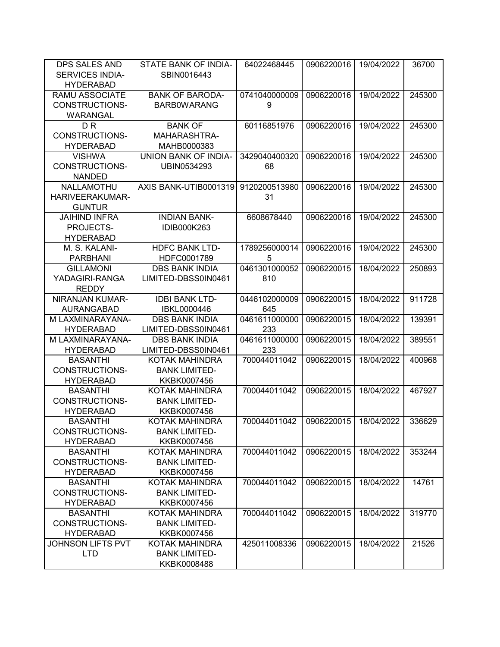| DPS SALES AND            | STATE BANK OF INDIA-        | 64022468445   | 0906220016 | 19/04/2022 | 36700  |
|--------------------------|-----------------------------|---------------|------------|------------|--------|
| SERVICES INDIA-          | SBIN0016443                 |               |            |            |        |
| <b>HYDERABAD</b>         |                             |               |            |            |        |
| <b>RAMU ASSOCIATE</b>    | <b>BANK OF BARODA-</b>      | 0741040000009 | 0906220016 | 19/04/2022 | 245300 |
| <b>CONSTRUCTIONS-</b>    | <b>BARBOWARANG</b>          | 9             |            |            |        |
| WARANGAL                 |                             |               |            |            |        |
| D <sub>R</sub>           | <b>BANK OF</b>              | 60116851976   | 0906220016 | 19/04/2022 | 245300 |
| CONSTRUCTIONS-           | MAHARASHTRA-                |               |            |            |        |
| <b>HYDERABAD</b>         | MAHB0000383                 |               |            |            |        |
| <b>VISHWA</b>            | <b>UNION BANK OF INDIA-</b> | 3429040400320 | 0906220016 | 19/04/2022 | 245300 |
| <b>CONSTRUCTIONS-</b>    | UBIN0534293                 | 68            |            |            |        |
| <b>NANDED</b>            |                             |               |            |            |        |
| NALLAMOTHU               | AXIS BANK-UTIB0001319       | 9120200513980 | 0906220016 | 19/04/2022 | 245300 |
| <b>HARIVEERAKUMAR-</b>   |                             | 31            |            |            |        |
| <b>GUNTUR</b>            |                             |               |            |            |        |
| <b>JAIHIND INFRA</b>     | <b>INDIAN BANK-</b>         | 6608678440    | 0906220016 | 19/04/2022 | 245300 |
| PROJECTS-                | IDIB000K263                 |               |            |            |        |
| <b>HYDERABAD</b>         |                             |               |            |            |        |
| M. S. KALANI-            | <b>HDFC BANK LTD-</b>       | 1789256000014 | 0906220016 | 19/04/2022 | 245300 |
| <b>PARBHANI</b>          | HDFC0001789                 | 5             |            |            |        |
| <b>GILLAMONI</b>         | <b>DBS BANK INDIA</b>       | 0461301000052 | 0906220015 | 18/04/2022 | 250893 |
| YADAGIRI-RANGA           | LIMITED-DBSS0IN0461         | 810           |            |            |        |
| <b>REDDY</b>             |                             |               |            |            |        |
| NIRANJAN KUMAR-          | <b>IDBI BANK LTD-</b>       | 0446102000009 | 0906220015 | 18/04/2022 | 911728 |
| AURANGABAD               | IBKL0000446                 | 645           |            |            |        |
| M LAXMINARAYANA-         | <b>DBS BANK INDIA</b>       | 0461611000000 | 0906220015 | 18/04/2022 | 139391 |
| <b>HYDERABAD</b>         | LIMITED-DBSS0IN0461         | 233           |            |            |        |
| M LAXMINARAYANA-         | <b>DBS BANK INDIA</b>       | 0461611000000 | 0906220015 | 18/04/2022 | 389551 |
| <b>HYDERABAD</b>         | LIMITED-DBSS0IN0461         | 233           |            |            |        |
| <b>BASANTHI</b>          | KOTAK MAHINDRA              | 700044011042  | 0906220015 | 18/04/2022 | 400968 |
| <b>CONSTRUCTIONS-</b>    | <b>BANK LIMITED-</b>        |               |            |            |        |
| <b>HYDERABAD</b>         | KKBK0007456                 |               |            |            |        |
| <b>BASANTHI</b>          | <b>KOTAK MAHINDRA</b>       | 700044011042  | 0906220015 | 18/04/2022 | 467927 |
| <b>CONSTRUCTIONS-</b>    | <b>BANK LIMITED-</b>        |               |            |            |        |
| <b>HYDERABAD</b>         | KKBK0007456                 |               |            |            |        |
| <b>BASANTHI</b>          | <b>KOTAK MAHINDRA</b>       | 700044011042  | 0906220015 | 18/04/2022 | 336629 |
| CONSTRUCTIONS-           | <b>BANK LIMITED-</b>        |               |            |            |        |
| <b>HYDERABAD</b>         | KKBK0007456                 |               |            |            |        |
| <b>BASANTHI</b>          | <b>KOTAK MAHINDRA</b>       | 700044011042  | 0906220015 | 18/04/2022 | 353244 |
| <b>CONSTRUCTIONS-</b>    | <b>BANK LIMITED-</b>        |               |            |            |        |
| <b>HYDERABAD</b>         | KKBK0007456                 |               |            |            |        |
| <b>BASANTHI</b>          | KOTAK MAHINDRA              | 700044011042  | 0906220015 | 18/04/2022 | 14761  |
| CONSTRUCTIONS-           | <b>BANK LIMITED-</b>        |               |            |            |        |
| <b>HYDERABAD</b>         | KKBK0007456                 |               |            |            |        |
| <b>BASANTHI</b>          | KOTAK MAHINDRA              | 700044011042  | 0906220015 | 18/04/2022 | 319770 |
| CONSTRUCTIONS-           | <b>BANK LIMITED-</b>        |               |            |            |        |
| <b>HYDERABAD</b>         | KKBK0007456                 |               |            |            |        |
| <b>JOHNSON LIFTS PVT</b> | KOTAK MAHINDRA              | 425011008336  | 0906220015 | 18/04/2022 | 21526  |
| <b>LTD</b>               | <b>BANK LIMITED-</b>        |               |            |            |        |
|                          | KKBK0008488                 |               |            |            |        |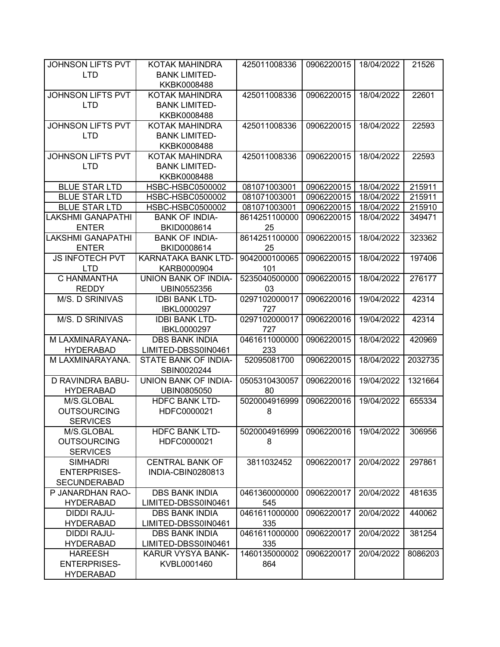| JOHNSON LIFTS PVT                | KOTAK MAHINDRA                       | 425011008336  | 0906220015 | 18/04/2022 | 21526   |
|----------------------------------|--------------------------------------|---------------|------------|------------|---------|
| <b>LTD</b>                       | <b>BANK LIMITED-</b>                 |               |            |            |         |
|                                  | KKBK0008488                          |               |            |            |         |
| JOHNSON LIFTS PVT                | KOTAK MAHINDRA                       | 425011008336  | 0906220015 | 18/04/2022 | 22601   |
| <b>LTD</b>                       | <b>BANK LIMITED-</b>                 |               |            |            |         |
|                                  | KKBK0008488                          |               |            |            |         |
| JOHNSON LIFTS PVT                | KOTAK MAHINDRA                       | 425011008336  | 0906220015 | 18/04/2022 | 22593   |
| <b>LTD</b>                       | <b>BANK LIMITED-</b>                 |               |            |            |         |
|                                  | KKBK0008488                          |               |            |            |         |
| <b>JOHNSON LIFTS PVT</b>         | KOTAK MAHINDRA                       | 425011008336  | 0906220015 | 18/04/2022 | 22593   |
| <b>LTD</b>                       | <b>BANK LIMITED-</b>                 |               |            |            |         |
|                                  | KKBK0008488                          |               |            |            |         |
| <b>BLUE STAR LTD</b>             | HSBC-HSBC0500002                     | 081071003001  | 0906220015 | 18/04/2022 | 215911  |
| <b>BLUE STAR LTD</b>             | HSBC-HSBC0500002                     | 081071003001  | 0906220015 | 18/04/2022 | 215911  |
| <b>BLUE STAR LTD</b>             | HSBC-HSBC0500002                     | 081071003001  | 0906220015 | 18/04/2022 | 215910  |
| <b>LAKSHMI GANAPATHI</b>         | <b>BANK OF INDIA-</b>                | 8614251100000 | 0906220015 | 18/04/2022 | 349471  |
| <b>ENTER</b>                     | BKID0008614                          | 25            |            |            |         |
| <b>LAKSHMI GANAPATHI</b>         | <b>BANK OF INDIA-</b>                | 8614251100000 | 0906220015 | 18/04/2022 | 323362  |
| <b>ENTER</b>                     | BKID0008614                          | 25            |            |            |         |
| <b>JS INFOTECH PVT</b>           | KARNATAKA BANK LTD-                  | 9042000100065 | 0906220015 | 18/04/2022 | 197406  |
| <b>LTD</b>                       | KARB0000904                          | 101           |            |            |         |
| C HANMANTHA                      | UNION BANK OF INDIA-                 | 5235040500000 | 0906220015 | 18/04/2022 | 276177  |
| <b>REDDY</b>                     | UBIN0552356                          | 03            |            |            |         |
| M/S. D SRINIVAS                  | <b>IDBI BANK LTD-</b>                | 0297102000017 | 0906220016 | 19/04/2022 | 42314   |
|                                  | IBKL0000297                          | 727           |            |            |         |
| M/S. D SRINIVAS                  | <b>IDBI BANK LTD-</b>                | 0297102000017 | 0906220016 | 19/04/2022 | 42314   |
|                                  | IBKL0000297                          | 727           |            |            |         |
| M LAXMINARAYANA-                 | <b>DBS BANK INDIA</b>                | 0461611000000 | 0906220015 | 18/04/2022 | 420969  |
| <b>HYDERABAD</b>                 | LIMITED-DBSS0IN0461                  | 233           |            |            |         |
| M LAXMINARAYANA.                 | STATE BANK OF INDIA-                 | 52095081700   | 0906220015 | 18/04/2022 | 2032735 |
|                                  | SBIN0020244                          |               |            |            |         |
| D RAVINDRA BABU-                 | UNION BANK OF INDIA-                 | 0505310430057 | 0906220016 | 19/04/2022 | 1321664 |
| <b>HYDERABAD</b>                 | UBIN0805050                          | 80            |            |            |         |
| M/S.GLOBAL                       | <b>HDFC BANK LTD-</b>                | 5020004916999 | 0906220016 | 19/04/2022 | 655334  |
| <b>OUTSOURCING</b>               | HDFC0000021                          | 8             |            |            |         |
| <b>SERVICES</b>                  |                                      |               |            |            |         |
| M/S.GLOBAL<br><b>OUTSOURCING</b> | <b>HDFC BANK LTD-</b><br>HDFC0000021 | 5020004916999 | 0906220016 | 19/04/2022 | 306956  |
| <b>SERVICES</b>                  |                                      | 8             |            |            |         |
| <b>SIMHADRI</b>                  | <b>CENTRAL BANK OF</b>               | 3811032452    | 0906220017 | 20/04/2022 | 297861  |
| <b>ENTERPRISES-</b>              | INDIA-CBIN0280813                    |               |            |            |         |
| <b>SECUNDERABAD</b>              |                                      |               |            |            |         |
| P JANARDHAN RAO-                 | <b>DBS BANK INDIA</b>                | 0461360000000 | 0906220017 | 20/04/2022 | 481635  |
| <b>HYDERABAD</b>                 | LIMITED-DBSS0IN0461                  | 545           |            |            |         |
| <b>DIDDI RAJU-</b>               | <b>DBS BANK INDIA</b>                | 0461611000000 | 0906220017 | 20/04/2022 | 440062  |
| <b>HYDERABAD</b>                 | LIMITED-DBSS0IN0461                  | 335           |            |            |         |
| <b>DIDDI RAJU-</b>               | <b>DBS BANK INDIA</b>                | 0461611000000 | 0906220017 | 20/04/2022 | 381254  |
| <b>HYDERABAD</b>                 | LIMITED-DBSS0IN0461                  | 335           |            |            |         |
| <b>HAREESH</b>                   | KARUR VYSYA BANK-                    | 1460135000002 | 0906220017 | 20/04/2022 | 8086203 |
| <b>ENTERPRISES-</b>              | KVBL0001460                          | 864           |            |            |         |
| <b>HYDERABAD</b>                 |                                      |               |            |            |         |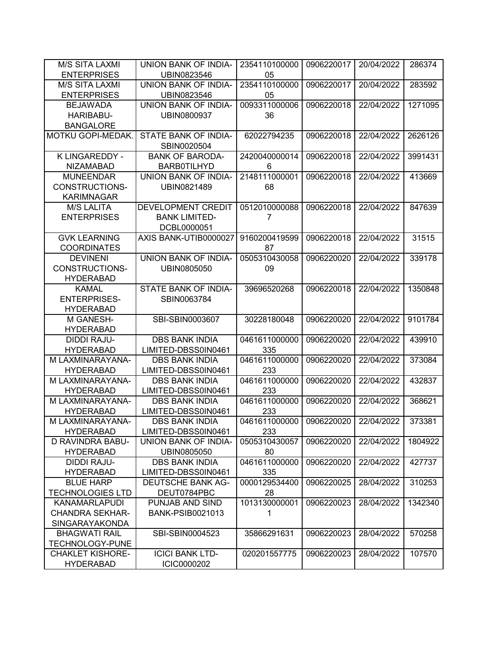| <b>M/S SITA LAXMI</b>                       | UNION BANK OF INDIA-     | 2354110100000 | 0906220017 | 20/04/2022 | 286374  |
|---------------------------------------------|--------------------------|---------------|------------|------------|---------|
| <b>ENTERPRISES</b>                          | UBIN0823546              | 05            |            |            |         |
| <b>M/S SITA LAXMI</b>                       | UNION BANK OF INDIA-     | 2354110100000 | 0906220017 | 20/04/2022 | 283592  |
| <b>ENTERPRISES</b>                          | UBIN0823546              | 05            |            |            |         |
| <b>BEJAWADA</b>                             | UNION BANK OF INDIA-     | 0093311000006 | 0906220018 | 22/04/2022 | 1271095 |
| HARIBABU-                                   | UBIN0800937              | 36            |            |            |         |
| <b>BANGALORE</b>                            |                          |               |            |            |         |
| MOTKU GOPI-MEDAK.                           | STATE BANK OF INDIA-     | 62022794235   | 0906220018 | 22/04/2022 | 2626126 |
|                                             | SBIN0020504              |               |            |            |         |
| K LINGAREDDY -                              | <b>BANK OF BARODA-</b>   | 2420040000014 | 0906220018 | 22/04/2022 | 3991431 |
| <b>NIZAMABAD</b>                            | <b>BARB0TILHYD</b>       | 6             |            |            |         |
| <b>MUNEENDAR</b>                            | UNION BANK OF INDIA-     | 2148111000001 | 0906220018 | 22/04/2022 | 413669  |
| CONSTRUCTIONS-                              | UBIN0821489              | 68            |            |            |         |
| <b>KARIMNAGAR</b>                           |                          |               |            |            |         |
| <b>M/S LALITA</b>                           | DEVELOPMENT CREDIT       | 0512010000088 | 0906220018 | 22/04/2022 | 847639  |
| <b>ENTERPRISES</b>                          | <b>BANK LIMITED-</b>     | 7             |            |            |         |
|                                             | DCBL0000051              |               |            |            |         |
| <b>GVK LEARNING</b>                         | AXIS BANK-UTIB0000027    | 9160200419599 | 0906220018 | 22/04/2022 | 31515   |
| <b>COORDINATES</b>                          |                          | 87            |            |            |         |
| <b>DEVINENI</b>                             | UNION BANK OF INDIA-     | 0505310430058 | 0906220020 | 22/04/2022 | 339178  |
| <b>CONSTRUCTIONS-</b>                       | UBIN0805050              | 09            |            |            |         |
| <b>HYDERABAD</b>                            |                          |               |            |            |         |
| <b>KAMAL</b>                                | STATE BANK OF INDIA-     | 39696520268   | 0906220018 | 22/04/2022 | 1350848 |
| <b>ENTERPRISES-</b>                         | SBIN0063784              |               |            |            |         |
| <b>HYDERABAD</b>                            |                          |               |            |            |         |
| M GANESH-                                   | SBI-SBIN0003607          | 30228180048   | 0906220020 | 22/04/2022 | 9101784 |
| <b>HYDERABAD</b>                            |                          |               |            |            |         |
| <b>DIDDI RAJU-</b>                          | <b>DBS BANK INDIA</b>    | 0461611000000 | 0906220020 | 22/04/2022 | 439910  |
| <b>HYDERABAD</b>                            | LIMITED-DBSS0IN0461      | 335           |            |            |         |
| M LAXMINARAYANA-                            | <b>DBS BANK INDIA</b>    | 0461611000000 | 0906220020 | 22/04/2022 | 373084  |
| <b>HYDERABAD</b>                            | LIMITED-DBSS0IN0461      | 233           |            |            |         |
| M LAXMINARAYANA-                            | <b>DBS BANK INDIA</b>    | 0461611000000 | 0906220020 | 22/04/2022 | 432837  |
| <b>HYDERABAD</b>                            | LIMITED-DBSS0IN0461      | 233           |            |            |         |
| M LAXMINARAYANA-                            | <b>DBS BANK INDIA</b>    | 0461611000000 | 0906220020 | 22/04/2022 | 368621  |
| <b>HYDERABAD</b>                            | LIMITED-DBSS0IN0461      | 233           |            |            |         |
| M LAXMINARAYANA-                            | DBS BANK INDIA           | 0461611000000 | 0906220020 | 22/04/2022 | 373381  |
| <b>HYDERABAD</b>                            | LIMITED-DBSS0IN0461      | 233           |            |            |         |
| D RAVINDRA BABU-                            | UNION BANK OF INDIA-     | 0505310430057 | 0906220020 | 22/04/2022 | 1804922 |
| <b>HYDERABAD</b>                            | UBIN0805050              | 80            |            |            |         |
| <b>DIDDI RAJU-</b>                          | <b>DBS BANK INDIA</b>    | 0461611000000 | 0906220020 | 22/04/2022 | 427737  |
| <b>HYDERABAD</b>                            | LIMITED-DBSS0IN0461      | 335           |            |            |         |
| <b>BLUE HARP</b>                            | <b>DEUTSCHE BANK AG-</b> | 0000129534400 | 0906220025 | 28/04/2022 | 310253  |
| <b>TECHNOLOGIES LTD</b>                     | DEUT0784PBC              | 28            |            |            |         |
| <b>KANAMARLAPUDI</b>                        | PUNJAB AND SIND          | 1013130000001 | 0906220023 | 28/04/2022 | 1342340 |
| <b>CHANDRA SEKHAR-</b>                      | <b>BANK-PSIB0021013</b>  | 1             |            |            |         |
| <b>SINGARAYAKONDA</b>                       |                          |               |            |            |         |
| <b>BHAGWATI RAIL</b>                        | SBI-SBIN0004523          | 35866291631   | 0906220023 | 28/04/2022 | 570258  |
| <b>TECHNOLOGY-PUNE</b>                      |                          |               |            |            |         |
| <b>CHAKLET KISHORE-</b><br><b>HYDERABAD</b> | <b>ICICI BANK LTD-</b>   | 020201557775  | 0906220023 | 28/04/2022 | 107570  |
|                                             | ICIC0000202              |               |            |            |         |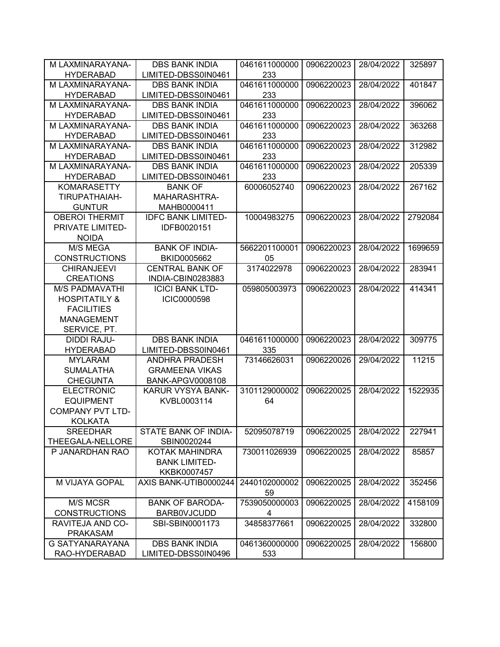| M LAXMINARAYANA-         | <b>DBS BANK INDIA</b>     | 0461611000000       | 0906220023 | 28/04/2022 | 325897  |
|--------------------------|---------------------------|---------------------|------------|------------|---------|
| <b>HYDERABAD</b>         | LIMITED-DBSS0IN0461       | 233                 |            |            |         |
| M LAXMINARAYANA-         | <b>DBS BANK INDIA</b>     | 0461611000000       | 0906220023 | 28/04/2022 | 401847  |
| <b>HYDERABAD</b>         | LIMITED-DBSS0IN0461       | 233                 |            |            |         |
| M LAXMINARAYANA-         | <b>DBS BANK INDIA</b>     | 0461611000000       | 0906220023 | 28/04/2022 | 396062  |
| <b>HYDERABAD</b>         | LIMITED-DBSS0IN0461       | 233                 |            |            |         |
| M LAXMINARAYANA-         | <b>DBS BANK INDIA</b>     | 0461611000000       | 0906220023 | 28/04/2022 | 363268  |
| <b>HYDERABAD</b>         | LIMITED-DBSS0IN0461       | 233                 |            |            |         |
| M LAXMINARAYANA-         | <b>DBS BANK INDIA</b>     | 0461611000000       | 0906220023 | 28/04/2022 | 312982  |
| <b>HYDERABAD</b>         | LIMITED-DBSS0IN0461       | 233                 |            |            |         |
| M LAXMINARAYANA-         | <b>DBS BANK INDIA</b>     | 0461611000000       | 0906220023 | 28/04/2022 | 205339  |
| <b>HYDERABAD</b>         | LIMITED-DBSS0IN0461       | 233                 |            |            |         |
| <b>KOMARASETTY</b>       | <b>BANK OF</b>            | 60006052740         | 0906220023 | 28/04/2022 | 267162  |
| TIRUPATHAIAH-            | MAHARASHTRA-              |                     |            |            |         |
| <b>GUNTUR</b>            | MAHB0000411               |                     |            |            |         |
| <b>OBEROI THERMIT</b>    | <b>IDFC BANK LIMITED-</b> | 10004983275         | 0906220023 | 28/04/2022 | 2792084 |
| PRIVATE LIMITED-         | IDFB0020151               |                     |            |            |         |
| <b>NOIDA</b>             |                           |                     |            |            |         |
| <b>M/S MEGA</b>          | <b>BANK OF INDIA-</b>     | 5662201100001       | 0906220023 | 28/04/2022 | 1699659 |
| <b>CONSTRUCTIONS</b>     | BKID0005662               | 05                  |            |            |         |
| <b>CHIRANJEEVI</b>       | <b>CENTRAL BANK OF</b>    | 3174022978          | 0906220023 | 28/04/2022 | 283941  |
| <b>CREATIONS</b>         | INDIA-CBIN0283883         |                     |            |            |         |
| <b>M/S PADMAVATHI</b>    | <b>ICICI BANK LTD-</b>    | 059805003973        | 0906220023 | 28/04/2022 | 414341  |
| <b>HOSPITATILY &amp;</b> | <b>ICIC0000598</b>        |                     |            |            |         |
| <b>FACILITIES</b>        |                           |                     |            |            |         |
| <b>MANAGEMENT</b>        |                           |                     |            |            |         |
| SERVICE, PT.             |                           |                     |            |            |         |
| <b>DIDDI RAJU-</b>       | <b>DBS BANK INDIA</b>     | 0461611000000       | 0906220023 | 28/04/2022 | 309775  |
| <b>HYDERABAD</b>         | LIMITED-DBSS0IN0461       | 335                 |            |            |         |
| <b>MYLARAM</b>           | ANDHRA PRADESH            | 73146626031         | 0906220026 | 29/04/2022 | 11215   |
| <b>SUMALATHA</b>         | <b>GRAMEENA VIKAS</b>     |                     |            |            |         |
| <b>CHEGUNTA</b>          | BANK-APGV0008108          |                     |            |            |         |
| <b>ELECTRONIC</b>        | KARUR VYSYA BANK-         | 3101129000002       | 0906220025 | 28/04/2022 | 1522935 |
| <b>EQUIPMENT</b>         | KVBL0003114               | 64                  |            |            |         |
| <b>COMPANY PVT LTD-</b>  |                           |                     |            |            |         |
| <b>KOLKATA</b>           |                           |                     |            |            |         |
| <b>SREEDHAR</b>          | STATE BANK OF INDIA-      | 52095078719         | 0906220025 | 28/04/2022 | 227941  |
| THEEGALA-NELLORE         | SBIN0020244               |                     |            |            |         |
| P JANARDHAN RAO          | KOTAK MAHINDRA            | 730011026939        | 0906220025 | 28/04/2022 | 85857   |
|                          | <b>BANK LIMITED-</b>      |                     |            |            |         |
|                          | KKBK0007457               |                     |            |            |         |
| M VIJAYA GOPAL           | AXIS BANK-UTIB0000244     | 2440102000002<br>59 | 0906220025 | 28/04/2022 | 352456  |
| M/S MCSR                 | <b>BANK OF BARODA-</b>    | 7539050000003       | 0906220025 | 28/04/2022 | 4158109 |
| <b>CONSTRUCTIONS</b>     | <b>BARBOVJCUDD</b>        | 4                   |            |            |         |
| RAVITEJA AND CO-         | SBI-SBIN0001173           | 34858377661         | 0906220025 | 28/04/2022 | 332800  |
| <b>PRAKASAM</b>          |                           |                     |            |            |         |
| G SATYANARAYANA          | <b>DBS BANK INDIA</b>     | 0461360000000       | 0906220025 | 28/04/2022 | 156800  |
| RAO-HYDERABAD            | LIMITED-DBSS0IN0496       | 533                 |            |            |         |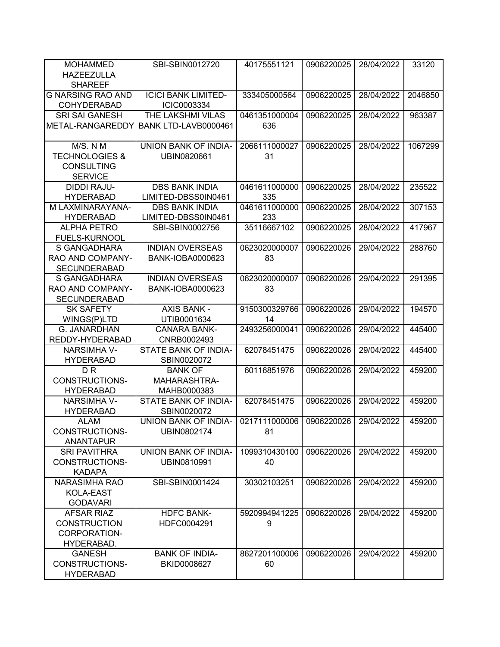| <b>MOHAMMED</b>           | SBI-SBIN0012720            | 40175551121   | 0906220025 | 28/04/2022 | 33120   |
|---------------------------|----------------------------|---------------|------------|------------|---------|
| <b>HAZEEZULLA</b>         |                            |               |            |            |         |
| <b>SHAREEF</b>            |                            |               |            |            |         |
| <b>G NARSING RAO AND</b>  | <b>ICICI BANK LIMITED-</b> | 333405000564  | 0906220025 | 28/04/2022 | 2046850 |
| <b>COHYDERABAD</b>        | ICIC0003334                |               |            |            |         |
| <b>SRI SAI GANESH</b>     | THE LAKSHMI VILAS          | 0461351000004 | 0906220025 | 28/04/2022 | 963387  |
| METAL-RANGAREDDY          | BANK LTD-LAVB0000461       | 636           |            |            |         |
|                           |                            |               |            |            |         |
| M/S. N M                  | UNION BANK OF INDIA-       | 2066111000027 | 0906220025 | 28/04/2022 | 1067299 |
| <b>TECHNOLOGIES &amp;</b> | UBIN0820661                | 31            |            |            |         |
| <b>CONSULTING</b>         |                            |               |            |            |         |
| <b>SERVICE</b>            |                            |               |            |            |         |
| <b>DIDDI RAJU-</b>        | <b>DBS BANK INDIA</b>      | 0461611000000 | 0906220025 | 28/04/2022 | 235522  |
|                           |                            |               |            |            |         |
| <b>HYDERABAD</b>          | LIMITED-DBSS0IN0461        | 335           |            |            |         |
| M LAXMINARAYANA-          | <b>DBS BANK INDIA</b>      | 0461611000000 | 0906220025 | 28/04/2022 | 307153  |
| <b>HYDERABAD</b>          | LIMITED-DBSS0IN0461        | 233           |            |            |         |
| <b>ALPHA PETRO</b>        | SBI-SBIN0002756            | 35116667102   | 0906220025 | 28/04/2022 | 417967  |
| <b>FUELS-KURNOOL</b>      |                            |               |            |            |         |
| S GANGADHARA              | <b>INDIAN OVERSEAS</b>     | 0623020000007 | 0906220026 | 29/04/2022 | 288760  |
| RAO AND COMPANY-          | <b>BANK-IOBA0000623</b>    | 83            |            |            |         |
| <b>SECUNDERABAD</b>       |                            |               |            |            |         |
| S GANGADHARA              | <b>INDIAN OVERSEAS</b>     | 0623020000007 | 0906220026 | 29/04/2022 | 291395  |
| RAO AND COMPANY-          | <b>BANK-IOBA0000623</b>    | 83            |            |            |         |
| <b>SECUNDERABAD</b>       |                            |               |            |            |         |
| <b>SK SAFETY</b>          | <b>AXIS BANK -</b>         | 9150300329766 | 0906220026 | 29/04/2022 | 194570  |
| WINGS(P)LTD               | UTIB0001634                | 14            |            |            |         |
| G. JANARDHAN              | <b>CANARA BANK-</b>        | 2493256000041 | 0906220026 | 29/04/2022 | 445400  |
| REDDY-HYDERABAD           | CNRB0002493                |               |            |            |         |
| <b>NARSIMHA V-</b>        | STATE BANK OF INDIA-       | 62078451475   | 0906220026 | 29/04/2022 | 445400  |
| <b>HYDERABAD</b>          | SBIN0020072                |               |            |            |         |
| D <sub>R</sub>            | <b>BANK OF</b>             | 60116851976   | 0906220026 | 29/04/2022 | 459200  |
| <b>CONSTRUCTIONS-</b>     | <b>MAHARASHTRA-</b>        |               |            |            |         |
| <b>HYDERABAD</b>          | MAHB0000383                |               |            |            |         |
| <b>NARSIMHA V-</b>        | STATE BANK OF INDIA-       | 62078451475   | 0906220026 | 29/04/2022 | 459200  |
| <b>HYDERABAD</b>          | SBIN0020072                |               |            |            |         |
| <b>ALAM</b>               | UNION BANK OF INDIA-       | 0217111000006 | 0906220026 | 29/04/2022 | 459200  |
| CONSTRUCTIONS-            | UBIN0802174                | 81            |            |            |         |
| <b>ANANTAPUR</b>          |                            |               |            |            |         |
| <b>SRI PAVITHRA</b>       | UNION BANK OF INDIA-       | 1099310430100 | 0906220026 | 29/04/2022 | 459200  |
| <b>CONSTRUCTIONS-</b>     | UBIN0810991                | 40            |            |            |         |
| <b>KADAPA</b>             |                            |               |            |            |         |
| <b>NARASIMHA RAO</b>      | SBI-SBIN0001424            | 30302103251   | 0906220026 | 29/04/2022 | 459200  |
| KOLA-EAST                 |                            |               |            |            |         |
| <b>GODAVARI</b>           |                            |               |            |            |         |
| <b>AFSAR RIAZ</b>         | <b>HDFC BANK-</b>          | 5920994941225 | 0906220026 | 29/04/2022 | 459200  |
| <b>CONSTRUCTION</b>       | HDFC0004291                | 9             |            |            |         |
| CORPORATION-              |                            |               |            |            |         |
| HYDERABAD.                |                            |               |            |            |         |
| <b>GANESH</b>             | <b>BANK OF INDIA-</b>      | 8627201100006 | 0906220026 | 29/04/2022 | 459200  |
| CONSTRUCTIONS-            | BKID0008627                | 60            |            |            |         |
| <b>HYDERABAD</b>          |                            |               |            |            |         |
|                           |                            |               |            |            |         |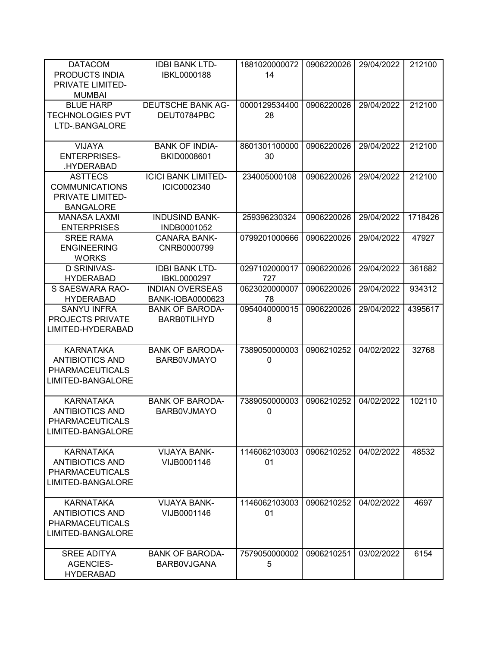| <b>DATACOM</b><br>PRODUCTS INDIA<br>PRIVATE LIMITED-<br><b>MUMBAI</b>                     | <b>IDBI BANK LTD-</b><br><b>IBKL0000188</b>                             | 1881020000072<br>14      | 0906220026 | 29/04/2022 | 212100  |
|-------------------------------------------------------------------------------------------|-------------------------------------------------------------------------|--------------------------|------------|------------|---------|
| <b>BLUE HARP</b><br><b>TECHNOLOGIES PVT</b><br>LTD-.BANGALORE                             | <b>DEUTSCHE BANK AG-</b><br>DEUT0784PBC                                 | 0000129534400<br>28      | 0906220026 | 29/04/2022 | 212100  |
| VIJAYA<br><b>ENTERPRISES-</b><br>.HYDERABAD                                               | <b>BANK OF INDIA-</b><br>BKID0008601                                    | 8601301100000<br>30      | 0906220026 | 29/04/2022 | 212100  |
| <b>ASTTECS</b><br><b>COMMUNICATIONS</b><br>PRIVATE LIMITED-<br><b>BANGALORE</b>           | <b>ICICI BANK LIMITED-</b><br>ICIC0002340                               | 234005000108             | 0906220026 | 29/04/2022 | 212100  |
| <b>MANASA LAXMI</b><br><b>ENTERPRISES</b>                                                 | <b>INDUSIND BANK-</b><br>INDB0001052                                    | 259396230324             | 0906220026 | 29/04/2022 | 1718426 |
| <b>SREE RAMA</b><br><b>ENGINEERING</b><br><b>WORKS</b>                                    | <b>CANARA BANK-</b><br>CNRB0000799                                      | 0799201000666            | 0906220026 | 29/04/2022 | 47927   |
| <b>D SRINIVAS-</b><br><b>HYDERABAD</b>                                                    | <b>IDBI BANK LTD-</b><br>IBKL0000297                                    | 0297102000017<br>727     | 0906220026 | 29/04/2022 | 361682  |
| S SAESWARA RAO-                                                                           | <b>INDIAN OVERSEAS</b>                                                  | 0623020000007            | 0906220026 | 29/04/2022 | 934312  |
| <b>HYDERABAD</b><br><b>SANYU INFRA</b><br>PROJECTS PRIVATE<br>LIMITED-HYDERABAD           | <b>BANK-IOBA0000623</b><br><b>BANK OF BARODA-</b><br><b>BARB0TILHYD</b> | 78<br>0954040000015<br>8 | 0906220026 | 29/04/2022 | 4395617 |
| <b>KARNATAKA</b><br><b>ANTIBIOTICS AND</b><br><b>PHARMACEUTICALS</b><br>LIMITED-BANGALORE | <b>BANK OF BARODA-</b><br><b>BARBOVJMAYO</b>                            | 7389050000003<br>0       | 0906210252 | 04/02/2022 | 32768   |
| <b>KARNATAKA</b><br><b>ANTIBIOTICS AND</b><br><b>PHARMACEUTICALS</b><br>LIMITED-BANGALORE | <b>BANK OF BARODA-</b><br><b>BARBOVJMAYO</b>                            | 7389050000003<br>0       | 0906210252 | 04/02/2022 | 102110  |
| <b>KARNATAKA</b><br><b>ANTIBIOTICS AND</b><br><b>PHARMACEUTICALS</b><br>LIMITED-BANGALORE | <b>VIJAYA BANK-</b><br>VIJB0001146                                      | 1146062103003<br>01      | 0906210252 | 04/02/2022 | 48532   |
| <b>KARNATAKA</b><br><b>ANTIBIOTICS AND</b><br><b>PHARMACEUTICALS</b><br>LIMITED-BANGALORE | <b>VIJAYA BANK-</b><br>VIJB0001146                                      | 1146062103003<br>01      | 0906210252 | 04/02/2022 | 4697    |
| <b>SREE ADITYA</b><br><b>AGENCIES-</b><br><b>HYDERABAD</b>                                | <b>BANK OF BARODA-</b><br><b>BARBOVJGANA</b>                            | 7579050000002<br>5       | 0906210251 | 03/02/2022 | 6154    |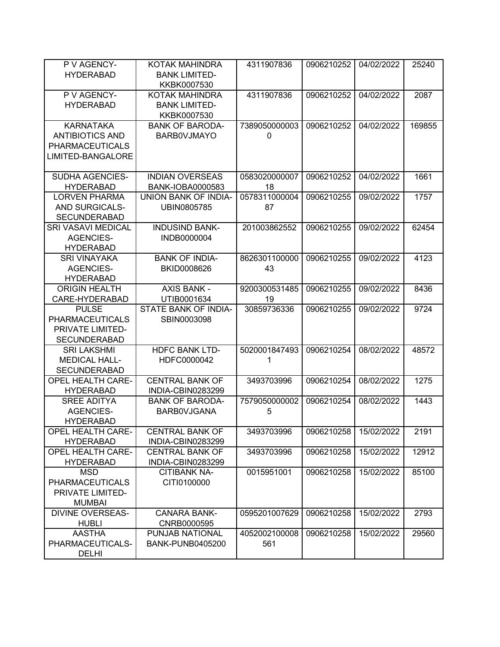| P V AGENCY-                                     | KOTAK MAHINDRA          | 4311907836    | 0906210252 | 04/02/2022 | 25240  |
|-------------------------------------------------|-------------------------|---------------|------------|------------|--------|
| <b>HYDERABAD</b>                                | <b>BANK LIMITED-</b>    |               |            |            |        |
|                                                 | KKBK0007530             |               |            |            |        |
| P V AGENCY-                                     | KOTAK MAHINDRA          | 4311907836    | 0906210252 | 04/02/2022 | 2087   |
| <b>HYDERABAD</b>                                | <b>BANK LIMITED-</b>    |               |            |            |        |
|                                                 | KKBK0007530             |               |            |            |        |
| <b>KARNATAKA</b>                                | <b>BANK OF BARODA-</b>  | 7389050000003 | 0906210252 | 04/02/2022 | 169855 |
| <b>ANTIBIOTICS AND</b>                          | <b>BARBOVJMAYO</b>      | 0             |            |            |        |
| <b>PHARMACEUTICALS</b>                          |                         |               |            |            |        |
| LIMITED-BANGALORE                               |                         |               |            |            |        |
| <b>SUDHA AGENCIES-</b>                          | <b>INDIAN OVERSEAS</b>  | 0583020000007 | 0906210252 | 04/02/2022 | 1661   |
| <b>HYDERABAD</b>                                | <b>BANK-IOBA0000583</b> | 18            |            |            |        |
| <b>LORVEN PHARMA</b>                            | UNION BANK OF INDIA-    | 0578311000004 | 0906210255 | 09/02/2022 | 1757   |
| AND SURGICALS-                                  | UBIN0805785             | 87            |            |            |        |
| <b>SECUNDERABAD</b>                             |                         |               |            |            |        |
| <b>SRI VASAVI MEDICAL</b>                       | <b>INDUSIND BANK-</b>   | 201003862552  | 0906210255 | 09/02/2022 | 62454  |
| <b>AGENCIES-</b>                                | INDB0000004             |               |            |            |        |
| <b>HYDERABAD</b>                                |                         |               |            |            |        |
| <b>SRI VINAYAKA</b>                             | <b>BANK OF INDIA-</b>   | 8626301100000 | 0906210255 | 09/02/2022 | 4123   |
| <b>AGENCIES-</b>                                | BKID0008626             | 43            |            |            |        |
| <b>HYDERABAD</b>                                |                         |               |            |            |        |
| <b>ORIGIN HEALTH</b>                            | <b>AXIS BANK -</b>      | 9200300531485 | 0906210255 | 09/02/2022 | 8436   |
| CARE-HYDERABAD                                  | UTIB0001634             | 19            |            |            |        |
| <b>PULSE</b>                                    | STATE BANK OF INDIA-    | 30859736336   | 0906210255 | 09/02/2022 | 9724   |
| <b>PHARMACEUTICALS</b>                          | SBIN0003098             |               |            |            |        |
| PRIVATE LIMITED-                                |                         |               |            |            |        |
| <b>SECUNDERABAD</b>                             |                         |               |            |            |        |
| <b>SRI LAKSHMI</b>                              | <b>HDFC BANK LTD-</b>   | 5020001847493 | 0906210254 | 08/02/2022 | 48572  |
| <b>MEDICAL HALL-</b>                            | HDFC0000042             | 1             |            |            |        |
| <b>SECUNDERABAD</b><br><b>OPEL HEALTH CARE-</b> | <b>CENTRAL BANK OF</b>  | 3493703996    |            |            | 1275   |
| <b>HYDERABAD</b>                                | INDIA-CBIN0283299       |               | 0906210254 | 08/02/2022 |        |
| <b>SREE ADITYA</b>                              | <b>BANK OF BARODA-</b>  | 7579050000002 | 0906210254 | 08/02/2022 | 1443   |
| <b>AGENCIES-</b>                                | <b>BARBOVJGANA</b>      | 5             |            |            |        |
| <b>HYDERABAD</b>                                |                         |               |            |            |        |
| <b>OPEL HEALTH CARE-</b>                        | <b>CENTRAL BANK OF</b>  | 3493703996    | 0906210258 | 15/02/2022 | 2191   |
| <b>HYDERABAD</b>                                | INDIA-CBIN0283299       |               |            |            |        |
| <b>OPEL HEALTH CARE-</b>                        | <b>CENTRAL BANK OF</b>  | 3493703996    | 0906210258 | 15/02/2022 | 12912  |
| <b>HYDERABAD</b>                                | INDIA-CBIN0283299       |               |            |            |        |
| <b>MSD</b>                                      | <b>CITIBANK NA-</b>     | 0015951001    | 0906210258 | 15/02/2022 | 85100  |
| <b>PHARMACEUTICALS</b>                          | CITI0100000             |               |            |            |        |
| PRIVATE LIMITED-                                |                         |               |            |            |        |
| <b>MUMBAI</b>                                   |                         |               |            |            |        |
| <b>DIVINE OVERSEAS-</b>                         | <b>CANARA BANK-</b>     | 0595201007629 | 0906210258 | 15/02/2022 | 2793   |
| <b>HUBLI</b>                                    | CNRB0000595             |               |            |            |        |
| <b>AASTHA</b>                                   | PUNJAB NATIONAL         | 4052002100008 | 0906210258 | 15/02/2022 | 29560  |
| PHARMACEUTICALS-                                | <b>BANK-PUNB0405200</b> | 561           |            |            |        |
| <b>DELHI</b>                                    |                         |               |            |            |        |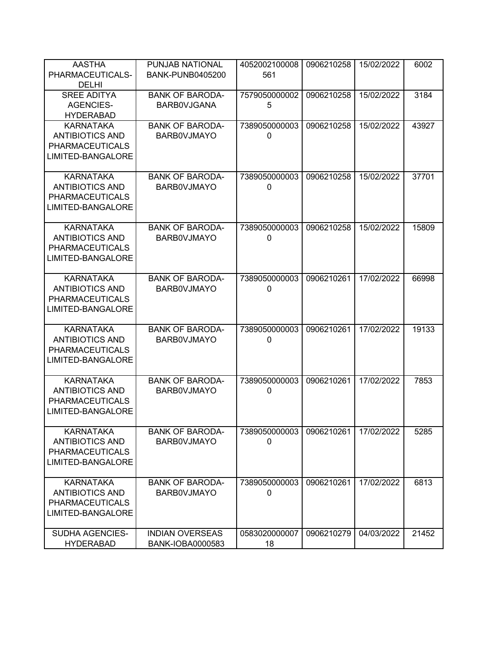| <b>AASTHA</b><br>PHARMACEUTICALS-                                                         | PUNJAB NATIONAL<br><b>BANK-PUNB0405200</b>   | 4052002100008<br>561          | 0906210258 | 15/02/2022 | 6002  |
|-------------------------------------------------------------------------------------------|----------------------------------------------|-------------------------------|------------|------------|-------|
| <b>DELHI</b><br><b>SREE ADITYA</b><br><b>AGENCIES-</b><br><b>HYDERABAD</b>                | <b>BANK OF BARODA-</b><br><b>BARBOVJGANA</b> | 7579050000002<br>5            | 0906210258 | 15/02/2022 | 3184  |
| <b>KARNATAKA</b><br><b>ANTIBIOTICS AND</b><br><b>PHARMACEUTICALS</b><br>LIMITED-BANGALORE | <b>BANK OF BARODA-</b><br><b>BARBOVJMAYO</b> | 7389050000003<br>0            | 0906210258 | 15/02/2022 | 43927 |
| <b>KARNATAKA</b><br><b>ANTIBIOTICS AND</b><br><b>PHARMACEUTICALS</b><br>LIMITED-BANGALORE | <b>BANK OF BARODA-</b><br><b>BARBOVJMAYO</b> | 7389050000003<br>$\mathbf{0}$ | 0906210258 | 15/02/2022 | 37701 |
| <b>KARNATAKA</b><br><b>ANTIBIOTICS AND</b><br><b>PHARMACEUTICALS</b><br>LIMITED-BANGALORE | <b>BANK OF BARODA-</b><br><b>BARBOVJMAYO</b> | 7389050000003<br>$\mathbf{0}$ | 0906210258 | 15/02/2022 | 15809 |
| <b>KARNATAKA</b><br><b>ANTIBIOTICS AND</b><br><b>PHARMACEUTICALS</b><br>LIMITED-BANGALORE | <b>BANK OF BARODA-</b><br><b>BARBOVJMAYO</b> | 7389050000003<br>0            | 0906210261 | 17/02/2022 | 66998 |
| <b>KARNATAKA</b><br><b>ANTIBIOTICS AND</b><br><b>PHARMACEUTICALS</b><br>LIMITED-BANGALORE | <b>BANK OF BARODA-</b><br><b>BARBOVJMAYO</b> | 7389050000003<br>0            | 0906210261 | 17/02/2022 | 19133 |
| <b>KARNATAKA</b><br><b>ANTIBIOTICS AND</b><br><b>PHARMACEUTICALS</b><br>LIMITED-BANGALORE | <b>BANK OF BARODA-</b><br><b>BARBOVJMAYO</b> | 7389050000003<br>0            | 0906210261 | 17/02/2022 | 7853  |
| <b>KARNATAKA</b><br><b>ANTIBIOTICS AND</b><br><b>PHARMACEUTICALS</b><br>LIMITED-BANGALORE | <b>BANK OF BARODA-</b><br><b>BARBOVJMAYO</b> | 7389050000003<br>$\Omega$     | 0906210261 | 17/02/2022 | 5285  |
| <b>KARNATAKA</b><br><b>ANTIBIOTICS AND</b><br><b>PHARMACEUTICALS</b><br>LIMITED-BANGALORE | <b>BANK OF BARODA-</b><br><b>BARBOVJMAYO</b> | 7389050000003<br>0            | 0906210261 | 17/02/2022 | 6813  |
| SUDHA AGENCIES-<br><b>HYDERABAD</b>                                                       | <b>INDIAN OVERSEAS</b><br>BANK-IOBA0000583   | 0583020000007<br>18           | 0906210279 | 04/03/2022 | 21452 |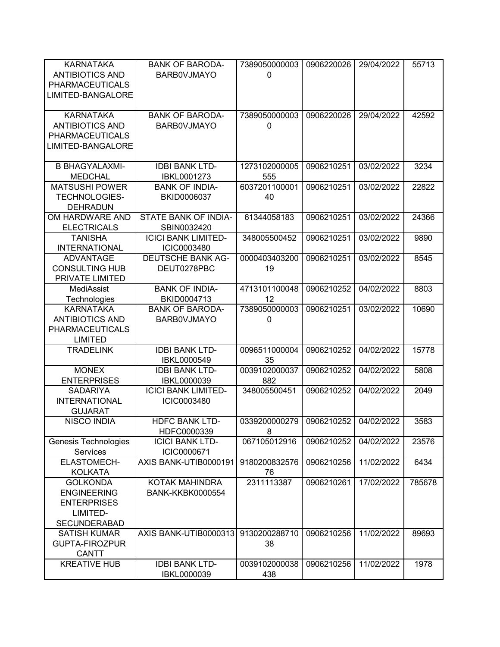| <b>KARNATAKA</b><br><b>ANTIBIOTICS AND</b><br><b>PHARMACEUTICALS</b><br>LIMITED-BANGALORE      | <b>BANK OF BARODA-</b><br><b>BARBOVJMAYO</b> | 7389050000003<br>$\Omega$ | 0906220026 | 29/04/2022 | 55713  |
|------------------------------------------------------------------------------------------------|----------------------------------------------|---------------------------|------------|------------|--------|
| <b>KARNATAKA</b><br><b>ANTIBIOTICS AND</b><br><b>PHARMACEUTICALS</b><br>LIMITED-BANGALORE      | <b>BANK OF BARODA-</b><br><b>BARBOVJMAYO</b> | 7389050000003<br>0        | 0906220026 | 29/04/2022 | 42592  |
| <b>B BHAGYALAXMI-</b><br><b>MEDCHAL</b>                                                        | <b>IDBI BANK LTD-</b><br>IBKL0001273         | 1273102000005<br>555      | 0906210251 | 03/02/2022 | 3234   |
| <b>MATSUSHI POWER</b><br><b>TECHNOLOGIES-</b><br><b>DEHRADUN</b>                               | <b>BANK OF INDIA-</b><br>BKID0006037         | 6037201100001<br>40       | 0906210251 | 03/02/2022 | 22822  |
| OM HARDWARE AND<br><b>ELECTRICALS</b>                                                          | STATE BANK OF INDIA-<br>SBIN0032420          | 61344058183               | 0906210251 | 03/02/2022 | 24366  |
| <b>TANISHA</b><br><b>INTERNATIONAL</b>                                                         | <b>ICICI BANK LIMITED-</b><br>ICIC0003480    | 348005500452              | 0906210251 | 03/02/2022 | 9890   |
| <b>ADVANTAGE</b><br><b>CONSULTING HUB</b><br>PRIVATE LIMITED                                   | <b>DEUTSCHE BANK AG-</b><br>DEUT0278PBC      | 0000403403200<br>19       | 0906210251 | 03/02/2022 | 8545   |
| <b>MediAssist</b><br>Technologies                                                              | <b>BANK OF INDIA-</b><br>BKID0004713         | 4713101100048<br>12       | 0906210252 | 04/02/2022 | 8803   |
| <b>KARNATAKA</b><br><b>ANTIBIOTICS AND</b><br><b>PHARMACEUTICALS</b><br><b>LIMITED</b>         | <b>BANK OF BARODA-</b><br><b>BARBOVJMAYO</b> | 7389050000003<br>0        | 0906210251 | 03/02/2022 | 10690  |
| <b>TRADELINK</b>                                                                               | <b>IDBI BANK LTD-</b><br>IBKL0000549         | 0096511000004<br>35       | 0906210252 | 04/02/2022 | 15778  |
| <b>MONEX</b><br><b>ENTERPRISES</b>                                                             | <b>IDBI BANK LTD-</b><br>IBKL0000039         | 0039102000037<br>882      | 0906210252 | 04/02/2022 | 5808   |
| <b>SADARIYA</b><br><b>INTERNATIONAL</b><br><b>GUJARAT</b>                                      | <b>ICICI BANK LIMITED-</b><br>ICIC0003480    | 348005500451              | 0906210252 | 04/02/2022 | 2049   |
| <b>NISCO INDIA</b>                                                                             | <b>HDFC BANK LTD-</b><br>HDFC0000339         | 0339200000279<br>8        | 0906210252 | 04/02/2022 | 3583   |
| Genesis Technologies<br>Services                                                               | <b>ICICI BANK LTD-</b><br>ICIC0000671        | 067105012916              | 0906210252 | 04/02/2022 | 23576  |
| <b>ELASTOMECH-</b><br><b>KOLKATA</b>                                                           | AXIS BANK-UTIB0000191                        | 9180200832576<br>76       | 0906210256 | 11/02/2022 | 6434   |
| <b>GOLKONDA</b><br><b>ENGINEERING</b><br><b>ENTERPRISES</b><br>LIMITED-<br><b>SECUNDERABAD</b> | KOTAK MAHINDRA<br><b>BANK-KKBK0000554</b>    | 2311113387                | 0906210261 | 17/02/2022 | 785678 |
| <b>SATISH KUMAR</b><br><b>GUPTA-FIROZPUR</b><br><b>CANTT</b>                                   | AXIS BANK-UTIB0000313                        | 9130200288710<br>38       | 0906210256 | 11/02/2022 | 89693  |
| <b>KREATIVE HUB</b>                                                                            | <b>IDBI BANK LTD-</b><br>IBKL0000039         | 0039102000038<br>438      | 0906210256 | 11/02/2022 | 1978   |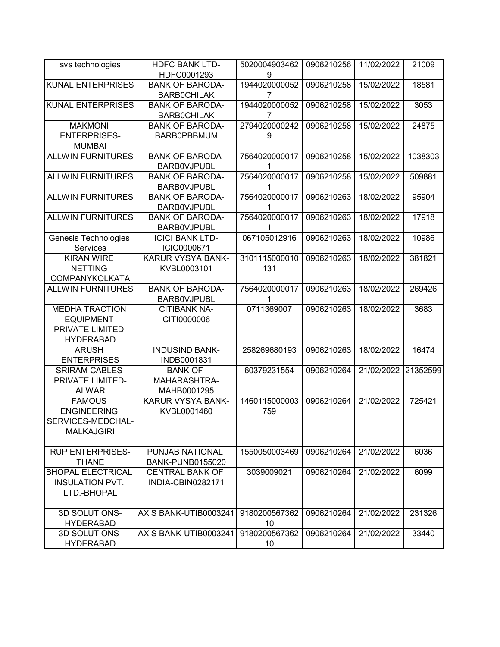| svs technologies            | <b>HDFC BANK LTD-</b>                        | 5020004903462      | 0906210256 | 11/02/2022 | 21009    |
|-----------------------------|----------------------------------------------|--------------------|------------|------------|----------|
|                             | HDFC0001293                                  | 9                  |            |            |          |
| <b>KUNAL ENTERPRISES</b>    | <b>BANK OF BARODA-</b>                       | 1944020000052      | 0906210258 | 15/02/2022 | 18581    |
|                             | <b>BARBOCHILAK</b>                           | 7                  |            |            |          |
| <b>KUNAL ENTERPRISES</b>    | <b>BANK OF BARODA-</b>                       | 1944020000052      | 0906210258 | 15/02/2022 | 3053     |
|                             | <b>BARBOCHILAK</b>                           | 7                  |            |            |          |
| <b>MAKMONI</b>              | <b>BANK OF BARODA-</b>                       | 2794020000242      | 0906210258 | 15/02/2022 | 24875    |
| <b>ENTERPRISES-</b>         | <b>BARB0PBBMUM</b>                           | 9                  |            |            |          |
| <b>MUMBAI</b>               |                                              |                    |            |            |          |
| <b>ALLWIN FURNITURES</b>    | <b>BANK OF BARODA-</b>                       | 7564020000017      | 0906210258 | 15/02/2022 | 1038303  |
|                             | <b>BARBOVJPUBL</b>                           | 1                  |            |            |          |
| <b>ALLWIN FURNITURES</b>    | <b>BANK OF BARODA-</b>                       | 7564020000017      | 0906210258 | 15/02/2022 | 509881   |
|                             | <b>BARBOVJPUBL</b>                           | 1                  |            |            |          |
| <b>ALLWIN FURNITURES</b>    | <b>BANK OF BARODA-</b>                       | 7564020000017      | 0906210263 | 18/02/2022 | 95904    |
|                             | <b>BARBOVJPUBL</b>                           | 1                  |            |            |          |
| <b>ALLWIN FURNITURES</b>    | <b>BANK OF BARODA-</b>                       | 7564020000017<br>1 | 0906210263 | 18/02/2022 | 17918    |
| <b>Genesis Technologies</b> | <b>BARBOVJPUBL</b><br><b>ICICI BANK LTD-</b> | 067105012916       | 0906210263 | 18/02/2022 | 10986    |
| Services                    | ICIC0000671                                  |                    |            |            |          |
| <b>KIRAN WIRE</b>           | <b>KARUR VYSYA BANK-</b>                     | 3101115000010      | 0906210263 | 18/02/2022 | 381821   |
| <b>NETTING</b>              | KVBL0003101                                  | 131                |            |            |          |
| <b>COMPANYKOLKATA</b>       |                                              |                    |            |            |          |
| <b>ALLWIN FURNITURES</b>    | <b>BANK OF BARODA-</b>                       | 7564020000017      | 0906210263 | 18/02/2022 | 269426   |
|                             | <b>BARBOVJPUBL</b>                           | 1                  |            |            |          |
| <b>MEDHA TRACTION</b>       | <b>CITIBANK NA-</b>                          | 0711369007         | 0906210263 | 18/02/2022 | 3683     |
| <b>EQUIPMENT</b>            | CITI0000006                                  |                    |            |            |          |
| PRIVATE LIMITED-            |                                              |                    |            |            |          |
| <b>HYDERABAD</b>            |                                              |                    |            |            |          |
| <b>ARUSH</b>                | <b>INDUSIND BANK-</b>                        | 258269680193       | 0906210263 | 18/02/2022 | 16474    |
| <b>ENTERPRISES</b>          | INDB0001831                                  |                    |            |            |          |
| <b>SRIRAM CABLES</b>        | <b>BANK OF</b>                               | 60379231554        | 0906210264 | 21/02/2022 | 21352599 |
| PRIVATE LIMITED-            | MAHARASHTRA-                                 |                    |            |            |          |
| <b>ALWAR</b>                | MAHB0001295                                  |                    |            |            |          |
| <b>FAMOUS</b>               | KARUR VYSYA BANK-                            | 1460115000003      | 0906210264 | 21/02/2022 | 725421   |
| <b>ENGINEERING</b>          | KVBL0001460                                  | 759                |            |            |          |
| SERVICES-MEDCHAL-           |                                              |                    |            |            |          |
| <b>MALKAJGIRI</b>           |                                              |                    |            |            |          |
| <b>RUP ENTERPRISES-</b>     | PUNJAB NATIONAL                              | 1550050003469      |            |            | 6036     |
| <b>THANE</b>                | BANK-PUNB0155020                             |                    | 0906210264 | 21/02/2022 |          |
| <b>BHOPAL ELECTRICAL</b>    | <b>CENTRAL BANK OF</b>                       | 3039009021         | 0906210264 | 21/02/2022 | 6099     |
| <b>INSULATION PVT.</b>      | INDIA-CBIN0282171                            |                    |            |            |          |
| LTD.-BHOPAL                 |                                              |                    |            |            |          |
|                             |                                              |                    |            |            |          |
| 3D SOLUTIONS-               | AXIS BANK-UTIB0003241                        | 9180200567362      | 0906210264 | 21/02/2022 | 231326   |
| <b>HYDERABAD</b>            |                                              | 10                 |            |            |          |
| 3D SOLUTIONS-               | AXIS BANK-UTIB0003241                        | 9180200567362      | 0906210264 | 21/02/2022 | 33440    |
| <b>HYDERABAD</b>            |                                              | 10                 |            |            |          |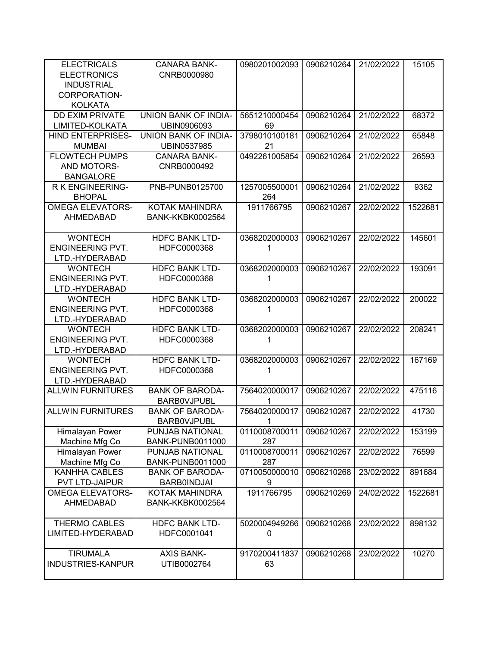| <b>ELECTRICALS</b><br><b>ELECTRONICS</b><br><b>INDUSTRIAL</b> | <b>CANARA BANK-</b><br>CNRB0000980           | 0980201002093      | 0906210264 | 21/02/2022 | 15105   |
|---------------------------------------------------------------|----------------------------------------------|--------------------|------------|------------|---------|
| CORPORATION-<br><b>KOLKATA</b>                                |                                              |                    |            |            |         |
| <b>DD EXIM PRIVATE</b>                                        | UNION BANK OF INDIA-                         | 5651210000454      | 0906210264 | 21/02/2022 | 68372   |
| LIMITED-KOLKATA                                               | UBIN0906093                                  | 69                 |            |            |         |
| <b>HIND ENTERPRISES-</b>                                      | UNION BANK OF INDIA-                         | 3798010100181      | 0906210264 | 21/02/2022 | 65848   |
| <b>MUMBAI</b>                                                 | UBIN0537985                                  | 21                 |            |            |         |
| <b>FLOWTECH PUMPS</b>                                         | <b>CANARA BANK-</b>                          | 0492261005854      | 0906210264 | 21/02/2022 | 26593   |
| AND MOTORS-                                                   | CNRB0000492                                  |                    |            |            |         |
| <b>BANGALORE</b>                                              |                                              |                    |            |            |         |
| R K ENGINEERING-                                              | PNB-PUNB0125700                              | 1257005500001      | 0906210264 | 21/02/2022 | 9362    |
| <b>BHOPAL</b>                                                 |                                              | 264                |            |            |         |
| <b>OMEGA ELEVATORS-</b>                                       | KOTAK MAHINDRA                               | 1911766795         | 0906210267 | 22/02/2022 | 1522681 |
| <b>AHMEDABAD</b>                                              | <b>BANK-KKBK0002564</b>                      |                    |            |            |         |
| <b>WONTECH</b>                                                | <b>HDFC BANK LTD-</b>                        | 0368202000003      | 0906210267 | 22/02/2022 | 145601  |
| <b>ENGINEERING PVT.</b>                                       | HDFC0000368                                  | 1                  |            |            |         |
| LTD.-HYDERABAD                                                |                                              |                    |            |            |         |
| <b>WONTECH</b>                                                | <b>HDFC BANK LTD-</b>                        | 0368202000003      | 0906210267 | 22/02/2022 | 193091  |
| <b>ENGINEERING PVT.</b>                                       | HDFC0000368                                  |                    |            |            |         |
| LTD.-HYDERABAD                                                |                                              |                    |            |            |         |
| <b>WONTECH</b>                                                | <b>HDFC BANK LTD-</b>                        | 0368202000003      | 0906210267 | 22/02/2022 | 200022  |
| <b>ENGINEERING PVT.</b>                                       | HDFC0000368                                  | 1                  |            |            |         |
| LTD.-HYDERABAD                                                |                                              |                    |            |            |         |
| <b>WONTECH</b>                                                | <b>HDFC BANK LTD-</b>                        | 0368202000003      | 0906210267 | 22/02/2022 | 208241  |
| <b>ENGINEERING PVT.</b>                                       | HDFC0000368                                  | 1                  |            |            |         |
| LTD.-HYDERABAD                                                |                                              |                    |            |            |         |
| <b>WONTECH</b>                                                | <b>HDFC BANK LTD-</b>                        | 0368202000003      | 0906210267 | 22/02/2022 | 167169  |
| <b>ENGINEERING PVT.</b>                                       | HDFC0000368                                  | 1                  |            |            |         |
| LTD.-HYDERABAD                                                |                                              |                    |            |            |         |
| <b>ALLWIN FURNITURES</b>                                      | <b>BANK OF BARODA-</b>                       | 7564020000017      | 0906210267 | 22/02/2022 | 475116  |
| <b>ALLWIN FURNITURES</b>                                      | <b>BARBOVJPUBL</b><br><b>BANK OF BARODA-</b> | 1<br>7564020000017 | 0906210267 | 22/02/2022 | 41730   |
|                                                               | <b>BARBOVJPUBL</b>                           | 1                  |            |            |         |
| Himalayan Power                                               | PUNJAB NATIONAL                              | 0110008700011      | 0906210267 | 22/02/2022 | 153199  |
| Machine Mfg Co                                                | <b>BANK-PUNB0011000</b>                      | 287                |            |            |         |
| Himalayan Power                                               | PUNJAB NATIONAL                              | 0110008700011      | 0906210267 | 22/02/2022 | 76599   |
| Machine Mfg Co                                                | <b>BANK-PUNB0011000</b>                      | 287                |            |            |         |
| <b>KANHHA CABLES</b>                                          | <b>BANK OF BARODA-</b>                       | 0710050000010      | 0906210268 | 23/02/2022 | 891684  |
| PVT LTD-JAIPUR                                                | <b>BARB0INDJAI</b>                           | 9                  |            |            |         |
| <b>OMEGA ELEVATORS-</b>                                       | KOTAK MAHINDRA                               | 1911766795         | 0906210269 | 24/02/2022 | 1522681 |
| AHMEDABAD                                                     | <b>BANK-KKBK0002564</b>                      |                    |            |            |         |
|                                                               |                                              |                    |            |            |         |
| <b>THERMO CABLES</b>                                          | <b>HDFC BANK LTD-</b>                        | 5020004949266      | 0906210268 | 23/02/2022 | 898132  |
| LIMITED-HYDERABAD                                             | HDFC0001041                                  | 0                  |            |            |         |
|                                                               |                                              |                    |            |            |         |
| <b>TIRUMALA</b>                                               | <b>AXIS BANK-</b>                            | 9170200411837      | 0906210268 | 23/02/2022 | 10270   |
| <b>INDUSTRIES-KANPUR</b>                                      | UTIB0002764                                  | 63                 |            |            |         |
|                                                               |                                              |                    |            |            |         |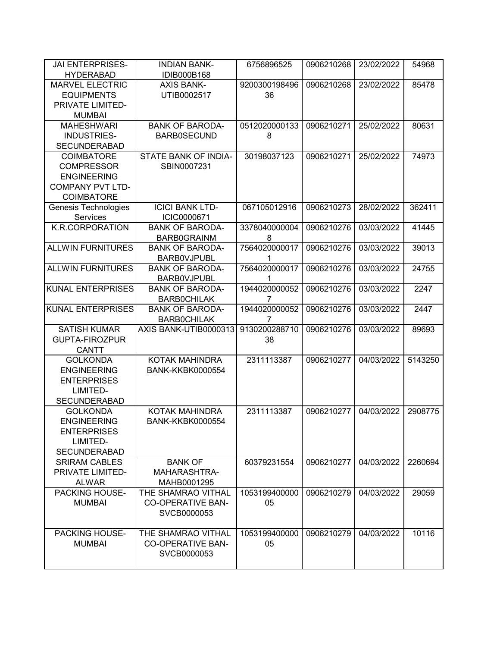| <b>JAI ENTERPRISES-</b>  | <b>INDIAN BANK-</b>      | 6756896525    | 0906210268 | 23/02/2022 | 54968   |
|--------------------------|--------------------------|---------------|------------|------------|---------|
| <b>HYDERABAD</b>         | IDIB000B168              |               |            |            |         |
| <b>MARVEL ELECTRIC</b>   | <b>AXIS BANK-</b>        | 9200300198496 | 0906210268 | 23/02/2022 | 85478   |
| <b>EQUIPMENTS</b>        | UTIB0002517              | 36            |            |            |         |
| PRIVATE LIMITED-         |                          |               |            |            |         |
| <b>MUMBAI</b>            |                          |               |            |            |         |
| <b>MAHESHWARI</b>        | <b>BANK OF BARODA-</b>   | 0512020000133 | 0906210271 | 25/02/2022 | 80631   |
| <b>INDUSTRIES-</b>       | <b>BARB0SECUND</b>       | 8             |            |            |         |
| <b>SECUNDERABAD</b>      |                          |               |            |            |         |
| <b>COIMBATORE</b>        | STATE BANK OF INDIA-     | 30198037123   | 0906210271 | 25/02/2022 | 74973   |
| <b>COMPRESSOR</b>        | SBIN0007231              |               |            |            |         |
| <b>ENGINEERING</b>       |                          |               |            |            |         |
| <b>COMPANY PVT LTD-</b>  |                          |               |            |            |         |
| <b>COIMBATORE</b>        |                          |               |            |            |         |
| Genesis Technologies     | <b>ICICI BANK LTD-</b>   | 067105012916  | 0906210273 | 28/02/2022 | 362411  |
| Services                 | ICIC0000671              |               |            |            |         |
| K.R.CORPORATION          | <b>BANK OF BARODA-</b>   | 3378040000004 | 0906210276 | 03/03/2022 | 41445   |
|                          | <b>BARB0GRAINM</b>       | 8             |            |            |         |
| <b>ALLWIN FURNITURES</b> | <b>BANK OF BARODA-</b>   | 7564020000017 | 0906210276 | 03/03/2022 | 39013   |
|                          | <b>BARBOVJPUBL</b>       | 1             |            |            |         |
| <b>ALLWIN FURNITURES</b> | <b>BANK OF BARODA-</b>   | 7564020000017 | 0906210276 | 03/03/2022 | 24755   |
|                          | <b>BARBOVJPUBL</b>       |               |            |            |         |
| <b>KUNAL ENTERPRISES</b> | <b>BANK OF BARODA-</b>   | 1944020000052 | 0906210276 | 03/03/2022 | 2247    |
|                          | <b>BARBOCHILAK</b>       |               |            |            |         |
| <b>KUNAL ENTERPRISES</b> | <b>BANK OF BARODA-</b>   | 1944020000052 | 0906210276 | 03/03/2022 | 2447    |
|                          | <b>BARBOCHILAK</b>       | 7             |            |            |         |
| <b>SATISH KUMAR</b>      | AXIS BANK-UTIB0000313    | 9130200288710 | 0906210276 | 03/03/2022 | 89693   |
| <b>GUPTA-FIROZPUR</b>    |                          | 38            |            |            |         |
| <b>CANTT</b>             |                          |               |            |            |         |
| <b>GOLKONDA</b>          | KOTAK MAHINDRA           | 2311113387    | 0906210277 | 04/03/2022 | 5143250 |
| <b>ENGINEERING</b>       | <b>BANK-KKBK0000554</b>  |               |            |            |         |
| <b>ENTERPRISES</b>       |                          |               |            |            |         |
| LIMITED-                 |                          |               |            |            |         |
| <b>SECUNDERABAD</b>      |                          |               |            |            |         |
| <b>GOLKONDA</b>          | KOTAK MAHINDRA           | 2311113387    | 0906210277 | 04/03/2022 | 2908775 |
| <b>ENGINEERING</b>       | <b>BANK-KKBK0000554</b>  |               |            |            |         |
| <b>ENTERPRISES</b>       |                          |               |            |            |         |
| LIMITED-                 |                          |               |            |            |         |
| <b>SECUNDERABAD</b>      |                          |               |            |            |         |
| <b>SRIRAM CABLES</b>     | <b>BANK OF</b>           | 60379231554   | 0906210277 | 04/03/2022 | 2260694 |
| PRIVATE LIMITED-         | MAHARASHTRA-             |               |            |            |         |
| <b>ALWAR</b>             | MAHB0001295              |               |            |            |         |
| PACKING HOUSE-           | THE SHAMRAO VITHAL       | 1053199400000 | 0906210279 | 04/03/2022 | 29059   |
| <b>MUMBAI</b>            | <b>CO-OPERATIVE BAN-</b> | 05            |            |            |         |
|                          | SVCB0000053              |               |            |            |         |
|                          |                          |               |            |            |         |
| <b>PACKING HOUSE-</b>    | THE SHAMRAO VITHAL       | 1053199400000 | 0906210279 | 04/03/2022 | 10116   |
| <b>MUMBAI</b>            | <b>CO-OPERATIVE BAN-</b> | 05            |            |            |         |
|                          | SVCB0000053              |               |            |            |         |
|                          |                          |               |            |            |         |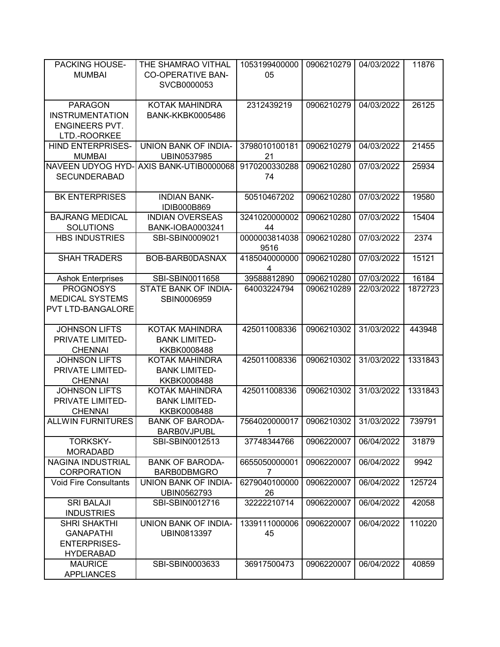| <b>PACKING HOUSE-</b><br><b>MUMBAI</b>                                             | THE SHAMRAO VITHAL<br><b>CO-OPERATIVE BAN-</b><br>SVCB0000053 | 1053199400000<br>05             | 0906210279 | 04/03/2022 | 11876   |
|------------------------------------------------------------------------------------|---------------------------------------------------------------|---------------------------------|------------|------------|---------|
| <b>PARAGON</b><br><b>INSTRUMENTATION</b><br><b>ENGINEERS PVT.</b><br>LTD.-ROORKEE  | KOTAK MAHINDRA<br><b>BANK-KKBK0005486</b>                     | 2312439219                      | 0906210279 | 04/03/2022 | 26125   |
| HIND ENTERPRISES-<br><b>MUMBAI</b>                                                 | UNION BANK OF INDIA-<br>UBIN0537985                           | 3798010100181<br>21             | 0906210279 | 04/03/2022 | 21455   |
| NAVEEN UDYOG HYD-<br><b>SECUNDERABAD</b>                                           | AXIS BANK-UTIB0000068                                         | 9170200330288<br>74             | 0906210280 | 07/03/2022 | 25934   |
| <b>BK ENTERPRISES</b>                                                              | <b>INDIAN BANK-</b><br>IDIB000B869                            | 50510467202                     | 0906210280 | 07/03/2022 | 19580   |
| <b>BAJRANG MEDICAL</b><br><b>SOLUTIONS</b>                                         | <b>INDIAN OVERSEAS</b><br>BANK-IOBA0003241                    | 3241020000002<br>44             | 0906210280 | 07/03/2022 | 15404   |
| <b>HBS INDUSTRIES</b>                                                              | SBI-SBIN0009021                                               | 0000003814038<br>9516           | 0906210280 | 07/03/2022 | 2374    |
| <b>SHAH TRADERS</b>                                                                | BOB-BARB0DASNAX                                               | 4185040000000<br>4              | 0906210280 | 07/03/2022 | 15121   |
| <b>Ashok Enterprises</b>                                                           | SBI-SBIN0011658                                               | 39588812890                     | 0906210280 | 07/03/2022 | 16184   |
| <b>PROGNOSYS</b>                                                                   | STATE BANK OF INDIA-                                          | 64003224794                     | 0906210289 | 22/03/2022 | 1872723 |
| <b>MEDICAL SYSTEMS</b><br>PVT LTD-BANGALORE                                        | SBIN0006959                                                   |                                 |            |            |         |
| <b>JOHNSON LIFTS</b><br>PRIVATE LIMITED-<br><b>CHENNAI</b>                         | KOTAK MAHINDRA<br><b>BANK LIMITED-</b><br>KKBK0008488         | 425011008336                    | 0906210302 | 31/03/2022 | 443948  |
| <b>JOHNSON LIFTS</b><br>PRIVATE LIMITED-<br><b>CHENNAI</b>                         | KOTAK MAHINDRA<br><b>BANK LIMITED-</b><br>KKBK0008488         | 425011008336                    | 0906210302 | 31/03/2022 | 1331843 |
| <b>JOHNSON LIFTS</b><br>PRIVATE LIMITED-<br><b>CHENNAI</b>                         | KOTAK MAHINDRA<br><b>BANK LIMITED-</b><br>KKBK0008488         | 425011008336                    | 0906210302 | 31/03/2022 | 1331843 |
| <b>ALLWIN FURNITURES</b>                                                           | <b>BANK OF BARODA-</b><br><b>BARBOVJPUBL</b>                  | 7564020000017<br>1              | 0906210302 | 31/03/2022 | 739791  |
| <b>TORKSKY-</b><br><b>MORADABD</b>                                                 | SBI-SBIN0012513                                               | 37748344766                     | 0906220007 | 06/04/2022 | 31879   |
| NAGINA INDUSTRIAL<br><b>CORPORATION</b>                                            | <b>BANK OF BARODA-</b><br><b>BARB0DBMGRO</b>                  | 6655050000001<br>$\overline{7}$ | 0906220007 | 06/04/2022 | 9942    |
| <b>Void Fire Consultants</b>                                                       | <b>UNION BANK OF INDIA-</b><br>UBIN0562793                    | 6279040100000<br>26             | 0906220007 | 06/04/2022 | 125724  |
| <b>SRI BALAJI</b><br><b>INDUSTRIES</b>                                             | SBI-SBIN0012716                                               | 32222210714                     | 0906220007 | 06/04/2022 | 42058   |
| <b>SHRI SHAKTHI</b><br><b>GANAPATHI</b><br><b>ENTERPRISES-</b><br><b>HYDERABAD</b> | UNION BANK OF INDIA-<br>UBIN0813397                           | 1339111000006<br>45             | 0906220007 | 06/04/2022 | 110220  |
| <b>MAURICE</b><br><b>APPLIANCES</b>                                                | SBI-SBIN0003633                                               | 36917500473                     | 0906220007 | 06/04/2022 | 40859   |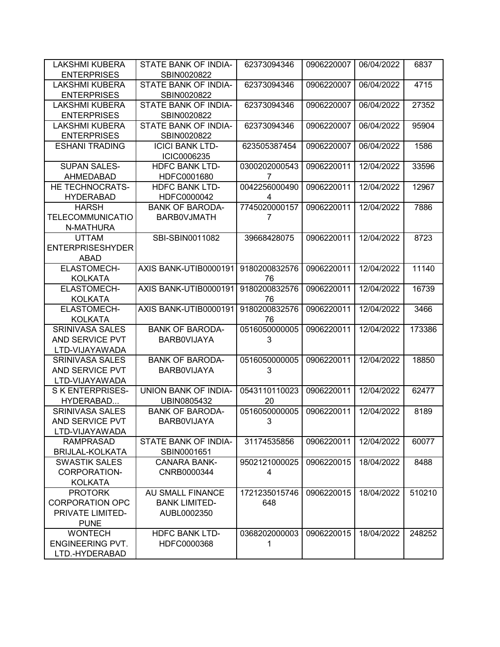| <b>LAKSHMI KUBERA</b>                       | STATE BANK OF INDIA-                  | 62373094346   | 0906220007 | 06/04/2022 | 6837   |
|---------------------------------------------|---------------------------------------|---------------|------------|------------|--------|
| <b>ENTERPRISES</b>                          | SBIN0020822                           |               |            |            |        |
| <b>LAKSHMI KUBERA</b><br><b>ENTERPRISES</b> | STATE BANK OF INDIA-                  | 62373094346   | 0906220007 | 06/04/2022 | 4715   |
| <b>LAKSHMI KUBERA</b>                       | SBIN0020822                           |               |            | 06/04/2022 | 27352  |
|                                             | STATE BANK OF INDIA-                  | 62373094346   | 0906220007 |            |        |
| <b>ENTERPRISES</b>                          | SBIN0020822                           |               |            |            |        |
| <b>LAKSHMI KUBERA</b>                       | STATE BANK OF INDIA-                  | 62373094346   | 0906220007 | 06/04/2022 | 95904  |
| <b>ENTERPRISES</b>                          | SBIN0020822                           |               |            |            |        |
| <b>ESHANI TRADING</b>                       | <b>ICICI BANK LTD-</b><br>ICIC0006235 | 623505387454  | 0906220007 | 06/04/2022 | 1586   |
| <b>SUPAN SALES-</b>                         | <b>HDFC BANK LTD-</b>                 | 0300202000543 | 0906220011 | 12/04/2022 | 33596  |
| AHMEDABAD                                   | HDFC0001680                           | 7             |            |            |        |
| HE TECHNOCRATS-                             | <b>HDFC BANK LTD-</b>                 | 0042256000490 | 0906220011 | 12/04/2022 | 12967  |
| <b>HYDERABAD</b>                            | HDFC0000042                           | 4             |            |            |        |
| <b>HARSH</b>                                | <b>BANK OF BARODA-</b>                | 7745020000157 | 0906220011 | 12/04/2022 | 7886   |
| <b>TELECOMMUNICATIO</b>                     | <b>BARBOVJMATH</b>                    | 7             |            |            |        |
| N-MATHURA                                   |                                       |               |            |            |        |
| <b>UTTAM</b>                                | SBI-SBIN0011082                       | 39668428075   | 0906220011 | 12/04/2022 | 8723   |
| <b>ENTERPRISESHYDER</b>                     |                                       |               |            |            |        |
| <b>ABAD</b>                                 |                                       |               |            |            |        |
| <b>ELASTOMECH-</b>                          | AXIS BANK-UTIB0000191                 | 9180200832576 | 0906220011 | 12/04/2022 | 11140  |
| <b>KOLKATA</b>                              |                                       | 76            |            |            |        |
| ELASTOMECH-                                 | AXIS BANK-UTIB0000191                 | 9180200832576 | 0906220011 | 12/04/2022 | 16739  |
| <b>KOLKATA</b>                              |                                       | 76            |            |            |        |
| ELASTOMECH-                                 | AXIS BANK-UTIB0000191                 | 9180200832576 | 0906220011 | 12/04/2022 | 3466   |
| <b>KOLKATA</b>                              |                                       | 76            |            |            |        |
| <b>SRINIVASA SALES</b>                      | <b>BANK OF BARODA-</b>                | 0516050000005 | 0906220011 | 12/04/2022 | 173386 |
| AND SERVICE PVT                             | <b>BARBOVIJAYA</b>                    | 3             |            |            |        |
| LTD-VIJAYAWADA                              |                                       |               |            |            |        |
| <b>SRINIVASA SALES</b>                      | <b>BANK OF BARODA-</b>                | 0516050000005 | 0906220011 | 12/04/2022 | 18850  |
| AND SERVICE PVT                             | <b>BARBOVIJAYA</b>                    | 3             |            |            |        |
| LTD-VIJAYAWADA                              |                                       |               |            |            |        |
| <b>SK ENTERPRISES-</b>                      | UNION BANK OF INDIA-                  | 0543110110023 | 0906220011 | 12/04/2022 | 62477  |
| HYDERABAD                                   | UBIN0805432                           | 20            |            |            |        |
| <b>SRINIVASA SALES</b>                      | <b>BANK OF BARODA-</b>                | 0516050000005 | 0906220011 | 12/04/2022 | 8189   |
| AND SERVICE PVT                             | <b>BARBOVIJAYA</b>                    | 3             |            |            |        |
| LTD-VIJAYAWADA                              |                                       |               |            |            |        |
| <b>RAMPRASAD</b>                            | STATE BANK OF INDIA-                  | 31174535856   | 0906220011 | 12/04/2022 | 60077  |
| <b>BRIJLAL-KOLKATA</b>                      | SBIN0001651                           |               |            |            |        |
| <b>SWASTIK SALES</b>                        | <b>CANARA BANK-</b>                   | 9502121000025 | 0906220015 | 18/04/2022 | 8488   |
| CORPORATION-                                | CNRB0000344                           | 4             |            |            |        |
| <b>KOLKATA</b>                              |                                       |               |            |            |        |
| <b>PROTORK</b>                              | AU SMALL FINANCE                      | 1721235015746 | 0906220015 | 18/04/2022 | 510210 |
| <b>CORPORATION OPC</b>                      | <b>BANK LIMITED-</b>                  | 648           |            |            |        |
| PRIVATE LIMITED-                            | AUBL0002350                           |               |            |            |        |
| <b>PUNE</b>                                 |                                       |               |            |            |        |
| <b>WONTECH</b>                              | <b>HDFC BANK LTD-</b>                 | 0368202000003 | 0906220015 | 18/04/2022 | 248252 |
| <b>ENGINEERING PVT.</b>                     | HDFC0000368                           | 1             |            |            |        |
| LTD.-HYDERABAD                              |                                       |               |            |            |        |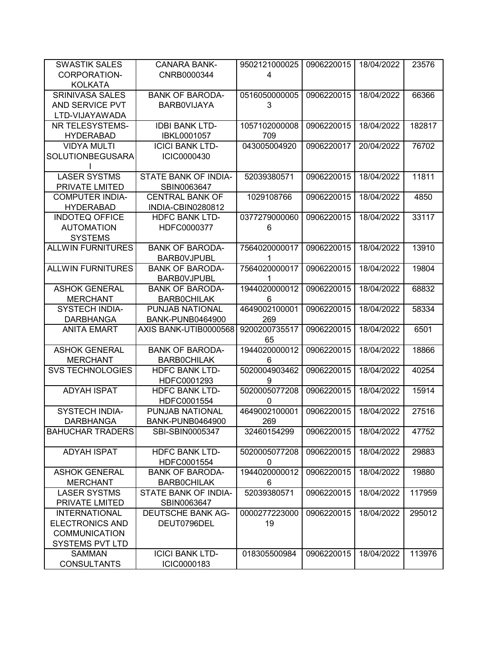| <b>SWASTIK SALES</b>     | <b>CANARA BANK-</b>      | 9502121000025 | 0906220015 | 18/04/2022 | 23576  |
|--------------------------|--------------------------|---------------|------------|------------|--------|
| CORPORATION-             | CNRB0000344              | 4             |            |            |        |
| <b>KOLKATA</b>           |                          |               |            |            |        |
| <b>SRINIVASA SALES</b>   | <b>BANK OF BARODA-</b>   | 0516050000005 | 0906220015 | 18/04/2022 | 66366  |
| AND SERVICE PVT          | <b>BARBOVIJAYA</b>       | 3             |            |            |        |
| LTD-VIJAYAWADA           |                          |               |            |            |        |
| NR TELESYSTEMS-          | <b>IDBI BANK LTD-</b>    | 1057102000008 | 0906220015 | 18/04/2022 | 182817 |
| <b>HYDERABAD</b>         | <b>IBKL0001057</b>       | 709           |            |            |        |
| <b>VIDYA MULTI</b>       | <b>ICICI BANK LTD-</b>   | 043005004920  | 0906220017 | 20/04/2022 | 76702  |
| SOLUTIONBEGUSARA         | ICIC0000430              |               |            |            |        |
|                          |                          |               |            |            |        |
| <b>LASER SYSTMS</b>      | STATE BANK OF INDIA-     | 52039380571   | 0906220015 | 18/04/2022 | 11811  |
| PRIVATE LMITED           | SBIN0063647              |               |            |            |        |
| <b>COMPUTER INDIA-</b>   | <b>CENTRAL BANK OF</b>   | 1029108766    | 0906220015 | 18/04/2022 | 4850   |
| <b>HYDERABAD</b>         | INDIA-CBIN0280812        |               |            |            |        |
| <b>INDOTEQ OFFICE</b>    | <b>HDFC BANK LTD-</b>    | 0377279000060 | 0906220015 | 18/04/2022 | 33117  |
| <b>AUTOMATION</b>        | HDFC0000377              | 6             |            |            |        |
| <b>SYSTEMS</b>           |                          |               |            |            |        |
| <b>ALLWIN FURNITURES</b> | <b>BANK OF BARODA-</b>   | 7564020000017 | 0906220015 | 18/04/2022 | 13910  |
|                          | <b>BARBOVJPUBL</b>       |               |            |            |        |
| <b>ALLWIN FURNITURES</b> | <b>BANK OF BARODA-</b>   | 7564020000017 | 0906220015 | 18/04/2022 | 19804  |
|                          | <b>BARBOVJPUBL</b>       | 1             |            |            |        |
| <b>ASHOK GENERAL</b>     | <b>BANK OF BARODA-</b>   | 1944020000012 | 0906220015 | 18/04/2022 | 68832  |
| <b>MERCHANT</b>          | <b>BARBOCHILAK</b>       | 6             |            |            |        |
| <b>SYSTECH INDIA-</b>    | PUNJAB NATIONAL          | 4649002100001 | 0906220015 | 18/04/2022 | 58334  |
| <b>DARBHANGA</b>         | <b>BANK-PUNB0464900</b>  | 269           |            |            |        |
| <b>ANITA EMART</b>       | AXIS BANK-UTIB0000568    | 9200200735517 | 0906220015 | 18/04/2022 | 6501   |
|                          |                          | 65            |            |            |        |
| <b>ASHOK GENERAL</b>     | <b>BANK OF BARODA-</b>   | 1944020000012 | 0906220015 | 18/04/2022 | 18866  |
| <b>MERCHANT</b>          | <b>BARBOCHILAK</b>       | 6             |            |            |        |
| <b>SVS TECHNOLOGIES</b>  | <b>HDFC BANK LTD-</b>    | 5020004903462 | 0906220015 | 18/04/2022 | 40254  |
|                          | HDFC0001293              | 9             |            |            |        |
| <b>ADYAH ISPAT</b>       | <b>HDFC BANK LTD-</b>    | 5020005077208 | 0906220015 | 18/04/2022 | 15914  |
|                          | HDFC0001554              | 0             |            |            |        |
| SYSTECH INDIA-           | PUNJAB NATIONAL          | 4649002100001 | 0906220015 | 18/04/2022 | 27516  |
| <b>DARBHANGA</b>         | <b>BANK-PUNB0464900</b>  | 269           |            |            |        |
| <b>BAHUCHAR TRADERS</b>  | SBI-SBIN0005347          | 32460154299   | 0906220015 | 18/04/2022 | 47752  |
| <b>ADYAH ISPAT</b>       | <b>HDFC BANK LTD-</b>    | 5020005077208 | 0906220015 | 18/04/2022 | 29883  |
|                          | HDFC0001554              | 0             |            |            |        |
| <b>ASHOK GENERAL</b>     | <b>BANK OF BARODA-</b>   | 1944020000012 | 0906220015 | 18/04/2022 | 19880  |
| <b>MERCHANT</b>          | <b>BARBOCHILAK</b>       | 6             |            |            |        |
| <b>LASER SYSTMS</b>      | STATE BANK OF INDIA-     | 52039380571   | 0906220015 | 18/04/2022 | 117959 |
| PRIVATE LMITED           | SBIN0063647              |               |            |            |        |
| <b>INTERNATIONAL</b>     | <b>DEUTSCHE BANK AG-</b> | 0000277223000 | 0906220015 | 18/04/2022 | 295012 |
| <b>ELECTRONICS AND</b>   | DEUT0796DEL              | 19            |            |            |        |
| <b>COMMUNICATION</b>     |                          |               |            |            |        |
| SYSTEMS PVT LTD          |                          |               |            |            |        |
| <b>SAMMAN</b>            | <b>ICICI BANK LTD-</b>   | 018305500984  | 0906220015 | 18/04/2022 | 113976 |
| <b>CONSULTANTS</b>       | ICIC0000183              |               |            |            |        |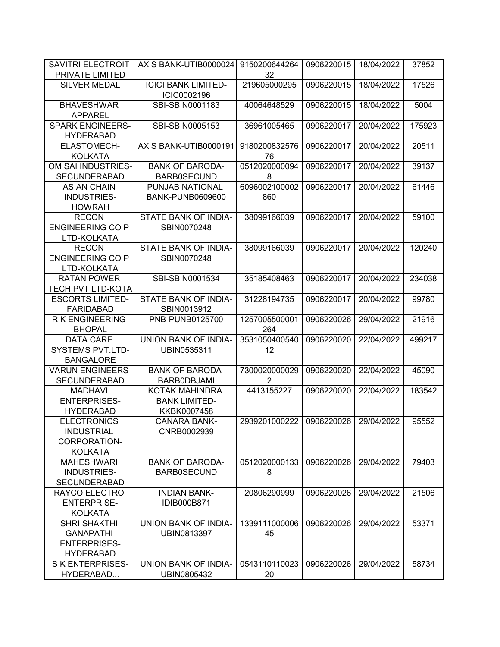| <b>SAVITRI ELECTROIT</b><br>AXIS BANK-UTIB0000024<br>9150200644264<br>0906220015<br>18/04/2022               | 37852  |
|--------------------------------------------------------------------------------------------------------------|--------|
| PRIVATE LIMITED<br>32                                                                                        |        |
| <b>SILVER MEDAL</b><br><b>ICICI BANK LIMITED-</b><br>219605000295<br>0906220015<br>18/04/2022<br>ICIC0002196 | 17526  |
| <b>BHAVESHWAR</b><br>SBI-SBIN0001183<br>40064648529<br>0906220015<br>18/04/2022<br><b>APPAREL</b>            | 5004   |
| <b>SPARK ENGINEERS-</b><br>SBI-SBIN0005153<br>36961005465<br>0906220017<br>20/04/2022                        | 175923 |
| <b>HYDERABAD</b>                                                                                             |        |
| ELASTOMECH-<br>AXIS BANK-UTIB0000191<br>9180200832576<br>0906220017<br>20/04/2022<br><b>KOLKATA</b><br>76    | 20511  |
| OM SAI INDUSTRIES-<br>0512020000094<br><b>BANK OF BARODA-</b><br>0906220017<br>20/04/2022                    | 39137  |
| <b>SECUNDERABAD</b><br><b>BARB0SECUND</b><br>8                                                               |        |
| <b>ASIAN CHAIN</b><br>PUNJAB NATIONAL<br>6096002100002<br>0906220017<br>20/04/2022                           | 61446  |
| <b>INDUSTRIES-</b><br><b>BANK-PUNB0609600</b><br>860                                                         |        |
| <b>HOWRAH</b>                                                                                                |        |
| STATE BANK OF INDIA-<br><b>RECON</b><br>38099166039<br>0906220017<br>20/04/2022                              | 59100  |
| <b>ENGINEERING CO P</b><br>SBIN0070248                                                                       |        |
|                                                                                                              |        |
| LTD-KOLKATA                                                                                                  |        |
| 20/04/2022<br><b>RECON</b><br>STATE BANK OF INDIA-<br>38099166039<br>0906220017                              | 120240 |
| <b>ENGINEERING CO P</b><br>SBIN0070248                                                                       |        |
| LTD-KOLKATA                                                                                                  |        |
| <b>RATAN POWER</b><br>SBI-SBIN0001534<br>35185408463<br>0906220017<br>20/04/2022                             | 234038 |
| <b>TECH PVT LTD-KOTA</b>                                                                                     |        |
| <b>ESCORTS LIMITED-</b><br>STATE BANK OF INDIA-<br>31228194735<br>0906220017<br>20/04/2022                   | 99780  |
| <b>FARIDABAD</b><br>SBIN0013912                                                                              |        |
| R K ENGINEERING-<br>PNB-PUNB0125700<br>1257005500001<br>29/04/2022<br>0906220026                             | 21916  |
| 264<br><b>BHOPAL</b>                                                                                         |        |
| <b>DATA CARE</b><br>UNION BANK OF INDIA-<br>3531050400540<br>0906220020<br>22/04/2022                        | 499217 |
| <b>SYSTEMS PVT.LTD-</b><br>12<br>UBIN0535311                                                                 |        |
| <b>BANGALORE</b>                                                                                             |        |
| <b>BANK OF BARODA-</b><br>7300020000029<br><b>VARUN ENGINEERS-</b><br>0906220020<br>22/04/2022               | 45090  |
| <b>SECUNDERABAD</b><br>BARB0DBJAMI<br>$\overline{2}$                                                         |        |
| <b>MADHAVI</b><br>KOTAK MAHINDRA<br>4413155227<br>0906220020<br>22/04/2022                                   | 183542 |
| <b>ENTERPRISES-</b><br><b>BANK LIMITED-</b>                                                                  |        |
| <b>HYDERABAD</b><br>KKBK0007458                                                                              |        |
| <b>ELECTRONICS</b>                                                                                           | 95552  |
| <b>CANARA BANK-</b><br>2939201000222<br>0906220026<br>29/04/2022                                             |        |
| <b>INDUSTRIAL</b><br>CNRB0002939                                                                             |        |
| CORPORATION-                                                                                                 |        |
| <b>KOLKATA</b>                                                                                               |        |
| <b>MAHESHWARI</b><br><b>BANK OF BARODA-</b><br>0512020000133<br>0906220026<br>29/04/2022                     | 79403  |
| <b>INDUSTRIES-</b><br><b>BARB0SECUND</b><br>8                                                                |        |
| <b>SECUNDERABAD</b>                                                                                          |        |
| RAYCO ELECTRO<br><b>INDIAN BANK-</b><br>20806290999<br>0906220026<br>29/04/2022                              | 21506  |
| <b>ENTERPRISE-</b><br><b>IDIB000B871</b>                                                                     |        |
| <b>KOLKATA</b>                                                                                               |        |
| <b>SHRI SHAKTHI</b><br><b>UNION BANK OF INDIA-</b><br>1339111000006<br>0906220026<br>29/04/2022              | 53371  |
| <b>GANAPATHI</b><br>UBIN0813397<br>45                                                                        |        |
| <b>ENTERPRISES-</b>                                                                                          |        |
| <b>HYDERABAD</b>                                                                                             |        |
| S K ENTERPRISES-<br>UNION BANK OF INDIA-<br>0543110110023<br>0906220026<br>29/04/2022                        | 58734  |
| HYDERABAD<br>UBIN0805432<br>20                                                                               |        |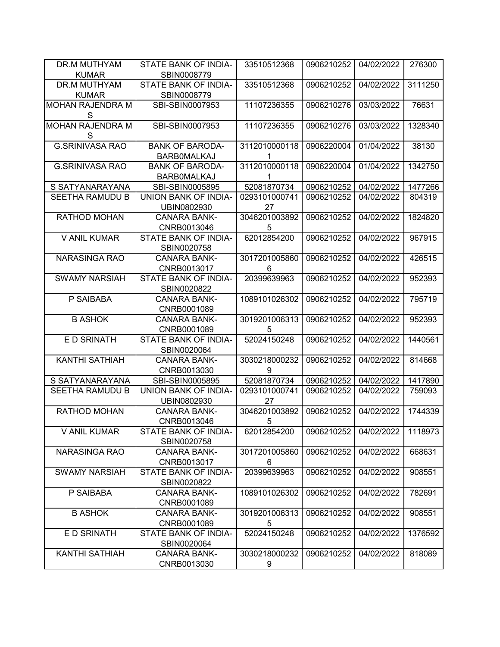| DR.M MUTHYAM<br><b>KUMAR</b> | STATE BANK OF INDIA-<br>SBIN0008779 | 33510512368        | 0906210252 | 04/02/2022 | 276300  |
|------------------------------|-------------------------------------|--------------------|------------|------------|---------|
| <b>DR.M MUTHYAM</b>          | STATE BANK OF INDIA-                | 33510512368        | 0906210252 | 04/02/2022 | 3111250 |
| <b>KUMAR</b>                 | SBIN0008779                         |                    |            |            |         |
| <b>MOHAN RAJENDRA M</b>      | SBI-SBIN0007953                     | 11107236355        | 0906210276 | 03/03/2022 | 76631   |
| S                            |                                     |                    |            |            |         |
| <b>MOHAN RAJENDRA M</b>      | SBI-SBIN0007953                     | 11107236355        | 0906210276 | 03/03/2022 | 1328340 |
| S                            |                                     |                    |            |            |         |
| <b>G.SRINIVASA RAO</b>       | <b>BANK OF BARODA-</b>              | 3112010000118      | 0906220004 | 01/04/2022 | 38130   |
|                              | <b>BARBOMALKAJ</b>                  | 1                  |            |            |         |
| <b>G.SRINIVASA RAO</b>       | <b>BANK OF BARODA-</b>              | 3112010000118      | 0906220004 | 01/04/2022 | 1342750 |
|                              | <b>BARBOMALKAJ</b>                  | 1                  |            |            |         |
| S SATYANARAYANA              | SBI-SBIN0005895                     | 52081870734        | 0906210252 | 04/02/2022 | 1477266 |
| SEETHA RAMUDU B              | UNION BANK OF INDIA-                | 0293101000741      | 0906210252 | 04/02/2022 | 804319  |
|                              | UBIN0802930                         | 27                 |            |            |         |
| RATHOD MOHAN                 | <b>CANARA BANK-</b>                 | 3046201003892      | 0906210252 | 04/02/2022 | 1824820 |
|                              | CNRB0013046                         | 5                  |            |            |         |
| V ANIL KUMAR                 | STATE BANK OF INDIA-                | 62012854200        | 0906210252 | 04/02/2022 | 967915  |
|                              | SBIN0020758                         |                    |            |            |         |
| <b>NARASINGA RAO</b>         | <b>CANARA BANK-</b>                 | 3017201005860      | 0906210252 | 04/02/2022 | 426515  |
|                              | CNRB0013017                         | 6                  |            |            |         |
| <b>SWAMY NARSIAH</b>         | STATE BANK OF INDIA-                | 20399639963        | 0906210252 | 04/02/2022 | 952393  |
|                              | SBIN0020822                         |                    |            |            |         |
| P SAIBABA                    | <b>CANARA BANK-</b>                 | 1089101026302      | 0906210252 | 04/02/2022 | 795719  |
|                              | CNRB0001089                         |                    |            |            |         |
| <b>B ASHOK</b>               | <b>CANARA BANK-</b>                 | 3019201006313      | 0906210252 | 04/02/2022 | 952393  |
|                              |                                     |                    |            |            |         |
|                              | CNRB0001089                         | 5                  |            |            |         |
| E D SRINATH                  | STATE BANK OF INDIA-                | 52024150248        | 0906210252 | 04/02/2022 | 1440561 |
|                              | SBIN0020064                         |                    |            |            |         |
| <b>KANTHI SATHIAH</b>        | <b>CANARA BANK-</b>                 | 3030218000232      | 0906210252 | 04/02/2022 | 814668  |
|                              | CNRB0013030                         | 9                  |            |            |         |
| S SATYANARAYANA              | SBI-SBIN0005895                     | 52081870734        | 0906210252 | 04/02/2022 | 1417890 |
| SEETHA RAMUDU B              | UNION BANK OF INDIA-                | 0293101000741      | 0906210252 | 04/02/2022 | 759093  |
|                              | UBIN0802930                         | 27                 |            |            |         |
| RATHOD MOHAN                 | <b>CANARA BANK-</b>                 | 3046201003892      | 0906210252 | 04/02/2022 | 1744339 |
|                              | CNRB0013046                         | 5                  |            |            |         |
| V ANIL KUMAR                 | STATE BANK OF INDIA-                | 62012854200        | 0906210252 | 04/02/2022 | 1118973 |
|                              | SBIN0020758                         |                    |            |            |         |
| <b>NARASINGA RAO</b>         | <b>CANARA BANK-</b>                 | 3017201005860      | 0906210252 | 04/02/2022 | 668631  |
|                              | CNRB0013017                         | 6                  |            |            |         |
| <b>SWAMY NARSIAH</b>         | STATE BANK OF INDIA-                | 20399639963        | 0906210252 | 04/02/2022 | 908551  |
|                              | SBIN0020822                         |                    |            |            |         |
| P SAIBABA                    | <b>CANARA BANK-</b>                 | 1089101026302      | 0906210252 | 04/02/2022 | 782691  |
|                              | CNRB0001089                         |                    |            |            |         |
| <b>B ASHOK</b>               | <b>CANARA BANK-</b>                 | 3019201006313      | 0906210252 | 04/02/2022 | 908551  |
|                              | CNRB0001089                         | 5                  |            |            |         |
| E D SRINATH                  | STATE BANK OF INDIA-                | 52024150248        | 0906210252 | 04/02/2022 | 1376592 |
|                              | SBIN0020064                         |                    |            |            |         |
| <b>KANTHI SATHIAH</b>        | <b>CANARA BANK-</b><br>CNRB0013030  | 3030218000232<br>9 | 0906210252 | 04/02/2022 | 818089  |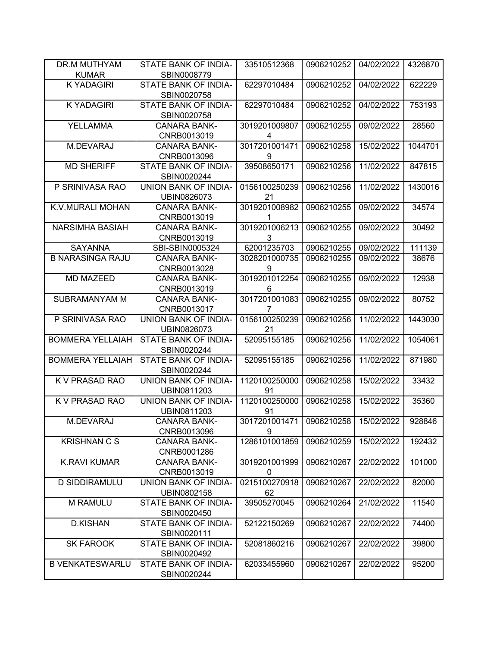| DR.M MUTHYAM            | STATE BANK OF INDIA-                       | 33510512368         | 0906210252 | 04/02/2022 | 4326870 |
|-------------------------|--------------------------------------------|---------------------|------------|------------|---------|
| <b>KUMAR</b>            | SBIN0008779                                |                     |            |            |         |
| <b>K YADAGIRI</b>       | STATE BANK OF INDIA-<br>SBIN0020758        | 62297010484         | 0906210252 | 04/02/2022 | 622229  |
| <b>KYADAGIRI</b>        | STATE BANK OF INDIA-<br>SBIN0020758        | 62297010484         | 0906210252 | 04/02/2022 | 753193  |
| <b>YELLAMMA</b>         | <b>CANARA BANK-</b><br>CNRB0013019         | 3019201009807<br>4  | 0906210255 | 09/02/2022 | 28560   |
| M.DEVARAJ               | <b>CANARA BANK-</b><br>CNRB0013096         | 3017201001471<br>9  | 0906210258 | 15/02/2022 | 1044701 |
| <b>MD SHERIFF</b>       | <b>STATE BANK OF INDIA-</b><br>SBIN0020244 | 39508650171         | 0906210256 | 11/02/2022 | 847815  |
| P SRINIVASA RAO         | UNION BANK OF INDIA-<br>UBIN0826073        | 0156100250239<br>21 | 0906210256 | 11/02/2022 | 1430016 |
| K.V.MURALI MOHAN        | <b>CANARA BANK-</b><br>CNRB0013019         | 3019201008982<br>1  | 0906210255 | 09/02/2022 | 34574   |
| NARSIMHA BASIAH         | <b>CANARA BANK-</b><br>CNRB0013019         | 3019201006213<br>3  | 0906210255 | 09/02/2022 | 30492   |
| <b>SAYANNA</b>          | SBI-SBIN0005324                            | 62001235703         | 0906210255 | 09/02/2022 | 111139  |
| <b>B NARASINGA RAJU</b> | <b>CANARA BANK-</b><br>CNRB0013028         | 3028201000735<br>9  | 0906210255 | 09/02/2022 | 38676   |
| <b>MD MAZEED</b>        | <b>CANARA BANK-</b><br>CNRB0013019         | 3019201012254<br>6  | 0906210255 | 09/02/2022 | 12938   |
| SUBRAMANYAM M           | <b>CANARA BANK-</b><br>CNRB0013017         | 3017201001083<br>7  | 0906210255 | 09/02/2022 | 80752   |
| P SRINIVASA RAO         | UNION BANK OF INDIA-<br>UBIN0826073        | 0156100250239<br>21 | 0906210256 | 11/02/2022 | 1443030 |
| <b>BOMMERA YELLAIAH</b> | STATE BANK OF INDIA-<br>SBIN0020244        | 52095155185         | 0906210256 | 11/02/2022 | 1054061 |
| <b>BOMMERA YELLAIAH</b> | STATE BANK OF INDIA-<br>SBIN0020244        | 52095155185         | 0906210256 | 11/02/2022 | 871980  |
| K V PRASAD RAO          | UNION BANK OF INDIA-<br>UBIN0811203        | 1120100250000<br>91 | 0906210258 | 15/02/2022 | 33432   |
| K V PRASAD RAO          | UNION BANK OF INDIA-<br>UBIN0811203        | 1120100250000<br>91 | 0906210258 | 15/02/2022 | 35360   |
| M.DEVARAJ               | CANARA BANK-<br>CNRB0013096                | 3017201001471<br>9  | 0906210258 | 15/02/2022 | 928846  |
| <b>KRISHNAN C S</b>     | <b>CANARA BANK-</b><br>CNRB0001286         | 1286101001859       | 0906210259 | 15/02/2022 | 192432  |
| <b>K.RAVI KUMAR</b>     | <b>CANARA BANK-</b><br>CNRB0013019         | 3019201001999<br>0  | 0906210267 | 22/02/2022 | 101000  |
| <b>D SIDDIRAMULU</b>    | UNION BANK OF INDIA-<br>UBIN0802158        | 0215100270918<br>62 | 0906210267 | 22/02/2022 | 82000   |
| <b>M RAMULU</b>         | STATE BANK OF INDIA-<br>SBIN0020450        | 39505270045         | 0906210264 | 21/02/2022 | 11540   |
| <b>D.KISHAN</b>         | <b>STATE BANK OF INDIA-</b><br>SBIN0020111 | 52122150269         | 0906210267 | 22/02/2022 | 74400   |
| <b>SK FAROOK</b>        | STATE BANK OF INDIA-<br>SBIN0020492        | 52081860216         | 0906210267 | 22/02/2022 | 39800   |
| <b>B VENKATESWARLU</b>  | STATE BANK OF INDIA-<br>SBIN0020244        | 62033455960         | 0906210267 | 22/02/2022 | 95200   |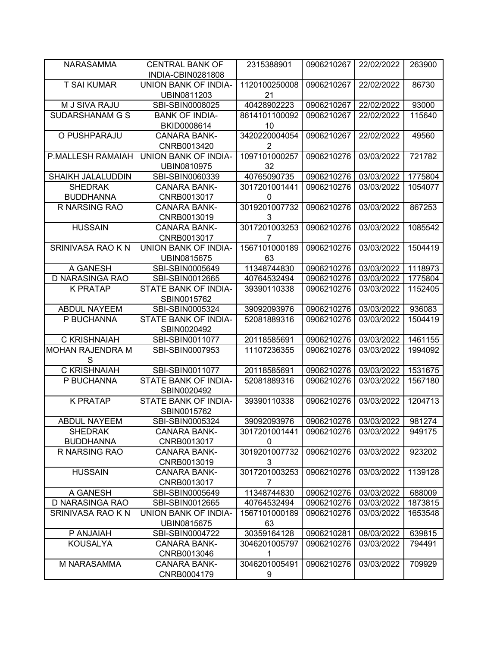| UNION BANK OF INDIA-<br>1120100250008<br><b>T SAI KUMAR</b><br>0906210267<br>22/02/2022<br>86730<br>21<br>UBIN0811203<br>M J SIVA RAJU<br>40428902223<br>SBI-SBIN0008025<br>0906210267<br>22/02/2022<br>93000<br>SUDARSHANAM G S<br><b>BANK OF INDIA-</b><br>8614101100092<br>0906210267<br>115640<br>22/02/2022<br>BKID0008614<br>10<br>3420220004054<br>0906210267<br>O PUSHPARAJU<br><b>CANARA BANK-</b><br>22/02/2022<br>49560<br>2<br>CNRB0013420<br>1097101000257<br>P.MALLESH RAMAIAH<br>UNION BANK OF INDIA-<br>0906210276<br>03/03/2022<br>721782<br>UBIN0810975<br>32<br>SHAIKH JALALUDDIN<br>40765090735<br>0906210276<br>03/03/2022<br>1775804<br>SBI-SBIN0060339<br><b>SHEDRAK</b><br>3017201001441<br><b>CANARA BANK-</b><br>0906210276<br>03/03/2022<br>1054077<br><b>BUDDHANNA</b><br>CNRB0013017<br>0<br>R NARSING RAO<br><b>CANARA BANK-</b><br>3019201007732<br>0906210276<br>03/03/2022<br>867253<br>CNRB0013019<br>3<br><b>HUSSAIN</b><br>3017201003253<br><b>CANARA BANK-</b><br>0906210276<br>03/03/2022<br>1085542<br>$\overline{7}$<br>CNRB0013017<br>SRINIVASA RAO K N<br>1567101000189<br>0906210276<br><b>UNION BANK OF INDIA-</b><br>03/03/2022<br>1504419<br>UBIN0815675<br>63<br>11348744830<br>A GANESH<br>SBI-SBIN0005649<br>0906210276<br>03/03/2022<br>1118973<br>D NARASINGA RAO<br>SBI-SBIN0012665<br>40764532494<br>0906210276<br>03/03/2022<br>1775804<br><b>K PRATAP</b><br><b>STATE BANK OF INDIA-</b><br>03/03/2022<br>1152405<br>39390110338<br>0906210276<br>SBIN0015762<br>ABDUL NAYEEM<br>39092093976<br>0906210276<br>03/03/2022<br>936083<br>SBI-SBIN0005324<br>P BUCHANNA<br>STATE BANK OF INDIA-<br>0906210276<br>1504419<br>52081889316<br>03/03/2022<br>SBIN0020492<br>C KRISHNAIAH<br>03/03/2022<br>1461155<br>SBI-SBIN0011077<br>20118585691<br>0906210276<br><b>MOHAN RAJENDRA M</b><br>11107236355<br>0906210276<br>03/03/2022<br>SBI-SBIN0007953<br>1994092<br>S<br>C KRISHNAIAH<br>SBI-SBIN0011077<br>03/03/2022<br>1531675<br>20118585691<br>0906210276<br>P BUCHANNA<br>STATE BANK OF INDIA-<br>1567180<br>52081889316<br>0906210276<br>03/03/2022<br>SBIN0020492<br><b>K PRATAP</b><br>STATE BANK OF INDIA-<br>39390110338<br>0906210276<br>03/03/2022<br>1204713<br>SBIN0015762<br>SBI-SBIN0005324<br><b>ABDUL NAYEEM</b><br>39092093976<br>0906210276<br>03/03/2022<br>981274<br><b>SHEDRAK</b><br><b>CANARA BANK-</b><br>3017201001441<br>0906210276<br>03/03/2022<br>949175<br><b>BUDDHANNA</b><br>CNRB0013017<br>0<br>3019201007732<br>R NARSING RAO<br>0906210276<br>03/03/2022<br>923202<br><b>CANARA BANK-</b><br>3<br>CNRB0013019<br><b>HUSSAIN</b><br>3017201003253<br>1139128<br><b>CANARA BANK-</b><br>0906210276<br>03/03/2022<br>CNRB0013017<br>$\overline{7}$<br>11348744830<br>03/03/2022<br>688009<br>A GANESH<br>SBI-SBIN0005649<br>0906210276<br>D NARASINGA RAO<br>0906210276<br>03/03/2022<br>1873815<br>SBI-SBIN0012665<br>40764532494<br>SRINIVASA RAO K N<br>UNION BANK OF INDIA-<br>1567101000189<br>03/03/2022<br>0906210276<br>1653548<br>UBIN0815675<br>63<br>P ANJAIAH<br>0906210281<br>08/03/2022<br>639815<br>SBI-SBIN0004722<br>30359164128<br><b>KOUSALYA</b><br>0906210276<br><b>CANARA BANK-</b><br>3046201005797<br>03/03/2022<br>794491<br>CNRB0013046<br>1<br>3046201005491<br>0906210276<br>03/03/2022<br>709929<br>M NARASAMMA<br><b>CANARA BANK-</b><br>CNRB0004179<br>9 | <b>NARASAMMA</b> | <b>CENTRAL BANK OF</b><br>INDIA-CBIN0281808 | 2315388901 | 0906210267 | 22/02/2022 | 263900 |
|--------------------------------------------------------------------------------------------------------------------------------------------------------------------------------------------------------------------------------------------------------------------------------------------------------------------------------------------------------------------------------------------------------------------------------------------------------------------------------------------------------------------------------------------------------------------------------------------------------------------------------------------------------------------------------------------------------------------------------------------------------------------------------------------------------------------------------------------------------------------------------------------------------------------------------------------------------------------------------------------------------------------------------------------------------------------------------------------------------------------------------------------------------------------------------------------------------------------------------------------------------------------------------------------------------------------------------------------------------------------------------------------------------------------------------------------------------------------------------------------------------------------------------------------------------------------------------------------------------------------------------------------------------------------------------------------------------------------------------------------------------------------------------------------------------------------------------------------------------------------------------------------------------------------------------------------------------------------------------------------------------------------------------------------------------------------------------------------------------------------------------------------------------------------------------------------------------------------------------------------------------------------------------------------------------------------------------------------------------------------------------------------------------------------------------------------------------------------------------------------------------------------------------------------------------------------------------------------------------------------------------------------------------------------------------------------------------------------------------------------------------------------------------------------------------------------------------------------------------------------------------------------------------------------------------------------------------------------------------------------------------------------------------------------------------------------------------------------------------------------------------------------------------------------------------------------------------------------------------------------------------------------------------------------------------------------------------------------------------------------------------|------------------|---------------------------------------------|------------|------------|------------|--------|
|                                                                                                                                                                                                                                                                                                                                                                                                                                                                                                                                                                                                                                                                                                                                                                                                                                                                                                                                                                                                                                                                                                                                                                                                                                                                                                                                                                                                                                                                                                                                                                                                                                                                                                                                                                                                                                                                                                                                                                                                                                                                                                                                                                                                                                                                                                                                                                                                                                                                                                                                                                                                                                                                                                                                                                                                                                                                                                                                                                                                                                                                                                                                                                                                                                                                                                                                                                                |                  |                                             |            |            |            |        |
|                                                                                                                                                                                                                                                                                                                                                                                                                                                                                                                                                                                                                                                                                                                                                                                                                                                                                                                                                                                                                                                                                                                                                                                                                                                                                                                                                                                                                                                                                                                                                                                                                                                                                                                                                                                                                                                                                                                                                                                                                                                                                                                                                                                                                                                                                                                                                                                                                                                                                                                                                                                                                                                                                                                                                                                                                                                                                                                                                                                                                                                                                                                                                                                                                                                                                                                                                                                |                  |                                             |            |            |            |        |
|                                                                                                                                                                                                                                                                                                                                                                                                                                                                                                                                                                                                                                                                                                                                                                                                                                                                                                                                                                                                                                                                                                                                                                                                                                                                                                                                                                                                                                                                                                                                                                                                                                                                                                                                                                                                                                                                                                                                                                                                                                                                                                                                                                                                                                                                                                                                                                                                                                                                                                                                                                                                                                                                                                                                                                                                                                                                                                                                                                                                                                                                                                                                                                                                                                                                                                                                                                                |                  |                                             |            |            |            |        |
|                                                                                                                                                                                                                                                                                                                                                                                                                                                                                                                                                                                                                                                                                                                                                                                                                                                                                                                                                                                                                                                                                                                                                                                                                                                                                                                                                                                                                                                                                                                                                                                                                                                                                                                                                                                                                                                                                                                                                                                                                                                                                                                                                                                                                                                                                                                                                                                                                                                                                                                                                                                                                                                                                                                                                                                                                                                                                                                                                                                                                                                                                                                                                                                                                                                                                                                                                                                |                  |                                             |            |            |            |        |
|                                                                                                                                                                                                                                                                                                                                                                                                                                                                                                                                                                                                                                                                                                                                                                                                                                                                                                                                                                                                                                                                                                                                                                                                                                                                                                                                                                                                                                                                                                                                                                                                                                                                                                                                                                                                                                                                                                                                                                                                                                                                                                                                                                                                                                                                                                                                                                                                                                                                                                                                                                                                                                                                                                                                                                                                                                                                                                                                                                                                                                                                                                                                                                                                                                                                                                                                                                                |                  |                                             |            |            |            |        |
|                                                                                                                                                                                                                                                                                                                                                                                                                                                                                                                                                                                                                                                                                                                                                                                                                                                                                                                                                                                                                                                                                                                                                                                                                                                                                                                                                                                                                                                                                                                                                                                                                                                                                                                                                                                                                                                                                                                                                                                                                                                                                                                                                                                                                                                                                                                                                                                                                                                                                                                                                                                                                                                                                                                                                                                                                                                                                                                                                                                                                                                                                                                                                                                                                                                                                                                                                                                |                  |                                             |            |            |            |        |
|                                                                                                                                                                                                                                                                                                                                                                                                                                                                                                                                                                                                                                                                                                                                                                                                                                                                                                                                                                                                                                                                                                                                                                                                                                                                                                                                                                                                                                                                                                                                                                                                                                                                                                                                                                                                                                                                                                                                                                                                                                                                                                                                                                                                                                                                                                                                                                                                                                                                                                                                                                                                                                                                                                                                                                                                                                                                                                                                                                                                                                                                                                                                                                                                                                                                                                                                                                                |                  |                                             |            |            |            |        |
|                                                                                                                                                                                                                                                                                                                                                                                                                                                                                                                                                                                                                                                                                                                                                                                                                                                                                                                                                                                                                                                                                                                                                                                                                                                                                                                                                                                                                                                                                                                                                                                                                                                                                                                                                                                                                                                                                                                                                                                                                                                                                                                                                                                                                                                                                                                                                                                                                                                                                                                                                                                                                                                                                                                                                                                                                                                                                                                                                                                                                                                                                                                                                                                                                                                                                                                                                                                |                  |                                             |            |            |            |        |
|                                                                                                                                                                                                                                                                                                                                                                                                                                                                                                                                                                                                                                                                                                                                                                                                                                                                                                                                                                                                                                                                                                                                                                                                                                                                                                                                                                                                                                                                                                                                                                                                                                                                                                                                                                                                                                                                                                                                                                                                                                                                                                                                                                                                                                                                                                                                                                                                                                                                                                                                                                                                                                                                                                                                                                                                                                                                                                                                                                                                                                                                                                                                                                                                                                                                                                                                                                                |                  |                                             |            |            |            |        |
|                                                                                                                                                                                                                                                                                                                                                                                                                                                                                                                                                                                                                                                                                                                                                                                                                                                                                                                                                                                                                                                                                                                                                                                                                                                                                                                                                                                                                                                                                                                                                                                                                                                                                                                                                                                                                                                                                                                                                                                                                                                                                                                                                                                                                                                                                                                                                                                                                                                                                                                                                                                                                                                                                                                                                                                                                                                                                                                                                                                                                                                                                                                                                                                                                                                                                                                                                                                |                  |                                             |            |            |            |        |
|                                                                                                                                                                                                                                                                                                                                                                                                                                                                                                                                                                                                                                                                                                                                                                                                                                                                                                                                                                                                                                                                                                                                                                                                                                                                                                                                                                                                                                                                                                                                                                                                                                                                                                                                                                                                                                                                                                                                                                                                                                                                                                                                                                                                                                                                                                                                                                                                                                                                                                                                                                                                                                                                                                                                                                                                                                                                                                                                                                                                                                                                                                                                                                                                                                                                                                                                                                                |                  |                                             |            |            |            |        |
|                                                                                                                                                                                                                                                                                                                                                                                                                                                                                                                                                                                                                                                                                                                                                                                                                                                                                                                                                                                                                                                                                                                                                                                                                                                                                                                                                                                                                                                                                                                                                                                                                                                                                                                                                                                                                                                                                                                                                                                                                                                                                                                                                                                                                                                                                                                                                                                                                                                                                                                                                                                                                                                                                                                                                                                                                                                                                                                                                                                                                                                                                                                                                                                                                                                                                                                                                                                |                  |                                             |            |            |            |        |
|                                                                                                                                                                                                                                                                                                                                                                                                                                                                                                                                                                                                                                                                                                                                                                                                                                                                                                                                                                                                                                                                                                                                                                                                                                                                                                                                                                                                                                                                                                                                                                                                                                                                                                                                                                                                                                                                                                                                                                                                                                                                                                                                                                                                                                                                                                                                                                                                                                                                                                                                                                                                                                                                                                                                                                                                                                                                                                                                                                                                                                                                                                                                                                                                                                                                                                                                                                                |                  |                                             |            |            |            |        |
|                                                                                                                                                                                                                                                                                                                                                                                                                                                                                                                                                                                                                                                                                                                                                                                                                                                                                                                                                                                                                                                                                                                                                                                                                                                                                                                                                                                                                                                                                                                                                                                                                                                                                                                                                                                                                                                                                                                                                                                                                                                                                                                                                                                                                                                                                                                                                                                                                                                                                                                                                                                                                                                                                                                                                                                                                                                                                                                                                                                                                                                                                                                                                                                                                                                                                                                                                                                |                  |                                             |            |            |            |        |
|                                                                                                                                                                                                                                                                                                                                                                                                                                                                                                                                                                                                                                                                                                                                                                                                                                                                                                                                                                                                                                                                                                                                                                                                                                                                                                                                                                                                                                                                                                                                                                                                                                                                                                                                                                                                                                                                                                                                                                                                                                                                                                                                                                                                                                                                                                                                                                                                                                                                                                                                                                                                                                                                                                                                                                                                                                                                                                                                                                                                                                                                                                                                                                                                                                                                                                                                                                                |                  |                                             |            |            |            |        |
|                                                                                                                                                                                                                                                                                                                                                                                                                                                                                                                                                                                                                                                                                                                                                                                                                                                                                                                                                                                                                                                                                                                                                                                                                                                                                                                                                                                                                                                                                                                                                                                                                                                                                                                                                                                                                                                                                                                                                                                                                                                                                                                                                                                                                                                                                                                                                                                                                                                                                                                                                                                                                                                                                                                                                                                                                                                                                                                                                                                                                                                                                                                                                                                                                                                                                                                                                                                |                  |                                             |            |            |            |        |
|                                                                                                                                                                                                                                                                                                                                                                                                                                                                                                                                                                                                                                                                                                                                                                                                                                                                                                                                                                                                                                                                                                                                                                                                                                                                                                                                                                                                                                                                                                                                                                                                                                                                                                                                                                                                                                                                                                                                                                                                                                                                                                                                                                                                                                                                                                                                                                                                                                                                                                                                                                                                                                                                                                                                                                                                                                                                                                                                                                                                                                                                                                                                                                                                                                                                                                                                                                                |                  |                                             |            |            |            |        |
|                                                                                                                                                                                                                                                                                                                                                                                                                                                                                                                                                                                                                                                                                                                                                                                                                                                                                                                                                                                                                                                                                                                                                                                                                                                                                                                                                                                                                                                                                                                                                                                                                                                                                                                                                                                                                                                                                                                                                                                                                                                                                                                                                                                                                                                                                                                                                                                                                                                                                                                                                                                                                                                                                                                                                                                                                                                                                                                                                                                                                                                                                                                                                                                                                                                                                                                                                                                |                  |                                             |            |            |            |        |
|                                                                                                                                                                                                                                                                                                                                                                                                                                                                                                                                                                                                                                                                                                                                                                                                                                                                                                                                                                                                                                                                                                                                                                                                                                                                                                                                                                                                                                                                                                                                                                                                                                                                                                                                                                                                                                                                                                                                                                                                                                                                                                                                                                                                                                                                                                                                                                                                                                                                                                                                                                                                                                                                                                                                                                                                                                                                                                                                                                                                                                                                                                                                                                                                                                                                                                                                                                                |                  |                                             |            |            |            |        |
|                                                                                                                                                                                                                                                                                                                                                                                                                                                                                                                                                                                                                                                                                                                                                                                                                                                                                                                                                                                                                                                                                                                                                                                                                                                                                                                                                                                                                                                                                                                                                                                                                                                                                                                                                                                                                                                                                                                                                                                                                                                                                                                                                                                                                                                                                                                                                                                                                                                                                                                                                                                                                                                                                                                                                                                                                                                                                                                                                                                                                                                                                                                                                                                                                                                                                                                                                                                |                  |                                             |            |            |            |        |
|                                                                                                                                                                                                                                                                                                                                                                                                                                                                                                                                                                                                                                                                                                                                                                                                                                                                                                                                                                                                                                                                                                                                                                                                                                                                                                                                                                                                                                                                                                                                                                                                                                                                                                                                                                                                                                                                                                                                                                                                                                                                                                                                                                                                                                                                                                                                                                                                                                                                                                                                                                                                                                                                                                                                                                                                                                                                                                                                                                                                                                                                                                                                                                                                                                                                                                                                                                                |                  |                                             |            |            |            |        |
|                                                                                                                                                                                                                                                                                                                                                                                                                                                                                                                                                                                                                                                                                                                                                                                                                                                                                                                                                                                                                                                                                                                                                                                                                                                                                                                                                                                                                                                                                                                                                                                                                                                                                                                                                                                                                                                                                                                                                                                                                                                                                                                                                                                                                                                                                                                                                                                                                                                                                                                                                                                                                                                                                                                                                                                                                                                                                                                                                                                                                                                                                                                                                                                                                                                                                                                                                                                |                  |                                             |            |            |            |        |
|                                                                                                                                                                                                                                                                                                                                                                                                                                                                                                                                                                                                                                                                                                                                                                                                                                                                                                                                                                                                                                                                                                                                                                                                                                                                                                                                                                                                                                                                                                                                                                                                                                                                                                                                                                                                                                                                                                                                                                                                                                                                                                                                                                                                                                                                                                                                                                                                                                                                                                                                                                                                                                                                                                                                                                                                                                                                                                                                                                                                                                                                                                                                                                                                                                                                                                                                                                                |                  |                                             |            |            |            |        |
|                                                                                                                                                                                                                                                                                                                                                                                                                                                                                                                                                                                                                                                                                                                                                                                                                                                                                                                                                                                                                                                                                                                                                                                                                                                                                                                                                                                                                                                                                                                                                                                                                                                                                                                                                                                                                                                                                                                                                                                                                                                                                                                                                                                                                                                                                                                                                                                                                                                                                                                                                                                                                                                                                                                                                                                                                                                                                                                                                                                                                                                                                                                                                                                                                                                                                                                                                                                |                  |                                             |            |            |            |        |
|                                                                                                                                                                                                                                                                                                                                                                                                                                                                                                                                                                                                                                                                                                                                                                                                                                                                                                                                                                                                                                                                                                                                                                                                                                                                                                                                                                                                                                                                                                                                                                                                                                                                                                                                                                                                                                                                                                                                                                                                                                                                                                                                                                                                                                                                                                                                                                                                                                                                                                                                                                                                                                                                                                                                                                                                                                                                                                                                                                                                                                                                                                                                                                                                                                                                                                                                                                                |                  |                                             |            |            |            |        |
|                                                                                                                                                                                                                                                                                                                                                                                                                                                                                                                                                                                                                                                                                                                                                                                                                                                                                                                                                                                                                                                                                                                                                                                                                                                                                                                                                                                                                                                                                                                                                                                                                                                                                                                                                                                                                                                                                                                                                                                                                                                                                                                                                                                                                                                                                                                                                                                                                                                                                                                                                                                                                                                                                                                                                                                                                                                                                                                                                                                                                                                                                                                                                                                                                                                                                                                                                                                |                  |                                             |            |            |            |        |
|                                                                                                                                                                                                                                                                                                                                                                                                                                                                                                                                                                                                                                                                                                                                                                                                                                                                                                                                                                                                                                                                                                                                                                                                                                                                                                                                                                                                                                                                                                                                                                                                                                                                                                                                                                                                                                                                                                                                                                                                                                                                                                                                                                                                                                                                                                                                                                                                                                                                                                                                                                                                                                                                                                                                                                                                                                                                                                                                                                                                                                                                                                                                                                                                                                                                                                                                                                                |                  |                                             |            |            |            |        |
|                                                                                                                                                                                                                                                                                                                                                                                                                                                                                                                                                                                                                                                                                                                                                                                                                                                                                                                                                                                                                                                                                                                                                                                                                                                                                                                                                                                                                                                                                                                                                                                                                                                                                                                                                                                                                                                                                                                                                                                                                                                                                                                                                                                                                                                                                                                                                                                                                                                                                                                                                                                                                                                                                                                                                                                                                                                                                                                                                                                                                                                                                                                                                                                                                                                                                                                                                                                |                  |                                             |            |            |            |        |
|                                                                                                                                                                                                                                                                                                                                                                                                                                                                                                                                                                                                                                                                                                                                                                                                                                                                                                                                                                                                                                                                                                                                                                                                                                                                                                                                                                                                                                                                                                                                                                                                                                                                                                                                                                                                                                                                                                                                                                                                                                                                                                                                                                                                                                                                                                                                                                                                                                                                                                                                                                                                                                                                                                                                                                                                                                                                                                                                                                                                                                                                                                                                                                                                                                                                                                                                                                                |                  |                                             |            |            |            |        |
|                                                                                                                                                                                                                                                                                                                                                                                                                                                                                                                                                                                                                                                                                                                                                                                                                                                                                                                                                                                                                                                                                                                                                                                                                                                                                                                                                                                                                                                                                                                                                                                                                                                                                                                                                                                                                                                                                                                                                                                                                                                                                                                                                                                                                                                                                                                                                                                                                                                                                                                                                                                                                                                                                                                                                                                                                                                                                                                                                                                                                                                                                                                                                                                                                                                                                                                                                                                |                  |                                             |            |            |            |        |
|                                                                                                                                                                                                                                                                                                                                                                                                                                                                                                                                                                                                                                                                                                                                                                                                                                                                                                                                                                                                                                                                                                                                                                                                                                                                                                                                                                                                                                                                                                                                                                                                                                                                                                                                                                                                                                                                                                                                                                                                                                                                                                                                                                                                                                                                                                                                                                                                                                                                                                                                                                                                                                                                                                                                                                                                                                                                                                                                                                                                                                                                                                                                                                                                                                                                                                                                                                                |                  |                                             |            |            |            |        |
|                                                                                                                                                                                                                                                                                                                                                                                                                                                                                                                                                                                                                                                                                                                                                                                                                                                                                                                                                                                                                                                                                                                                                                                                                                                                                                                                                                                                                                                                                                                                                                                                                                                                                                                                                                                                                                                                                                                                                                                                                                                                                                                                                                                                                                                                                                                                                                                                                                                                                                                                                                                                                                                                                                                                                                                                                                                                                                                                                                                                                                                                                                                                                                                                                                                                                                                                                                                |                  |                                             |            |            |            |        |
|                                                                                                                                                                                                                                                                                                                                                                                                                                                                                                                                                                                                                                                                                                                                                                                                                                                                                                                                                                                                                                                                                                                                                                                                                                                                                                                                                                                                                                                                                                                                                                                                                                                                                                                                                                                                                                                                                                                                                                                                                                                                                                                                                                                                                                                                                                                                                                                                                                                                                                                                                                                                                                                                                                                                                                                                                                                                                                                                                                                                                                                                                                                                                                                                                                                                                                                                                                                |                  |                                             |            |            |            |        |
|                                                                                                                                                                                                                                                                                                                                                                                                                                                                                                                                                                                                                                                                                                                                                                                                                                                                                                                                                                                                                                                                                                                                                                                                                                                                                                                                                                                                                                                                                                                                                                                                                                                                                                                                                                                                                                                                                                                                                                                                                                                                                                                                                                                                                                                                                                                                                                                                                                                                                                                                                                                                                                                                                                                                                                                                                                                                                                                                                                                                                                                                                                                                                                                                                                                                                                                                                                                |                  |                                             |            |            |            |        |
|                                                                                                                                                                                                                                                                                                                                                                                                                                                                                                                                                                                                                                                                                                                                                                                                                                                                                                                                                                                                                                                                                                                                                                                                                                                                                                                                                                                                                                                                                                                                                                                                                                                                                                                                                                                                                                                                                                                                                                                                                                                                                                                                                                                                                                                                                                                                                                                                                                                                                                                                                                                                                                                                                                                                                                                                                                                                                                                                                                                                                                                                                                                                                                                                                                                                                                                                                                                |                  |                                             |            |            |            |        |
|                                                                                                                                                                                                                                                                                                                                                                                                                                                                                                                                                                                                                                                                                                                                                                                                                                                                                                                                                                                                                                                                                                                                                                                                                                                                                                                                                                                                                                                                                                                                                                                                                                                                                                                                                                                                                                                                                                                                                                                                                                                                                                                                                                                                                                                                                                                                                                                                                                                                                                                                                                                                                                                                                                                                                                                                                                                                                                                                                                                                                                                                                                                                                                                                                                                                                                                                                                                |                  |                                             |            |            |            |        |
|                                                                                                                                                                                                                                                                                                                                                                                                                                                                                                                                                                                                                                                                                                                                                                                                                                                                                                                                                                                                                                                                                                                                                                                                                                                                                                                                                                                                                                                                                                                                                                                                                                                                                                                                                                                                                                                                                                                                                                                                                                                                                                                                                                                                                                                                                                                                                                                                                                                                                                                                                                                                                                                                                                                                                                                                                                                                                                                                                                                                                                                                                                                                                                                                                                                                                                                                                                                |                  |                                             |            |            |            |        |
|                                                                                                                                                                                                                                                                                                                                                                                                                                                                                                                                                                                                                                                                                                                                                                                                                                                                                                                                                                                                                                                                                                                                                                                                                                                                                                                                                                                                                                                                                                                                                                                                                                                                                                                                                                                                                                                                                                                                                                                                                                                                                                                                                                                                                                                                                                                                                                                                                                                                                                                                                                                                                                                                                                                                                                                                                                                                                                                                                                                                                                                                                                                                                                                                                                                                                                                                                                                |                  |                                             |            |            |            |        |
|                                                                                                                                                                                                                                                                                                                                                                                                                                                                                                                                                                                                                                                                                                                                                                                                                                                                                                                                                                                                                                                                                                                                                                                                                                                                                                                                                                                                                                                                                                                                                                                                                                                                                                                                                                                                                                                                                                                                                                                                                                                                                                                                                                                                                                                                                                                                                                                                                                                                                                                                                                                                                                                                                                                                                                                                                                                                                                                                                                                                                                                                                                                                                                                                                                                                                                                                                                                |                  |                                             |            |            |            |        |
|                                                                                                                                                                                                                                                                                                                                                                                                                                                                                                                                                                                                                                                                                                                                                                                                                                                                                                                                                                                                                                                                                                                                                                                                                                                                                                                                                                                                                                                                                                                                                                                                                                                                                                                                                                                                                                                                                                                                                                                                                                                                                                                                                                                                                                                                                                                                                                                                                                                                                                                                                                                                                                                                                                                                                                                                                                                                                                                                                                                                                                                                                                                                                                                                                                                                                                                                                                                |                  |                                             |            |            |            |        |
|                                                                                                                                                                                                                                                                                                                                                                                                                                                                                                                                                                                                                                                                                                                                                                                                                                                                                                                                                                                                                                                                                                                                                                                                                                                                                                                                                                                                                                                                                                                                                                                                                                                                                                                                                                                                                                                                                                                                                                                                                                                                                                                                                                                                                                                                                                                                                                                                                                                                                                                                                                                                                                                                                                                                                                                                                                                                                                                                                                                                                                                                                                                                                                                                                                                                                                                                                                                |                  |                                             |            |            |            |        |
|                                                                                                                                                                                                                                                                                                                                                                                                                                                                                                                                                                                                                                                                                                                                                                                                                                                                                                                                                                                                                                                                                                                                                                                                                                                                                                                                                                                                                                                                                                                                                                                                                                                                                                                                                                                                                                                                                                                                                                                                                                                                                                                                                                                                                                                                                                                                                                                                                                                                                                                                                                                                                                                                                                                                                                                                                                                                                                                                                                                                                                                                                                                                                                                                                                                                                                                                                                                |                  |                                             |            |            |            |        |
|                                                                                                                                                                                                                                                                                                                                                                                                                                                                                                                                                                                                                                                                                                                                                                                                                                                                                                                                                                                                                                                                                                                                                                                                                                                                                                                                                                                                                                                                                                                                                                                                                                                                                                                                                                                                                                                                                                                                                                                                                                                                                                                                                                                                                                                                                                                                                                                                                                                                                                                                                                                                                                                                                                                                                                                                                                                                                                                                                                                                                                                                                                                                                                                                                                                                                                                                                                                |                  |                                             |            |            |            |        |
|                                                                                                                                                                                                                                                                                                                                                                                                                                                                                                                                                                                                                                                                                                                                                                                                                                                                                                                                                                                                                                                                                                                                                                                                                                                                                                                                                                                                                                                                                                                                                                                                                                                                                                                                                                                                                                                                                                                                                                                                                                                                                                                                                                                                                                                                                                                                                                                                                                                                                                                                                                                                                                                                                                                                                                                                                                                                                                                                                                                                                                                                                                                                                                                                                                                                                                                                                                                |                  |                                             |            |            |            |        |
|                                                                                                                                                                                                                                                                                                                                                                                                                                                                                                                                                                                                                                                                                                                                                                                                                                                                                                                                                                                                                                                                                                                                                                                                                                                                                                                                                                                                                                                                                                                                                                                                                                                                                                                                                                                                                                                                                                                                                                                                                                                                                                                                                                                                                                                                                                                                                                                                                                                                                                                                                                                                                                                                                                                                                                                                                                                                                                                                                                                                                                                                                                                                                                                                                                                                                                                                                                                |                  |                                             |            |            |            |        |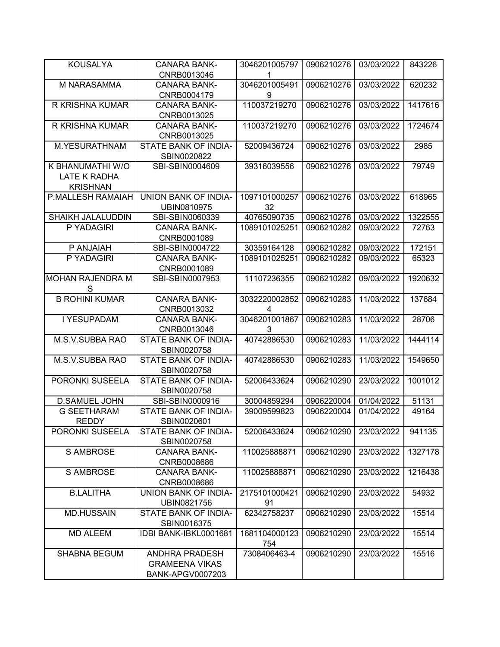| <b>KOUSALYA</b>              | <b>CANARA BANK-</b>                 | 3046201005797 | 0906210276 | 03/03/2022 | 843226  |
|------------------------------|-------------------------------------|---------------|------------|------------|---------|
|                              | CNRB0013046                         | 1             |            |            |         |
| M NARASAMMA                  | <b>CANARA BANK-</b>                 | 3046201005491 | 0906210276 | 03/03/2022 | 620232  |
|                              | CNRB0004179                         | 9             |            |            |         |
| R KRISHNA KUMAR              | <b>CANARA BANK-</b>                 | 110037219270  | 0906210276 | 03/03/2022 | 1417616 |
|                              | CNRB0013025                         |               |            |            |         |
| R KRISHNA KUMAR              | <b>CANARA BANK-</b>                 | 110037219270  | 0906210276 | 03/03/2022 | 1724674 |
|                              | CNRB0013025                         |               |            |            |         |
| <b>M.YESURATHNAM</b>         | STATE BANK OF INDIA-                | 52009436724   | 0906210276 | 03/03/2022 | 2985    |
|                              | SBIN0020822                         |               |            |            |         |
| K BHANUMATHI W/O             | SBI-SBIN0004609                     | 39316039556   | 0906210276 | 03/03/2022 | 79749   |
| LATE K RADHA                 |                                     |               |            |            |         |
| <b>KRISHNAN</b>              |                                     |               |            |            |         |
| P.MALLESH RAMAIAH            | <b>UNION BANK OF INDIA-</b>         | 1097101000257 | 0906210276 | 03/03/2022 | 618965  |
|                              | UBIN0810975                         | 32            |            |            |         |
| SHAIKH JALALUDDIN            | SBI-SBIN0060339                     | 40765090735   | 0906210276 | 03/03/2022 | 1322555 |
| P YADAGIRI                   | <b>CANARA BANK-</b>                 | 1089101025251 | 0906210282 | 09/03/2022 | 72763   |
|                              | CNRB0001089                         |               |            |            |         |
| P ANJAIAH                    | SBI-SBIN0004722                     | 30359164128   | 0906210282 | 09/03/2022 | 172151  |
| P YADAGIRI                   | <b>CANARA BANK-</b>                 | 1089101025251 | 0906210282 | 09/03/2022 | 65323   |
|                              | CNRB0001089                         |               |            |            |         |
| <b>MOHAN RAJENDRA M</b><br>S | SBI-SBIN0007953                     | 11107236355   | 0906210282 | 09/03/2022 | 1920632 |
| <b>B ROHINI KUMAR</b>        | <b>CANARA BANK-</b>                 | 3032220002852 | 0906210283 | 11/03/2022 | 137684  |
|                              | CNRB0013032                         | 4             |            |            |         |
| I YESUPADAM                  | <b>CANARA BANK-</b>                 | 3046201001867 | 0906210283 | 11/03/2022 | 28706   |
|                              | CNRB0013046                         | 3             |            |            |         |
| M.S.V.SUBBA RAO              | STATE BANK OF INDIA-                | 40742886530   | 0906210283 | 11/03/2022 | 1444114 |
|                              | SBIN0020758                         |               |            |            |         |
| M.S.V.SUBBA RAO              | STATE BANK OF INDIA-                | 40742886530   | 0906210283 | 11/03/2022 | 1549650 |
|                              | SBIN0020758                         |               |            |            |         |
| PORONKI SUSEELA              | STATE BANK OF INDIA-                | 52006433624   | 0906210290 | 23/03/2022 | 1001012 |
|                              | SBIN0020758                         |               |            |            |         |
| <b>D.SAMUEL JOHN</b>         | SBI-SBIN0000916                     | 30004859294   | 0906220004 | 01/04/2022 | 51131   |
| <b>G SEETHARAM</b>           | <b>STATE BANK OF INDIA-</b>         | 39009599823   | 0906220004 | 01/04/2022 | 49164   |
| <b>REDDY</b>                 | SBIN0020601                         |               |            |            |         |
| PORONKI SUSEELA              | STATE BANK OF INDIA-<br>SBIN0020758 | 52006433624   | 0906210290 | 23/03/2022 | 941135  |
| <b>S AMBROSE</b>             | <b>CANARA BANK-</b>                 | 110025888871  | 0906210290 | 23/03/2022 | 1327178 |
|                              | CNRB0008686                         |               |            |            |         |
| <b>S AMBROSE</b>             | <b>CANARA BANK-</b>                 | 110025888871  | 0906210290 | 23/03/2022 | 1216438 |
|                              | CNRB0008686                         |               |            |            |         |
| <b>B.LALITHA</b>             | UNION BANK OF INDIA-                | 2175101000421 | 0906210290 | 23/03/2022 | 54932   |
|                              | UBIN0821756                         | 91            |            |            |         |
| <b>MD.HUSSAIN</b>            | STATE BANK OF INDIA-                | 62342758237   | 0906210290 | 23/03/2022 | 15514   |
|                              | SBIN0016375                         |               |            |            |         |
| <b>MD ALEEM</b>              | IDBI BANK-IBKL0001681               | 1681104000123 | 0906210290 | 23/03/2022 | 15514   |
|                              |                                     | 754           |            |            |         |
| <b>SHABNA BEGUM</b>          | <b>ANDHRA PRADESH</b>               | 7308406463-4  | 0906210290 | 23/03/2022 | 15516   |
|                              | <b>GRAMEENA VIKAS</b>               |               |            |            |         |
|                              | BANK-APGV0007203                    |               |            |            |         |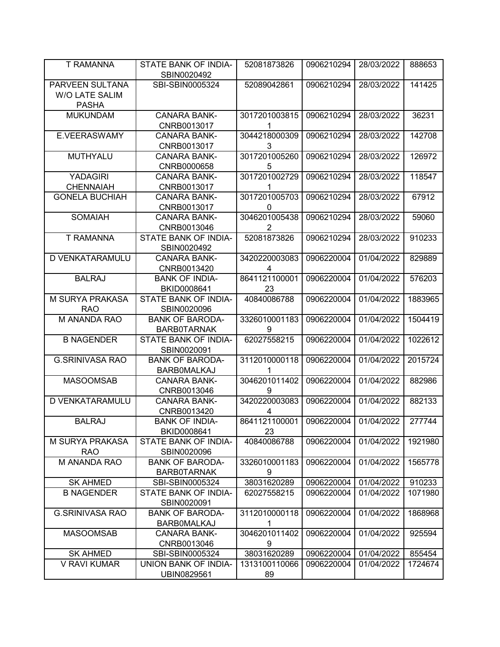| T RAMANNA                                         | STATE BANK OF INDIA-<br>SBIN0020492          | 52081873826                     | 0906210294 | 28/03/2022 | 888653  |
|---------------------------------------------------|----------------------------------------------|---------------------------------|------------|------------|---------|
| PARVEEN SULTANA<br>W/O LATE SALIM<br><b>PASHA</b> | SBI-SBIN0005324                              | 52089042861                     | 0906210294 | 28/03/2022 | 141425  |
| <b>MUKUNDAM</b>                                   | <b>CANARA BANK-</b><br>CNRB0013017           | 3017201003815<br>1              | 0906210294 | 28/03/2022 | 36231   |
| E.VEERASWAMY                                      | <b>CANARA BANK-</b><br>CNRB0013017           | 3044218000309<br>3              | 0906210294 | 28/03/2022 | 142708  |
| MUTHYALU                                          | <b>CANARA BANK-</b><br>CNRB0000658           | 3017201005260<br>5              | 0906210294 | 28/03/2022 | 126972  |
| <b>YADAGIRI</b><br><b>CHENNAIAH</b>               | <b>CANARA BANK-</b><br>CNRB0013017           | 3017201002729<br>1              | 0906210294 | 28/03/2022 | 118547  |
| <b>GONELA BUCHIAH</b>                             | <b>CANARA BANK-</b><br>CNRB0013017           | 3017201005703<br>0              | 0906210294 | 28/03/2022 | 67912   |
| <b>SOMAIAH</b>                                    | <b>CANARA BANK-</b><br>CNRB0013046           | 3046201005438<br>$\overline{2}$ | 0906210294 | 28/03/2022 | 59060   |
| <b>T RAMANNA</b>                                  | STATE BANK OF INDIA-<br>SBIN0020492          | 52081873826                     | 0906210294 | 28/03/2022 | 910233  |
| D VENKATARAMULU                                   | <b>CANARA BANK-</b><br>CNRB0013420           | 3420220003083<br>4              | 0906220004 | 01/04/2022 | 829889  |
| <b>BALRAJ</b>                                     | <b>BANK OF INDIA-</b><br>BKID0008641         | 8641121100001<br>23             | 0906220004 | 01/04/2022 | 576203  |
| M SURYA PRAKASA<br><b>RAO</b>                     | STATE BANK OF INDIA-<br>SBIN0020096          | 40840086788                     | 0906220004 | 01/04/2022 | 1883965 |
| M ANANDA RAO                                      | <b>BANK OF BARODA-</b><br><b>BARB0TARNAK</b> | 3326010001183<br>9              | 0906220004 | 01/04/2022 | 1504419 |
| <b>B NAGENDER</b>                                 | STATE BANK OF INDIA-<br>SBIN0020091          | 62027558215                     | 0906220004 | 01/04/2022 | 1022612 |
| <b>G.SRINIVASA RAO</b>                            | <b>BANK OF BARODA-</b><br><b>BARBOMALKAJ</b> | 3112010000118<br>1              | 0906220004 | 01/04/2022 | 2015724 |
| <b>MASOOMSAB</b>                                  | <b>CANARA BANK-</b><br>CNRB0013046           | 3046201011402<br>9              | 0906220004 | 01/04/2022 | 882986  |
| D VENKATARAMULU                                   | <b>CANARA BANK-</b><br>CNRB0013420           | 3420220003083<br>4              | 0906220004 | 01/04/2022 | 882133  |
| <b>BALRAJ</b>                                     | <b>BANK OF INDIA-</b><br>BKID0008641         | 8641121100001<br>23             | 0906220004 | 01/04/2022 | 277744  |
| M SURYA PRAKASA<br><b>RAO</b>                     | STATE BANK OF INDIA-<br>SBIN0020096          | 40840086788                     | 0906220004 | 01/04/2022 | 1921980 |
| M ANANDA RAO                                      | <b>BANK OF BARODA-</b><br><b>BARB0TARNAK</b> | 3326010001183<br>9              | 0906220004 | 01/04/2022 | 1565778 |
| <b>SK AHMED</b>                                   | SBI-SBIN0005324                              | 38031620289                     | 0906220004 | 01/04/2022 | 910233  |
| <b>B NAGENDER</b>                                 | STATE BANK OF INDIA-<br>SBIN0020091          | 62027558215                     | 0906220004 | 01/04/2022 | 1071980 |
| <b>G.SRINIVASA RAO</b>                            | <b>BANK OF BARODA-</b><br><b>BARBOMALKAJ</b> | 3112010000118<br>1              | 0906220004 | 01/04/2022 | 1868968 |
| <b>MASOOMSAB</b>                                  | <b>CANARA BANK-</b><br>CNRB0013046           | 3046201011402<br>9              | 0906220004 | 01/04/2022 | 925594  |
| <b>SK AHMED</b>                                   | SBI-SBIN0005324                              | 38031620289                     | 0906220004 | 01/04/2022 | 855454  |
| V RAVI KUMAR                                      | UNION BANK OF INDIA-<br>UBIN0829561          | 1313100110066<br>89             | 0906220004 | 01/04/2022 | 1724674 |